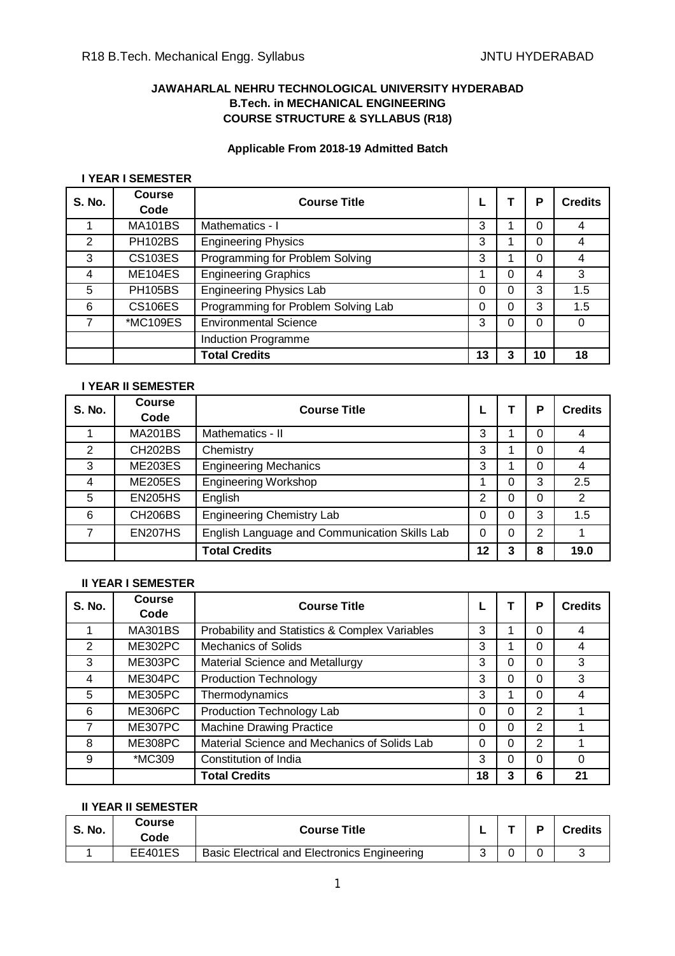# **JAWAHARLAL NEHRU TECHNOLOGICAL UNIVERSITY HYDERABAD B.Tech. in MECHANICAL ENGINEERING COURSE STRUCTURE & SYLLABUS (R18)**

# **Applicable From 2018-19 Admitted Batch**

#### **I YEAR I SEMESTER**

| <b>S. No.</b> | <b>Course</b><br>Code | <b>Course Title</b>                 |    |   | P  | <b>Credits</b> |
|---------------|-----------------------|-------------------------------------|----|---|----|----------------|
|               | <b>MA101BS</b>        | Mathematics - I                     | 3  |   | 0  | 4              |
| 2             | <b>PH102BS</b>        | <b>Engineering Physics</b>          | 3  |   | 0  | 4              |
| 3             | <b>CS103ES</b>        | Programming for Problem Solving     | 3  |   | 0  | 4              |
| 4             | <b>ME104ES</b>        | <b>Engineering Graphics</b>         |    |   | 4  | 3              |
| 5             | <b>PH105BS</b>        | <b>Engineering Physics Lab</b>      | 0  | 0 | 3  | 1.5            |
| 6             | <b>CS106ES</b>        | Programming for Problem Solving Lab | 0  | ი | 3  | 1.5            |
|               | *MC109ES              | <b>Environmental Science</b>        | 3  |   | 0  | $\Omega$       |
|               |                       | Induction Programme                 |    |   |    |                |
|               |                       | <b>Total Credits</b>                | 13 |   | 10 | 18             |

#### **I YEAR II SEMESTER**

| <b>S. No.</b> | <b>Course</b><br>Code | <b>Course Title</b>                           |    |   | Р | <b>Credits</b> |
|---------------|-----------------------|-----------------------------------------------|----|---|---|----------------|
|               | <b>MA201BS</b>        | Mathematics - II                              | 3  |   | 0 |                |
| 2             | <b>CH202BS</b>        | Chemistry                                     | 3  |   | 0 | 4              |
| 3             | <b>ME203ES</b>        | <b>Engineering Mechanics</b>                  | 3  |   | 0 |                |
| 4             | <b>ME205ES</b>        | <b>Engineering Workshop</b>                   |    |   | 3 | 2.5            |
| 5             | <b>EN205HS</b>        | English                                       | 2  |   | 0 | 2              |
| 6             | <b>CH206BS</b>        | <b>Engineering Chemistry Lab</b>              | 0  | 0 | 3 | 1.5            |
|               | <b>EN207HS</b>        | English Language and Communication Skills Lab | 0  |   | 2 |                |
|               |                       | <b>Total Credits</b>                          | 12 | 3 | 8 | 19.0           |

#### **II YEAR I SEMESTER**

| <b>S. No.</b>  | Course<br>Code | <b>Course Title</b>                            |    |   | Р              | <b>Credits</b> |
|----------------|----------------|------------------------------------------------|----|---|----------------|----------------|
|                | <b>MA301BS</b> | Probability and Statistics & Complex Variables | 3  |   | 0              | 4              |
| $\overline{2}$ | <b>ME302PC</b> | <b>Mechanics of Solids</b>                     | 3  |   | 0              | 4              |
| 3              | ME303PC        | Material Science and Metallurgy                | 3  | ი | 0              | 3              |
| 4              | ME304PC        | <b>Production Technology</b>                   | 3  | 0 | 0              | 3              |
| 5              | <b>ME305PC</b> | Thermodynamics                                 | 3  |   | 0              | 4              |
| 6              | <b>ME306PC</b> | Production Technology Lab                      | 0  | ი | $\overline{2}$ |                |
| 7              | ME307PC        | <b>Machine Drawing Practice</b>                | 0  | 0 | 2              |                |
| 8              | <b>ME308PC</b> | Material Science and Mechanics of Solids Lab   | 0  | 0 | $\overline{2}$ |                |
| 9              | *MC309         | Constitution of India                          | 3  |   | 0              |                |
|                |                | <b>Total Credits</b>                           | 18 |   | 6              | 21             |

#### **II YEAR II SEMESTER**

| <b>S. No.</b> | Course<br>Code | <b>Course Title</b>                          |  | <b>Credits</b> |
|---------------|----------------|----------------------------------------------|--|----------------|
|               | <b>EE401ES</b> | Basic Electrical and Electronics Engineering |  |                |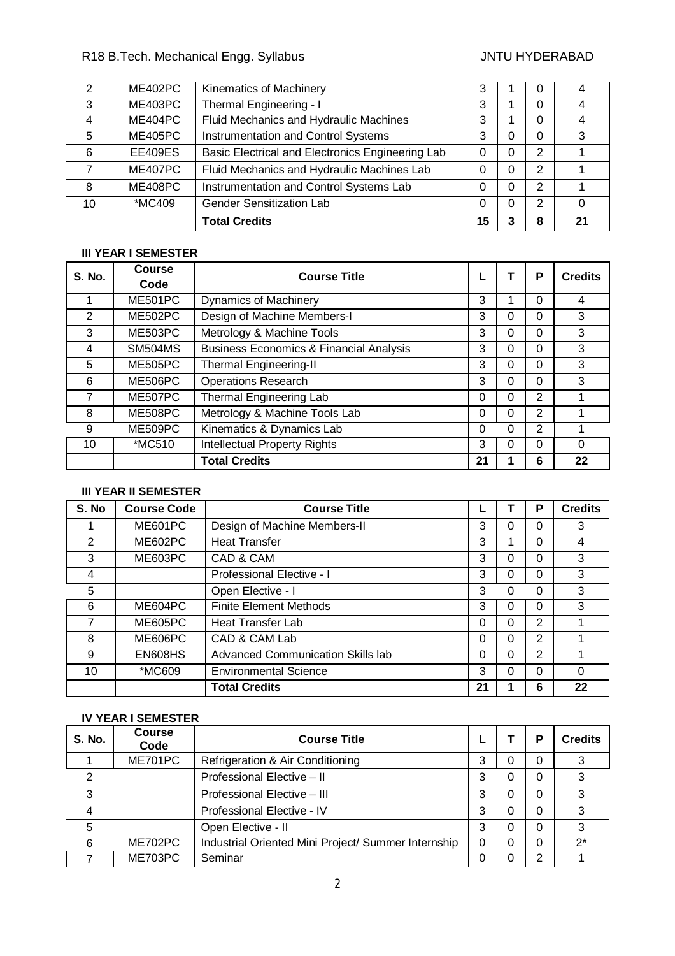# R18 B.Tech. Mechanical Engg. Syllabus JNTU HYDERABAD

| 2  | ME402PC        | Kinematics of Machinery                          | 3  |   | O |    |
|----|----------------|--------------------------------------------------|----|---|---|----|
| 3  | ME403PC        | Thermal Engineering - I                          | 3  |   | 0 |    |
| 4  | ME404PC        | Fluid Mechanics and Hydraulic Machines           | 3  |   | 0 |    |
| 5  | <b>ME405PC</b> | Instrumentation and Control Systems              | 3  | 0 | 0 | 3  |
| 6  | <b>EE409ES</b> | Basic Electrical and Electronics Engineering Lab | 0  | 0 | 2 |    |
|    | ME407PC        | Fluid Mechanics and Hydraulic Machines Lab       | 0  | 0 | 2 |    |
| 8  | ME408PC        | Instrumentation and Control Systems Lab          | 0  | 0 | 2 |    |
| 10 | *MC409         | <b>Gender Sensitization Lab</b>                  | 0  | 0 | 2 |    |
|    |                | <b>Total Credits</b>                             | 15 |   | 8 | 21 |

# **III YEAR I SEMESTER**

| <b>S. No.</b> | <b>Course</b><br>Code | <b>Course Title</b>                                |          |   | P              | <b>Credits</b> |
|---------------|-----------------------|----------------------------------------------------|----------|---|----------------|----------------|
|               | ME501PC               | <b>Dynamics of Machinery</b>                       | 3        |   | $\Omega$       | 4              |
| 2             | <b>ME502PC</b>        | Design of Machine Members-I                        | 3        | 0 | 0              | 3              |
| 3             | <b>ME503PC</b>        | Metrology & Machine Tools                          | 3        | 0 | 0              | 3              |
| 4             | <b>SM504MS</b>        | <b>Business Economics &amp; Financial Analysis</b> | 3        | 0 | 0              | 3              |
| 5             | <b>ME505PC</b>        | <b>Thermal Engineering-II</b>                      | 3        | 0 | $\Omega$       | 3              |
| 6             | <b>ME506PC</b>        | <b>Operations Research</b>                         | 3        | 0 | 0              | 3              |
| 7             | ME507PC               | <b>Thermal Engineering Lab</b>                     | 0        | 0 | $\overline{2}$ |                |
| 8             | <b>ME508PC</b>        | Metrology & Machine Tools Lab                      | 0        | 0 | $\overline{2}$ |                |
| 9             | ME509PC               | Kinematics & Dynamics Lab                          | $\Omega$ | 0 | 2              |                |
| 10            | *MC510                | <b>Intellectual Property Rights</b>                | 3        | 0 | $\Omega$       | 0              |
|               |                       | <b>Total Credits</b>                               | 21       |   | 6              | 22             |

# **III YEAR II SEMESTER**

| S. No | <b>Course Code</b> | <b>Course Title</b>               |          |   | Р | <b>Credits</b> |
|-------|--------------------|-----------------------------------|----------|---|---|----------------|
|       | ME601PC            | Design of Machine Members-II      | 3        | ი | 0 | 3              |
| 2     | <b>ME602PC</b>     | <b>Heat Transfer</b>              | 3        |   | 0 | 4              |
| 3     | ME603PC            | CAD & CAM                         | 3        |   | 0 | 3              |
| 4     |                    | Professional Elective - I         | 3        | ი | 0 | 3              |
| 5     |                    | Open Elective - I                 | 3        | 0 | 0 | 3              |
| 6     | ME604PC            | <b>Finite Element Methods</b>     | 3        | 0 | 0 | 3              |
| 7     | <b>ME605PC</b>     | Heat Transfer Lab                 | $\Omega$ | 0 | 2 |                |
| 8     | ME606PC            | CAD & CAM Lab                     | $\Omega$ | 0 | 2 |                |
| 9     | EN608HS            | Advanced Communication Skills lab | 0        | ი | 2 |                |
| 10    | *MC609             | <b>Environmental Science</b>      | 3        | ი | O | ∩              |
|       |                    | <b>Total Credits</b>              | 21       |   | 6 | 22             |

# **IV YEAR I SEMESTER**

| <b>S. No.</b> | <b>Course</b><br>Code | <b>Course Title</b>                                 |   |   | D | <b>Credits</b> |
|---------------|-----------------------|-----------------------------------------------------|---|---|---|----------------|
|               | <b>ME701PC</b>        | Refrigeration & Air Conditioning                    | 3 |   | 0 | 3              |
| 2             |                       | Professional Elective - II                          | 3 |   |   | 3              |
| 3             |                       | Professional Elective - III                         | 3 | 0 | O |                |
| 4             |                       | Professional Elective - IV                          | 3 |   | O | 3              |
| 5             |                       | Open Elective - II                                  | 3 |   |   | 3              |
| 6             | ME702PC               | Industrial Oriented Mini Project/ Summer Internship | 0 |   |   | $2^*$          |
|               | ME703PC               | Seminar                                             |   |   |   |                |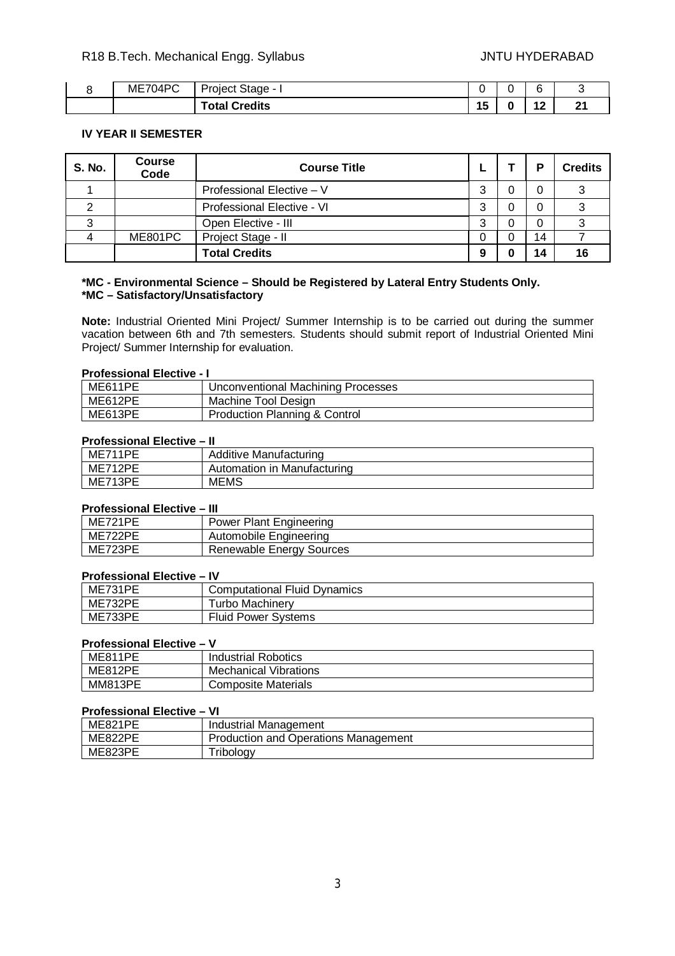| $\sim$<br>ME<br>4۱)<br>∼ | -<br><br>, olect '<br>. -  age -<br>∼ |  | $\cdots$   |   |
|--------------------------|---------------------------------------|--|------------|---|
|                          | lits<br>$\sim$ for $\sim$<br>υια<br>. |  | م ا<br>. . | ົ |

#### **IV YEAR II SEMESTER**

| <b>S. No.</b> | <b>Course</b><br>Code | <b>Course Title</b>        |        | D  | <b>Credits</b> |
|---------------|-----------------------|----------------------------|--------|----|----------------|
|               |                       | Professional Elective - V  | っ<br>C |    | ົ              |
| ⌒             |                       | Professional Elective - VI | っ<br>w |    |                |
|               |                       | Open Elective - III        |        |    |                |
|               | ME801PC               | Project Stage - II         |        | 14 |                |
|               |                       | <b>Total Credits</b>       |        |    | 16             |

#### **\*MC - Environmental Science – Should be Registered by Lateral Entry Students Only. \*MC – Satisfactory/Unsatisfactory**

**Note:** Industrial Oriented Mini Project/ Summer Internship is to be carried out during the summer vacation between 6th and 7th semesters. Students should submit report of Industrial Oriented Mini Project/ Summer Internship for evaluation.

#### **Professional Elective - I**

| ME611PE | Unconventional Machining Processes |
|---------|------------------------------------|
| ME612PE | Machine Tool Design                |
| ME613PE | Production Planning & Control      |

# **Professional Elective – II**

|         | ----                        |
|---------|-----------------------------|
| ME711PE | Additive Manufacturing      |
| ME712PE | Automation in Manufacturing |
| ME713PE | MEMS                        |
|         |                             |

#### **Professional Elective – III**

| ME721PE | Power Plant Engineering  |
|---------|--------------------------|
| ME722PE | Automobile Engineering   |
| ME723PE | Renewable Energy Sources |

#### **Professional Elective – IV**

| ME731PE | <b>Computational Fluid Dynamics</b> |
|---------|-------------------------------------|
| ME732PE | Furbo Machinerv                     |
| ME733PE | <b>Fluid Power Systems</b>          |

#### **Professional Elective – V**

| <b>ME811PE</b> | Industrial Robotics          |
|----------------|------------------------------|
| <b>ME812PE</b> | <b>Mechanical Vibrations</b> |
| <b>MM813PE</b> | <b>Composite Materials</b>   |

#### **Professional Elective – VI**

| <b>ME821PE</b> | Industrial Management                |
|----------------|--------------------------------------|
| ME822PE        | Production and Operations Management |
| ME823PE        | ' ribology                           |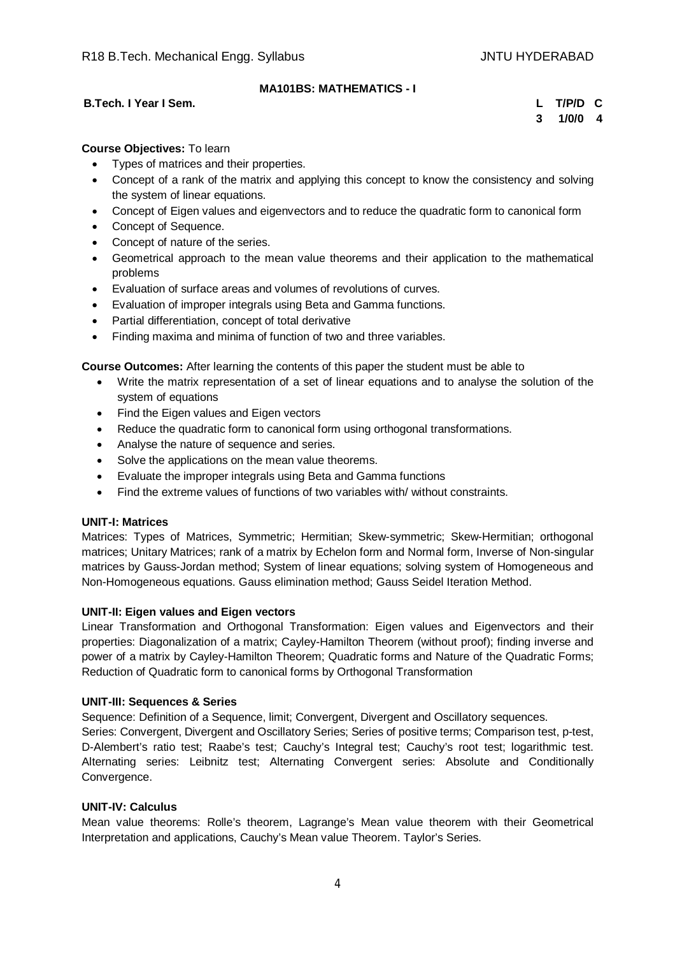# **MA101BS: MATHEMATICS - I**

#### **B.Tech. I Year I Sem. L T/P/D C**

**3 1/0/0 4**

# **Course Objectives:** To learn

- Types of matrices and their properties.
- Concept of a rank of the matrix and applying this concept to know the consistency and solving the system of linear equations.
- Concept of Eigen values and eigenvectors and to reduce the quadratic form to canonical form
- Concept of Sequence.
- Concept of nature of the series.
- Geometrical approach to the mean value theorems and their application to the mathematical problems
- Evaluation of surface areas and volumes of revolutions of curves.
- Evaluation of improper integrals using Beta and Gamma functions.
- Partial differentiation, concept of total derivative
- Finding maxima and minima of function of two and three variables.

**Course Outcomes:** After learning the contents of this paper the student must be able to

- Write the matrix representation of a set of linear equations and to analyse the solution of the system of equations
- Find the Eigen values and Eigen vectors
- Reduce the quadratic form to canonical form using orthogonal transformations.
- Analyse the nature of sequence and series.
- Solve the applications on the mean value theorems.
- Evaluate the improper integrals using Beta and Gamma functions
- Find the extreme values of functions of two variables with/ without constraints.

#### **UNIT-I: Matrices**

Matrices: Types of Matrices, Symmetric; Hermitian; Skew-symmetric; Skew-Hermitian; orthogonal matrices; Unitary Matrices; rank of a matrix by Echelon form and Normal form, Inverse of Non-singular matrices by Gauss-Jordan method; System of linear equations; solving system of Homogeneous and Non-Homogeneous equations. Gauss elimination method; Gauss Seidel Iteration Method.

#### **UNIT-II: Eigen values and Eigen vectors**

Linear Transformation and Orthogonal Transformation: Eigen values and Eigenvectors and their properties: Diagonalization of a matrix; Cayley-Hamilton Theorem (without proof); finding inverse and power of a matrix by Cayley-Hamilton Theorem; Quadratic forms and Nature of the Quadratic Forms; Reduction of Quadratic form to canonical forms by Orthogonal Transformation

#### **UNIT-III: Sequences & Series**

Sequence: Definition of a Sequence, limit; Convergent, Divergent and Oscillatory sequences.

Series: Convergent, Divergent and Oscillatory Series; Series of positive terms; Comparison test, p-test, D-Alembert's ratio test; Raabe's test; Cauchy's Integral test; Cauchy's root test; logarithmic test. Alternating series: Leibnitz test; Alternating Convergent series: Absolute and Conditionally Convergence.

#### **UNIT-IV: Calculus**

Mean value theorems: Rolle's theorem, Lagrange's Mean value theorem with their Geometrical Interpretation and applications, Cauchy's Mean value Theorem. Taylor's Series.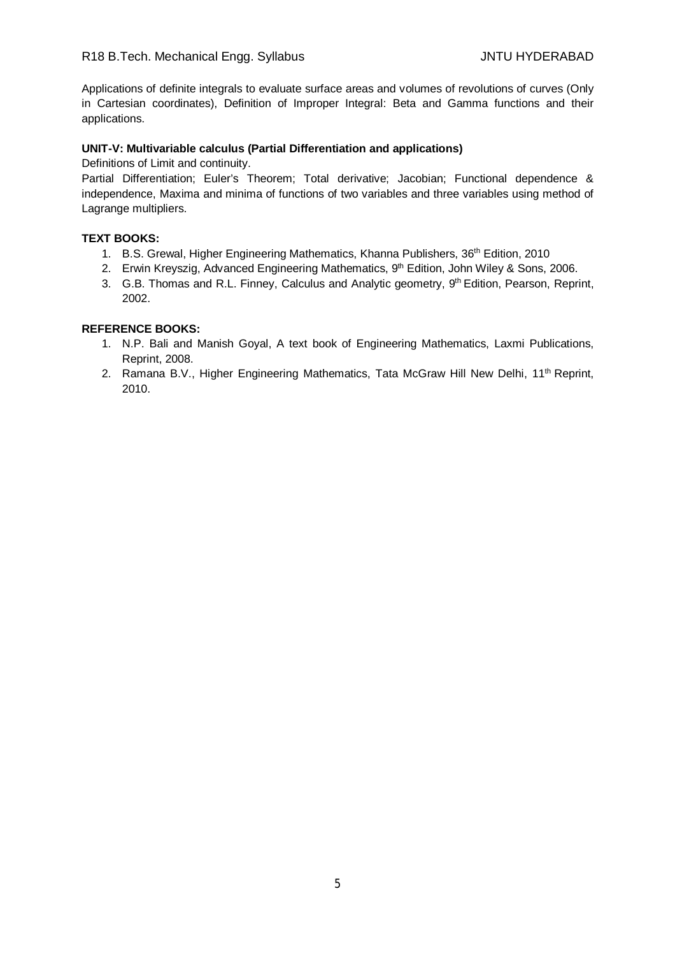Applications of definite integrals to evaluate surface areas and volumes of revolutions of curves (Only in Cartesian coordinates), Definition of Improper Integral: Beta and Gamma functions and their applications.

#### **UNIT-V: Multivariable calculus (Partial Differentiation and applications)**

Definitions of Limit and continuity.

Partial Differentiation; Euler's Theorem; Total derivative; Jacobian; Functional dependence & independence, Maxima and minima of functions of two variables and three variables using method of Lagrange multipliers.

#### **TEXT BOOKS:**

- 1. B.S. Grewal, Higher Engineering Mathematics, Khanna Publishers, 36<sup>th</sup> Edition, 2010
- 2. Erwin Kreyszig, Advanced Engineering Mathematics, 9<sup>th</sup> Edition, John Wiley & Sons, 2006.
- 3. G.B. Thomas and R.L. Finney, Calculus and Analytic geometry, 9<sup>th</sup> Edition, Pearson, Reprint, 2002.

- 1. N.P. Bali and Manish Goyal, A text book of Engineering Mathematics, Laxmi Publications, Reprint, 2008.
- 2. Ramana B.V., Higher Engineering Mathematics, Tata McGraw Hill New Delhi, 11<sup>th</sup> Reprint, 2010.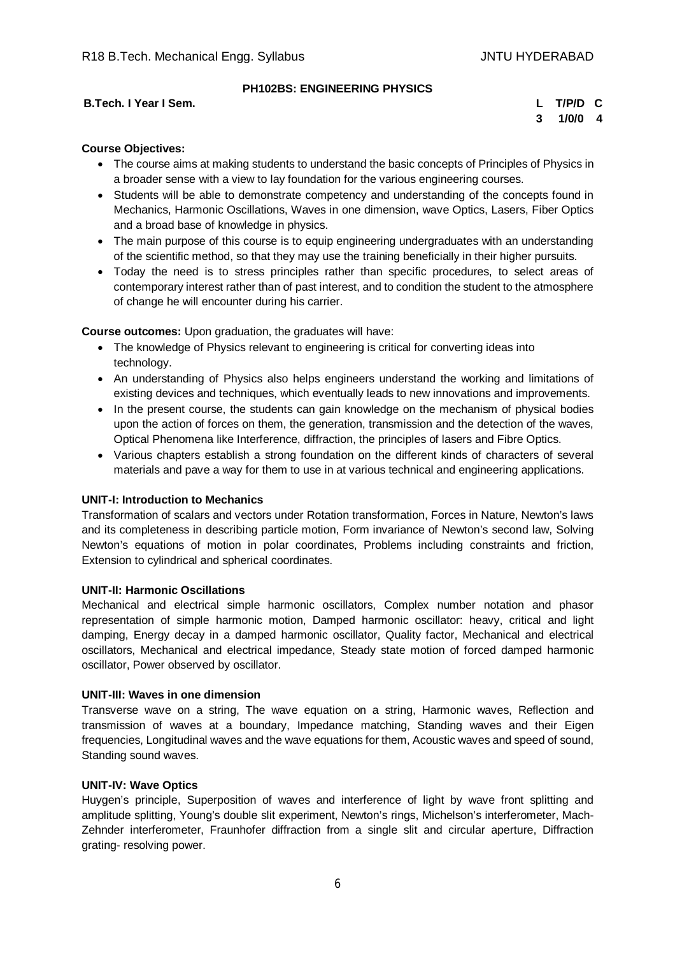# **B.Tech. I Year I Sem. L T/P/D C**

# **PH102BS: ENGINEERING PHYSICS**

**3 1/0/0 4**

# **Course Objectives:**

- The course aims at making students to understand the basic concepts of Principles of Physics in a broader sense with a view to lay foundation for the various engineering courses.
- Students will be able to demonstrate competency and understanding of the concepts found in Mechanics, Harmonic Oscillations, Waves in one dimension, wave Optics, Lasers, Fiber Optics and a broad base of knowledge in physics.
- The main purpose of this course is to equip engineering undergraduates with an understanding of the scientific method, so that they may use the training beneficially in their higher pursuits.
- Today the need is to stress principles rather than specific procedures, to select areas of contemporary interest rather than of past interest, and to condition the student to the atmosphere of change he will encounter during his carrier.

**Course outcomes:** Upon graduation, the graduates will have:

- The knowledge of Physics relevant to engineering is critical for converting ideas into technology.
- An understanding of Physics also helps engineers understand the working and limitations of existing devices and techniques, which eventually leads to new innovations and improvements.
- In the present course, the students can gain knowledge on the mechanism of physical bodies upon the action of forces on them, the generation, transmission and the detection of the waves, Optical Phenomena like Interference, diffraction, the principles of lasers and Fibre Optics.
- Various chapters establish a strong foundation on the different kinds of characters of several materials and pave a way for them to use in at various technical and engineering applications.

#### **UNIT-I: Introduction to Mechanics**

Transformation of scalars and vectors under Rotation transformation, Forces in Nature, Newton's laws and its completeness in describing particle motion, Form invariance of Newton's second law, Solving Newton's equations of motion in polar coordinates, Problems including constraints and friction, Extension to cylindrical and spherical coordinates.

#### **UNIT-II: Harmonic Oscillations**

Mechanical and electrical simple harmonic oscillators, Complex number notation and phasor representation of simple harmonic motion, Damped harmonic oscillator: heavy, critical and light damping, Energy decay in a damped harmonic oscillator, Quality factor, Mechanical and electrical oscillators, Mechanical and electrical impedance, Steady state motion of forced damped harmonic oscillator, Power observed by oscillator.

#### **UNIT-III: Waves in one dimension**

Transverse wave on a string, The wave equation on a string, Harmonic waves, Reflection and transmission of waves at a boundary, Impedance matching, Standing waves and their Eigen frequencies, Longitudinal waves and the wave equations for them, Acoustic waves and speed of sound, Standing sound waves.

#### **UNIT-IV: Wave Optics**

Huygen's principle, Superposition of waves and interference of light by wave front splitting and amplitude splitting, Young's double slit experiment, Newton's rings, Michelson's interferometer, Mach-Zehnder interferometer, Fraunhofer diffraction from a single slit and circular aperture, Diffraction grating- resolving power.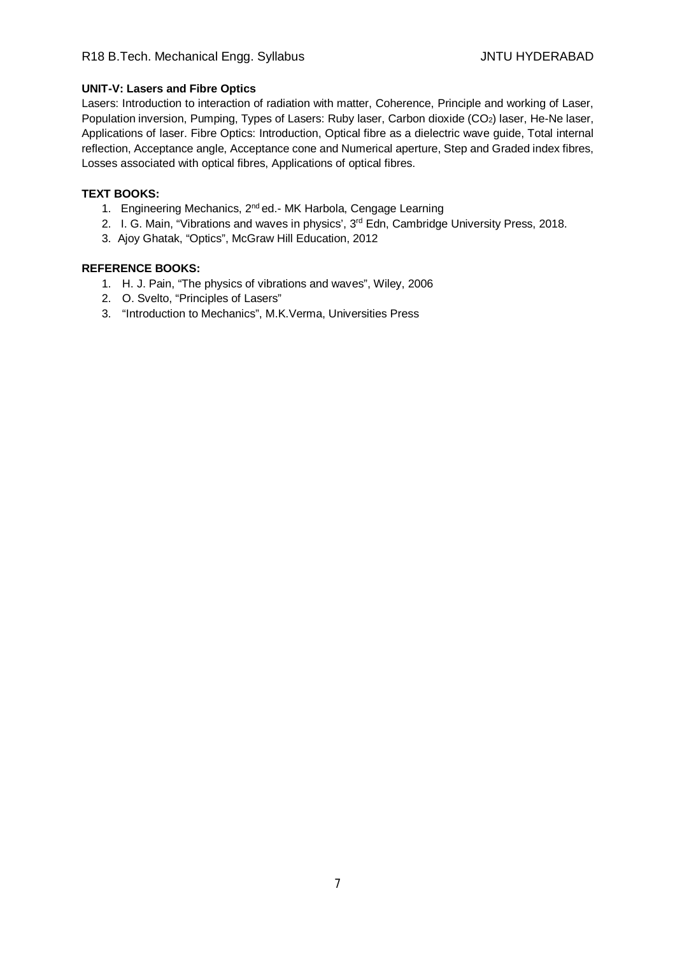# R18 B.Tech. Mechanical Engg. Syllabus JNTU HYDERABAD

#### **UNIT-V: Lasers and Fibre Optics**

Lasers: Introduction to interaction of radiation with matter, Coherence, Principle and working of Laser, Population inversion, Pumping, Types of Lasers: Ruby laser, Carbon dioxide (CO<sub>2</sub>) laser, He-Ne laser, Applications of laser. Fibre Optics: Introduction, Optical fibre as a dielectric wave guide, Total internal reflection, Acceptance angle, Acceptance cone and Numerical aperture, Step and Graded index fibres, Losses associated with optical fibres, Applications of optical fibres.

# **TEXT BOOKS:**

- 1. Engineering Mechanics, 2<sup>nd</sup> ed.- MK Harbola, Cengage Learning
- 2. I. G. Main, "Vibrations and waves in physics', 3<sup>rd</sup> Edn, Cambridge University Press, 2018.
- 3. Ajoy Ghatak, "Optics", McGraw Hill Education, 2012

- 1. H. J. Pain, "The physics of vibrations and waves", Wiley, 2006
- 2. O. Svelto, "Principles of Lasers"
- 3. "Introduction to Mechanics", M.K.Verma, Universities Press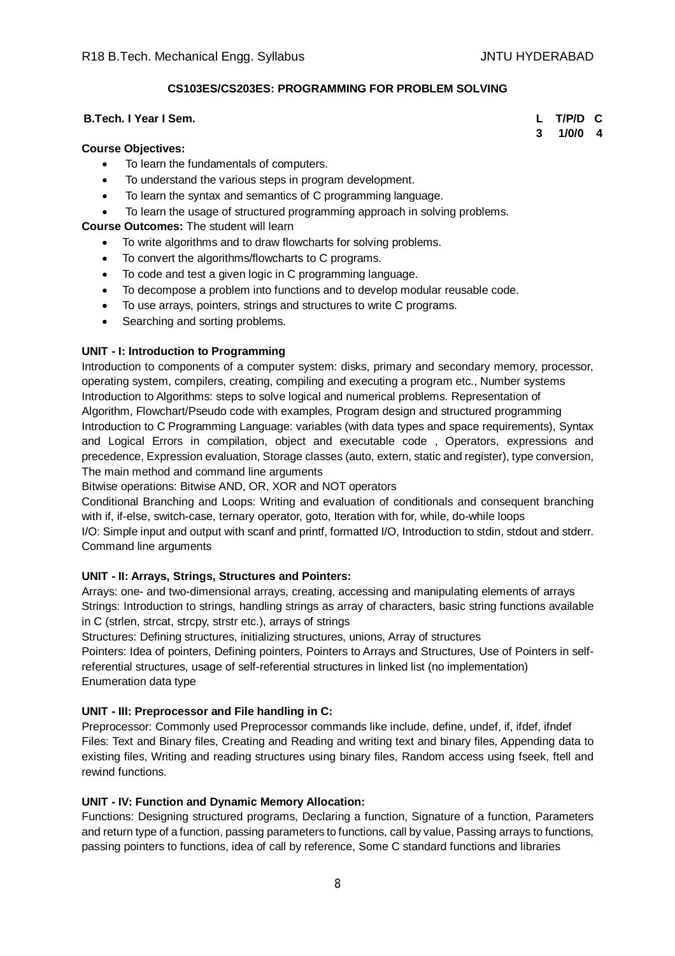# **CS103ES/CS203ES: PROGRAMMING FOR PROBLEM SOLVING**

#### **B.Tech. I Year I Sem. L T/P/D C**

#### **Course Objectives:**

- To learn the fundamentals of computers.
- To understand the various steps in program development.
- To learn the syntax and semantics of C programming language.
- To learn the usage of structured programming approach in solving problems.

#### **Course Outcomes:** The student will learn

- To write algorithms and to draw flowcharts for solving problems.
- To convert the algorithms/flowcharts to C programs.
- To code and test a given logic in C programming language.
- To decompose a problem into functions and to develop modular reusable code.
- To use arrays, pointers, strings and structures to write C programs.
- Searching and sorting problems.

#### **UNIT - I: Introduction to Programming**

Introduction to components of a computer system: disks, primary and secondary memory, processor, operating system, compilers, creating, compiling and executing a program etc., Number systems Introduction to Algorithms: steps to solve logical and numerical problems. Representation of Algorithm, Flowchart/Pseudo code with examples, Program design and structured programming Introduction to C Programming Language: variables (with data types and space requirements), Syntax and Logical Errors in compilation, object and executable code , Operators, expressions and precedence, Expression evaluation, Storage classes (auto, extern, static and register), type conversion, The main method and command line arguments

Bitwise operations: Bitwise AND, OR, XOR and NOT operators

Conditional Branching and Loops: Writing and evaluation of conditionals and consequent branching with if, if-else, switch-case, ternary operator, goto, Iteration with for, while, do-while loops

I/O: Simple input and output with scanf and printf, formatted I/O, Introduction to stdin, stdout and stderr. Command line arguments

#### **UNIT - II: Arrays, Strings, Structures and Pointers:**

Arrays: one- and two-dimensional arrays, creating, accessing and manipulating elements of arrays Strings: Introduction to strings, handling strings as array of characters, basic string functions available in C (strlen, strcat, strcpy, strstr etc.), arrays of strings

Structures: Defining structures, initializing structures, unions, Array of structures

Pointers: Idea of pointers, Defining pointers, Pointers to Arrays and Structures, Use of Pointers in selfreferential structures, usage of self-referential structures in linked list (no implementation) Enumeration data type

#### **UNIT - III: Preprocessor and File handling in C:**

Preprocessor: Commonly used Preprocessor commands like include, define, undef, if, ifdef, ifndef Files: Text and Binary files, Creating and Reading and writing text and binary files, Appending data to existing files, Writing and reading structures using binary files, Random access using fseek, ftell and rewind functions.

#### **UNIT - IV: Function and Dynamic Memory Allocation:**

Functions: Designing structured programs, Declaring a function, Signature of a function, Parameters and return type of a function, passing parameters to functions, call by value, Passing arrays to functions, passing pointers to functions, idea of call by reference, Some C standard functions and libraries

**3 1/0/0 4**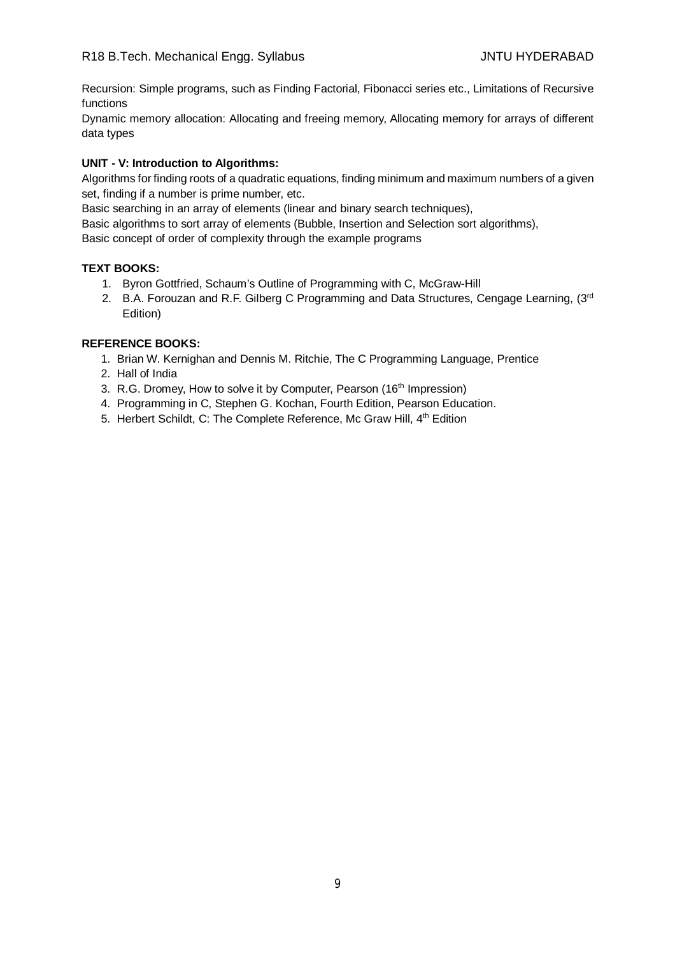Recursion: Simple programs, such as Finding Factorial, Fibonacci series etc., Limitations of Recursive functions

Dynamic memory allocation: Allocating and freeing memory, Allocating memory for arrays of different data types

# **UNIT - V: Introduction to Algorithms:**

Algorithms for finding roots of a quadratic equations, finding minimum and maximum numbers of a given set, finding if a number is prime number, etc.

Basic searching in an array of elements (linear and binary search techniques),

Basic algorithms to sort array of elements (Bubble, Insertion and Selection sort algorithms),

Basic concept of order of complexity through the example programs

# **TEXT BOOKS:**

- 1. Byron Gottfried, Schaum's Outline of Programming with C, McGraw-Hill
- 2. B.A. Forouzan and R.F. Gilberg C Programming and Data Structures, Cengage Learning, (3rd Edition)

- 1. Brian W. Kernighan and Dennis M. Ritchie, The C Programming Language, Prentice
- 2. Hall of India
- 3. R.G. Dromey, How to solve it by Computer, Pearson (16<sup>th</sup> Impression)
- 4. Programming in C, Stephen G. Kochan, Fourth Edition, Pearson Education.
- 5. Herbert Schildt, C: The Complete Reference, Mc Graw Hill, 4<sup>th</sup> Edition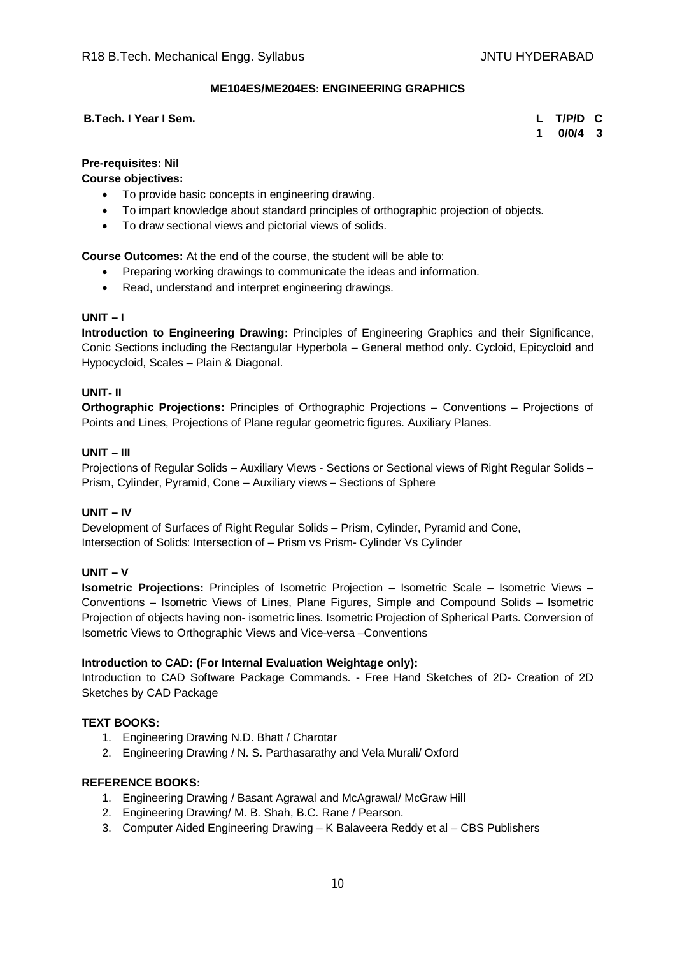# **ME104ES/ME204ES: ENGINEERING GRAPHICS**

#### **B.Tech. I Year I Sem. L T/P/D C**

**1 0/0/4 3**

# **Pre-requisites: Nil**

**Course objectives:**

- To provide basic concepts in engineering drawing.
- To impart knowledge about standard principles of orthographic projection of objects.
- To draw sectional views and pictorial views of solids.

**Course Outcomes:** At the end of the course, the student will be able to:

- Preparing working drawings to communicate the ideas and information.
- Read, understand and interpret engineering drawings.

# **UNIT – I**

**Introduction to Engineering Drawing:** Principles of Engineering Graphics and their Significance, Conic Sections including the Rectangular Hyperbola – General method only. Cycloid, Epicycloid and Hypocycloid, Scales – Plain & Diagonal.

#### **UNIT- II**

**Orthographic Projections:** Principles of Orthographic Projections – Conventions – Projections of Points and Lines, Projections of Plane regular geometric figures. Auxiliary Planes.

# **UNIT – III**

Projections of Regular Solids – Auxiliary Views - Sections or Sectional views of Right Regular Solids – Prism, Cylinder, Pyramid, Cone – Auxiliary views – Sections of Sphere

#### **UNIT – IV**

Development of Surfaces of Right Regular Solids – Prism, Cylinder, Pyramid and Cone, Intersection of Solids: Intersection of – Prism vs Prism- Cylinder Vs Cylinder

#### **UNIT – V**

**Isometric Projections:** Principles of Isometric Projection – Isometric Scale – Isometric Views – Conventions – Isometric Views of Lines, Plane Figures, Simple and Compound Solids – Isometric Projection of objects having non- isometric lines. Isometric Projection of Spherical Parts. Conversion of Isometric Views to Orthographic Views and Vice-versa –Conventions

#### **Introduction to CAD: (For Internal Evaluation Weightage only):**

Introduction to CAD Software Package Commands. - Free Hand Sketches of 2D- Creation of 2D Sketches by CAD Package

#### **TEXT BOOKS:**

- 1. Engineering Drawing N.D. Bhatt / Charotar
- 2. Engineering Drawing / N. S. Parthasarathy and Vela Murali/ Oxford

- 1. Engineering Drawing / Basant Agrawal and McAgrawal/ McGraw Hill
- 2. Engineering Drawing/ M. B. Shah, B.C. Rane / Pearson.
- 3. Computer Aided Engineering Drawing K Balaveera Reddy et al CBS Publishers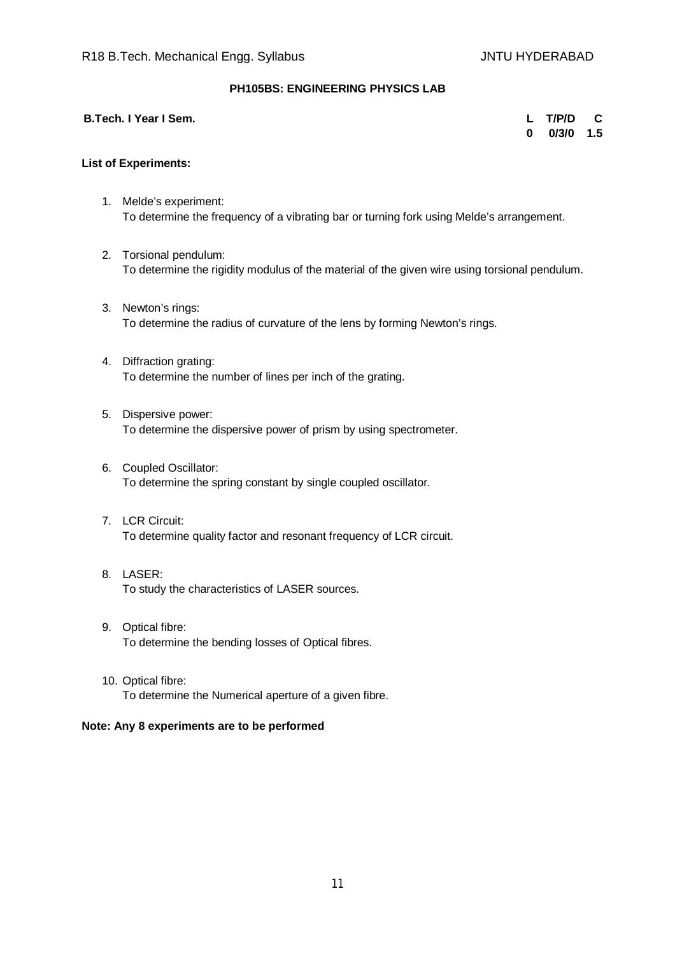# **PH105BS: ENGINEERING PHYSICS LAB**

| B.Tech. I Year I Sem. | L T/P/D C       |  |
|-----------------------|-----------------|--|
|                       | $0$ $0/3/0$ 1.5 |  |

#### **List of Experiments:**

- 1. Melde's experiment: To determine the frequency of a vibrating bar or turning fork using Melde's arrangement.
- 2. Torsional pendulum: To determine the rigidity modulus of the material of the given wire using torsional pendulum.
- 3. Newton's rings: To determine the radius of curvature of the lens by forming Newton's rings.
- 4. Diffraction grating: To determine the number of lines per inch of the grating.
- 5. Dispersive power: To determine the dispersive power of prism by using spectrometer.
- 6. Coupled Oscillator: To determine the spring constant by single coupled oscillator.
- 7. LCR Circuit: To determine quality factor and resonant frequency of LCR circuit.
- 8. LASER: To study the characteristics of LASER sources.
- 9. Optical fibre: To determine the bending losses of Optical fibres.
- 10. Optical fibre: To determine the Numerical aperture of a given fibre.

#### **Note: Any 8 experiments are to be performed**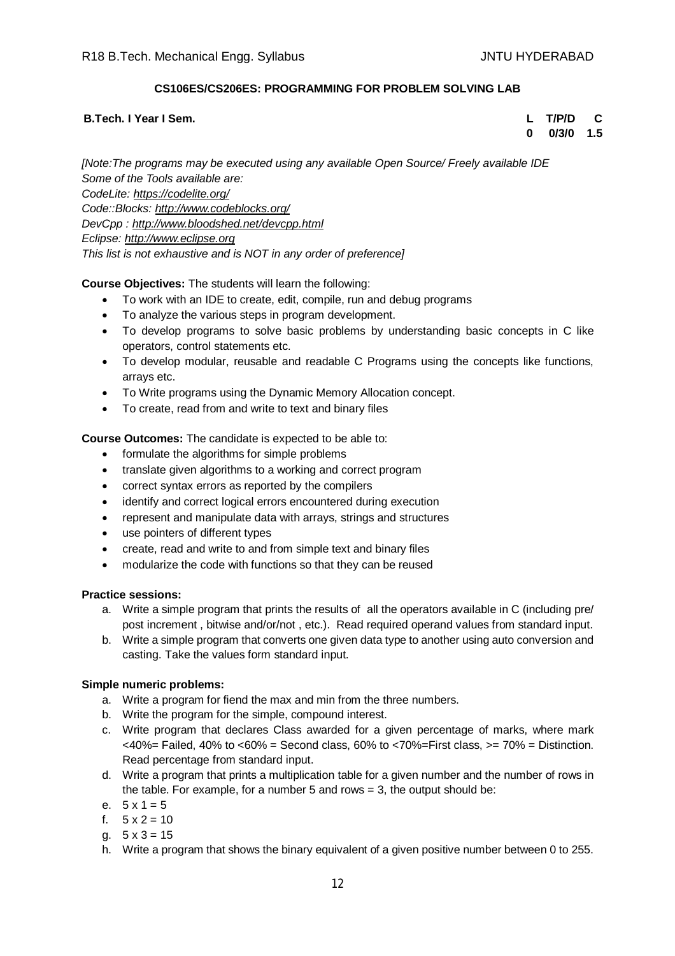# **CS106ES/CS206ES: PROGRAMMING FOR PROBLEM SOLVING LAB**

## **B.Tech. I Year I Sem. L T/P/D C**

**0 0/3/0 1.5**

*[Note:The programs may be executed using any available Open Source/ Freely available IDE Some of the Tools available are: CodeLite: <https://codelite.org/> Code::Blocks: <http://www.codeblocks.org/> DevCpp : <http://www.bloodshed.net/devcpp.html> Eclipse: <http://www.eclipse.org> This list is not exhaustive and is NOT in any order of preference]*

# **Course Objectives:** The students will learn the following:

- To work with an IDE to create, edit, compile, run and debug programs
- To analyze the various steps in program development.
- To develop programs to solve basic problems by understanding basic concepts in C like operators, control statements etc.
- To develop modular, reusable and readable C Programs using the concepts like functions, arrays etc.
- To Write programs using the Dynamic Memory Allocation concept.
- To create, read from and write to text and binary files

# **Course Outcomes:** The candidate is expected to be able to:

- formulate the algorithms for simple problems
- translate given algorithms to a working and correct program
- correct syntax errors as reported by the compilers
- identify and correct logical errors encountered during execution
- represent and manipulate data with arrays, strings and structures
- use pointers of different types
- create, read and write to and from simple text and binary files
- modularize the code with functions so that they can be reused

#### **Practice sessions:**

- a. Write a simple program that prints the results of all the operators available in C (including pre/ post increment , bitwise and/or/not , etc.). Read required operand values from standard input.
- b. Write a simple program that converts one given data type to another using auto conversion and casting. Take the values form standard input.

#### **Simple numeric problems:**

- a. Write a program for fiend the max and min from the three numbers.
- b. Write the program for the simple, compound interest.
- c. Write program that declares Class awarded for a given percentage of marks, where mark  $<40\%$  = Failed, 40% to  $<60\%$  = Second class, 60% to  $<70\%$  = First class,  $>=70\%$  = Distinction. Read percentage from standard input.
- d. Write a program that prints a multiplication table for a given number and the number of rows in the table. For example, for a number 5 and rows  $= 3$ , the output should be:
- e.  $5 \times 1 = 5$
- f.  $5 \times 2 = 10$
- a.  $5 \times 3 = 15$
- h. Write a program that shows the binary equivalent of a given positive number between 0 to 255.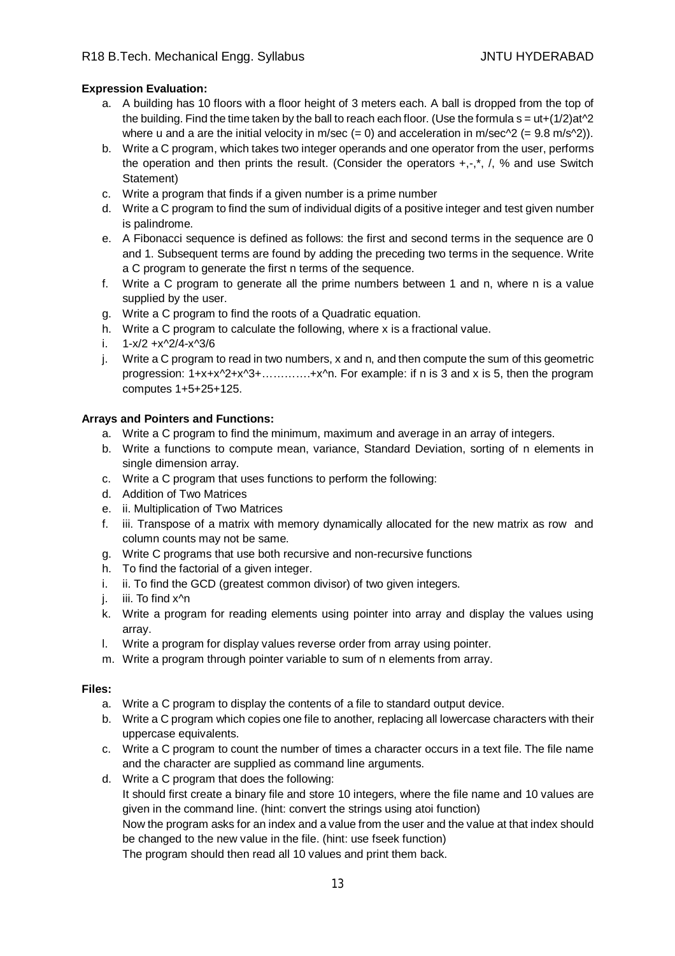# **Expression Evaluation:**

- a. A building has 10 floors with a floor height of 3 meters each. A ball is dropped from the top of the building. Find the time taken by the ball to reach each floor. (Use the formula  $s = ut+(1/2)at^2$ where u and a are the initial velocity in m/sec  $(= 0)$  and acceleration in m/sec $\gamma$ 2  $(= 9.8 \text{ m/s}\gamma$ 2)).
- b. Write a C program, which takes two integer operands and one operator from the user, performs the operation and then prints the result. (Consider the operators  $+,$ , $^*$ , $',$ , % and use Switch Statement)
- c. Write a program that finds if a given number is a prime number
- d. Write a C program to find the sum of individual digits of a positive integer and test given number is palindrome.
- e. A Fibonacci sequence is defined as follows: the first and second terms in the sequence are 0 and 1. Subsequent terms are found by adding the preceding two terms in the sequence. Write a C program to generate the first n terms of the sequence.
- f. Write a C program to generate all the prime numbers between 1 and n, where n is a value supplied by the user.
- g. Write a C program to find the roots of a Quadratic equation.
- h. Write a C program to calculate the following, where x is a fractional value.
- i.  $1-x/2 +x^2/4-x^3/6$
- j. Write a C program to read in two numbers, x and n, and then compute the sum of this geometric progression: 1+x+x^2+x^3+………….+x^n. For example: if n is 3 and x is 5, then the program computes 1+5+25+125.

#### **Arrays and Pointers and Functions:**

- a. Write a C program to find the minimum, maximum and average in an array of integers.
- b. Write a functions to compute mean, variance, Standard Deviation, sorting of n elements in single dimension array.
- c. Write a C program that uses functions to perform the following:
- d. Addition of Two Matrices
- e. ii. Multiplication of Two Matrices
- f. iii. Transpose of a matrix with memory dynamically allocated for the new matrix as row and column counts may not be same.
- g. Write C programs that use both recursive and non-recursive functions
- h. To find the factorial of a given integer.
- i. ii. To find the GCD (greatest common divisor) of two given integers.
- j. iii. To find x<sup>^</sup>n
- k. Write a program for reading elements using pointer into array and display the values using array.
- l. Write a program for display values reverse order from array using pointer.
- m. Write a program through pointer variable to sum of n elements from array.

#### **Files:**

- a. Write a C program to display the contents of a file to standard output device.
- b. Write a C program which copies one file to another, replacing all lowercase characters with their uppercase equivalents.
- c. Write a C program to count the number of times a character occurs in a text file. The file name and the character are supplied as command line arguments.
- d. Write a C program that does the following: It should first create a binary file and store 10 integers, where the file name and 10 values are given in the command line. (hint: convert the strings using atoi function)

Now the program asks for an index and a value from the user and the value at that index should be changed to the new value in the file. (hint: use fseek function)

The program should then read all 10 values and print them back.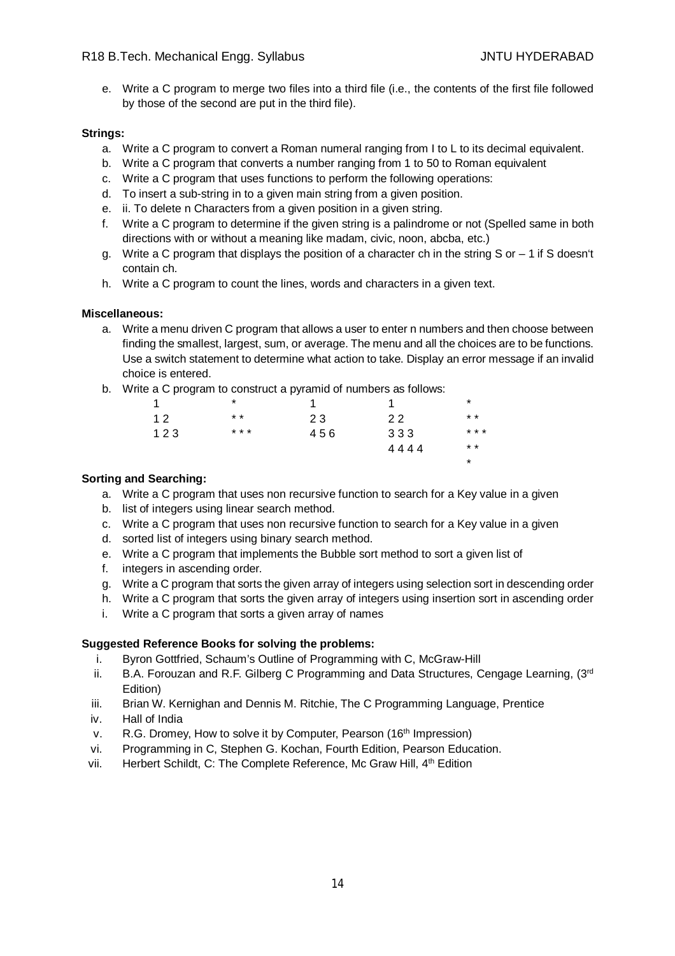e. Write a C program to merge two files into a third file (i.e., the contents of the first file followed by those of the second are put in the third file).

# **Strings:**

- a. Write a C program to convert a Roman numeral ranging from I to L to its decimal equivalent.
- b. Write a C program that converts a number ranging from 1 to 50 to Roman equivalent
- c. Write a C program that uses functions to perform the following operations:
- d. To insert a sub-string in to a given main string from a given position.
- e. ii. To delete n Characters from a given position in a given string.
- f. Write a C program to determine if the given string is a palindrome or not (Spelled same in both directions with or without a meaning like madam, civic, noon, abcba, etc.)
- g. Write a C program that displays the position of a character ch in the string S or  $-1$  if S doesn't contain ch.
- h. Write a C program to count the lines, words and characters in a given text.

# **Miscellaneous:**

- a. Write a menu driven C program that allows a user to enter n numbers and then choose between finding the smallest, largest, sum, or average. The menu and all the choices are to be functions. Use a switch statement to determine what action to take. Display an error message if an invalid choice is entered.
- b. Write a C program to construct a pyramid of numbers as follows:

| 1   | *     |     |      | *        |
|-----|-------|-----|------|----------|
| 12  | $* *$ | 23  | 22   | $* *$    |
| 123 | * * * | 456 | 333  | * * *    |
|     |       |     | 4444 | $* *$    |
|     |       |     |      | $^\star$ |
|     |       |     |      |          |

#### **Sorting and Searching:**

- a. Write a C program that uses non recursive function to search for a Key value in a given
- b. list of integers using linear search method.
- c. Write a C program that uses non recursive function to search for a Key value in a given
- d. sorted list of integers using binary search method.
- e. Write a C program that implements the Bubble sort method to sort a given list of
- f. integers in ascending order.
- g. Write a C program that sorts the given array of integers using selection sort in descending order
- h. Write a C program that sorts the given array of integers using insertion sort in ascending order
- i. Write a C program that sorts a given array of names

#### **Suggested Reference Books for solving the problems:**

- i. Byron Gottfried, Schaum's Outline of Programming with C, McGraw-Hill
- ii. B.A. Forouzan and R.F. Gilberg C Programming and Data Structures, Cengage Learning,  $(3<sup>rd</sup>$ Edition)
- iii. Brian W. Kernighan and Dennis M. Ritchie, The C Programming Language, Prentice
- iv. Hall of India
- v. R.G. Dromey, How to solve it by Computer, Pearson (16<sup>th</sup> Impression)
- vi. Programming in C, Stephen G. Kochan, Fourth Edition, Pearson Education.
- vii. Herbert Schildt, C: The Complete Reference, Mc Graw Hill, 4<sup>th</sup> Edition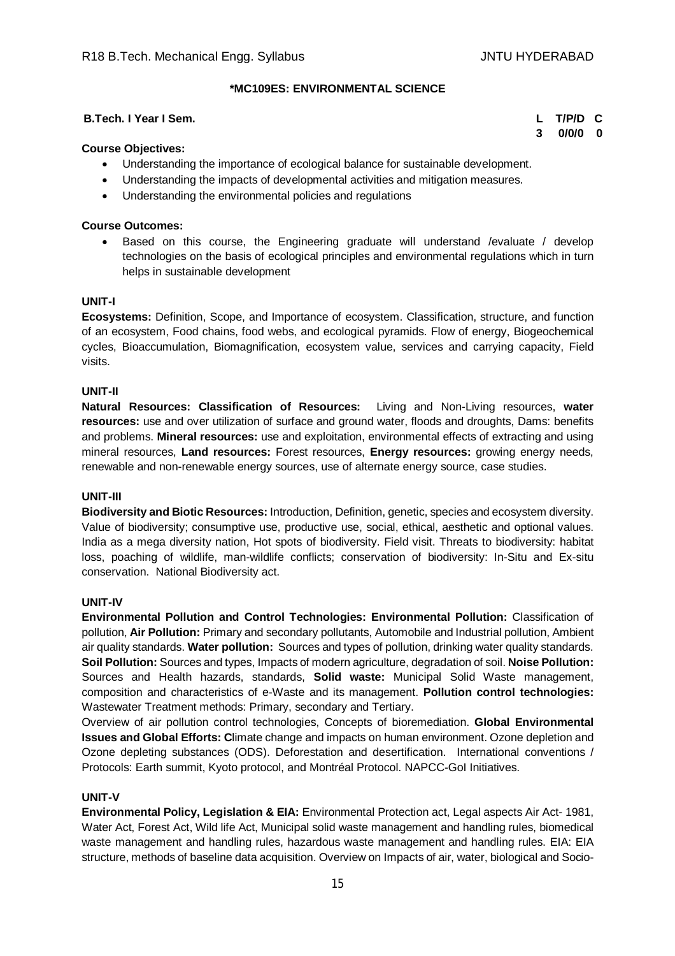# **\*MC109ES: ENVIRONMENTAL SCIENCE**

#### **B.Tech. I Year I Sem. L T/P/D C**

**3 0/0/0 0**

# **Course Objectives:**

- Understanding the importance of ecological balance for sustainable development.
- Understanding the impacts of developmental activities and mitigation measures.
- Understanding the environmental policies and regulations

#### **Course Outcomes:**

 Based on this course, the Engineering graduate will understand /evaluate / develop technologies on the basis of ecological principles and environmental regulations which in turn helps in sustainable development

#### **UNIT-I**

**Ecosystems:** Definition, Scope, and Importance of ecosystem. Classification, structure, and function of an ecosystem, Food chains, food webs, and ecological pyramids. Flow of energy, Biogeochemical cycles, Bioaccumulation, Biomagnification, ecosystem value, services and carrying capacity, Field visits.

#### **UNIT-II**

**Natural Resources: Classification of Resources:** Living and Non-Living resources, **water resources:** use and over utilization of surface and ground water, floods and droughts, Dams: benefits and problems. **Mineral resources:** use and exploitation, environmental effects of extracting and using mineral resources, **Land resources:** Forest resources, **Energy resources:** growing energy needs, renewable and non-renewable energy sources, use of alternate energy source, case studies.

#### **UNIT-III**

**Biodiversity and Biotic Resources:** Introduction, Definition, genetic, species and ecosystem diversity. Value of biodiversity; consumptive use, productive use, social, ethical, aesthetic and optional values. India as a mega diversity nation, Hot spots of biodiversity. Field visit. Threats to biodiversity: habitat loss, poaching of wildlife, man-wildlife conflicts; conservation of biodiversity: In-Situ and Ex-situ conservation. National Biodiversity act.

#### **UNIT-IV**

**Environmental Pollution and Control Technologies: Environmental Pollution:** Classification of pollution, **Air Pollution:** Primary and secondary pollutants, Automobile and Industrial pollution, Ambient air quality standards. **Water pollution:** Sources and types of pollution, drinking water quality standards. **Soil Pollution:** Sources and types, Impacts of modern agriculture, degradation of soil. **Noise Pollution:**  Sources and Health hazards, standards, **Solid waste:** Municipal Solid Waste management, composition and characteristics of e-Waste and its management. **Pollution control technologies:** Wastewater Treatment methods: Primary, secondary and Tertiary.

Overview of air pollution control technologies, Concepts of bioremediation. **Global Environmental Issues and Global Efforts: C**limate change and impacts on human environment. Ozone depletion and Ozone depleting substances (ODS). Deforestation and desertification. International conventions / Protocols: Earth summit, Kyoto protocol, and Montréal Protocol. NAPCC-GoI Initiatives.

#### **UNIT-V**

**Environmental Policy, Legislation & EIA:** Environmental Protection act, Legal aspects Air Act- 1981, Water Act, Forest Act, Wild life Act, Municipal solid waste management and handling rules, biomedical waste management and handling rules, hazardous waste management and handling rules. EIA: EIA structure, methods of baseline data acquisition. Overview on Impacts of air, water, biological and Socio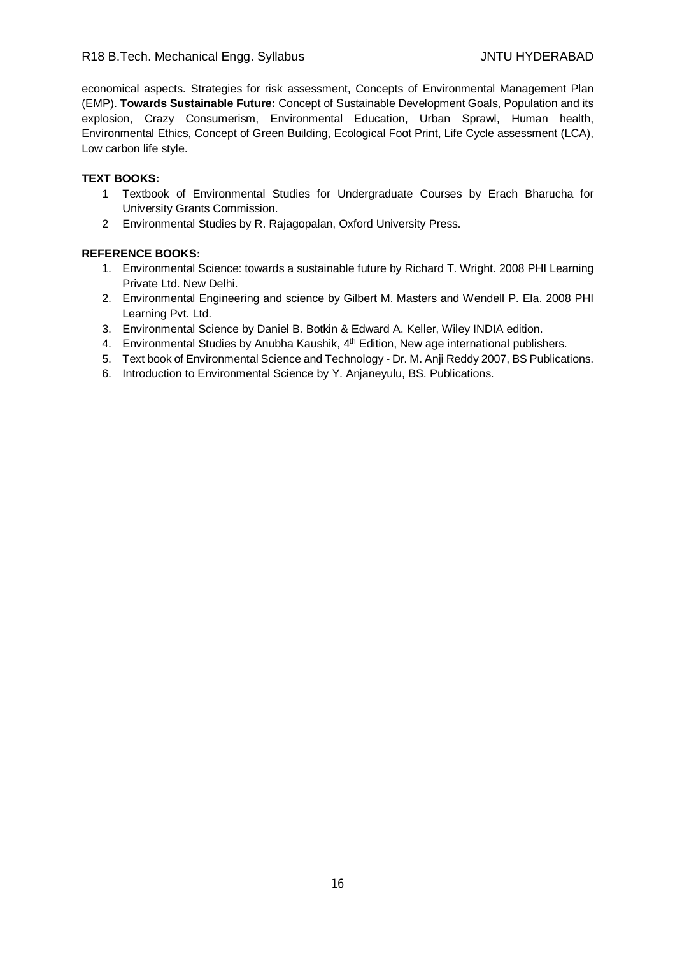economical aspects. Strategies for risk assessment, Concepts of Environmental Management Plan (EMP). **Towards Sustainable Future:** Concept of Sustainable Development Goals, Population and its explosion, Crazy Consumerism, Environmental Education, Urban Sprawl, Human health, Environmental Ethics, Concept of Green Building, Ecological Foot Print, Life Cycle assessment (LCA), Low carbon life style.

#### **TEXT BOOKS:**

- 1 Textbook of Environmental Studies for Undergraduate Courses by Erach Bharucha for University Grants Commission.
- 2 Environmental Studies by R. Rajagopalan, Oxford University Press.

- 1. Environmental Science: towards a sustainable future by Richard T. Wright. 2008 PHI Learning Private Ltd. New Delhi.
- 2. Environmental Engineering and science by Gilbert M. Masters and Wendell P. Ela. 2008 PHI Learning Pvt. Ltd.
- 3. Environmental Science by Daniel B. Botkin & Edward A. Keller, Wiley INDIA edition.
- 4. Environmental Studies by Anubha Kaushik, 4<sup>th</sup> Edition, New age international publishers.
- 5. Text book of Environmental Science and Technology Dr. M. Anji Reddy 2007, BS Publications.
- 6. Introduction to Environmental Science by Y. Anjaneyulu, BS. Publications.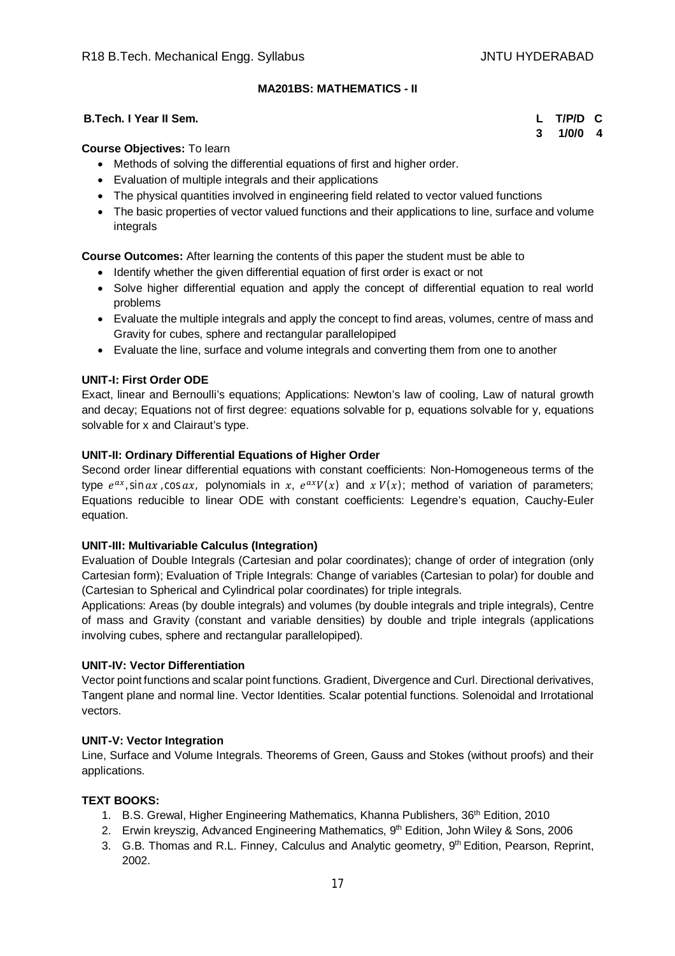# **MA201BS: MATHEMATICS - II**

#### **B.Tech. I Year II Sem. L T/P/D C**

**3 1/0/0 4**

#### **Course Objectives:** To learn

- Methods of solving the differential equations of first and higher order.
- Evaluation of multiple integrals and their applications
- The physical quantities involved in engineering field related to vector valued functions
- The basic properties of vector valued functions and their applications to line, surface and volume integrals

**Course Outcomes:** After learning the contents of this paper the student must be able to

- Identify whether the given differential equation of first order is exact or not
- Solve higher differential equation and apply the concept of differential equation to real world problems
- Evaluate the multiple integrals and apply the concept to find areas, volumes, centre of mass and Gravity for cubes, sphere and rectangular parallelopiped
- Evaluate the line, surface and volume integrals and converting them from one to another

# **UNIT-I: First Order ODE**

Exact, linear and Bernoulli's equations; Applications: Newton's law of cooling, Law of natural growth and decay; Equations not of first degree: equations solvable for p, equations solvable for y, equations solvable for x and Clairaut's type.

# **UNIT-II: Ordinary Differential Equations of Higher Order**

Second order linear differential equations with constant coefficients: Non-Homogeneous terms of the type  $e^{ax}$ , sin  $ax$ , cos  $ax$ , polynomials in  $x$ ,  $e^{ax}V(x)$  and  $xV(x)$ ; method of variation of parameters; Equations reducible to linear ODE with constant coefficients: Legendre's equation, Cauchy-Euler equation.

#### **UNIT-III: Multivariable Calculus (Integration)**

Evaluation of Double Integrals (Cartesian and polar coordinates); change of order of integration (only Cartesian form); Evaluation of Triple Integrals: Change of variables (Cartesian to polar) for double and (Cartesian to Spherical and Cylindrical polar coordinates) for triple integrals.

Applications: Areas (by double integrals) and volumes (by double integrals and triple integrals), Centre of mass and Gravity (constant and variable densities) by double and triple integrals (applications involving cubes, sphere and rectangular parallelopiped).

#### **UNIT-IV: Vector Differentiation**

Vector point functions and scalar point functions. Gradient, Divergence and Curl. Directional derivatives, Tangent plane and normal line. Vector Identities. Scalar potential functions. Solenoidal and Irrotational vectors.

#### **UNIT-V: Vector Integration**

Line, Surface and Volume Integrals. Theorems of Green, Gauss and Stokes (without proofs) and their applications.

#### **TEXT BOOKS:**

- 1. B.S. Grewal, Higher Engineering Mathematics, Khanna Publishers, 36th Edition, 2010
- 2. Erwin kreyszig, Advanced Engineering Mathematics, 9<sup>th</sup> Edition, John Wiley & Sons, 2006
- 3. G.B. Thomas and R.L. Finney, Calculus and Analytic geometry, 9th Edition, Pearson, Reprint, 2002.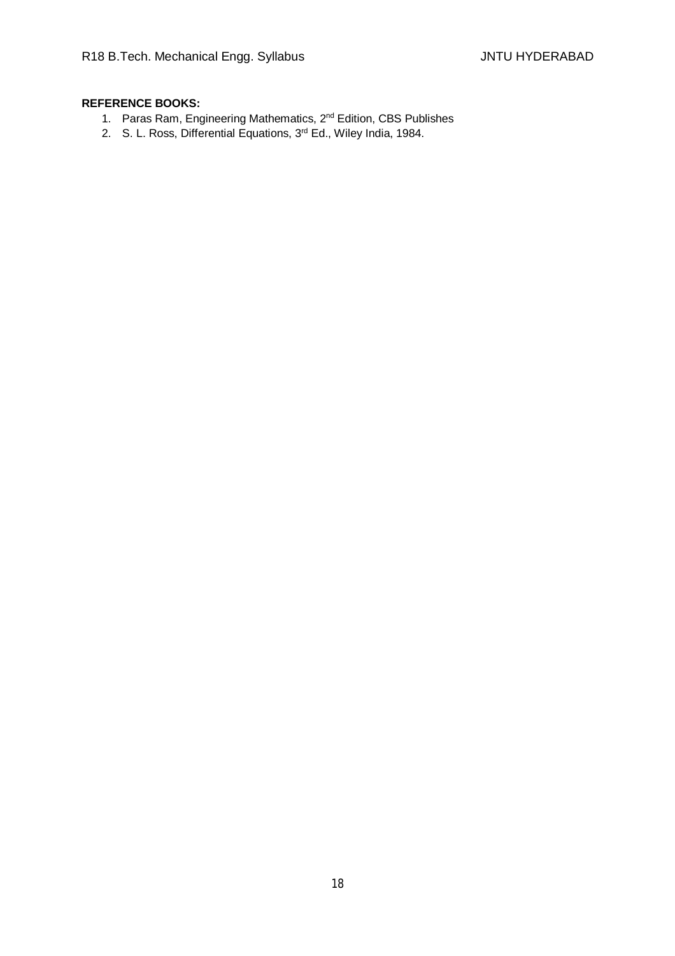- 1. Paras Ram, Engineering Mathematics, 2nd Edition, CBS Publishes
- 2. S. L. Ross, Differential Equations, 3rd Ed., Wiley India, 1984.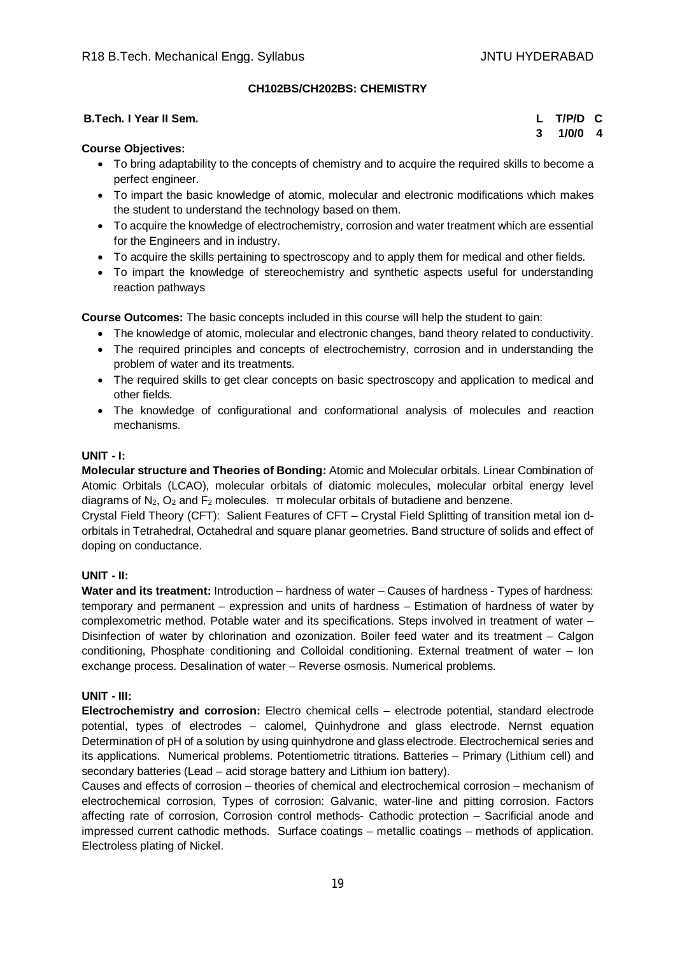# **CH102BS/CH202BS: CHEMISTRY**

#### **B.Tech. I Year II Sem. L T/P/D C**

**3 1/0/0 4**

# **Course Objectives:**

- To bring adaptability to the concepts of chemistry and to acquire the required skills to become a perfect engineer.
- To impart the basic knowledge of atomic, molecular and electronic modifications which makes the student to understand the technology based on them.
- To acquire the knowledge of electrochemistry, corrosion and water treatment which are essential for the Engineers and in industry.
- To acquire the skills pertaining to spectroscopy and to apply them for medical and other fields.
- To impart the knowledge of stereochemistry and synthetic aspects useful for understanding reaction pathways

**Course Outcomes:** The basic concepts included in this course will help the student to gain:

- The knowledge of atomic, molecular and electronic changes, band theory related to conductivity.
- The required principles and concepts of electrochemistry, corrosion and in understanding the problem of water and its treatments.
- The required skills to get clear concepts on basic spectroscopy and application to medical and other fields.
- The knowledge of configurational and conformational analysis of molecules and reaction mechanisms.

#### **UNIT - I:**

**Molecular structure and Theories of Bonding:** Atomic and Molecular orbitals. Linear Combination of Atomic Orbitals (LCAO), molecular orbitals of diatomic molecules, molecular orbital energy level diagrams of  $N_2$ ,  $O_2$  and  $F_2$  molecules.  $\pi$  molecular orbitals of butadiene and benzene.

Crystal Field Theory (CFT): Salient Features of CFT – Crystal Field Splitting of transition metal ion dorbitals in Tetrahedral, Octahedral and square planar geometries. Band structure of solids and effect of doping on conductance.

#### **UNIT - II:**

**Water and its treatment:** Introduction – hardness of water – Causes of hardness - Types of hardness: temporary and permanent – expression and units of hardness – Estimation of hardness of water by complexometric method. Potable water and its specifications. Steps involved in treatment of water – Disinfection of water by chlorination and ozonization. Boiler feed water and its treatment – Calgon conditioning, Phosphate conditioning and Colloidal conditioning. External treatment of water – Ion exchange process. Desalination of water – Reverse osmosis. Numerical problems.

#### **UNIT - III:**

**Electrochemistry and corrosion:** Electro chemical cells – electrode potential, standard electrode potential, types of electrodes – calomel, Quinhydrone and glass electrode. Nernst equation Determination of pH of a solution by using quinhydrone and glass electrode. Electrochemical series and its applications. Numerical problems. Potentiometric titrations. Batteries – Primary (Lithium cell) and secondary batteries (Lead – acid storage battery and Lithium ion battery).

Causes and effects of corrosion – theories of chemical and electrochemical corrosion – mechanism of electrochemical corrosion, Types of corrosion: Galvanic, water-line and pitting corrosion. Factors affecting rate of corrosion, Corrosion control methods- Cathodic protection – Sacrificial anode and impressed current cathodic methods. Surface coatings – metallic coatings – methods of application. Electroless plating of Nickel.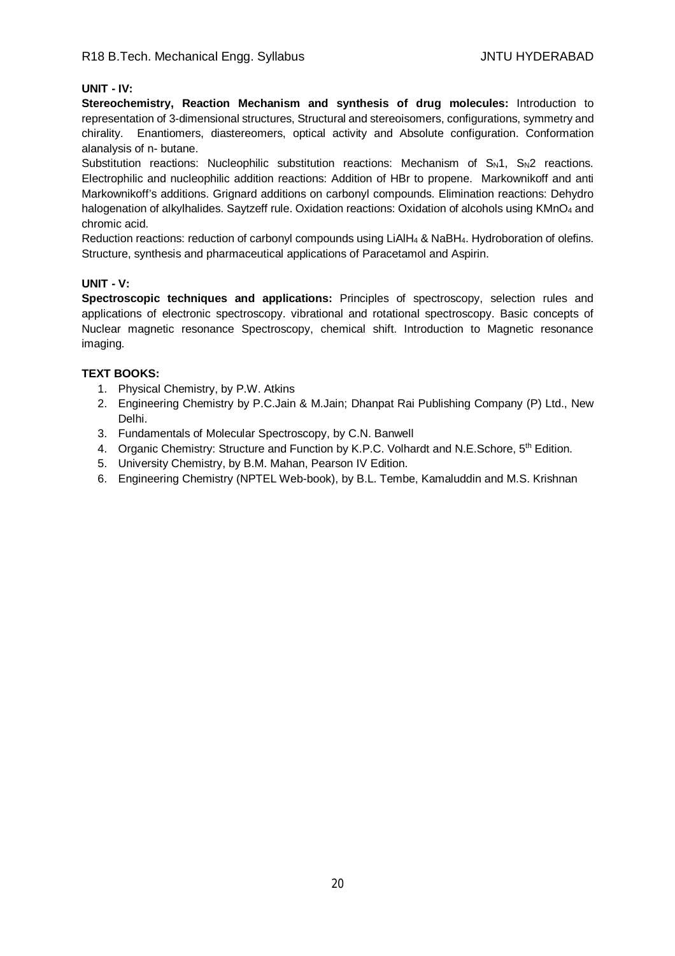### **UNIT - IV:**

**Stereochemistry, Reaction Mechanism and synthesis of drug molecules:** Introduction to representation of 3-dimensional structures, Structural and stereoisomers, configurations, symmetry and chirality. Enantiomers, diastereomers, optical activity and Absolute configuration. Conformation alanalysis of n- butane.

Substitution reactions: Nucleophilic substitution reactions: Mechanism of  $S_N1$ ,  $S_N2$  reactions. Electrophilic and nucleophilic addition reactions: Addition of HBr to propene. Markownikoff and anti Markownikoff's additions. Grignard additions on carbonyl compounds. Elimination reactions: Dehydro halogenation of alkylhalides. Saytzeff rule. Oxidation reactions: Oxidation of alcohols using KMnO<sub>4</sub> and chromic acid.

Reduction reactions: reduction of carbonyl compounds using LiAlH<sup>4</sup> & NaBH4. Hydroboration of olefins. Structure, synthesis and pharmaceutical applications of Paracetamol and Aspirin.

#### **UNIT - V:**

**Spectroscopic techniques and applications:** Principles of spectroscopy, selection rules and applications of electronic spectroscopy. vibrational and rotational spectroscopy. Basic concepts of Nuclear magnetic resonance Spectroscopy, chemical shift. Introduction to Magnetic resonance imaging.

# **TEXT BOOKS:**

- 1. Physical Chemistry, by P.W. Atkins
- 2. Engineering Chemistry by P.C.Jain & M.Jain; Dhanpat Rai Publishing Company (P) Ltd., New Delhi.
- 3. Fundamentals of Molecular Spectroscopy, by C.N. Banwell
- 4. Organic Chemistry: Structure and Function by K.P.C. Volhardt and N.E. Schore, 5<sup>th</sup> Edition.
- 5. University Chemistry, by B.M. Mahan, Pearson IV Edition.
- 6. Engineering Chemistry (NPTEL Web-book), by B.L. Tembe, Kamaluddin and M.S. Krishnan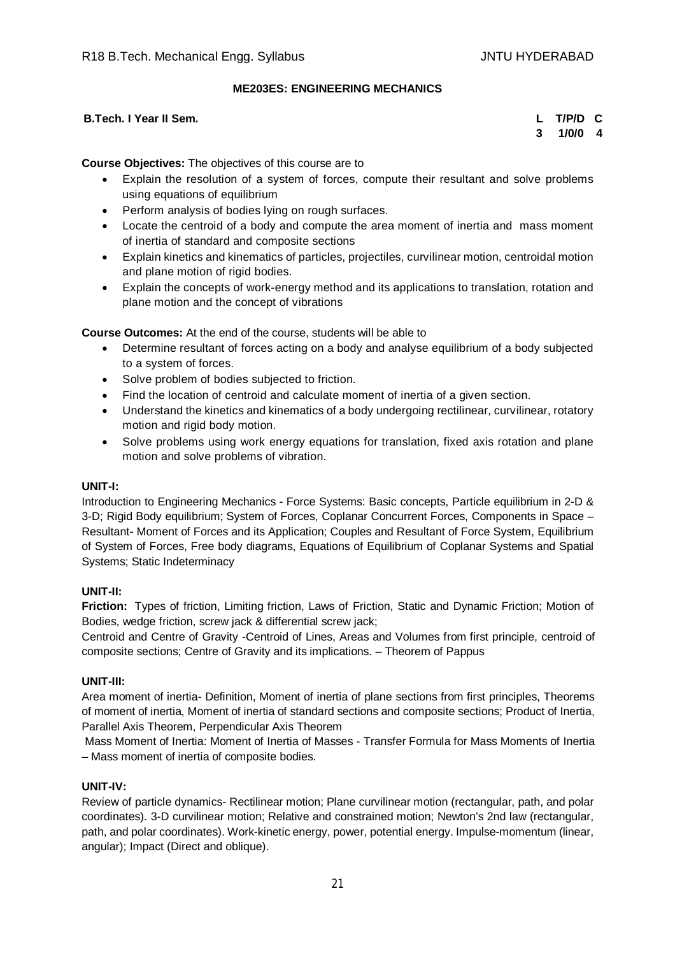# **ME203ES: ENGINEERING MECHANICS**

#### **B.Tech. I Year II Sem. L T/P/D C**

**3 1/0/0 4**

# **Course Objectives:** The objectives of this course are to

- Explain the resolution of a system of forces, compute their resultant and solve problems using equations of equilibrium
- Perform analysis of bodies lying on rough surfaces.
- Locate the centroid of a body and compute the area moment of inertia and mass moment of inertia of standard and composite sections
- Explain kinetics and kinematics of particles, projectiles, curvilinear motion, centroidal motion and plane motion of rigid bodies.
- Explain the concepts of work-energy method and its applications to translation, rotation and plane motion and the concept of vibrations

# **Course Outcomes:** At the end of the course, students will be able to

- Determine resultant of forces acting on a body and analyse equilibrium of a body subjected to a system of forces.
- Solve problem of bodies subjected to friction.
- Find the location of centroid and calculate moment of inertia of a given section.
- Understand the kinetics and kinematics of a body undergoing rectilinear, curvilinear, rotatory motion and rigid body motion.
- Solve problems using work energy equations for translation, fixed axis rotation and plane motion and solve problems of vibration.

#### **UNIT-I:**

Introduction to Engineering Mechanics - Force Systems: Basic concepts, Particle equilibrium in 2-D & 3-D; Rigid Body equilibrium; System of Forces, Coplanar Concurrent Forces, Components in Space – Resultant- Moment of Forces and its Application; Couples and Resultant of Force System, Equilibrium of System of Forces, Free body diagrams, Equations of Equilibrium of Coplanar Systems and Spatial Systems; Static Indeterminacy

#### **UNIT-II:**

**Friction:** Types of friction, Limiting friction, Laws of Friction, Static and Dynamic Friction; Motion of Bodies, wedge friction, screw jack & differential screw jack;

Centroid and Centre of Gravity -Centroid of Lines, Areas and Volumes from first principle, centroid of composite sections; Centre of Gravity and its implications. – Theorem of Pappus

#### **UNIT-III:**

Area moment of inertia- Definition, Moment of inertia of plane sections from first principles, Theorems of moment of inertia, Moment of inertia of standard sections and composite sections; Product of Inertia, Parallel Axis Theorem, Perpendicular Axis Theorem

Mass Moment of Inertia: Moment of Inertia of Masses - Transfer Formula for Mass Moments of Inertia – Mass moment of inertia of composite bodies.

#### **UNIT-IV:**

Review of particle dynamics- Rectilinear motion; Plane curvilinear motion (rectangular, path, and polar coordinates). 3-D curvilinear motion; Relative and constrained motion; Newton's 2nd law (rectangular, path, and polar coordinates). Work-kinetic energy, power, potential energy. Impulse-momentum (linear, angular); Impact (Direct and oblique).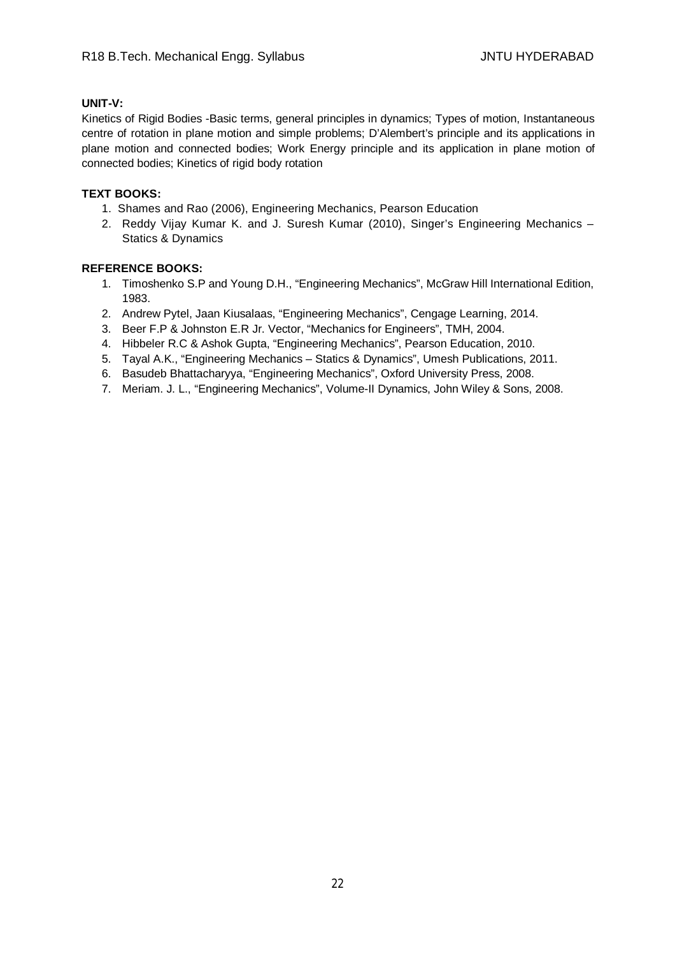#### **UNIT-V:**

Kinetics of Rigid Bodies -Basic terms, general principles in dynamics; Types of motion, Instantaneous centre of rotation in plane motion and simple problems; D'Alembert's principle and its applications in plane motion and connected bodies; Work Energy principle and its application in plane motion of connected bodies; Kinetics of rigid body rotation

# **TEXT BOOKS:**

- 1. Shames and Rao (2006), Engineering Mechanics, Pearson Education
- 2. Reddy Vijay Kumar K. and J. Suresh Kumar (2010), Singer's Engineering Mechanics Statics & Dynamics

- 1. Timoshenko S.P and Young D.H., "Engineering Mechanics", McGraw Hill International Edition, 1983.
- 2. Andrew Pytel, Jaan Kiusalaas, "Engineering Mechanics", Cengage Learning, 2014.
- 3. Beer F.P & Johnston E.R Jr. Vector, "Mechanics for Engineers", TMH, 2004.
- 4. Hibbeler R.C & Ashok Gupta, "Engineering Mechanics", Pearson Education, 2010.
- 5. Tayal A.K., "Engineering Mechanics Statics & Dynamics", Umesh Publications, 2011.
- 6. Basudeb Bhattacharyya, "Engineering Mechanics", Oxford University Press, 2008.
- 7. Meriam. J. L., "Engineering Mechanics", Volume-II Dynamics, John Wiley & Sons, 2008.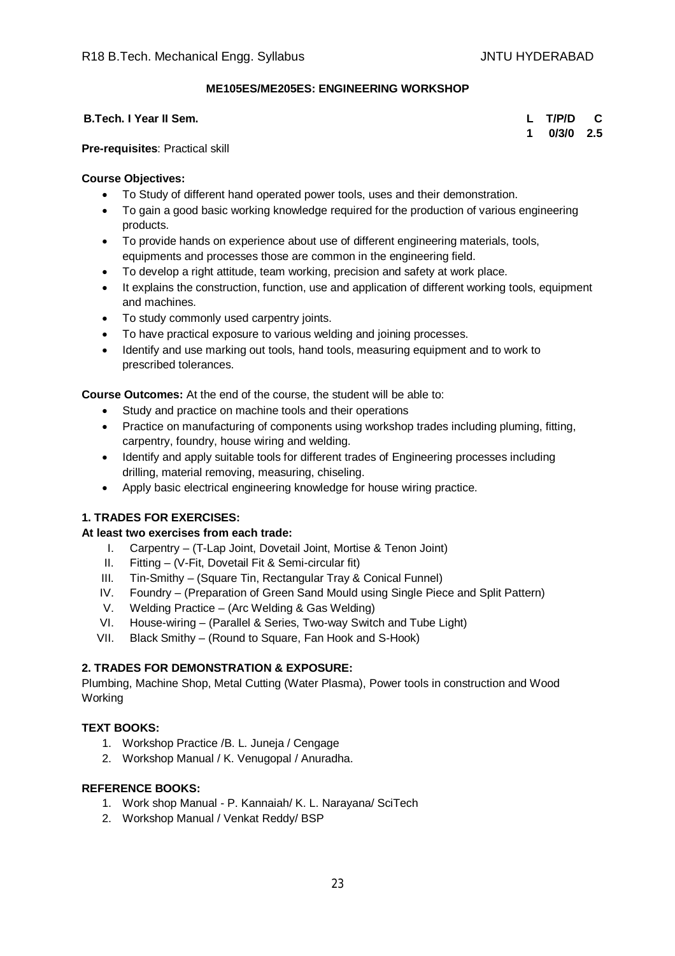# **ME105ES/ME205ES: ENGINEERING WORKSHOP**

#### **B.Tech. I Year II Sem. L T/P/D C**

**1 0/3/0 2.5**

#### **Pre-requisites**: Practical skill

# **Course Objectives:**

- To Study of different hand operated power tools, uses and their demonstration.
- To gain a good basic working knowledge required for the production of various engineering products.
- To provide hands on experience about use of different engineering materials, tools, equipments and processes those are common in the engineering field.
- To develop a right attitude, team working, precision and safety at work place.
- It explains the construction, function, use and application of different working tools, equipment and machines.
- To study commonly used carpentry joints.
- To have practical exposure to various welding and joining processes.
- Identify and use marking out tools, hand tools, measuring equipment and to work to prescribed tolerances.

**Course Outcomes:** At the end of the course, the student will be able to:

- Study and practice on machine tools and their operations
- Practice on manufacturing of components using workshop trades including pluming, fitting, carpentry, foundry, house wiring and welding.
- Identify and apply suitable tools for different trades of Engineering processes including drilling, material removing, measuring, chiseling.
- Apply basic electrical engineering knowledge for house wiring practice.

# **1. TRADES FOR EXERCISES:**

# **At least two exercises from each trade:**

- I. Carpentry (T-Lap Joint, Dovetail Joint, Mortise & Tenon Joint)
- II. Fitting (V-Fit, Dovetail Fit & Semi-circular fit)
- III. Tin-Smithy (Square Tin, Rectangular Tray & Conical Funnel)
- IV. Foundry (Preparation of Green Sand Mould using Single Piece and Split Pattern)
- V. Welding Practice (Arc Welding & Gas Welding)
- VI. House-wiring (Parallel & Series, Two-way Switch and Tube Light)
- VII. Black Smithy (Round to Square, Fan Hook and S-Hook)

# **2. TRADES FOR DEMONSTRATION & EXPOSURE:**

Plumbing, Machine Shop, Metal Cutting (Water Plasma), Power tools in construction and Wood Working

# **TEXT BOOKS:**

- 1. Workshop Practice /B. L. Juneja / Cengage
- 2. Workshop Manual / K. Venugopal / Anuradha.

- 1. Work shop Manual P. Kannaiah/ K. L. Narayana/ SciTech
- 2. Workshop Manual / Venkat Reddy/ BSP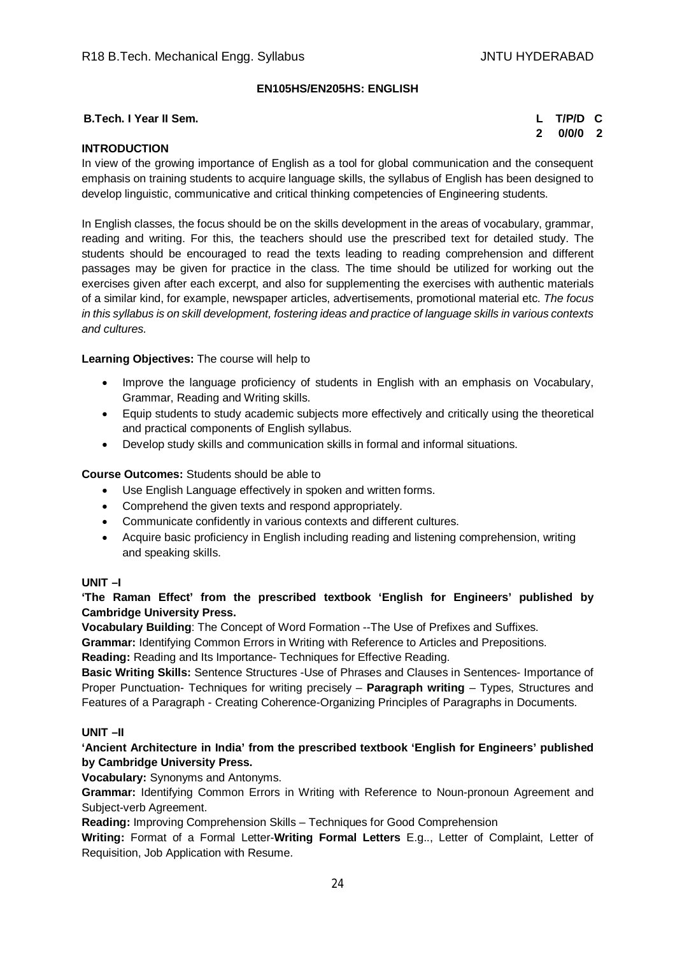### **EN105HS/EN205HS: ENGLISH**

#### **B.Tech. I Year II Sem. L T/P/D C**

**2 0/0/0 2**

# **INTRODUCTION**

In view of the growing importance of English as a tool for global communication and the consequent emphasis on training students to acquire language skills, the syllabus of English has been designed to develop linguistic, communicative and critical thinking competencies of Engineering students.

In English classes, the focus should be on the skills development in the areas of vocabulary, grammar, reading and writing. For this, the teachers should use the prescribed text for detailed study. The students should be encouraged to read the texts leading to reading comprehension and different passages may be given for practice in the class. The time should be utilized for working out the exercises given after each excerpt, and also for supplementing the exercises with authentic materials of a similar kind, for example, newspaper articles, advertisements, promotional material etc. *The focus in this syllabus is on skill development, fostering ideas and practice of language skills in various contexts and cultures.*

#### **Learning Objectives:** The course will help to

- Improve the language proficiency of students in English with an emphasis on Vocabulary, Grammar, Reading and Writing skills.
- Equip students to study academic subjects more effectively and critically using the theoretical and practical components of English syllabus.
- Develop study skills and communication skills in formal and informal situations.

#### **Course Outcomes:** Students should be able to

- Use English Language effectively in spoken and written forms.
- Comprehend the given texts and respond appropriately.
- Communicate confidently in various contexts and different cultures.
- Acquire basic proficiency in English including reading and listening comprehension, writing and speaking skills.

#### **UNIT –I**

**'The Raman Effect' from the prescribed textbook 'English for Engineers' published by Cambridge University Press.**

**Vocabulary Building**: The Concept of Word Formation --The Use of Prefixes and Suffixes.

**Grammar:** Identifying Common Errors in Writing with Reference to Articles and Prepositions.

**Reading:** Reading and Its Importance- Techniques for Effective Reading.

**Basic Writing Skills:** Sentence Structures -Use of Phrases and Clauses in Sentences- Importance of Proper Punctuation- Techniques for writing precisely – **Paragraph writing** – Types, Structures and Features of a Paragraph - Creating Coherence-Organizing Principles of Paragraphs in Documents.

#### **UNIT –II**

**'Ancient Architecture in India' from the prescribed textbook 'English for Engineers' published by Cambridge University Press.**

**Vocabulary:** Synonyms and Antonyms.

**Grammar:** Identifying Common Errors in Writing with Reference to Noun-pronoun Agreement and Subject-verb Agreement.

**Reading:** Improving Comprehension Skills – Techniques for Good Comprehension

**Writing:** Format of a Formal Letter-**Writing Formal Letters** E.g.., Letter of Complaint, Letter of Requisition, Job Application with Resume.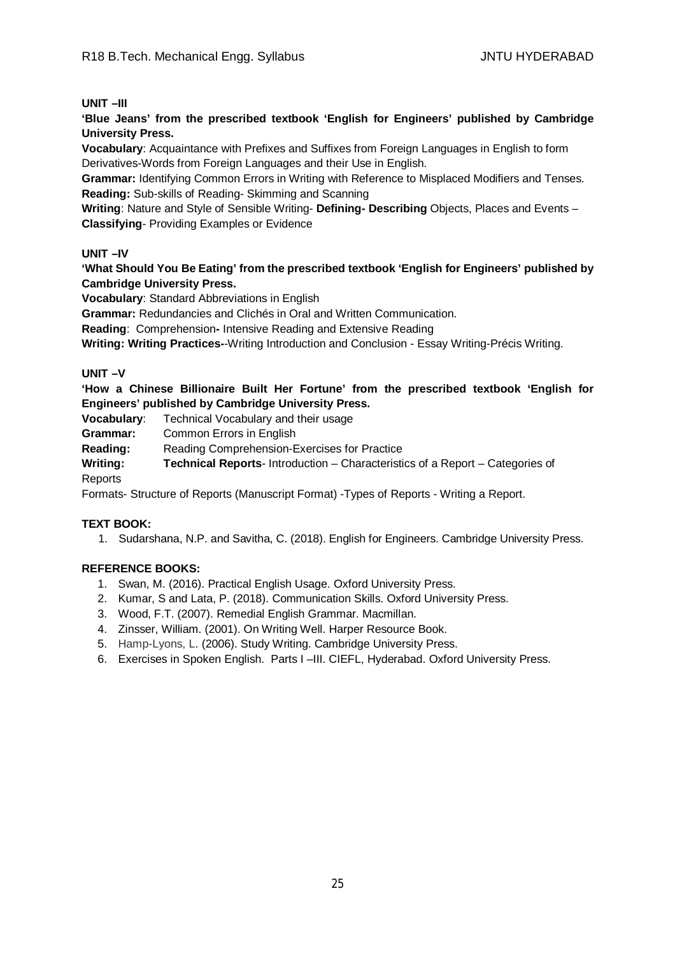#### **UNIT –III**

**'Blue Jeans' from the prescribed textbook 'English for Engineers' published by Cambridge University Press.**

**Vocabulary**: Acquaintance with Prefixes and Suffixes from Foreign Languages in English to form Derivatives-Words from Foreign Languages and their Use in English.

**Grammar:** Identifying Common Errors in Writing with Reference to Misplaced Modifiers and Tenses. **Reading:** Sub-skills of Reading- Skimming and Scanning

**Writing**: Nature and Style of Sensible Writing- **Defining- Describing** Objects, Places and Events – **Classifying**- Providing Examples or Evidence

# **UNIT –IV**

**'What Should You Be Eating' from the prescribed textbook 'English for Engineers' published by Cambridge University Press.**

**Vocabulary**: Standard Abbreviations in English

**Grammar:** Redundancies and Clichés in Oral and Written Communication.

**Reading**: Comprehension**-** Intensive Reading and Extensive Reading

**Writing: Writing Practices-**-Writing Introduction and Conclusion - Essay Writing-Précis Writing.

#### **UNIT –V**

**'How a Chinese Billionaire Built Her Fortune' from the prescribed textbook 'English for Engineers' published by Cambridge University Press.**

**Vocabulary**: Technical Vocabulary and their usage

**Grammar:** Common Errors in English

**Reading:** Reading Comprehension-Exercises for Practice

**Writing: Technical Reports**- Introduction – Characteristics of a Report – Categories of Reports

Formats- Structure of Reports (Manuscript Format) -Types of Reports - Writing a Report.

#### **TEXT BOOK:**

1. Sudarshana, N.P. and Savitha, C. (2018). English for Engineers. Cambridge University Press.

- 1. Swan, M. (2016). Practical English Usage. Oxford University Press.
- 2. Kumar, S and Lata, P. (2018). Communication Skills. Oxford University Press.
- 3. Wood, F.T. (2007). Remedial English Grammar. Macmillan.
- 4. Zinsser, William. (2001). On Writing Well. Harper Resource Book.
- 5. Hamp-Lyons, L. (2006). Study Writing. Cambridge University Press.
- 6. Exercises in Spoken English. Parts I –III. CIEFL, Hyderabad. Oxford University Press.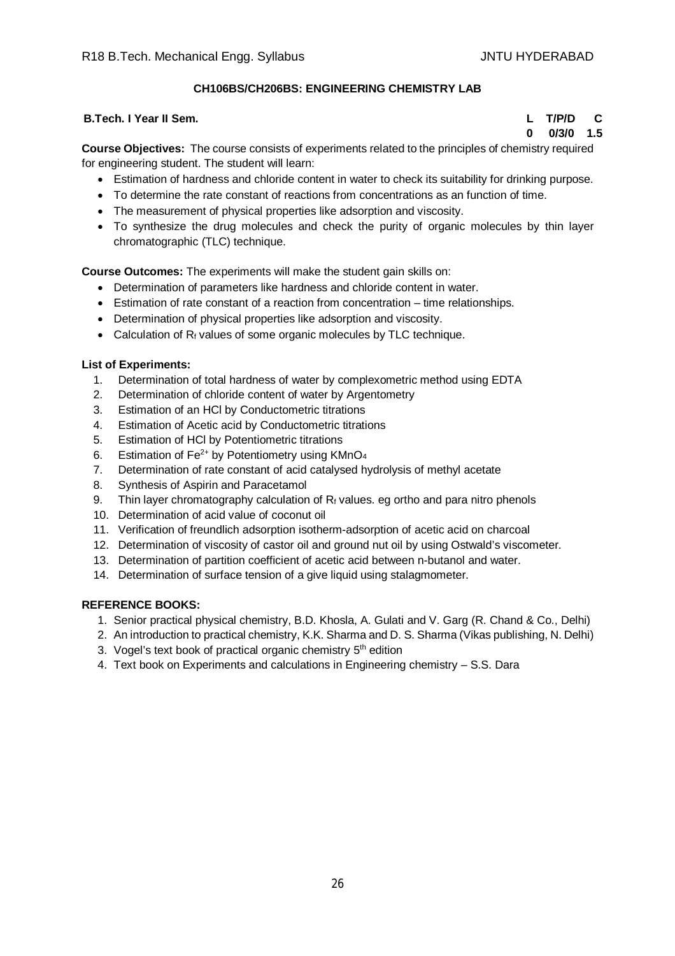# **CH106BS/CH206BS: ENGINEERING CHEMISTRY LAB**

#### **B.Tech. I Year II Sem. L T/P/D C**

**0 0/3/0 1.5**

**Course Objectives:** The course consists of experiments related to the principles of chemistry required for engineering student. The student will learn:

- Estimation of hardness and chloride content in water to check its suitability for drinking purpose.
- To determine the rate constant of reactions from concentrations as an function of time.
- The measurement of physical properties like adsorption and viscosity.
- To synthesize the drug molecules and check the purity of organic molecules by thin layer chromatographic (TLC) technique.

**Course Outcomes:** The experiments will make the student gain skills on:

- Determination of parameters like hardness and chloride content in water.
- Estimation of rate constant of a reaction from concentration time relationships.
- Determination of physical properties like adsorption and viscosity.
- Calculation of  $R_f$  values of some organic molecules by TLC technique.

# **List of Experiments:**

- 1. Determination of total hardness of water by complexometric method using EDTA
- 2. Determination of chloride content of water by Argentometry
- 3. Estimation of an HCl by Conductometric titrations
- 4. Estimation of Acetic acid by Conductometric titrations
- 5. Estimation of HCl by Potentiometric titrations
- 6. Estimation of  $Fe^{2+}$  by Potentiometry using KMnO<sub>4</sub>
- 7. Determination of rate constant of acid catalysed hydrolysis of methyl acetate
- 8. Synthesis of Aspirin and Paracetamol
- 9. Thin layer chromatography calculation of  $R_f$  values. eg ortho and para nitro phenols
- 10. Determination of acid value of coconut oil
- 11. Verification of freundlich adsorption isotherm-adsorption of acetic acid on charcoal
- 12. Determination of viscosity of castor oil and ground nut oil by using Ostwald's viscometer.
- 13. Determination of partition coefficient of acetic acid between n-butanol and water.
- 14. Determination of surface tension of a give liquid using stalagmometer.

- 1. Senior practical physical chemistry, B.D. Khosla, A. Gulati and V. Garg (R. Chand & Co., Delhi)
- 2. An introduction to practical chemistry, K.K. Sharma and D. S. Sharma (Vikas publishing, N. Delhi)
- 3. Vogel's text book of practical organic chemistry 5<sup>th</sup> edition
- 4. Text book on Experiments and calculations in Engineering chemistry S.S. Dara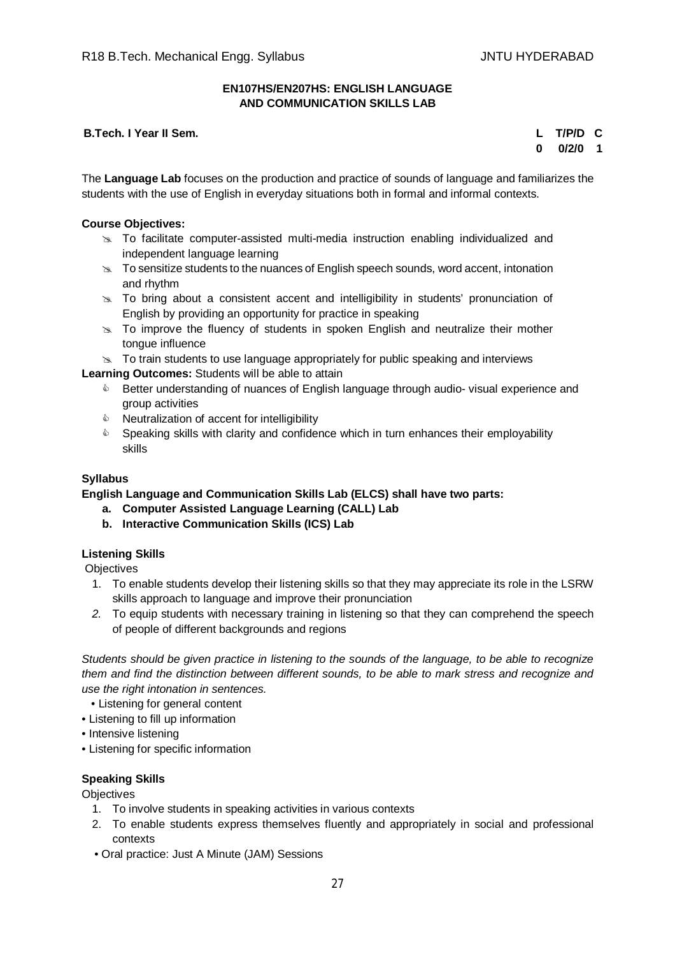#### **EN107HS/EN207HS: ENGLISH LANGUAGE AND COMMUNICATION SKILLS LAB**

#### **B.Tech. I Year II Sem. L T/P/D C**

# **0 0/2/0 1**

The **Language Lab** focuses on the production and practice of sounds of language and familiarizes the students with the use of English in everyday situations both in formal and informal contexts.

#### **Course Objectives:**

- $\geq$  To facilitate computer-assisted multi-media instruction enabling individualized and independent language learning
- $\geq$  To sensitize students to the nuances of English speech sounds, word accent, intonation and rhythm
- $\geq$  To bring about a consistent accent and intelligibility in students' pronunciation of English by providing an opportunity for practice in speaking
- $\approx$  To improve the fluency of students in spoken English and neutralize their mother tongue influence
- $\geq$  To train students to use language appropriately for public speaking and interviews

**Learning Outcomes:** Students will be able to attain

- **EXECT** Better understanding of nuances of English language through audio-visual experience and group activities
- $\triangle$  Neutralization of accent for intelligibility
- $\bullet$  Speaking skills with clarity and confidence which in turn enhances their employability skills

### **Syllabus**

**English Language and Communication Skills Lab (ELCS) shall have two parts:**

- **a. Computer Assisted Language Learning (CALL) Lab**
- **b. Interactive Communication Skills (ICS) Lab**

#### **Listening Skills**

**Objectives** 

- 1. To enable students develop their listening skills so that they may appreciate its role in the LSRW skills approach to language and improve their pronunciation
- *2.* To equip students with necessary training in listening so that they can comprehend the speech of people of different backgrounds and regions

*Students should be given practice in listening to the sounds of the language, to be able to recognize them and find the distinction between different sounds, to be able to mark stress and recognize and use the right intonation in sentences.*

- Listening for general content
- Listening to fill up information
- Intensive listening
- Listening for specific information

#### **Speaking Skills**

**Objectives** 

- 1. To involve students in speaking activities in various contexts
- 2. To enable students express themselves fluently and appropriately in social and professional contexts
- Oral practice: Just A Minute (JAM) Sessions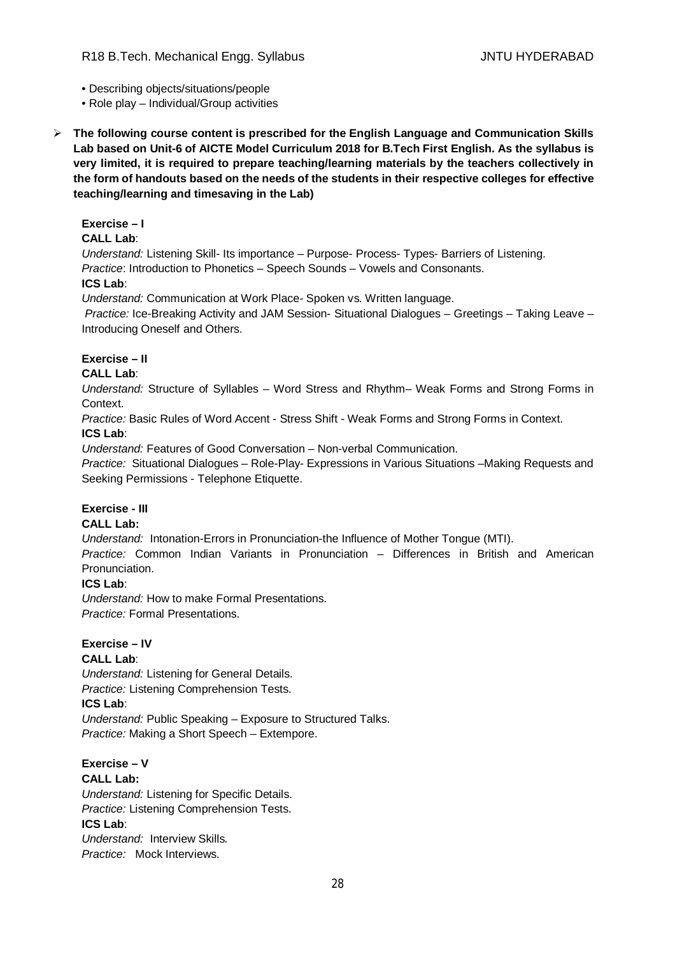- Describing objects/situations/people
- Role play Individual/Group activities
- **The following course content is prescribed for the English Language and Communication Skills Lab based on Unit-6 of AICTE Model Curriculum 2018 for B.Tech First English. As the syllabus is very limited, it is required to prepare teaching/learning materials by the teachers collectively in the form of handouts based on the needs of the students in their respective colleges for effective teaching/learning and timesaving in the Lab)**

#### **Exercise – I**

# **CALL Lab**:

*Understand:* Listening Skill- Its importance – Purpose- Process- Types- Barriers of Listening. *Practice*: Introduction to Phonetics – Speech Sounds – Vowels and Consonants.

# **ICS Lab**:

*Understand:* Communication at Work Place*-* Spoken vs. Written language.

*Practice:* Ice-Breaking Activity and JAM Session- Situational Dialogues – Greetings – Taking Leave – Introducing Oneself and Others.

# **Exercise – II**

# **CALL Lab**:

*Understand:* Structure of Syllables – Word Stress and Rhythm– Weak Forms and Strong Forms in Context.

*Practice:* Basic Rules of Word Accent - Stress Shift - Weak Forms and Strong Forms in Context. **ICS Lab**:

*Understand:* Features of Good Conversation – Non-verbal Communication.

*Practice:* Situational Dialogues – Role-Play- Expressions in Various Situations –Making Requests and Seeking Permissions - Telephone Etiquette.

# **Exercise - III**

# **CALL Lab:**

*Understand:* Intonation-Errors in Pronunciation-the Influence of Mother Tongue (MTI).

*Practice:* Common Indian Variants in Pronunciation *–* Differences in British and American Pronunciation.

#### **ICS Lab**:

*Understand:* How to make Formal Presentations. *Practice:* Formal Presentations.

#### **Exercise – IV**

# **CALL Lab**:

*Understand:* Listening for General Details. *Practice:* Listening Comprehension Tests.

# **ICS Lab**:

*Understand:* Public Speaking – Exposure to Structured Talks. *Practice:* Making a Short Speech – Extempore.

#### **Exercise – V CALL Lab:**

*Understand:* Listening for Specific Details. *Practice:* Listening Comprehension Tests. **ICS Lab**: *Understand:* Interview Skills*. Practice:* Mock Interviews.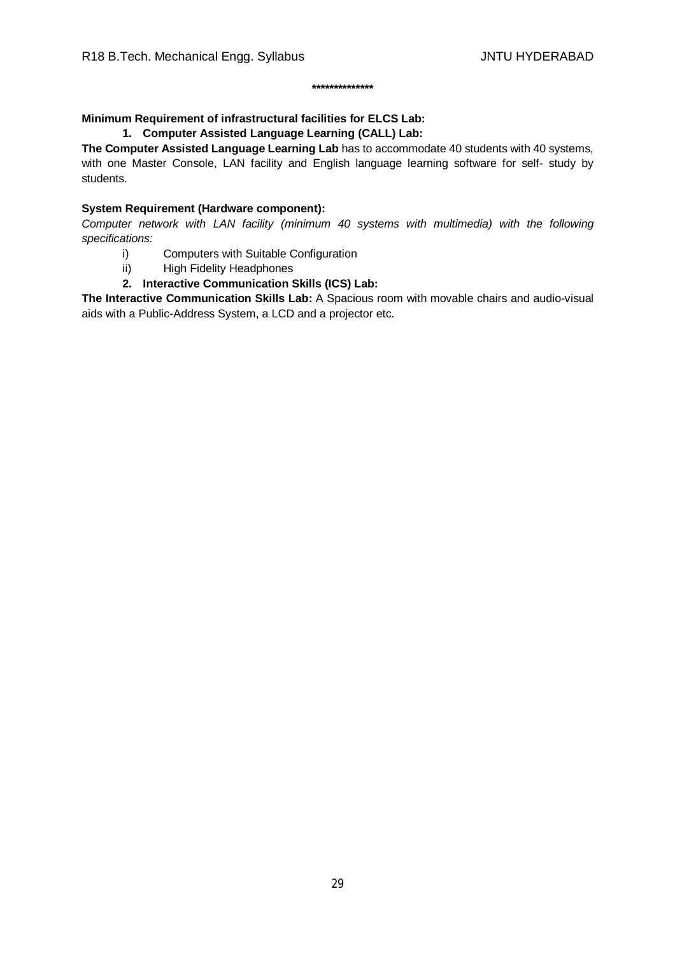#### **\*\*\*\*\*\*\*\*\*\*\*\*\*\***

# **Minimum Requirement of infrastructural facilities for ELCS Lab:**

#### **1. Computer Assisted Language Learning (CALL) Lab:**

**The Computer Assisted Language Learning Lab** has to accommodate 40 students with 40 systems, with one Master Console, LAN facility and English language learning software for self- study by students.

# **System Requirement (Hardware component):**

*Computer network with LAN facility (minimum 40 systems with multimedia) with the following specifications:*

- i) Computers with Suitable Configuration
- ii) High Fidelity Headphones
- **2. Interactive Communication Skills (ICS) Lab:**

**The Interactive Communication Skills Lab:** A Spacious room with movable chairs and audio-visual aids with a Public-Address System, a LCD and a projector etc.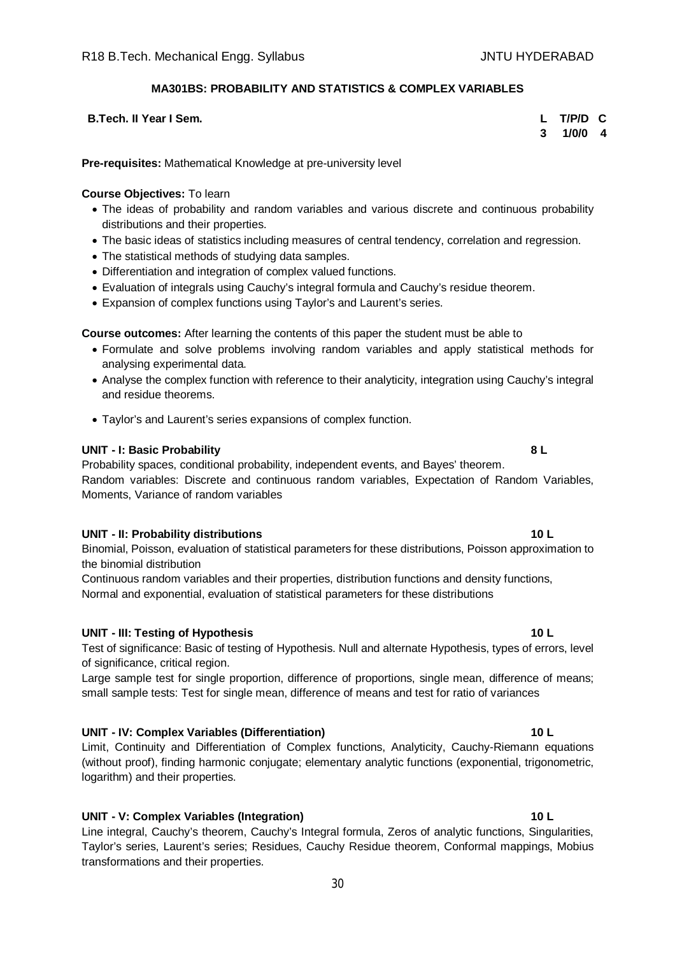#### **MA301BS: PROBABILITY AND STATISTICS & COMPLEX VARIABLES**

**B.Tech. II Year I Sem. L T/P/D C**

**3 1/0/0 4**

**Pre-requisites:** Mathematical Knowledge at pre-university level

#### **Course Objectives:** To learn

- The ideas of probability and random variables and various discrete and continuous probability distributions and their properties.
- The basic ideas of statistics including measures of central tendency, correlation and regression.
- The statistical methods of studying data samples.
- Differentiation and integration of complex valued functions.
- Evaluation of integrals using Cauchy's integral formula and Cauchy's residue theorem.
- Expansion of complex functions using Taylor's and Laurent's series.

# **Course outcomes:** After learning the contents of this paper the student must be able to

- Formulate and solve problems involving random variables and apply statistical methods for analysing experimental data.
- Analyse the complex function with reference to their analyticity, integration using Cauchy's integral and residue theorems.
- Taylor's and Laurent's series expansions of complex function.

#### **UNIT - I: Basic Probability 8 L**

Probability spaces, conditional probability, independent events, and Bayes' theorem. Random variables: Discrete and continuous random variables, Expectation of Random Variables, Moments, Variance of random variables

#### **UNIT - II: Probability distributions 10 L**

Binomial, Poisson, evaluation of statistical parameters for these distributions, Poisson approximation to the binomial distribution

Continuous random variables and their properties, distribution functions and density functions, Normal and exponential, evaluation of statistical parameters for these distributions

#### **UNIT - III: Testing of Hypothesis 10 L**

Test of significance: Basic of testing of Hypothesis. Null and alternate Hypothesis, types of errors, level of significance, critical region.

Large sample test for single proportion, difference of proportions, single mean, difference of means; small sample tests: Test for single mean, difference of means and test for ratio of variances

# **UNIT - IV: Complex Variables (Differentiation) 10 L**

Limit, Continuity and Differentiation of Complex functions, Analyticity, Cauchy-Riemann equations (without proof), finding harmonic conjugate; elementary analytic functions (exponential, trigonometric, logarithm) and their properties.

# **UNIT - V: Complex Variables (Integration) 10 L**

Line integral, Cauchy's theorem, Cauchy's Integral formula, Zeros of analytic functions, Singularities, Taylor's series, Laurent's series; Residues, Cauchy Residue theorem, Conformal mappings, Mobius transformations and their properties.

#### 30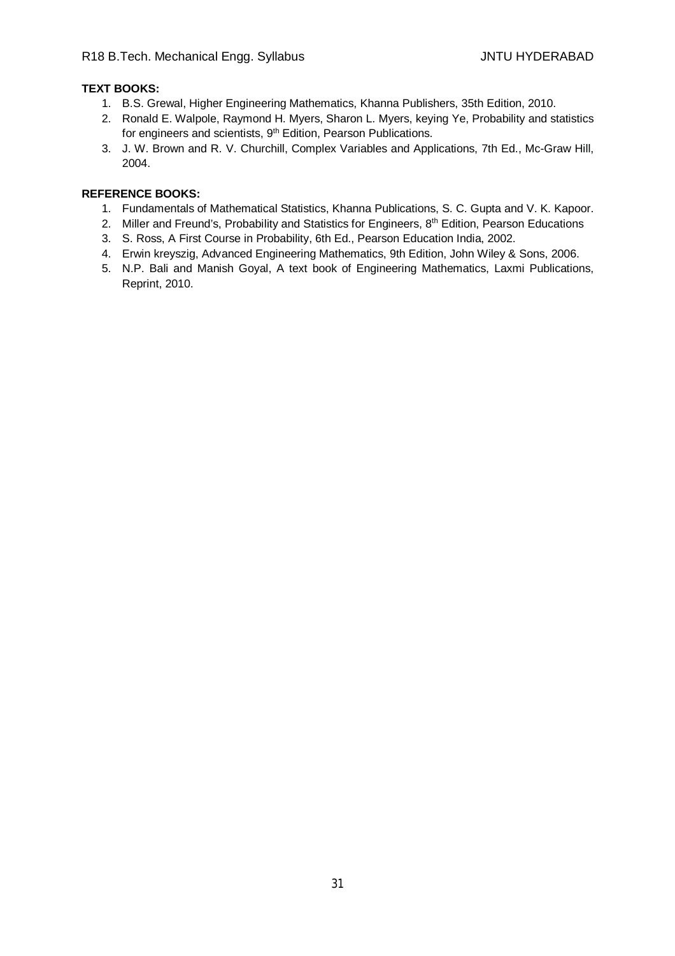# **TEXT BOOKS:**

- 1. B.S. Grewal, Higher Engineering Mathematics, Khanna Publishers, 35th Edition, 2010.
- 2. Ronald E. Walpole, Raymond H. Myers, Sharon L. Myers, keying Ye, Probability and statistics for engineers and scientists, 9<sup>th</sup> Edition, Pearson Publications.
- 3. J. W. Brown and R. V. Churchill, Complex Variables and Applications, 7th Ed., Mc-Graw Hill, 2004.

- 1. Fundamentals of Mathematical Statistics, Khanna Publications, S. C. Gupta and V. K. Kapoor.
- 2. Miller and Freund's, Probability and Statistics for Engineers, 8<sup>th</sup> Edition, Pearson Educations
- 3. S. Ross, A First Course in Probability, 6th Ed., Pearson Education India, 2002.
- 4. Erwin kreyszig, Advanced Engineering Mathematics, 9th Edition, John Wiley & Sons, 2006.
- 5. N.P. Bali and Manish Goyal, A text book of Engineering Mathematics, Laxmi Publications, Reprint, 2010.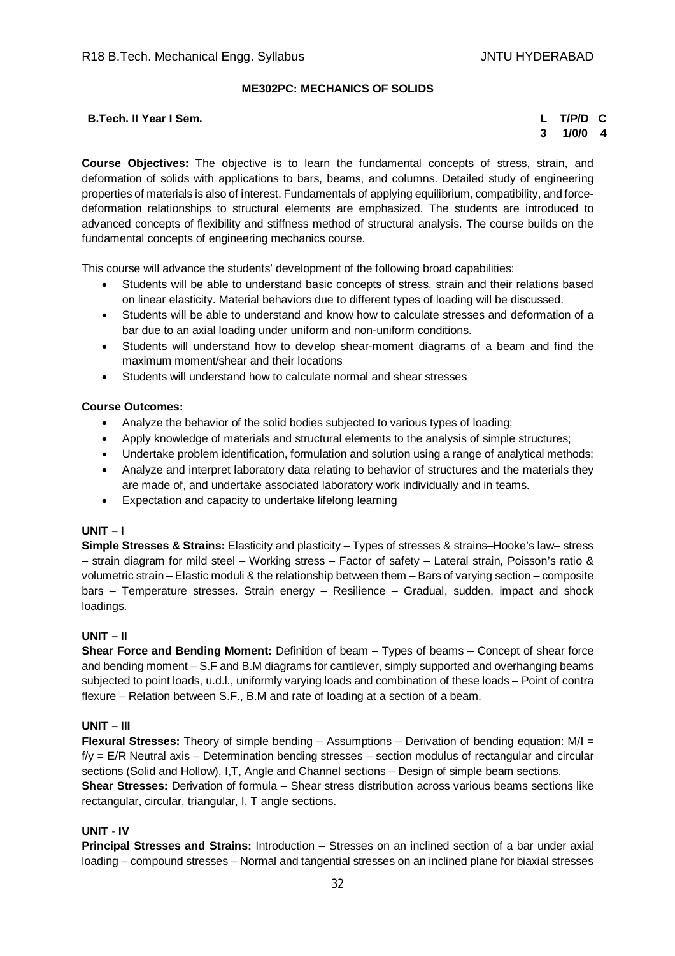#### **ME302PC: MECHANICS OF SOLIDS**

#### **B.Tech. II Year I Sem. L T/P/D C**

# **3 1/0/0 4**

**Course Objectives:** The objective is to learn the fundamental concepts of stress, strain, and deformation of solids with applications to bars, beams, and columns. Detailed study of engineering properties of materials is also of interest. Fundamentals of applying equilibrium, compatibility, and forcedeformation relationships to structural elements are emphasized. The students are introduced to advanced concepts of flexibility and stiffness method of structural analysis. The course builds on the fundamental concepts of engineering mechanics course.

This course will advance the students' development of the following broad capabilities:

- Students will be able to understand basic concepts of stress, strain and their relations based on linear elasticity. Material behaviors due to different types of loading will be discussed.
- Students will be able to understand and know how to calculate stresses and deformation of a bar due to an axial loading under uniform and non-uniform conditions.
- Students will understand how to develop shear-moment diagrams of a beam and find the maximum moment/shear and their locations
- Students will understand how to calculate normal and shear stresses

# **Course Outcomes:**

- Analyze the behavior of the solid bodies subjected to various types of loading;
- Apply knowledge of materials and structural elements to the analysis of simple structures;
- Undertake problem identification, formulation and solution using a range of analytical methods;
- Analyze and interpret laboratory data relating to behavior of structures and the materials they are made of, and undertake associated laboratory work individually and in teams.
- Expectation and capacity to undertake lifelong learning

#### **UNIT – I**

**Simple Stresses & Strains:** Elasticity and plasticity – Types of stresses & strains–Hooke's law– stress – strain diagram for mild steel – Working stress – Factor of safety – Lateral strain, Poisson's ratio & volumetric strain – Elastic moduli & the relationship between them – Bars of varying section – composite bars – Temperature stresses. Strain energy – Resilience – Gradual, sudden, impact and shock loadings.

#### **UNIT – II**

**Shear Force and Bending Moment:** Definition of beam – Types of beams – Concept of shear force and bending moment – S.F and B.M diagrams for cantilever, simply supported and overhanging beams subjected to point loads, u.d.l., uniformly varying loads and combination of these loads – Point of contra flexure – Relation between S.F., B.M and rate of loading at a section of a beam.

#### **UNIT – III**

**Flexural Stresses:** Theory of simple bending – Assumptions – Derivation of bending equation: M/I =  $f/y = E/R$  Neutral axis – Determination bending stresses – section modulus of rectangular and circular sections (Solid and Hollow), I,T, Angle and Channel sections – Design of simple beam sections.

**Shear Stresses:** Derivation of formula – Shear stress distribution across various beams sections like rectangular, circular, triangular, I, T angle sections.

# **UNIT - IV**

**Principal Stresses and Strains:** Introduction – Stresses on an inclined section of a bar under axial loading – compound stresses – Normal and tangential stresses on an inclined plane for biaxial stresses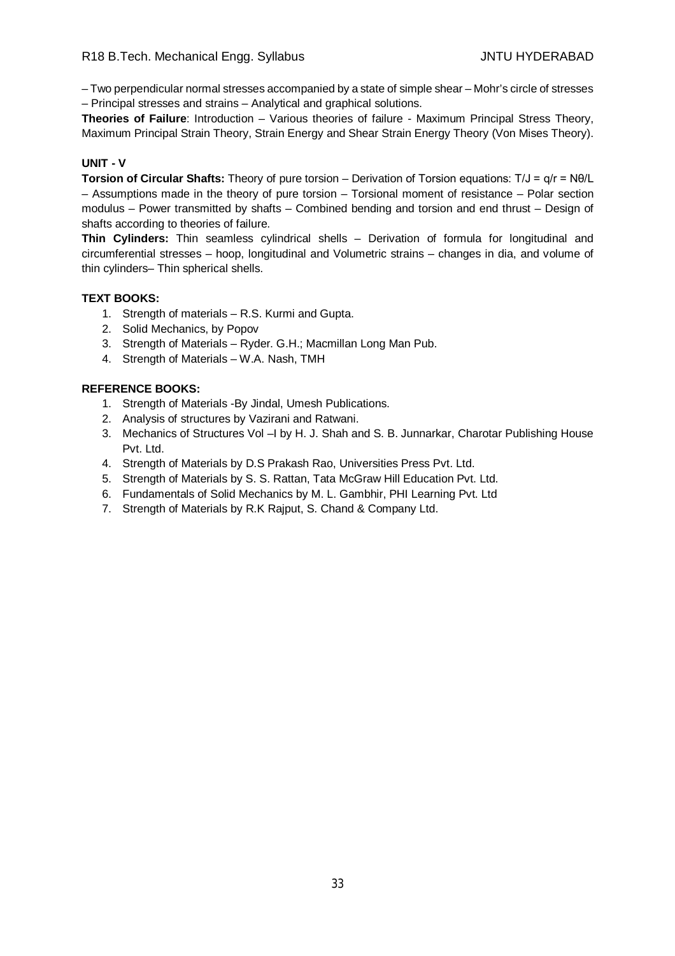– Two perpendicular normal stresses accompanied by a state of simple shear – Mohr's circle of stresses – Principal stresses and strains – Analytical and graphical solutions.

**Theories of Failure**: Introduction – Various theories of failure - Maximum Principal Stress Theory, Maximum Principal Strain Theory, Strain Energy and Shear Strain Energy Theory (Von Mises Theory).

#### **UNIT - V**

**Torsion of Circular Shafts:** Theory of pure torsion – Derivation of Torsion equations: T/J = q/r = Nθ/L – Assumptions made in the theory of pure torsion – Torsional moment of resistance – Polar section modulus – Power transmitted by shafts – Combined bending and torsion and end thrust – Design of shafts according to theories of failure.

**Thin Cylinders:** Thin seamless cylindrical shells – Derivation of formula for longitudinal and circumferential stresses – hoop, longitudinal and Volumetric strains – changes in dia, and volume of thin cylinders– Thin spherical shells.

# **TEXT BOOKS:**

- 1. Strength of materials R.S. Kurmi and Gupta.
- 2. Solid Mechanics, by Popov
- 3. Strength of Materials Ryder. G.H.; Macmillan Long Man Pub.
- 4. Strength of Materials W.A. Nash, TMH

- 1. Strength of Materials -By Jindal, Umesh Publications.
- 2. Analysis of structures by Vazirani and Ratwani.
- 3. Mechanics of Structures Vol –I by H. J. Shah and S. B. Junnarkar, Charotar Publishing House Pvt. Ltd.
- 4. Strength of Materials by D.S Prakash Rao, Universities Press Pvt. Ltd.
- 5. Strength of Materials by S. S. Rattan, Tata McGraw Hill Education Pvt. Ltd.
- 6. Fundamentals of Solid Mechanics by M. L. Gambhir, PHI Learning Pvt. Ltd
- 7. Strength of Materials by R.K Rajput, S. Chand & Company Ltd.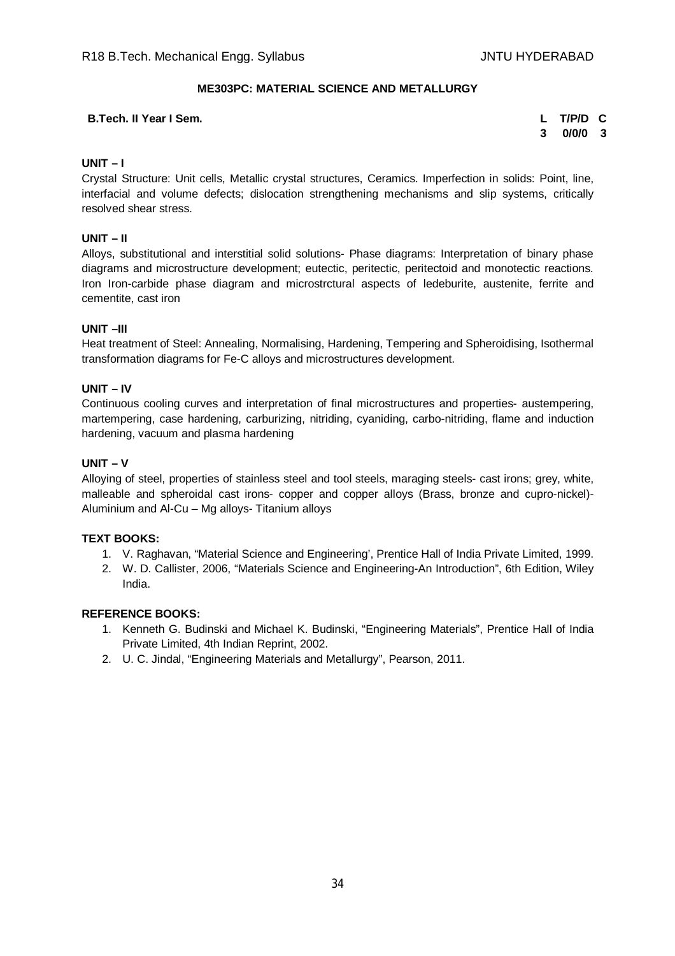#### **ME303PC: MATERIAL SCIENCE AND METALLURGY**

#### **B.Tech. II Year I Sem. L T/P/D C**

**3 0/0/0 3**

#### **UNIT – I**

Crystal Structure: Unit cells, Metallic crystal structures, Ceramics. Imperfection in solids: Point, line, interfacial and volume defects; dislocation strengthening mechanisms and slip systems, critically resolved shear stress.

#### **UNIT – II**

Alloys, substitutional and interstitial solid solutions- Phase diagrams: Interpretation of binary phase diagrams and microstructure development; eutectic, peritectic, peritectoid and monotectic reactions. Iron Iron-carbide phase diagram and microstrctural aspects of ledeburite, austenite, ferrite and cementite, cast iron

#### **UNIT –III**

Heat treatment of Steel: Annealing, Normalising, Hardening, Tempering and Spheroidising, Isothermal transformation diagrams for Fe-C alloys and microstructures development.

#### **UNIT – IV**

Continuous cooling curves and interpretation of final microstructures and properties- austempering, martempering, case hardening, carburizing, nitriding, cyaniding, carbo-nitriding, flame and induction hardening, vacuum and plasma hardening

#### **UNIT – V**

Alloying of steel, properties of stainless steel and tool steels, maraging steels- cast irons; grey, white, malleable and spheroidal cast irons- copper and copper alloys (Brass, bronze and cupro-nickel)- Aluminium and Al-Cu – Mg alloys- Titanium alloys

#### **TEXT BOOKS:**

- 1. V. Raghavan, "Material Science and Engineering', Prentice Hall of India Private Limited, 1999.
- 2. W. D. Callister, 2006, "Materials Science and Engineering-An Introduction", 6th Edition, Wiley India.

- 1. Kenneth G. Budinski and Michael K. Budinski, "Engineering Materials", Prentice Hall of India Private Limited, 4th Indian Reprint, 2002.
- 2. U. C. Jindal, "Engineering Materials and Metallurgy", Pearson, 2011.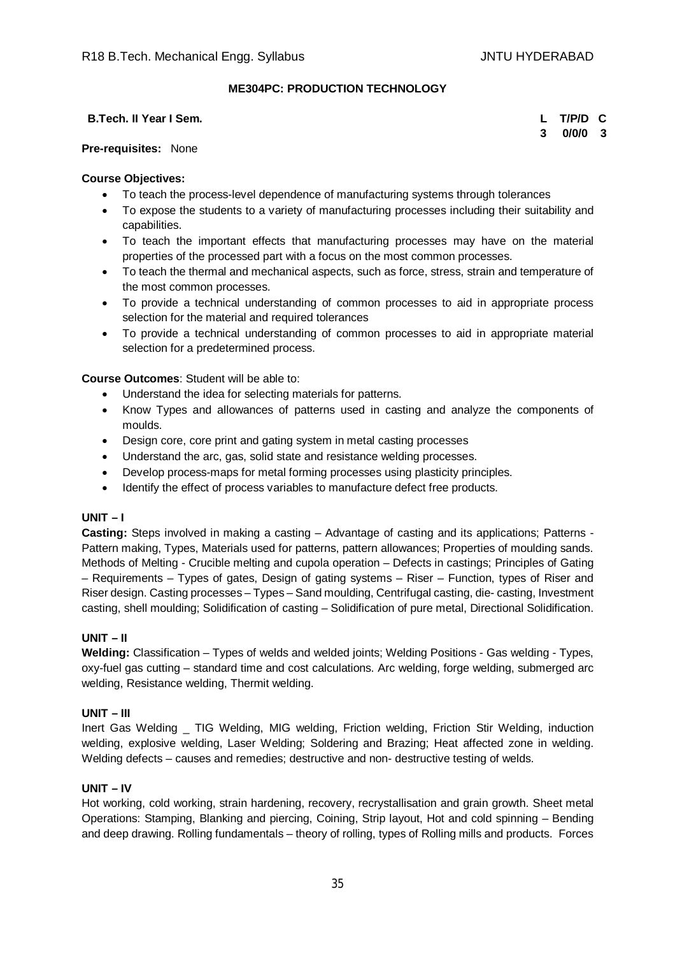### **ME304PC: PRODUCTION TECHNOLOGY**

#### **B.Tech. II Year I Sem. L T/P/D C**

**3 0/0/0 3**

#### **Pre-requisites:** None

#### **Course Objectives:**

- To teach the process-level dependence of manufacturing systems through tolerances
- To expose the students to a variety of manufacturing processes including their suitability and capabilities.
- To teach the important effects that manufacturing processes may have on the material properties of the processed part with a focus on the most common processes.
- To teach the thermal and mechanical aspects, such as force, stress, strain and temperature of the most common processes.
- To provide a technical understanding of common processes to aid in appropriate process selection for the material and required tolerances
- To provide a technical understanding of common processes to aid in appropriate material selection for a predetermined process.

**Course Outcomes**: Student will be able to:

- Understand the idea for selecting materials for patterns.
- Know Types and allowances of patterns used in casting and analyze the components of moulds.
- Design core, core print and gating system in metal casting processes
- Understand the arc, gas, solid state and resistance welding processes.
- Develop process-maps for metal forming processes using plasticity principles.
- Identify the effect of process variables to manufacture defect free products.

#### **UNIT – I**

**Casting:** Steps involved in making a casting – Advantage of casting and its applications; Patterns - Pattern making, Types, Materials used for patterns, pattern allowances; Properties of moulding sands. Methods of Melting - Crucible melting and cupola operation – Defects in castings; Principles of Gating – Requirements – Types of gates, Design of gating systems – Riser – Function, types of Riser and Riser design. Casting processes – Types – Sand moulding, Centrifugal casting, die- casting, Investment casting, shell moulding; Solidification of casting – Solidification of pure metal, Directional Solidification.

#### **UNIT – II**

**Welding:** Classification – Types of welds and welded joints; Welding Positions - Gas welding - Types, oxy-fuel gas cutting – standard time and cost calculations. Arc welding, forge welding, submerged arc welding, Resistance welding, Thermit welding.

#### **UNIT – III**

Inert Gas Welding \_ TIG Welding, MIG welding, Friction welding, Friction Stir Welding, induction welding, explosive welding, Laser Welding; Soldering and Brazing; Heat affected zone in welding. Welding defects – causes and remedies; destructive and non- destructive testing of welds.

#### **UNIT – IV**

Hot working, cold working, strain hardening, recovery, recrystallisation and grain growth. Sheet metal Operations: Stamping, Blanking and piercing, Coining, Strip layout, Hot and cold spinning – Bending and deep drawing. Rolling fundamentals – theory of rolling, types of Rolling mills and products. Forces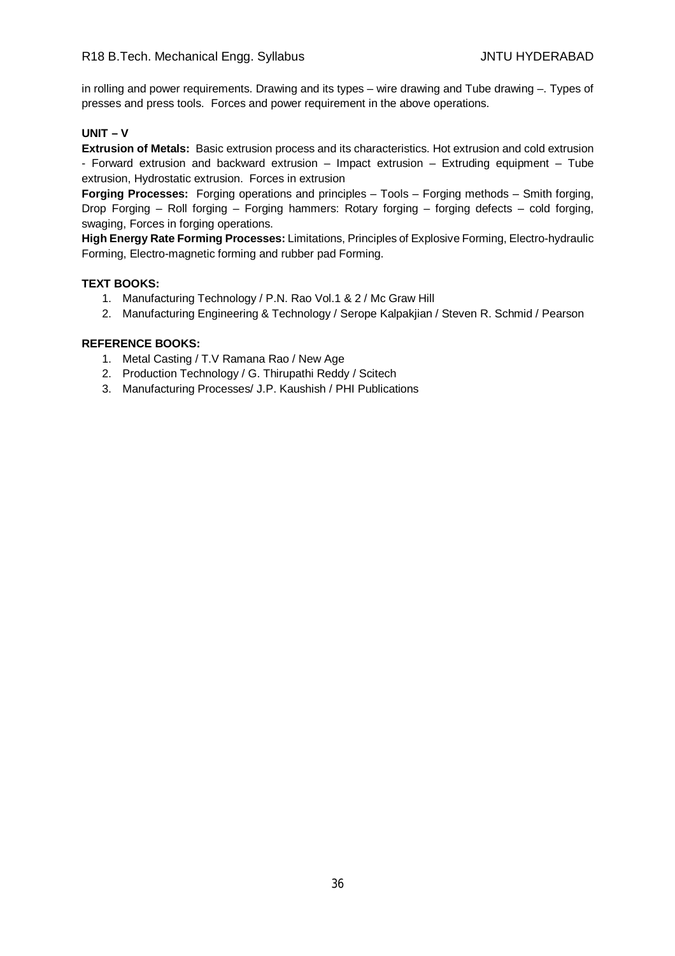in rolling and power requirements. Drawing and its types – wire drawing and Tube drawing –. Types of presses and press tools. Forces and power requirement in the above operations.

#### **UNIT – V**

**Extrusion of Metals:** Basic extrusion process and its characteristics. Hot extrusion and cold extrusion - Forward extrusion and backward extrusion – Impact extrusion – Extruding equipment – Tube extrusion, Hydrostatic extrusion. Forces in extrusion

**Forging Processes:** Forging operations and principles – Tools – Forging methods – Smith forging, Drop Forging – Roll forging – Forging hammers: Rotary forging – forging defects – cold forging, swaging, Forces in forging operations.

**High Energy Rate Forming Processes:** Limitations, Principles of Explosive Forming, Electro-hydraulic Forming, Electro-magnetic forming and rubber pad Forming.

#### **TEXT BOOKS:**

- 1. Manufacturing Technology / P.N. Rao Vol.1 & 2 / Mc Graw Hill
- 2. Manufacturing Engineering & Technology / Serope Kalpakjian / Steven R. Schmid / Pearson

- 1. Metal Casting / T.V Ramana Rao / New Age
- 2. Production Technology / G. Thirupathi Reddy / Scitech
- 3. Manufacturing Processes/ J.P. Kaushish / PHI Publications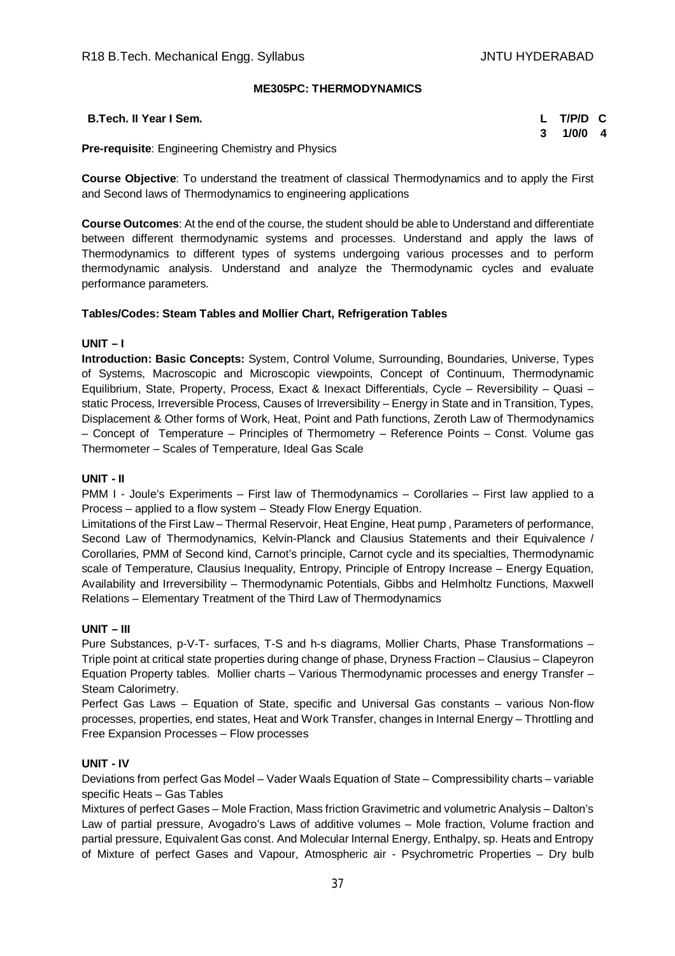## **ME305PC: THERMODYNAMICS**

| B.Tech. II Year I Sem.                                  | L T/P/D C |  |
|---------------------------------------------------------|-----------|--|
|                                                         | 3 1/0/0 4 |  |
| <b>Pre-requisite:</b> Engineering Chemistry and Physics |           |  |

**Course Objective**: To understand the treatment of classical Thermodynamics and to apply the First and Second laws of Thermodynamics to engineering applications

**Course Outcomes**: At the end of the course, the student should be able to Understand and differentiate between different thermodynamic systems and processes. Understand and apply the laws of Thermodynamics to different types of systems undergoing various processes and to perform thermodynamic analysis. Understand and analyze the Thermodynamic cycles and evaluate performance parameters.

## **Tables/Codes: Steam Tables and Mollier Chart, Refrigeration Tables**

## **UNIT – I**

**Introduction: Basic Concepts:** System, Control Volume, Surrounding, Boundaries, Universe, Types of Systems, Macroscopic and Microscopic viewpoints, Concept of Continuum, Thermodynamic Equilibrium, State, Property, Process, Exact & Inexact Differentials, Cycle – Reversibility – Quasi – static Process, Irreversible Process, Causes of Irreversibility – Energy in State and in Transition, Types, Displacement & Other forms of Work, Heat, Point and Path functions, Zeroth Law of Thermodynamics – Concept of Temperature – Principles of Thermometry – Reference Points – Const. Volume gas Thermometer – Scales of Temperature, Ideal Gas Scale

## **UNIT - II**

PMM I - Joule's Experiments – First law of Thermodynamics – Corollaries – First law applied to a Process – applied to a flow system – Steady Flow Energy Equation.

Limitations of the First Law – Thermal Reservoir, Heat Engine, Heat pump , Parameters of performance, Second Law of Thermodynamics, Kelvin-Planck and Clausius Statements and their Equivalence / Corollaries, PMM of Second kind, Carnot's principle, Carnot cycle and its specialties, Thermodynamic scale of Temperature, Clausius Inequality, Entropy, Principle of Entropy Increase – Energy Equation, Availability and Irreversibility – Thermodynamic Potentials, Gibbs and Helmholtz Functions, Maxwell Relations – Elementary Treatment of the Third Law of Thermodynamics

## **UNIT – III**

Pure Substances, p-V-T- surfaces, T-S and h-s diagrams, Mollier Charts, Phase Transformations – Triple point at critical state properties during change of phase, Dryness Fraction – Clausius – Clapeyron Equation Property tables. Mollier charts – Various Thermodynamic processes and energy Transfer – Steam Calorimetry.

Perfect Gas Laws – Equation of State, specific and Universal Gas constants – various Non-flow processes, properties, end states, Heat and Work Transfer, changes in Internal Energy – Throttling and Free Expansion Processes – Flow processes

## **UNIT - IV**

Deviations from perfect Gas Model – Vader Waals Equation of State – Compressibility charts – variable specific Heats – Gas Tables

Mixtures of perfect Gases – Mole Fraction, Mass friction Gravimetric and volumetric Analysis – Dalton's Law of partial pressure, Avogadro's Laws of additive volumes – Mole fraction, Volume fraction and partial pressure, Equivalent Gas const. And Molecular Internal Energy, Enthalpy, sp. Heats and Entropy of Mixture of perfect Gases and Vapour, Atmospheric air - Psychrometric Properties – Dry bulb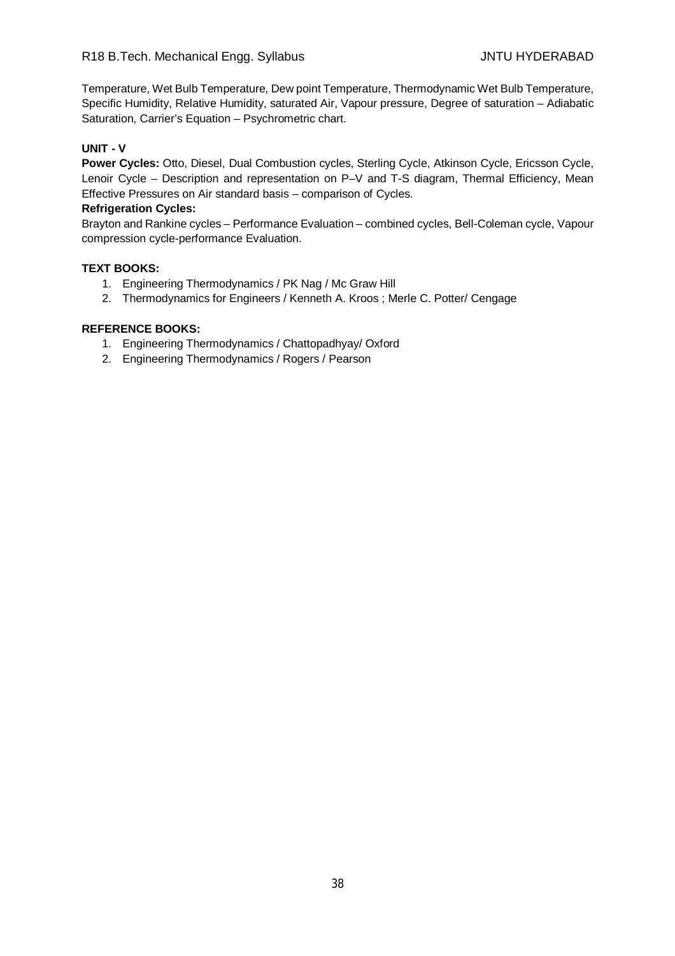Temperature, Wet Bulb Temperature, Dew point Temperature, Thermodynamic Wet Bulb Temperature, Specific Humidity, Relative Humidity, saturated Air, Vapour pressure, Degree of saturation – Adiabatic Saturation, Carrier's Equation – Psychrometric chart.

## **UNIT - V**

**Power Cycles:** Otto, Diesel, Dual Combustion cycles, Sterling Cycle, Atkinson Cycle, Ericsson Cycle, Lenoir Cycle – Description and representation on P–V and T-S diagram, Thermal Efficiency, Mean Effective Pressures on Air standard basis – comparison of Cycles.

#### **Refrigeration Cycles:**

Brayton and Rankine cycles – Performance Evaluation – combined cycles, Bell-Coleman cycle, Vapour compression cycle-performance Evaluation.

## **TEXT BOOKS:**

- 1. Engineering Thermodynamics / PK Nag / Mc Graw Hill
- 2. Thermodynamics for Engineers / Kenneth A. Kroos ; Merle C. Potter/ Cengage

- 1. Engineering Thermodynamics / Chattopadhyay/ Oxford
- 2. Engineering Thermodynamics / Rogers / Pearson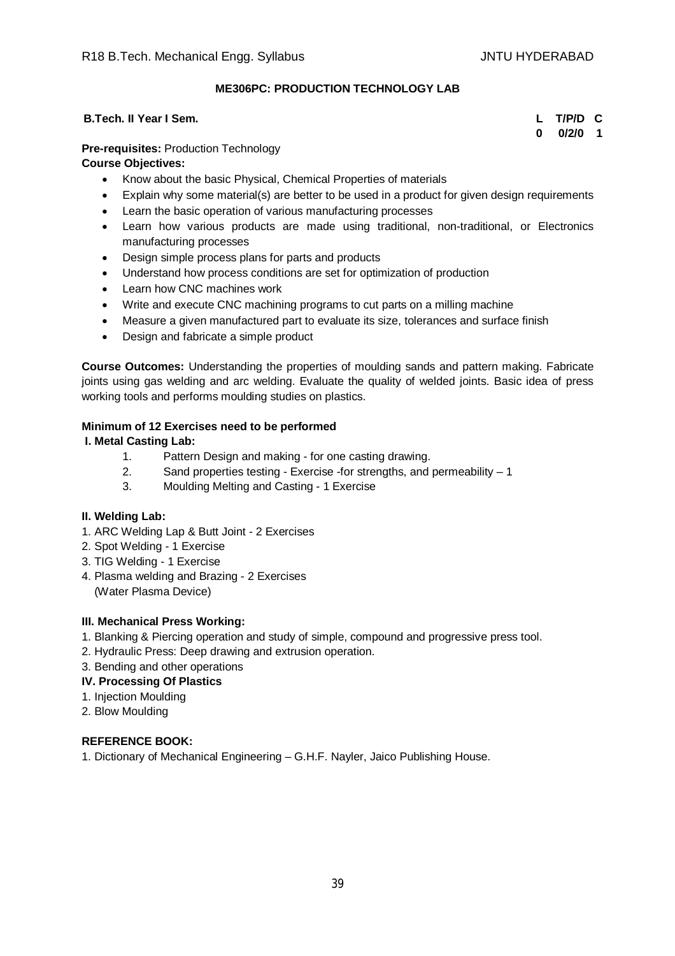## **ME306PC: PRODUCTION TECHNOLOGY LAB**

## **B.Tech. II Year I Sem. L T/P/D C**

**0 0/2/0 1**

## **Pre-requisites:** Production Technology

## **Course Objectives:**

- Know about the basic Physical, Chemical Properties of materials
- Explain why some material(s) are better to be used in a product for given design requirements
- Learn the basic operation of various manufacturing processes
- Learn how various products are made using traditional, non-traditional, or Electronics manufacturing processes
- Design simple process plans for parts and products
- Understand how process conditions are set for optimization of production
- Learn how CNC machines work
- Write and execute CNC machining programs to cut parts on a milling machine
- Measure a given manufactured part to evaluate its size, tolerances and surface finish
- Design and fabricate a simple product

**Course Outcomes:** Understanding the properties of moulding sands and pattern making. Fabricate joints using gas welding and arc welding. Evaluate the quality of welded joints. Basic idea of press working tools and performs moulding studies on plastics.

## **Minimum of 12 Exercises need to be performed**

## **I. Metal Casting Lab:**

- 1. Pattern Design and making for one casting drawing.
- 2. Sand properties testing Exercise -for strengths, and permeability 1
- 3. Moulding Melting and Casting 1 Exercise

## **II. Welding Lab:**

- 1. ARC Welding Lap & Butt Joint 2 Exercises
- 2. Spot Welding 1 Exercise
- 3. TIG Welding 1 Exercise
- 4. Plasma welding and Brazing 2 Exercises (Water Plasma Device)

## **III. Mechanical Press Working:**

- 1. Blanking & Piercing operation and study of simple, compound and progressive press tool.
- 2. Hydraulic Press: Deep drawing and extrusion operation.
- 3. Bending and other operations

## **IV. Processing Of Plastics**

- 1. Injection Moulding
- 2. Blow Moulding

## **REFERENCE BOOK:**

1. Dictionary of Mechanical Engineering – G.H.F. Nayler, Jaico Publishing House.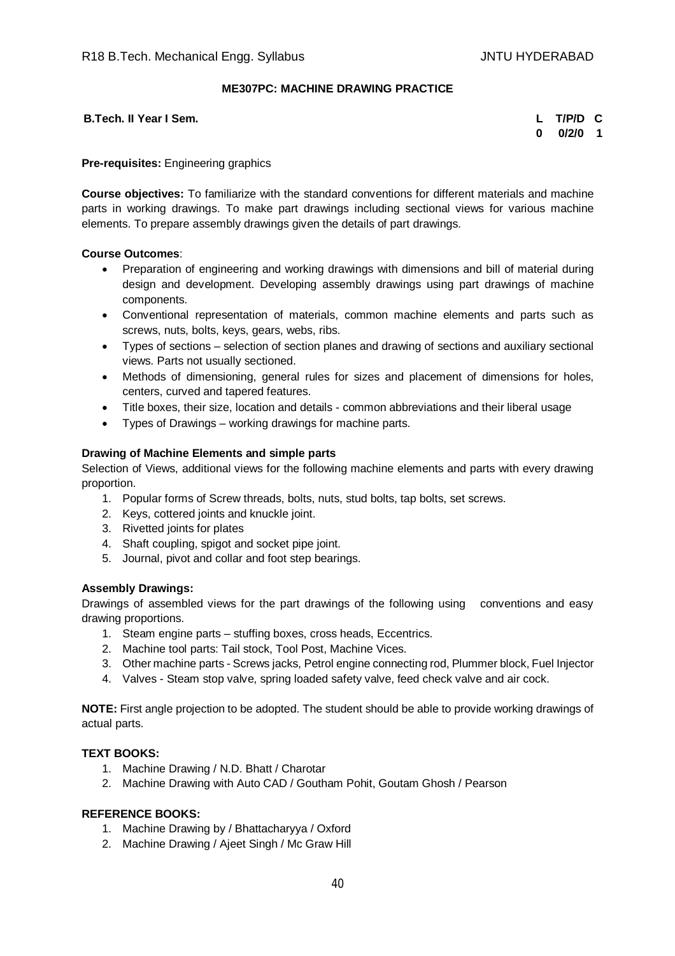## **ME307PC: MACHINE DRAWING PRACTICE**

**B.Tech. II Year I Sem.** 

| L | T/P/D | С |
|---|-------|---|
| O | 0/2/0 | 1 |

**Pre-requisites:** Engineering graphics

**Course objectives:** To familiarize with the standard conventions for different materials and machine parts in working drawings. To make part drawings including sectional views for various machine elements. To prepare assembly drawings given the details of part drawings.

## **Course Outcomes**:

- Preparation of engineering and working drawings with dimensions and bill of material during design and development. Developing assembly drawings using part drawings of machine components.
- Conventional representation of materials, common machine elements and parts such as screws, nuts, bolts, keys, gears, webs, ribs.
- Types of sections selection of section planes and drawing of sections and auxiliary sectional views. Parts not usually sectioned.
- Methods of dimensioning, general rules for sizes and placement of dimensions for holes, centers, curved and tapered features.
- Title boxes, their size, location and details common abbreviations and their liberal usage
- Types of Drawings working drawings for machine parts.

## **Drawing of Machine Elements and simple parts**

Selection of Views, additional views for the following machine elements and parts with every drawing proportion.

- 1. Popular forms of Screw threads, bolts, nuts, stud bolts, tap bolts, set screws.
- 2. Keys, cottered joints and knuckle joint.
- 3. Rivetted joints for plates
- 4. Shaft coupling, spigot and socket pipe joint.
- 5. Journal, pivot and collar and foot step bearings.

## **Assembly Drawings:**

Drawings of assembled views for the part drawings of the following using conventions and easy drawing proportions.

- 1. Steam engine parts stuffing boxes, cross heads, Eccentrics.
- 2. Machine tool parts: Tail stock, Tool Post, Machine Vices.
- 3. Other machine parts Screws jacks, Petrol engine connecting rod, Plummer block, Fuel Injector
- 4. Valves Steam stop valve, spring loaded safety valve, feed check valve and air cock.

**NOTE:** First angle projection to be adopted. The student should be able to provide working drawings of actual parts.

## **TEXT BOOKS:**

- 1. Machine Drawing / N.D. Bhatt / Charotar
- 2. Machine Drawing with Auto CAD / Goutham Pohit, Goutam Ghosh / Pearson

- 1. Machine Drawing by / Bhattacharyya / Oxford
- 2. Machine Drawing / Ajeet Singh / Mc Graw Hill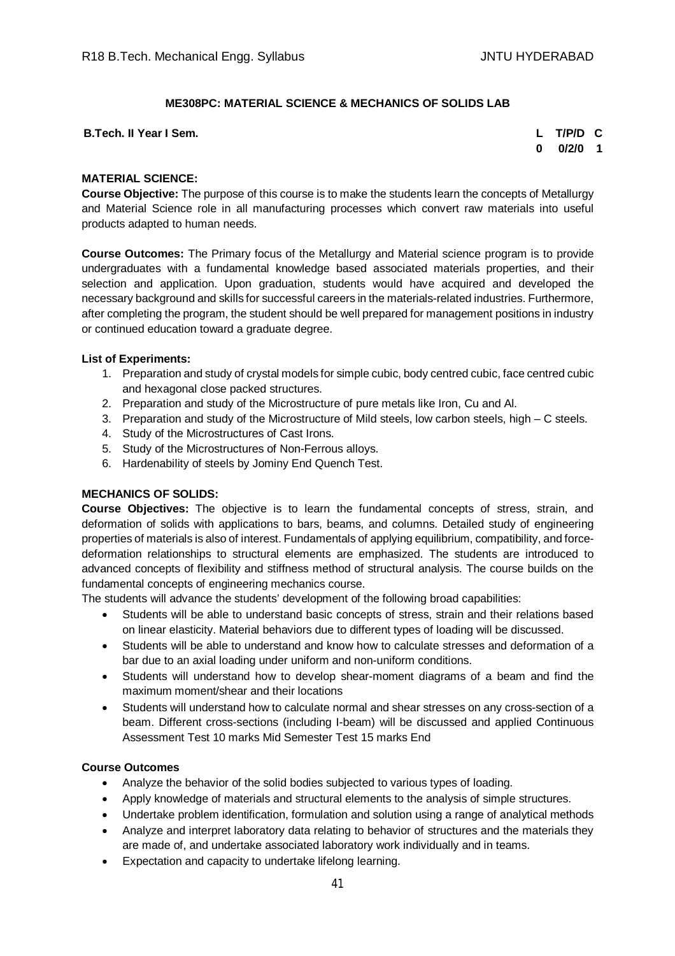## **ME308PC: MATERIAL SCIENCE & MECHANICS OF SOLIDS LAB**

**B.Tech. II Year I Sem. L T/P/D C**

**0 0/2/0 1**

#### **MATERIAL SCIENCE:**

**Course Objective:** The purpose of this course is to make the students learn the concepts of Metallurgy and Material Science role in all manufacturing processes which convert raw materials into useful products adapted to human needs.

**Course Outcomes:** The Primary focus of the Metallurgy and Material science program is to provide undergraduates with a fundamental knowledge based associated materials properties, and their selection and application. Upon graduation, students would have acquired and developed the necessary background and skills for successful careers in the materials-related industries. Furthermore, after completing the program, the student should be well prepared for management positions in industry or continued education toward a graduate degree.

#### **List of Experiments:**

- 1. Preparation and study of crystal models for simple cubic, body centred cubic, face centred cubic and hexagonal close packed structures.
- 2. Preparation and study of the Microstructure of pure metals like Iron, Cu and Al.
- 3. Preparation and study of the Microstructure of Mild steels, low carbon steels, high C steels.
- 4. Study of the Microstructures of Cast Irons.
- 5. Study of the Microstructures of Non-Ferrous alloys.
- 6. Hardenability of steels by Jominy End Quench Test.

## **MECHANICS OF SOLIDS:**

**Course Objectives:** The objective is to learn the fundamental concepts of stress, strain, and deformation of solids with applications to bars, beams, and columns. Detailed study of engineering properties of materials is also of interest. Fundamentals of applying equilibrium, compatibility, and forcedeformation relationships to structural elements are emphasized. The students are introduced to advanced concepts of flexibility and stiffness method of structural analysis. The course builds on the fundamental concepts of engineering mechanics course.

The students will advance the students' development of the following broad capabilities:

- Students will be able to understand basic concepts of stress, strain and their relations based on linear elasticity. Material behaviors due to different types of loading will be discussed.
- Students will be able to understand and know how to calculate stresses and deformation of a bar due to an axial loading under uniform and non-uniform conditions.
- Students will understand how to develop shear-moment diagrams of a beam and find the maximum moment/shear and their locations
- Students will understand how to calculate normal and shear stresses on any cross-section of a beam. Different cross-sections (including I-beam) will be discussed and applied Continuous Assessment Test 10 marks Mid Semester Test 15 marks End

#### **Course Outcomes**

- Analyze the behavior of the solid bodies subjected to various types of loading.
- Apply knowledge of materials and structural elements to the analysis of simple structures.
- Undertake problem identification, formulation and solution using a range of analytical methods
- Analyze and interpret laboratory data relating to behavior of structures and the materials they are made of, and undertake associated laboratory work individually and in teams.
- Expectation and capacity to undertake lifelong learning.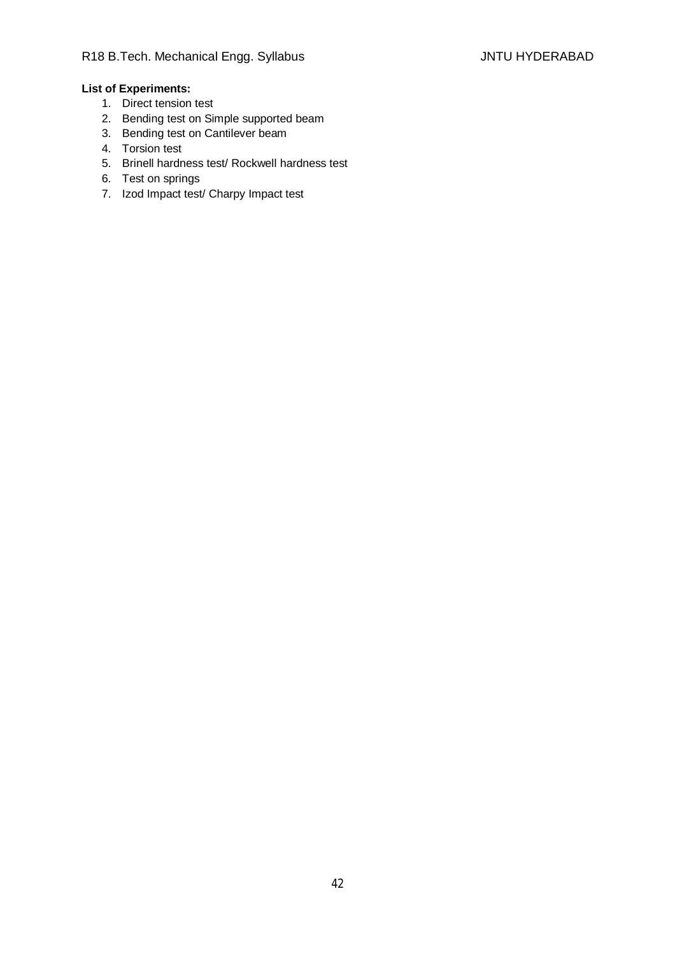# **List of Experiments:**

- 1. Direct tension test
- 2. Bending test on Simple supported beam
- 3. Bending test on Cantilever beam
- 4. Torsion test
- 5. Brinell hardness test/ Rockwell hardness test
- 6. Test on springs
- 7. Izod Impact test/ Charpy Impact test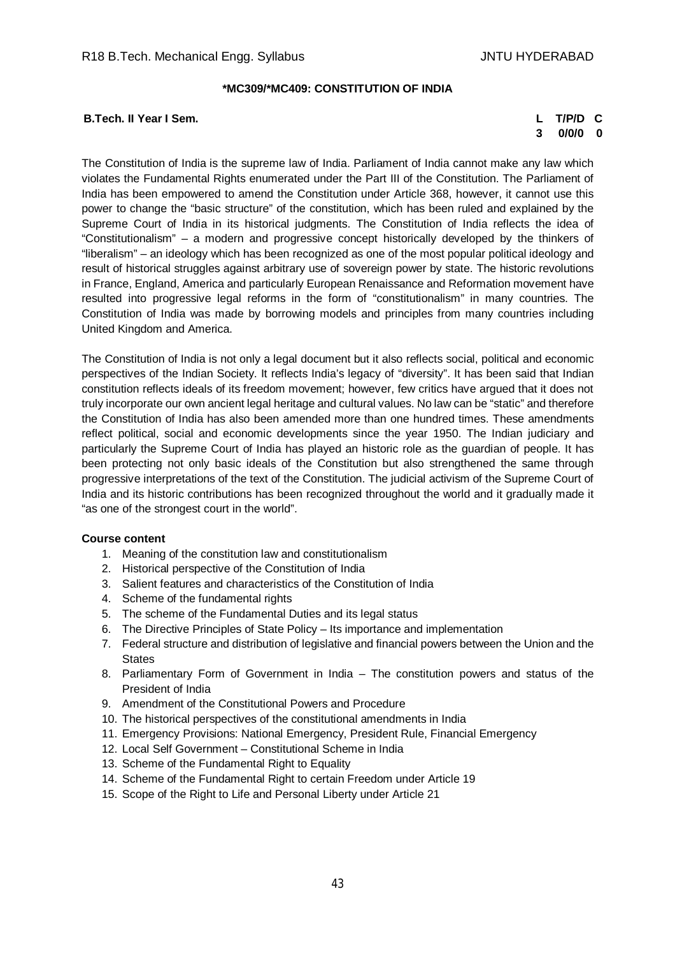#### **\*MC309/\*MC409: CONSTITUTION OF INDIA**

## **B.Tech. II Year I Sem. L T/P/D C**

# **3 0/0/0 0**

The Constitution of India is the supreme law of India. Parliament of India cannot make any law which violates the Fundamental Rights enumerated under the Part III of the Constitution. The Parliament of India has been empowered to amend the Constitution under Article 368, however, it cannot use this power to change the "basic structure" of the constitution, which has been ruled and explained by the Supreme Court of India in its historical judgments. The Constitution of India reflects the idea of "Constitutionalism" – a modern and progressive concept historically developed by the thinkers of "liberalism" – an ideology which has been recognized as one of the most popular political ideology and result of historical struggles against arbitrary use of sovereign power by state. The historic revolutions in France, England, America and particularly European Renaissance and Reformation movement have resulted into progressive legal reforms in the form of "constitutionalism" in many countries. The Constitution of India was made by borrowing models and principles from many countries including United Kingdom and America.

The Constitution of India is not only a legal document but it also reflects social, political and economic perspectives of the Indian Society. It reflects India's legacy of "diversity". It has been said that Indian constitution reflects ideals of its freedom movement; however, few critics have argued that it does not truly incorporate our own ancient legal heritage and cultural values. No law can be "static" and therefore the Constitution of India has also been amended more than one hundred times. These amendments reflect political, social and economic developments since the year 1950. The Indian judiciary and particularly the Supreme Court of India has played an historic role as the guardian of people. It has been protecting not only basic ideals of the Constitution but also strengthened the same through progressive interpretations of the text of the Constitution. The judicial activism of the Supreme Court of India and its historic contributions has been recognized throughout the world and it gradually made it "as one of the strongest court in the world".

## **Course content**

- 1. Meaning of the constitution law and constitutionalism
- 2. Historical perspective of the Constitution of India
- 3. Salient features and characteristics of the Constitution of India
- 4. Scheme of the fundamental rights
- 5. The scheme of the Fundamental Duties and its legal status
- 6. The Directive Principles of State Policy Its importance and implementation
- 7. Federal structure and distribution of legislative and financial powers between the Union and the **States**
- 8. Parliamentary Form of Government in India The constitution powers and status of the President of India
- 9. Amendment of the Constitutional Powers and Procedure
- 10. The historical perspectives of the constitutional amendments in India
- 11. Emergency Provisions: National Emergency, President Rule, Financial Emergency
- 12. Local Self Government Constitutional Scheme in India
- 13. Scheme of the Fundamental Right to Equality
- 14. Scheme of the Fundamental Right to certain Freedom under Article 19
- 15. Scope of the Right to Life and Personal Liberty under Article 21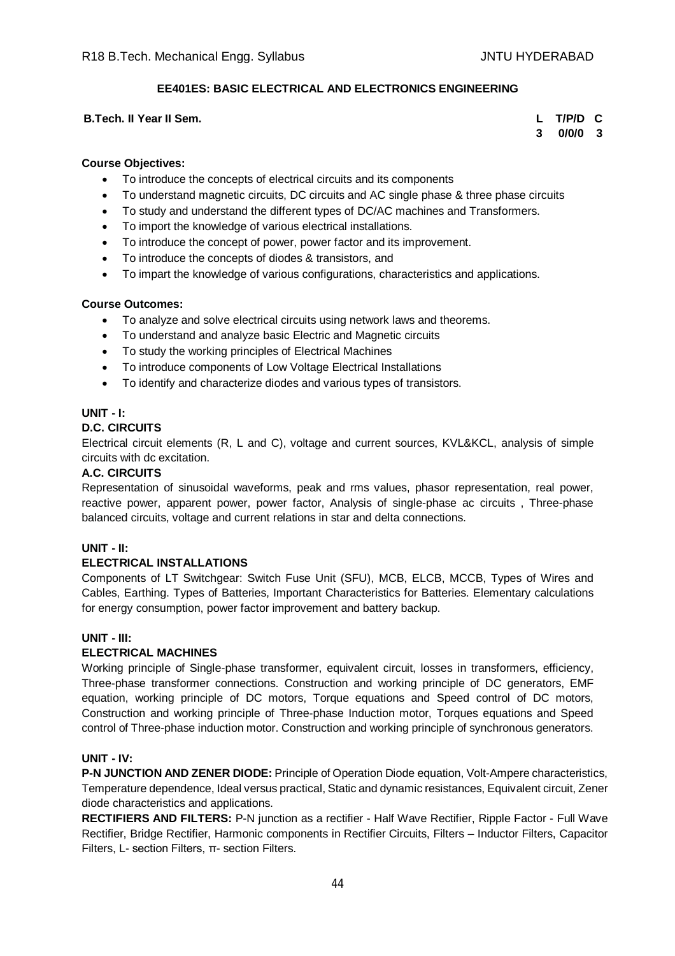## **EE401ES: BASIC ELECTRICAL AND ELECTRONICS ENGINEERING**

## **B.Tech. II Year II Sem. L T/P/D C**

**3 0/0/0 3**

# **Course Objectives:**

- To introduce the concepts of electrical circuits and its components
- To understand magnetic circuits, DC circuits and AC single phase & three phase circuits
- To study and understand the different types of DC/AC machines and Transformers.
- To import the knowledge of various electrical installations.
- To introduce the concept of power, power factor and its improvement.
- To introduce the concepts of diodes & transistors, and
- To impart the knowledge of various configurations, characteristics and applications.

## **Course Outcomes:**

- To analyze and solve electrical circuits using network laws and theorems.
- To understand and analyze basic Electric and Magnetic circuits
- To study the working principles of Electrical Machines
- To introduce components of Low Voltage Electrical Installations
- To identify and characterize diodes and various types of transistors.

## **UNIT - I:**

## **D.C. CIRCUITS**

Electrical circuit elements (R, L and C), voltage and current sources, KVL&KCL, analysis of simple circuits with dc excitation.

## **A.C. CIRCUITS**

Representation of sinusoidal waveforms, peak and rms values, phasor representation, real power, reactive power, apparent power, power factor, Analysis of single-phase ac circuits , Three-phase balanced circuits, voltage and current relations in star and delta connections.

## **UNIT - II:**

## **ELECTRICAL INSTALLATIONS**

Components of LT Switchgear: Switch Fuse Unit (SFU), MCB, ELCB, MCCB, Types of Wires and Cables, Earthing. Types of Batteries, Important Characteristics for Batteries. Elementary calculations for energy consumption, power factor improvement and battery backup.

## **UNIT - III:**

# **ELECTRICAL MACHINES**

Working principle of Single-phase transformer, equivalent circuit, losses in transformers, efficiency, Three-phase transformer connections. Construction and working principle of DC generators, EMF equation, working principle of DC motors, Torque equations and Speed control of DC motors, Construction and working principle of Three-phase Induction motor, Torques equations and Speed control of Three-phase induction motor. Construction and working principle of synchronous generators.

## **UNIT - IV:**

**P-N JUNCTION AND ZENER DIODE:** Principle of Operation Diode equation, Volt-Ampere characteristics, Temperature dependence, Ideal versus practical, Static and dynamic resistances, Equivalent circuit, Zener diode characteristics and applications.

**RECTIFIERS AND FILTERS:** P-N junction as a rectifier - Half Wave Rectifier, Ripple Factor - Full Wave Rectifier, Bridge Rectifier, Harmonic components in Rectifier Circuits, Filters – Inductor Filters, Capacitor Filters, L- section Filters, π- section Filters.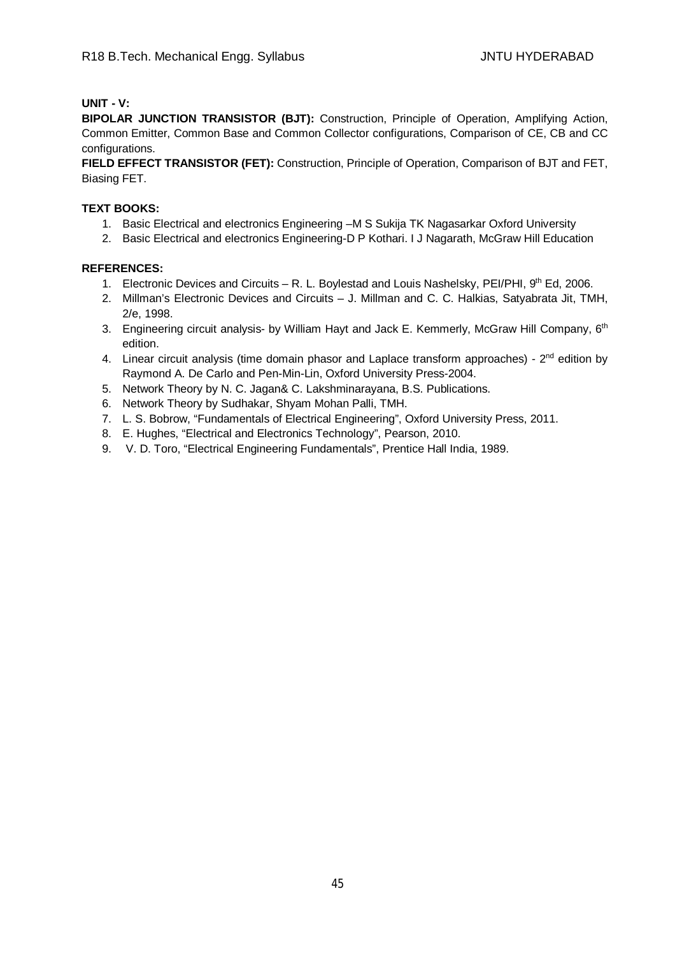## **UNIT - V:**

**BIPOLAR JUNCTION TRANSISTOR (BJT):** Construction, Principle of Operation, Amplifying Action, Common Emitter, Common Base and Common Collector configurations, Comparison of CE, CB and CC configurations.

**FIELD EFFECT TRANSISTOR (FET):** Construction, Principle of Operation, Comparison of BJT and FET, Biasing FET.

## **TEXT BOOKS:**

- 1. Basic Electrical and electronics Engineering –M S Sukija TK Nagasarkar Oxford University
- 2. Basic Electrical and electronics Engineering-D P Kothari. I J Nagarath, McGraw Hill Education

## **REFERENCES:**

- 1. Electronic Devices and Circuits R. L. Boylestad and Louis Nashelsky, PEI/PHI, 9th Ed, 2006.
- 2. Millman's Electronic Devices and Circuits J. Millman and C. C. Halkias, Satyabrata Jit, TMH, 2/e, 1998.
- 3. Engineering circuit analysis- by William Hayt and Jack E. Kemmerly, McGraw Hill Company, 6<sup>th</sup> edition.
- 4. Linear circuit analysis (time domain phasor and Laplace transform approaches) 2<sup>nd</sup> edition by Raymond A. De Carlo and Pen-Min-Lin, Oxford University Press-2004.
- 5. Network Theory by N. C. Jagan& C. Lakshminarayana, B.S. Publications.
- 6. Network Theory by Sudhakar, Shyam Mohan Palli, TMH.
- 7. L. S. Bobrow, "Fundamentals of Electrical Engineering", Oxford University Press, 2011.
- 8. E. Hughes, "Electrical and Electronics Technology", Pearson, 2010.
- 9. V. D. Toro, "Electrical Engineering Fundamentals", Prentice Hall India, 1989.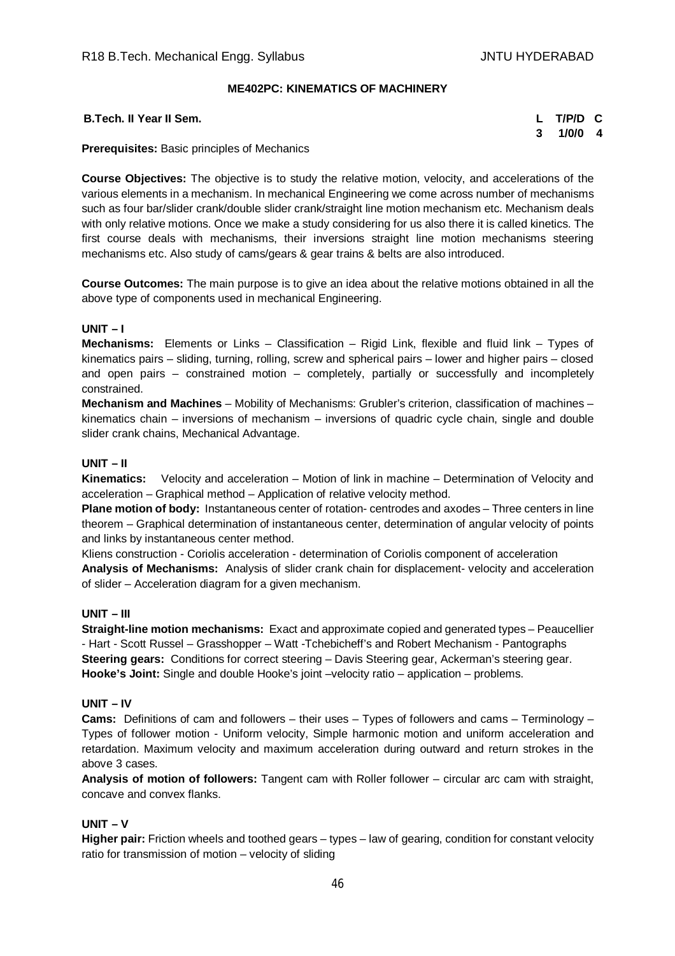## **ME402PC: KINEMATICS OF MACHINERY**

| <b>B.Tech. II Year II Sem.</b> | L T/P/D C |  |
|--------------------------------|-----------|--|
|                                | 3 1/0/0 4 |  |

**Prerequisites:** Basic principles of Mechanics

**Course Objectives:** The objective is to study the relative motion, velocity, and accelerations of the various elements in a mechanism. In mechanical Engineering we come across number of mechanisms such as four bar/slider crank/double slider crank/straight line motion mechanism etc. Mechanism deals with only relative motions. Once we make a study considering for us also there it is called kinetics. The first course deals with mechanisms, their inversions straight line motion mechanisms steering mechanisms etc. Also study of cams/gears & gear trains & belts are also introduced.

**Course Outcomes:** The main purpose is to give an idea about the relative motions obtained in all the above type of components used in mechanical Engineering.

## **UNIT – I**

**Mechanisms:** Elements or Links – Classification – Rigid Link, flexible and fluid link – Types of kinematics pairs – sliding, turning, rolling, screw and spherical pairs – lower and higher pairs – closed and open pairs – constrained motion – completely, partially or successfully and incompletely constrained.

**Mechanism and Machines** – Mobility of Mechanisms: Grubler's criterion, classification of machines – kinematics chain – inversions of mechanism – inversions of quadric cycle chain, single and double slider crank chains, Mechanical Advantage.

#### **UNIT – II**

**Kinematics:** Velocity and acceleration – Motion of link in machine – Determination of Velocity and acceleration – Graphical method – Application of relative velocity method.

**Plane motion of body:** Instantaneous center of rotation- centrodes and axodes – Three centers in line theorem – Graphical determination of instantaneous center, determination of angular velocity of points and links by instantaneous center method.

Kliens construction - Coriolis acceleration - determination of Coriolis component of acceleration **Analysis of Mechanisms:** Analysis of slider crank chain for displacement- velocity and acceleration of slider – Acceleration diagram for a given mechanism.

## **UNIT – III**

**Straight-line motion mechanisms:** Exact and approximate copied and generated types – Peaucellier - Hart - Scott Russel – Grasshopper – Watt -Tchebicheff's and Robert Mechanism - Pantographs **Steering gears:** Conditions for correct steering – Davis Steering gear, Ackerman's steering gear. **Hooke's Joint:** Single and double Hooke's joint –velocity ratio – application – problems.

#### **UNIT – IV**

**Cams:** Definitions of cam and followers – their uses – Types of followers and cams – Terminology – Types of follower motion - Uniform velocity, Simple harmonic motion and uniform acceleration and retardation. Maximum velocity and maximum acceleration during outward and return strokes in the above 3 cases.

**Analysis of motion of followers:** Tangent cam with Roller follower – circular arc cam with straight, concave and convex flanks.

## **UNIT – V**

**Higher pair:** Friction wheels and toothed gears – types – law of gearing, condition for constant velocity ratio for transmission of motion – velocity of sliding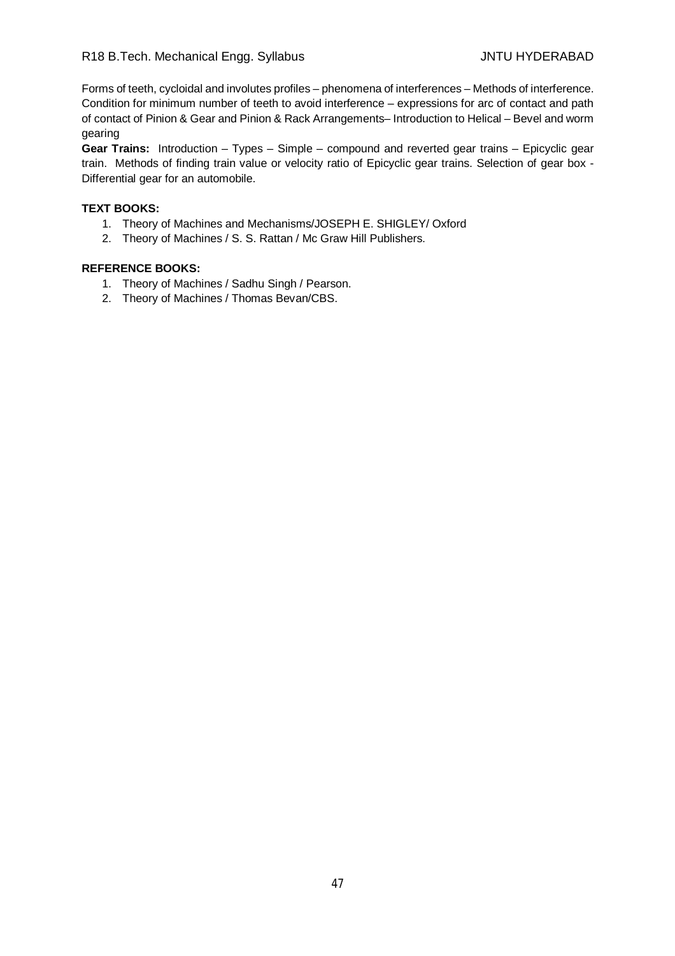Forms of teeth, cycloidal and involutes profiles – phenomena of interferences – Methods of interference. Condition for minimum number of teeth to avoid interference – expressions for arc of contact and path of contact of Pinion & Gear and Pinion & Rack Arrangements– Introduction to Helical – Bevel and worm gearing

**Gear Trains:** Introduction – Types – Simple – compound and reverted gear trains – Epicyclic gear train. Methods of finding train value or velocity ratio of Epicyclic gear trains. Selection of gear box - Differential gear for an automobile.

#### **TEXT BOOKS:**

- 1. Theory of Machines and Mechanisms/JOSEPH E. SHIGLEY/ Oxford
- 2. Theory of Machines / S. S. Rattan / Mc Graw Hill Publishers.

- 1. Theory of Machines / Sadhu Singh / Pearson.
- 2. Theory of Machines / Thomas Bevan/CBS.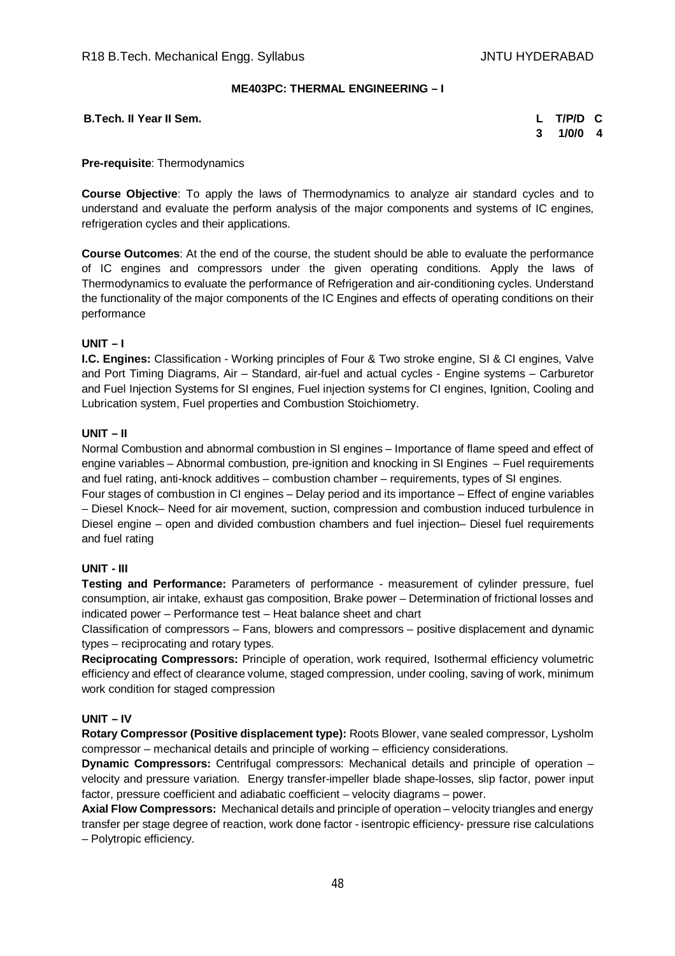## **ME403PC: THERMAL ENGINEERING – I**

**B.Tech. II Year II Sem. L T/P/D C**

**3 1/0/0 4**

#### **Pre-requisite**: Thermodynamics

**Course Objective**: To apply the laws of Thermodynamics to analyze air standard cycles and to understand and evaluate the perform analysis of the major components and systems of IC engines, refrigeration cycles and their applications.

**Course Outcomes**: At the end of the course, the student should be able to evaluate the performance of IC engines and compressors under the given operating conditions. Apply the laws of Thermodynamics to evaluate the performance of Refrigeration and air-conditioning cycles. Understand the functionality of the major components of the IC Engines and effects of operating conditions on their performance

#### **UNIT – I**

**I.C. Engines:** Classification - Working principles of Four & Two stroke engine, SI & CI engines, Valve and Port Timing Diagrams, Air – Standard, air-fuel and actual cycles - Engine systems – Carburetor and Fuel Injection Systems for SI engines, Fuel injection systems for CI engines, Ignition, Cooling and Lubrication system, Fuel properties and Combustion Stoichiometry.

#### **UNIT – II**

Normal Combustion and abnormal combustion in SI engines – Importance of flame speed and effect of engine variables – Abnormal combustion, pre-ignition and knocking in SI Engines – Fuel requirements and fuel rating, anti-knock additives – combustion chamber – requirements, types of SI engines.

Four stages of combustion in CI engines – Delay period and its importance – Effect of engine variables – Diesel Knock– Need for air movement, suction, compression and combustion induced turbulence in Diesel engine – open and divided combustion chambers and fuel injection– Diesel fuel requirements and fuel rating

## **UNIT - III**

**Testing and Performance:** Parameters of performance - measurement of cylinder pressure, fuel consumption, air intake, exhaust gas composition, Brake power – Determination of frictional losses and indicated power – Performance test – Heat balance sheet and chart

Classification of compressors – Fans, blowers and compressors – positive displacement and dynamic types – reciprocating and rotary types.

**Reciprocating Compressors:** Principle of operation, work required, Isothermal efficiency volumetric efficiency and effect of clearance volume, staged compression, under cooling, saving of work, minimum work condition for staged compression

## **UNIT – IV**

**Rotary Compressor (Positive displacement type):** Roots Blower, vane sealed compressor, Lysholm compressor – mechanical details and principle of working – efficiency considerations.

**Dynamic Compressors:** Centrifugal compressors: Mechanical details and principle of operation – velocity and pressure variation. Energy transfer-impeller blade shape-losses, slip factor, power input factor, pressure coefficient and adiabatic coefficient – velocity diagrams – power.

**Axial Flow Compressors:** Mechanical details and principle of operation – velocity triangles and energy transfer per stage degree of reaction, work done factor - isentropic efficiency- pressure rise calculations – Polytropic efficiency.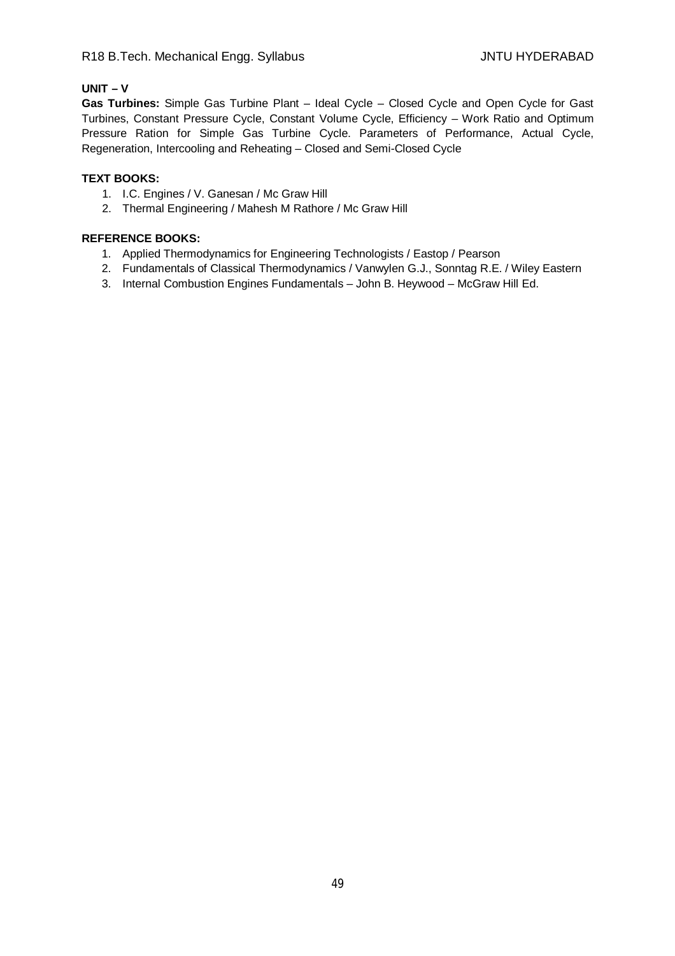## **UNIT – V**

**Gas Turbines:** Simple Gas Turbine Plant – Ideal Cycle – Closed Cycle and Open Cycle for Gast Turbines, Constant Pressure Cycle, Constant Volume Cycle, Efficiency – Work Ratio and Optimum Pressure Ration for Simple Gas Turbine Cycle. Parameters of Performance, Actual Cycle, Regeneration, Intercooling and Reheating – Closed and Semi-Closed Cycle

## **TEXT BOOKS:**

- 1. I.C. Engines / V. Ganesan / Mc Graw Hill
- 2. Thermal Engineering / Mahesh M Rathore / Mc Graw Hill

- 1. Applied Thermodynamics for Engineering Technologists / Eastop / Pearson
- 2. Fundamentals of Classical Thermodynamics / Vanwylen G.J., Sonntag R.E. / Wiley Eastern
- 3. Internal Combustion Engines Fundamentals John B. Heywood McGraw Hill Ed.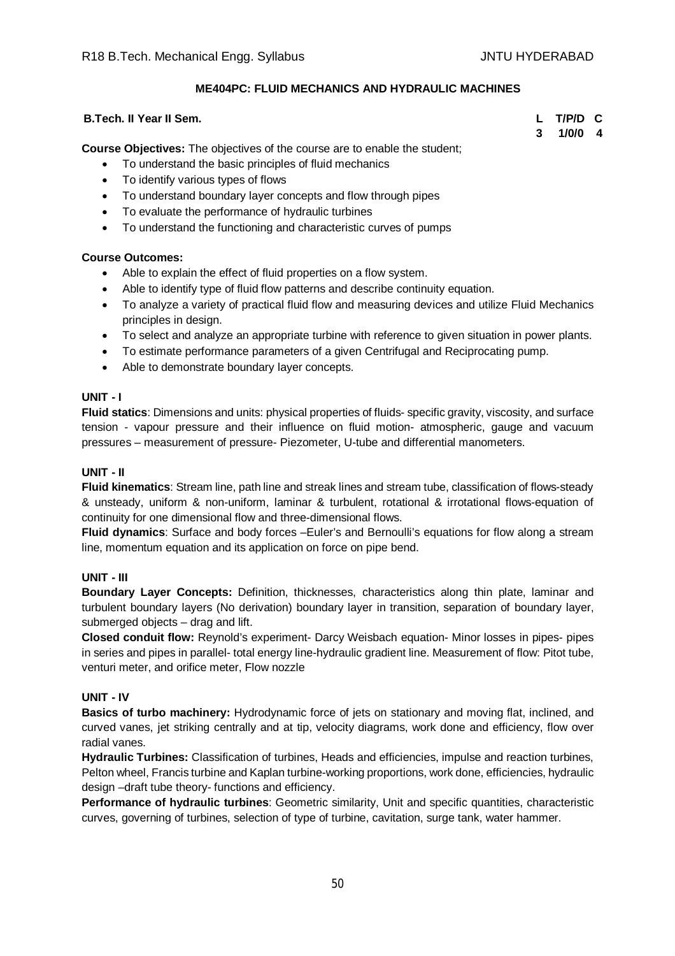## **ME404PC: FLUID MECHANICS AND HYDRAULIC MACHINES**

## **B.Tech. II Year II Sem. L T/P/D C**

**3 1/0/0 4**

**Course Objectives:** The objectives of the course are to enable the student;

- To understand the basic principles of fluid mechanics
- To identify various types of flows
- To understand boundary layer concepts and flow through pipes
- To evaluate the performance of hydraulic turbines
- To understand the functioning and characteristic curves of pumps

# **Course Outcomes:**

- Able to explain the effect of fluid properties on a flow system.
- Able to identify type of fluid flow patterns and describe continuity equation.
- To analyze a variety of practical fluid flow and measuring devices and utilize Fluid Mechanics principles in design.
- To select and analyze an appropriate turbine with reference to given situation in power plants.
- To estimate performance parameters of a given Centrifugal and Reciprocating pump.
- Able to demonstrate boundary layer concepts.

# **UNIT - I**

**Fluid statics**: Dimensions and units: physical properties of fluids- specific gravity, viscosity, and surface tension - vapour pressure and their influence on fluid motion- atmospheric, gauge and vacuum pressures – measurement of pressure- Piezometer, U-tube and differential manometers.

## **UNIT - II**

**Fluid kinematics**: Stream line, path line and streak lines and stream tube, classification of flows-steady & unsteady, uniform & non-uniform, laminar & turbulent, rotational & irrotational flows-equation of continuity for one dimensional flow and three-dimensional flows.

**Fluid dynamics**: Surface and body forces –Euler's and Bernoulli's equations for flow along a stream line, momentum equation and its application on force on pipe bend.

## **UNIT - III**

**Boundary Layer Concepts:** Definition, thicknesses, characteristics along thin plate, laminar and turbulent boundary layers (No derivation) boundary layer in transition, separation of boundary layer, submerged objects – drag and lift.

**Closed conduit flow:** Reynold's experiment- Darcy Weisbach equation- Minor losses in pipes- pipes in series and pipes in parallel- total energy line-hydraulic gradient line. Measurement of flow: Pitot tube, venturi meter, and orifice meter, Flow nozzle

## **UNIT - IV**

**Basics of turbo machinery:** Hydrodynamic force of jets on stationary and moving flat, inclined, and curved vanes, jet striking centrally and at tip, velocity diagrams, work done and efficiency, flow over radial vanes.

**Hydraulic Turbines:** Classification of turbines, Heads and efficiencies, impulse and reaction turbines, Pelton wheel, Francis turbine and Kaplan turbine-working proportions, work done, efficiencies, hydraulic design –draft tube theory- functions and efficiency.

**Performance of hydraulic turbines**: Geometric similarity, Unit and specific quantities, characteristic curves, governing of turbines, selection of type of turbine, cavitation, surge tank, water hammer.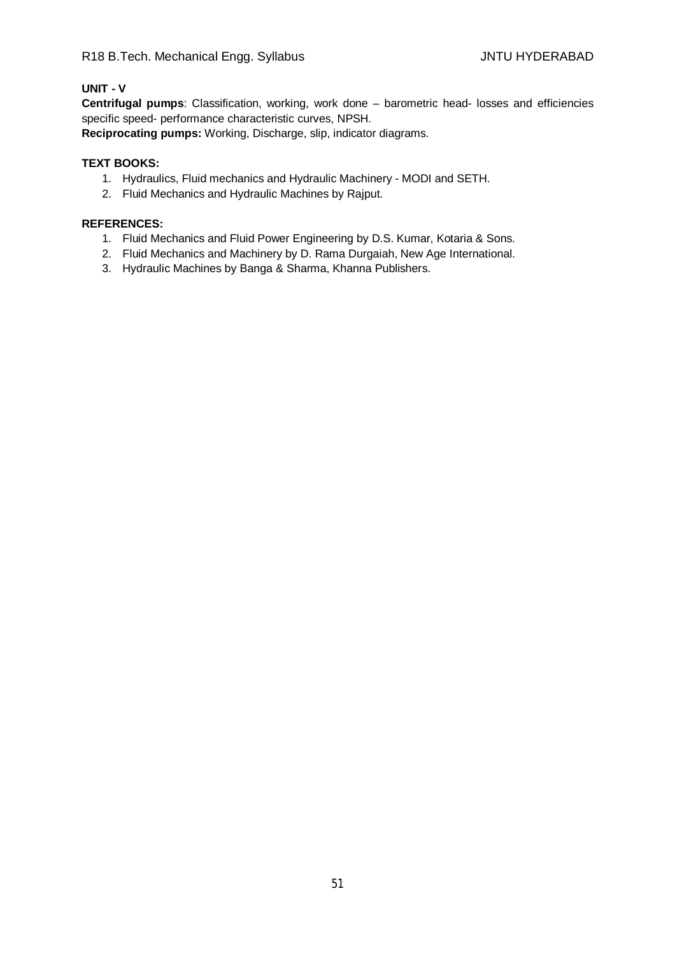# **UNIT - V**

**Centrifugal pumps**: Classification, working, work done – barometric head- losses and efficiencies specific speed- performance characteristic curves, NPSH.

**Reciprocating pumps:** Working, Discharge, slip, indicator diagrams.

## **TEXT BOOKS:**

- 1. Hydraulics, Fluid mechanics and Hydraulic Machinery MODI and SETH.
- 2. Fluid Mechanics and Hydraulic Machines by Rajput.

## **REFERENCES:**

- 1. Fluid Mechanics and Fluid Power Engineering by D.S. Kumar, Kotaria & Sons.
- 2. Fluid Mechanics and Machinery by D. Rama Durgaiah, New Age International.
- 3. Hydraulic Machines by Banga & Sharma, Khanna Publishers.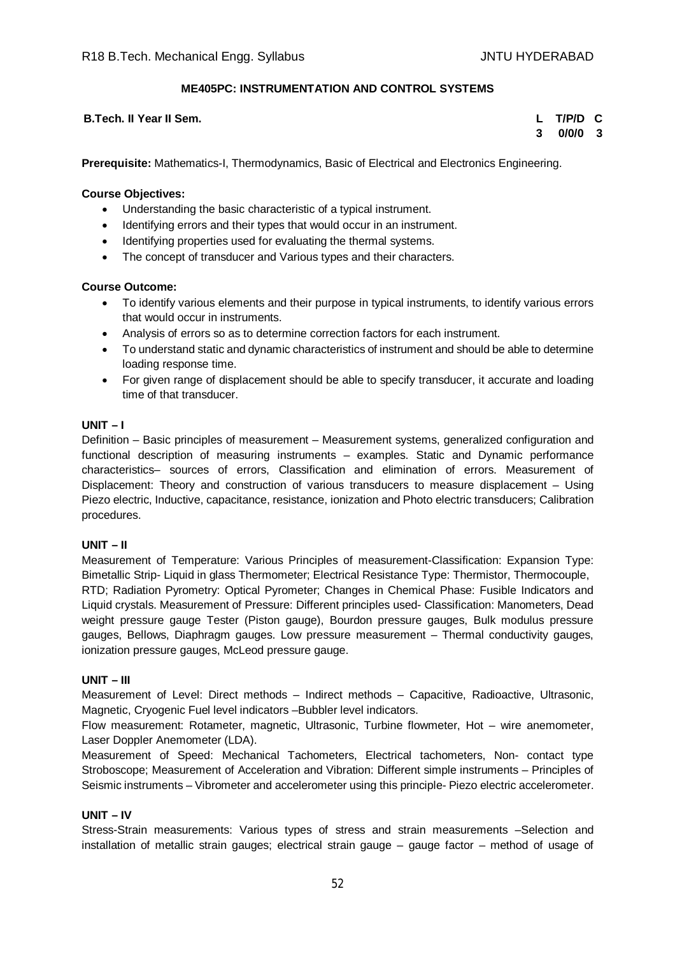## **ME405PC: INSTRUMENTATION AND CONTROL SYSTEMS**

## **B.Tech. II Year II Sem. L T/P/D C**

**3 0/0/0 3**

**Prerequisite:** Mathematics-I, Thermodynamics, Basic of Electrical and Electronics Engineering.

## **Course Objectives:**

- Understanding the basic characteristic of a typical instrument.
- Identifying errors and their types that would occur in an instrument.
- Identifying properties used for evaluating the thermal systems.
- The concept of transducer and Various types and their characters.

## **Course Outcome:**

- To identify various elements and their purpose in typical instruments, to identify various errors that would occur in instruments.
- Analysis of errors so as to determine correction factors for each instrument.
- To understand static and dynamic characteristics of instrument and should be able to determine loading response time.
- For given range of displacement should be able to specify transducer, it accurate and loading time of that transducer.

## **UNIT – I**

Definition – Basic principles of measurement – Measurement systems, generalized configuration and functional description of measuring instruments – examples. Static and Dynamic performance characteristics– sources of errors, Classification and elimination of errors. Measurement of Displacement: Theory and construction of various transducers to measure displacement – Using Piezo electric, Inductive, capacitance, resistance, ionization and Photo electric transducers; Calibration procedures.

## **UNIT – II**

Measurement of Temperature: Various Principles of measurement-Classification: Expansion Type: Bimetallic Strip- Liquid in glass Thermometer; Electrical Resistance Type: Thermistor, Thermocouple, RTD; Radiation Pyrometry: Optical Pyrometer; Changes in Chemical Phase: Fusible Indicators and Liquid crystals. Measurement of Pressure: Different principles used- Classification: Manometers, Dead weight pressure gauge Tester (Piston gauge), Bourdon pressure gauges, Bulk modulus pressure gauges, Bellows, Diaphragm gauges. Low pressure measurement – Thermal conductivity gauges, ionization pressure gauges, McLeod pressure gauge.

## **UNIT – III**

Measurement of Level: Direct methods – Indirect methods – Capacitive, Radioactive, Ultrasonic, Magnetic, Cryogenic Fuel level indicators –Bubbler level indicators.

Flow measurement: Rotameter, magnetic, Ultrasonic, Turbine flowmeter, Hot – wire anemometer, Laser Doppler Anemometer (LDA).

Measurement of Speed: Mechanical Tachometers, Electrical tachometers, Non- contact type Stroboscope; Measurement of Acceleration and Vibration: Different simple instruments – Principles of Seismic instruments – Vibrometer and accelerometer using this principle- Piezo electric accelerometer.

## **UNIT – IV**

Stress-Strain measurements: Various types of stress and strain measurements –Selection and installation of metallic strain gauges; electrical strain gauge – gauge factor – method of usage of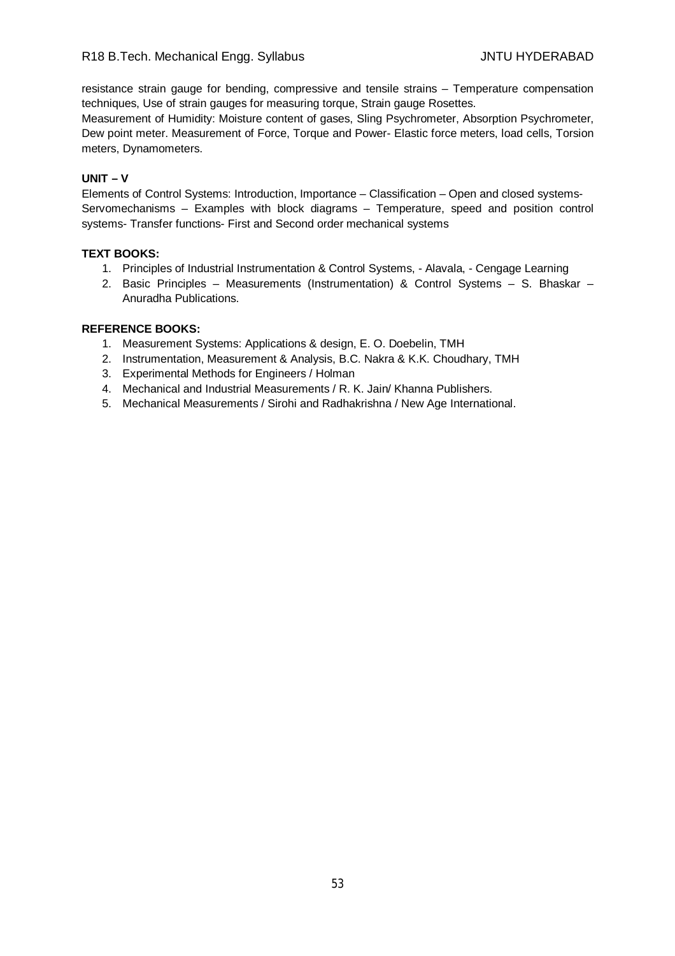resistance strain gauge for bending, compressive and tensile strains – Temperature compensation techniques, Use of strain gauges for measuring torque, Strain gauge Rosettes.

Measurement of Humidity: Moisture content of gases, Sling Psychrometer, Absorption Psychrometer, Dew point meter. Measurement of Force, Torque and Power- Elastic force meters, load cells, Torsion meters, Dynamometers.

## **UNIT – V**

Elements of Control Systems: Introduction, Importance – Classification – Open and closed systems-Servomechanisms – Examples with block diagrams – Temperature, speed and position control systems- Transfer functions- First and Second order mechanical systems

## **TEXT BOOKS:**

- 1. Principles of Industrial Instrumentation & Control Systems, Alavala, Cengage Learning
- 2. Basic Principles Measurements (Instrumentation) & Control Systems S. Bhaskar Anuradha Publications.

- 1. Measurement Systems: Applications & design, E. O. Doebelin, TMH
- 2. Instrumentation, Measurement & Analysis, B.C. Nakra & K.K. Choudhary, TMH
- 3. Experimental Methods for Engineers / Holman
- 4. Mechanical and Industrial Measurements / R. K. Jain/ Khanna Publishers.
- 5. Mechanical Measurements / Sirohi and Radhakrishna / New Age International.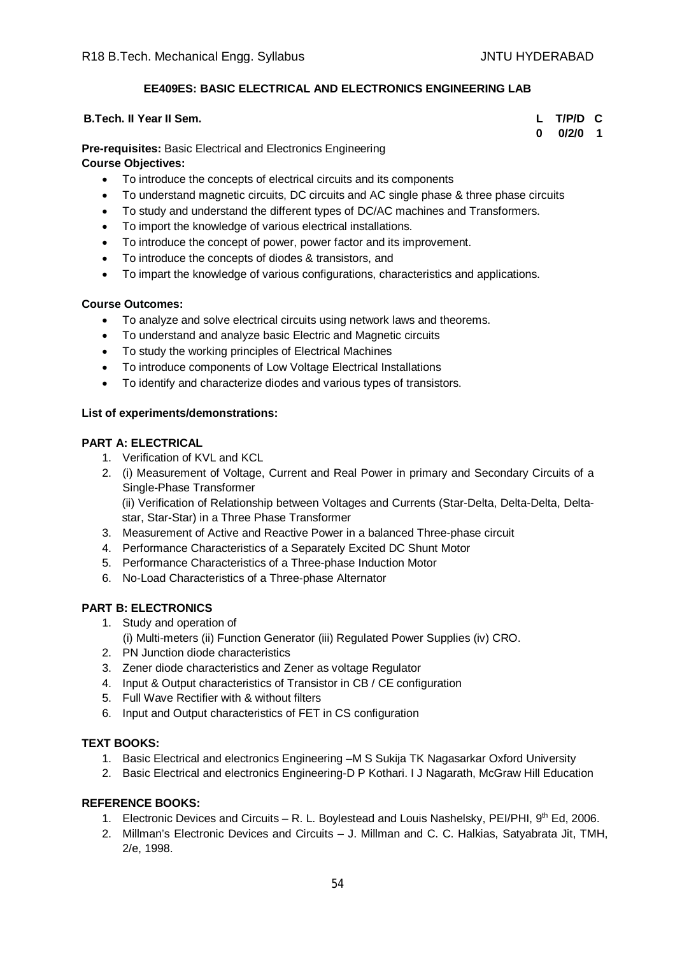## **EE409ES: BASIC ELECTRICAL AND ELECTRONICS ENGINEERING LAB**

| <b>B.Tech. II Year II Sem.</b> | L T/P/D C     |  |
|--------------------------------|---------------|--|
|                                | $0$ $0/2/0$ 1 |  |

**Pre-requisites:** Basic Electrical and Electronics Engineering

## **Course Objectives:**

- To introduce the concepts of electrical circuits and its components
- To understand magnetic circuits, DC circuits and AC single phase & three phase circuits
- To study and understand the different types of DC/AC machines and Transformers.
- To import the knowledge of various electrical installations.
- To introduce the concept of power, power factor and its improvement.
- To introduce the concepts of diodes & transistors, and
- To impart the knowledge of various configurations, characteristics and applications.

## **Course Outcomes:**

- To analyze and solve electrical circuits using network laws and theorems.
- To understand and analyze basic Electric and Magnetic circuits
- To study the working principles of Electrical Machines
- To introduce components of Low Voltage Electrical Installations
- To identify and characterize diodes and various types of transistors.

## **List of experiments/demonstrations:**

## **PART A: ELECTRICAL**

- 1. Verification of KVL and KCL
- 2. (i) Measurement of Voltage, Current and Real Power in primary and Secondary Circuits of a Single-Phase Transformer (ii) Verification of Relationship between Voltages and Currents (Star-Delta, Delta-Delta, Deltastar, Star-Star) in a Three Phase Transformer
- 3. Measurement of Active and Reactive Power in a balanced Three-phase circuit
- 4. Performance Characteristics of a Separately Excited DC Shunt Motor
- 5. Performance Characteristics of a Three-phase Induction Motor
- 6. No-Load Characteristics of a Three-phase Alternator

## **PART B: ELECTRONICS**

- 1. Study and operation of
	- (i) Multi-meters (ii) Function Generator (iii) Regulated Power Supplies (iv) CRO.
- 2. PN Junction diode characteristics
- 3. Zener diode characteristics and Zener as voltage Regulator
- 4. Input & Output characteristics of Transistor in CB / CE configuration
- 5. Full Wave Rectifier with & without filters
- 6. Input and Output characteristics of FET in CS configuration

## **TEXT BOOKS:**

- 1. Basic Electrical and electronics Engineering –M S Sukija TK Nagasarkar Oxford University
- 2. Basic Electrical and electronics Engineering-D P Kothari. I J Nagarath, McGraw Hill Education

- 1. Electronic Devices and Circuits R. L. Boylestead and Louis Nashelsky, PEI/PHI, 9<sup>th</sup> Ed, 2006.
- 2. Millman's Electronic Devices and Circuits J. Millman and C. C. Halkias, Satyabrata Jit, TMH, 2/e, 1998.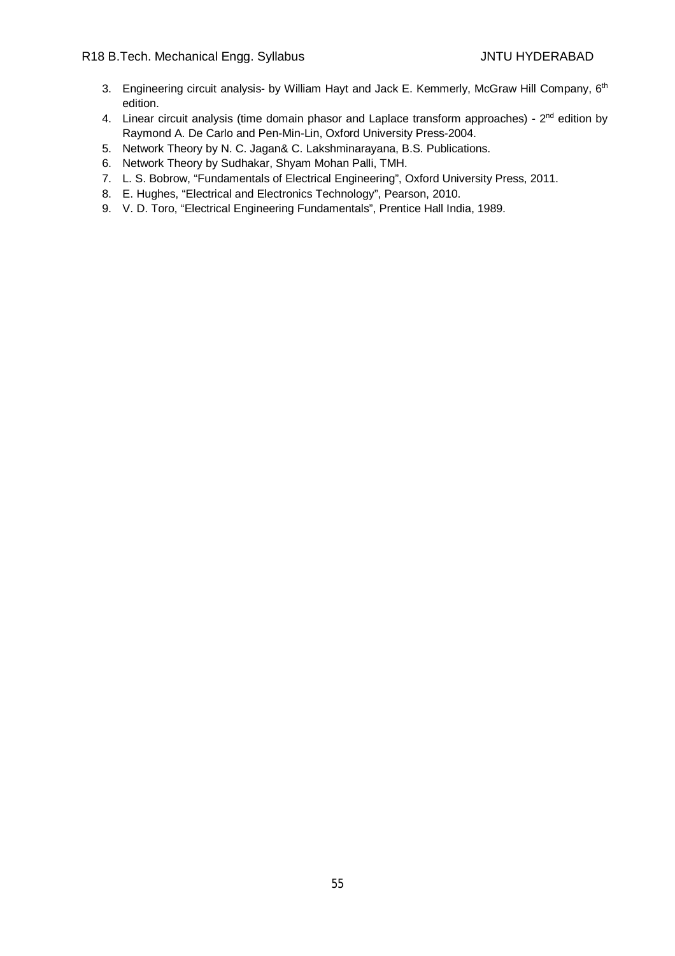- 3. Engineering circuit analysis- by William Hayt and Jack E. Kemmerly, McGraw Hill Company, 6<sup>th</sup> edition.
- 4. Linear circuit analysis (time domain phasor and Laplace transform approaches) 2<sup>nd</sup> edition by Raymond A. De Carlo and Pen-Min-Lin, Oxford University Press-2004.
- 5. Network Theory by N. C. Jagan& C. Lakshminarayana, B.S. Publications.
- 6. Network Theory by Sudhakar, Shyam Mohan Palli, TMH.
- 7. L. S. Bobrow, "Fundamentals of Electrical Engineering", Oxford University Press, 2011.
- 8. E. Hughes, "Electrical and Electronics Technology", Pearson, 2010.
- 9. V. D. Toro, "Electrical Engineering Fundamentals", Prentice Hall India, 1989.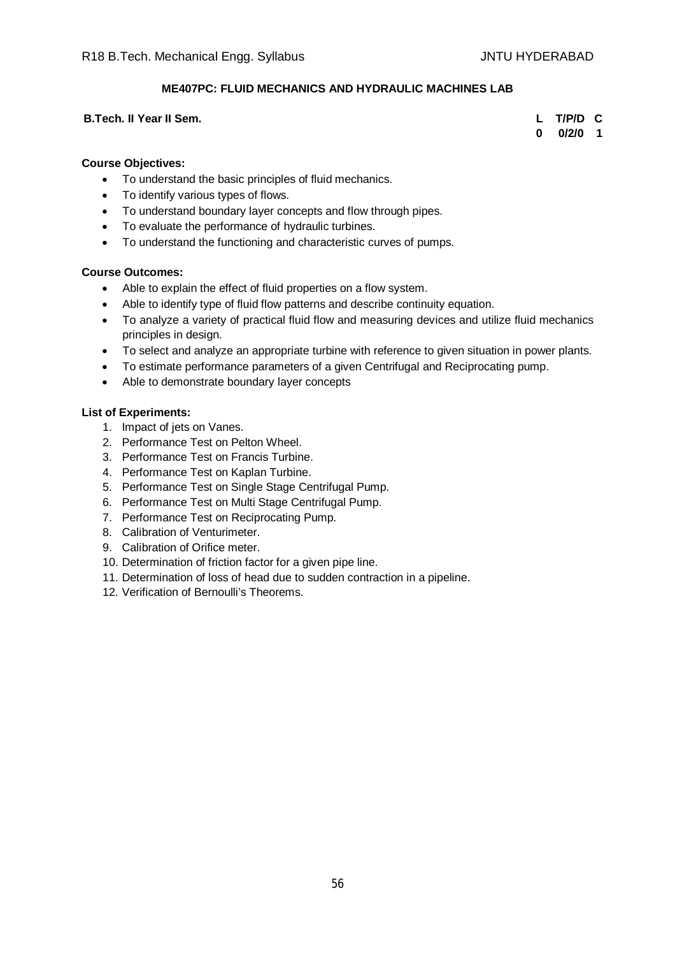## **ME407PC: FLUID MECHANICS AND HYDRAULIC MACHINES LAB**

#### **B.Tech. II Year II Sem. L T/P/D C**

**0 0/2/0 1**

#### **Course Objectives:**

- To understand the basic principles of fluid mechanics.
- To identify various types of flows.
- To understand boundary layer concepts and flow through pipes.
- To evaluate the performance of hydraulic turbines.
- To understand the functioning and characteristic curves of pumps.

#### **Course Outcomes:**

- Able to explain the effect of fluid properties on a flow system.
- Able to identify type of fluid flow patterns and describe continuity equation.
- To analyze a variety of practical fluid flow and measuring devices and utilize fluid mechanics principles in design.
- To select and analyze an appropriate turbine with reference to given situation in power plants.
- To estimate performance parameters of a given Centrifugal and Reciprocating pump.
- Able to demonstrate boundary layer concepts

#### **List of Experiments:**

- 1. Impact of jets on Vanes.
- 2. Performance Test on Pelton Wheel.
- 3. Performance Test on Francis Turbine.
- 4. Performance Test on Kaplan Turbine.
- 5. Performance Test on Single Stage Centrifugal Pump.
- 6. Performance Test on Multi Stage Centrifugal Pump.
- 7. Performance Test on Reciprocating Pump.
- 8. Calibration of Venturimeter.
- 9. Calibration of Orifice meter.
- 10. Determination of friction factor for a given pipe line.
- 11. Determination of loss of head due to sudden contraction in a pipeline.
- 12. Verification of Bernoulli's Theorems.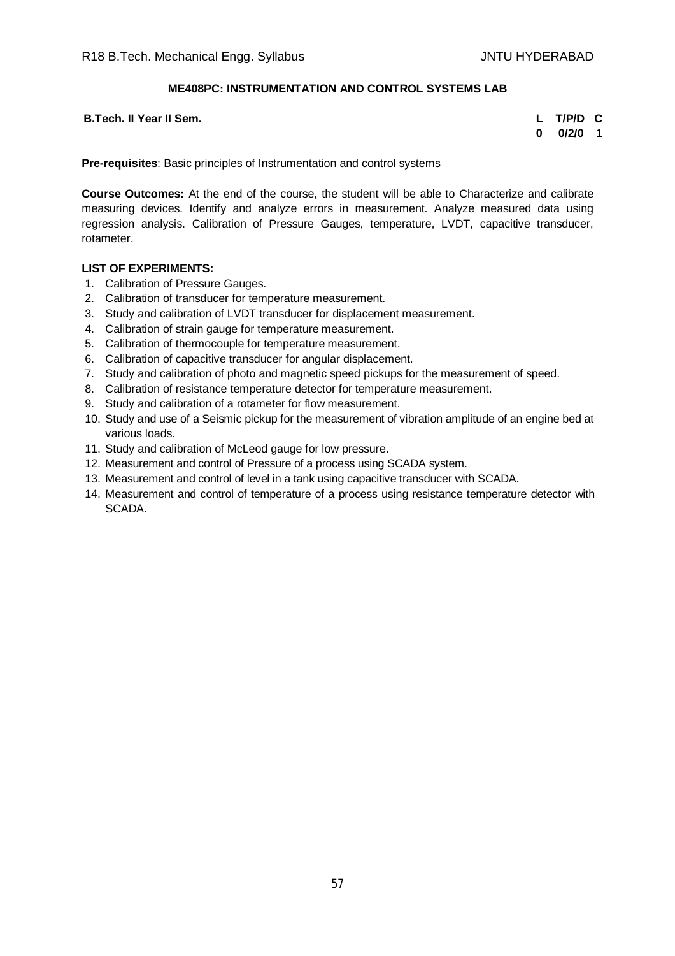## **ME408PC: INSTRUMENTATION AND CONTROL SYSTEMS LAB**

**B.Tech. II Year II Sem. L T/P/D C**

**0 0/2/0 1**

**Pre-requisites**: Basic principles of Instrumentation and control systems

**Course Outcomes:** At the end of the course, the student will be able to Characterize and calibrate measuring devices. Identify and analyze errors in measurement. Analyze measured data using regression analysis. Calibration of Pressure Gauges, temperature, LVDT, capacitive transducer, rotameter.

## **LIST OF EXPERIMENTS:**

- 1. Calibration of Pressure Gauges.
- 2. Calibration of transducer for temperature measurement.
- 3. Study and calibration of LVDT transducer for displacement measurement.
- 4. Calibration of strain gauge for temperature measurement.
- 5. Calibration of thermocouple for temperature measurement.
- 6. Calibration of capacitive transducer for angular displacement.
- 7. Study and calibration of photo and magnetic speed pickups for the measurement of speed.
- 8. Calibration of resistance temperature detector for temperature measurement.
- 9. Study and calibration of a rotameter for flow measurement.
- 10. Study and use of a Seismic pickup for the measurement of vibration amplitude of an engine bed at various loads.
- 11. Study and calibration of McLeod gauge for low pressure.
- 12. Measurement and control of Pressure of a process using SCADA system.
- 13. Measurement and control of level in a tank using capacitive transducer with SCADA.
- 14. Measurement and control of temperature of a process using resistance temperature detector with SCADA.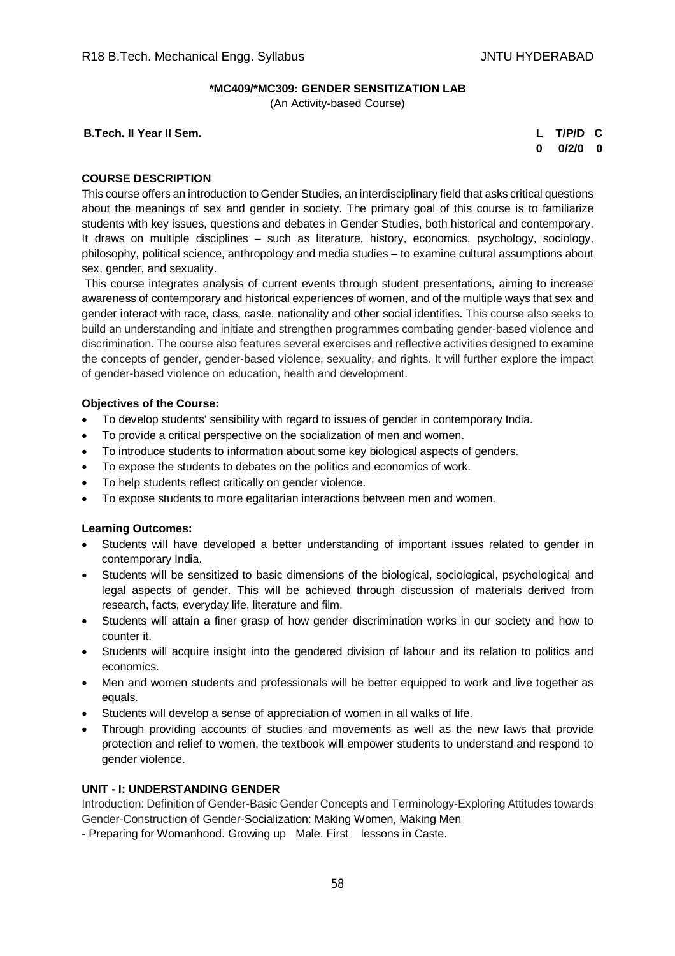## **\*MC409/\*MC309: GENDER SENSITIZATION LAB**

(An Activity-based Course)

**B.Tech. II Year II Sem. L T/P/D C**

**0 0/2/0 0**

## **COURSE DESCRIPTION**

This course offers an introduction to Gender Studies, an interdisciplinary field that asks critical questions about the meanings of sex and gender in society. The primary goal of this course is to familiarize students with key issues, questions and debates in Gender Studies, both historical and contemporary. It draws on multiple disciplines – such as literature, history, economics, psychology, sociology, philosophy, political science, anthropology and media studies – to examine cultural assumptions about sex, gender, and sexuality.

This course integrates analysis of current events through student presentations, aiming to increase awareness of contemporary and historical experiences of women, and of the multiple ways that sex and gender interact with race, class, caste, nationality and other social identities. This course also seeks to build an understanding and initiate and strengthen programmes combating gender-based violence and discrimination. The course also features several exercises and reflective activities designed to examine the concepts of gender, gender-based violence, sexuality, and rights. It will further explore the impact of gender-based violence on education, health and development.

## **Objectives of the Course:**

- To develop students' sensibility with regard to issues of gender in contemporary India.
- To provide a critical perspective on the socialization of men and women.
- To introduce students to information about some key biological aspects of genders.
- To expose the students to debates on the politics and economics of work.
- To help students reflect critically on gender violence.
- To expose students to more egalitarian interactions between men and women.

## **Learning Outcomes:**

- Students will have developed a better understanding of important issues related to gender in contemporary India.
- Students will be sensitized to basic dimensions of the biological, sociological, psychological and legal aspects of gender. This will be achieved through discussion of materials derived from research, facts, everyday life, literature and film.
- Students will attain a finer grasp of how gender discrimination works in our society and how to counter it.
- Students will acquire insight into the gendered division of labour and its relation to politics and economics.
- Men and women students and professionals will be better equipped to work and live together as equals.
- Students will develop a sense of appreciation of women in all walks of life.
- Through providing accounts of studies and movements as well as the new laws that provide protection and relief to women, the textbook will empower students to understand and respond to gender violence.

## **UNIT - I: UNDERSTANDING GENDER**

Introduction: Definition of Gender-Basic Gender Concepts and Terminology-Exploring Attitudes towards Gender-Construction of Gender-Socialization: Making Women, Making Men

- Preparing for Womanhood. Growing up Male. First lessons in Caste.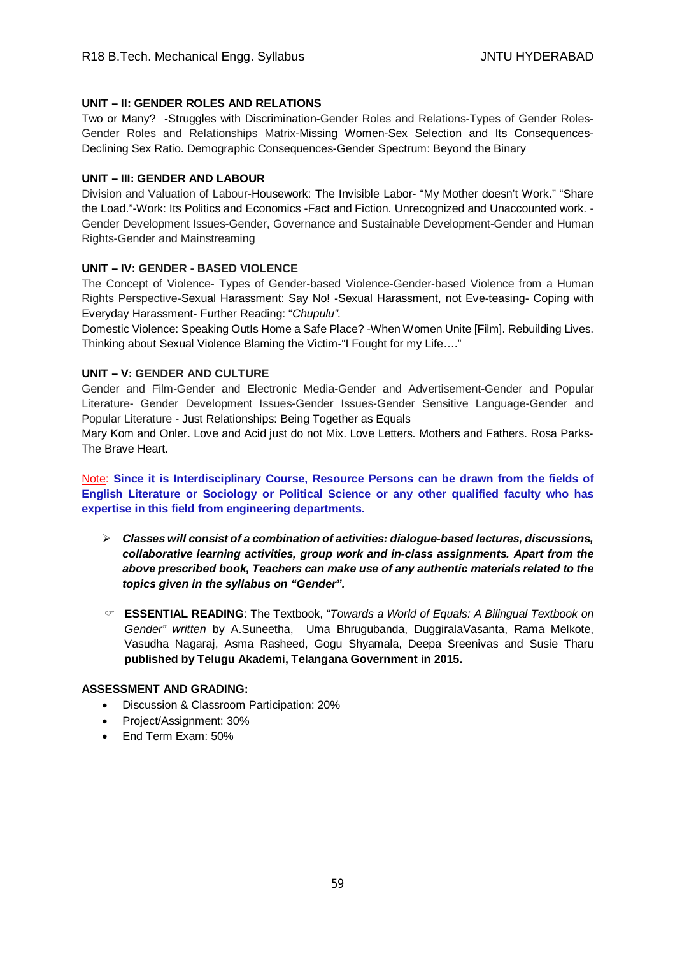## **UNIT – II: GENDER ROLES AND RELATIONS**

Two or Many? -Struggles with Discrimination-Gender Roles and Relations-Types of Gender Roles-Gender Roles and Relationships Matrix-Missing Women-Sex Selection and Its Consequences-Declining Sex Ratio. Demographic Consequences-Gender Spectrum: Beyond the Binary

## **UNIT – III: GENDER AND LABOUR**

Division and Valuation of Labour-Housework: The Invisible Labor- "My Mother doesn't Work." "Share the Load."-Work: Its Politics and Economics -Fact and Fiction. Unrecognized and Unaccounted work. - Gender Development Issues-Gender, Governance and Sustainable Development-Gender and Human Rights-Gender and Mainstreaming

## **UNIT – IV: GENDER - BASED VIOLENCE**

The Concept of Violence- Types of Gender-based Violence-Gender-based Violence from a Human Rights Perspective-Sexual Harassment: Say No! -Sexual Harassment, not Eve-teasing- Coping with Everyday Harassment- Further Reading: "*Chupulu".*

Domestic Violence: Speaking OutIs Home a Safe Place? -When Women Unite [Film]. Rebuilding Lives. Thinking about Sexual Violence Blaming the Victim-"I Fought for my Life…."

## **UNIT – V: GENDER AND CULTURE**

Gender and Film-Gender and Electronic Media-Gender and Advertisement-Gender and Popular Literature- Gender Development Issues-Gender Issues-Gender Sensitive Language-Gender and Popular Literature - Just Relationships: Being Together as Equals

Mary Kom and Onler. Love and Acid just do not Mix. Love Letters. Mothers and Fathers. Rosa Parks-The Brave Heart.

Note: **Since it is Interdisciplinary Course, Resource Persons can be drawn from the fields of English Literature or Sociology or Political Science or any other qualified faculty who has expertise in this field from engineering departments.**

- *Classes will consist of a combination of activities: dialogue-based lectures, discussions, collaborative learning activities, group work and in-class assignments. Apart from the above prescribed book, Teachers can make use of any authentic materials related to the topics given in the syllabus on "Gender".*
- **ESSENTIAL READING**: The Textbook, "*Towards a World of Equals: A Bilingual Textbook on Gender" written* by A.Suneetha, Uma Bhrugubanda, DuggiralaVasanta, Rama Melkote, Vasudha Nagaraj, Asma Rasheed, Gogu Shyamala, Deepa Sreenivas and Susie Tharu **published by Telugu Akademi, Telangana Government in 2015.**

## **ASSESSMENT AND GRADING:**

- Discussion & Classroom Participation: 20%
- Project/Assignment: 30%
- End Term Exam: 50%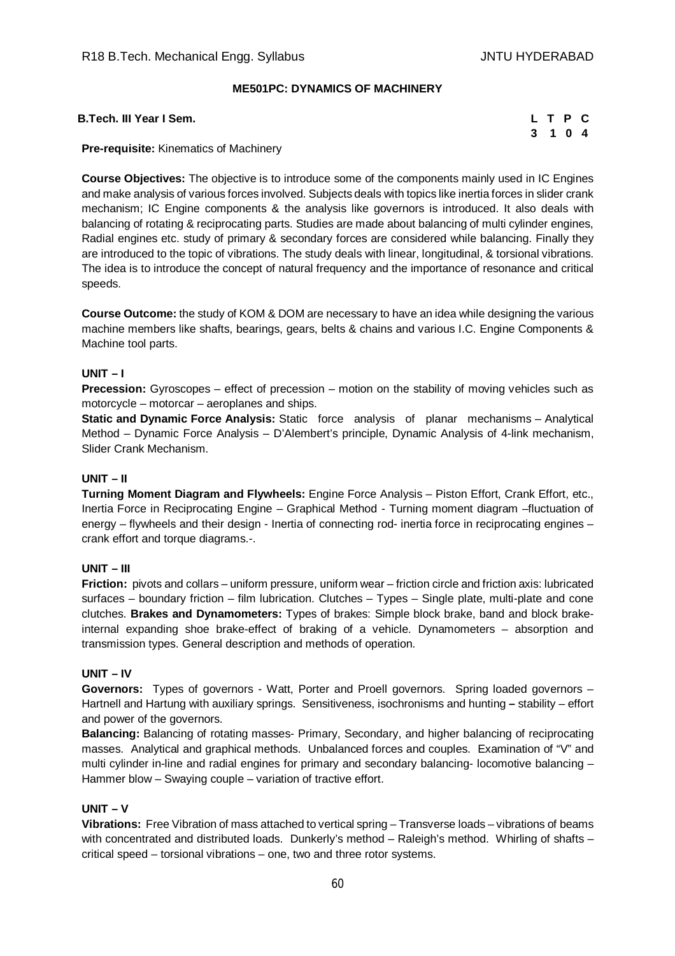## **ME501PC: DYNAMICS OF MACHINERY**

| B.Tech. III Year I Sem. |  |  | L T P C |  |  |
|-------------------------|--|--|---------|--|--|
|-------------------------|--|--|---------|--|--|

|    | L T P C |  |
|----|---------|--|
| 3. | 1 0 4   |  |

**Pre-requisite:** Kinematics of Machinery

**Course Objectives:** The objective is to introduce some of the components mainly used in IC Engines and make analysis of various forces involved. Subjects deals with topics like inertia forces in slider crank mechanism; IC Engine components & the analysis like governors is introduced. It also deals with balancing of rotating & reciprocating parts. Studies are made about balancing of multi cylinder engines, Radial engines etc. study of primary & secondary forces are considered while balancing. Finally they are introduced to the topic of vibrations. The study deals with linear, longitudinal, & torsional vibrations. The idea is to introduce the concept of natural frequency and the importance of resonance and critical speeds.

**Course Outcome:** the study of KOM & DOM are necessary to have an idea while designing the various machine members like shafts, bearings, gears, belts & chains and various I.C. Engine Components & Machine tool parts.

# **UNIT – I**

**Precession:** Gyroscopes – effect of precession – motion on the stability of moving vehicles such as motorcycle – motorcar – aeroplanes and ships.

**Static and Dynamic Force Analysis:** Static force analysis of planar mechanisms – Analytical Method – Dynamic Force Analysis – D'Alembert's principle, Dynamic Analysis of 4-link mechanism, Slider Crank Mechanism.

#### **UNIT – II**

**Turning Moment Diagram and Flywheels:** Engine Force Analysis – Piston Effort, Crank Effort, etc., Inertia Force in Reciprocating Engine – Graphical Method - Turning moment diagram –fluctuation of energy – flywheels and their design - Inertia of connecting rod- inertia force in reciprocating engines – crank effort and torque diagrams.-.

#### **UNIT – III**

**Friction:** pivots and collars – uniform pressure, uniform wear – friction circle and friction axis: lubricated surfaces – boundary friction – film lubrication. Clutches – Types – Single plate, multi-plate and cone clutches. **Brakes and Dynamometers:** Types of brakes: Simple block brake, band and block brakeinternal expanding shoe brake-effect of braking of a vehicle. Dynamometers – absorption and transmission types. General description and methods of operation.

#### **UNIT – IV**

**Governors:** Types of governors - Watt, Porter and Proell governors. Spring loaded governors – Hartnell and Hartung with auxiliary springs. Sensitiveness, isochronisms and hunting **–** stability – effort and power of the governors.

**Balancing:** Balancing of rotating masses- Primary, Secondary, and higher balancing of reciprocating masses. Analytical and graphical methods. Unbalanced forces and couples. Examination of "V" and multi cylinder in-line and radial engines for primary and secondary balancing- locomotive balancing -Hammer blow – Swaying couple – variation of tractive effort.

#### **UNIT – V**

**Vibrations:** Free Vibration of mass attached to vertical spring – Transverse loads – vibrations of beams with concentrated and distributed loads. Dunkerly's method – Raleigh's method. Whirling of shafts – critical speed – torsional vibrations – one, two and three rotor systems.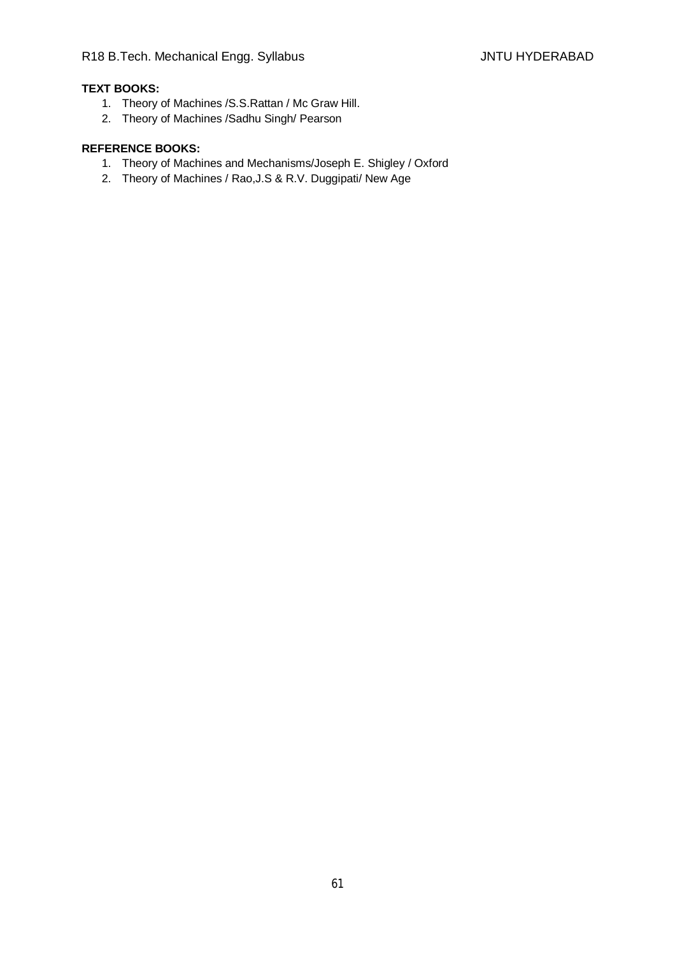# **TEXT BOOKS:**

- 1. Theory of Machines /S.S.Rattan / Mc Graw Hill.
- 2. Theory of Machines /Sadhu Singh/ Pearson

- 1. Theory of Machines and Mechanisms/Joseph E. Shigley / Oxford
- 2. Theory of Machines / Rao,J.S & R.V. Duggipati/ New Age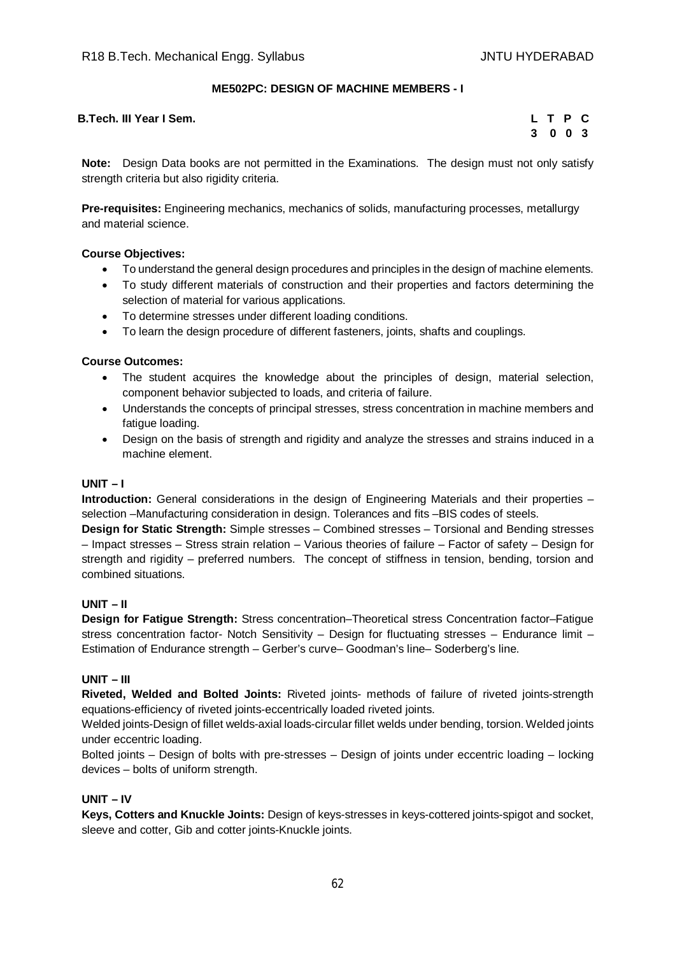## **ME502PC: DESIGN OF MACHINE MEMBERS - I**

| B.Tech. III Year I Sem. |  |  | LTPC |  |
|-------------------------|--|--|------|--|
|-------------------------|--|--|------|--|

| L | T P |     | $\mathbf{C}$ |
|---|-----|-----|--------------|
| 3 | 0   | - 0 | - 3          |

**Note:** Design Data books are not permitted in the Examinations. The design must not only satisfy strength criteria but also rigidity criteria.

**Pre-requisites:** Engineering mechanics, mechanics of solids, manufacturing processes, metallurgy and material science.

## **Course Objectives:**

- To understand the general design procedures and principles in the design of machine elements.
- To study different materials of construction and their properties and factors determining the selection of material for various applications.
- To determine stresses under different loading conditions.
- To learn the design procedure of different fasteners, joints, shafts and couplings.

## **Course Outcomes:**

- The student acquires the knowledge about the principles of design, material selection, component behavior subjected to loads, and criteria of failure.
- Understands the concepts of principal stresses, stress concentration in machine members and fatigue loading.
- Design on the basis of strength and rigidity and analyze the stresses and strains induced in a machine element.

## **UNIT – I**

**Introduction:** General considerations in the design of Engineering Materials and their properties – selection –Manufacturing consideration in design. Tolerances and fits –BIS codes of steels.

**Design for Static Strength:** Simple stresses – Combined stresses – Torsional and Bending stresses – Impact stresses – Stress strain relation – Various theories of failure – Factor of safety – Design for strength and rigidity – preferred numbers. The concept of stiffness in tension, bending, torsion and combined situations.

## **UNIT – II**

**Design for Fatigue Strength:** Stress concentration–Theoretical stress Concentration factor–Fatigue stress concentration factor- Notch Sensitivity – Design for fluctuating stresses – Endurance limit – Estimation of Endurance strength – Gerber's curve– Goodman's line– Soderberg's line.

## **UNIT – III**

**Riveted, Welded and Bolted Joints:** Riveted joints- methods of failure of riveted joints-strength equations-efficiency of riveted joints-eccentrically loaded riveted joints.

Welded joints-Design of fillet welds-axial loads-circular fillet welds under bending, torsion. Welded joints under eccentric loading.

Bolted joints – Design of bolts with pre-stresses – Design of joints under eccentric loading – locking devices – bolts of uniform strength.

## **UNIT – IV**

**Keys, Cotters and Knuckle Joints:** Design of keys-stresses in keys-cottered joints-spigot and socket, sleeve and cotter, Gib and cotter joints-Knuckle joints.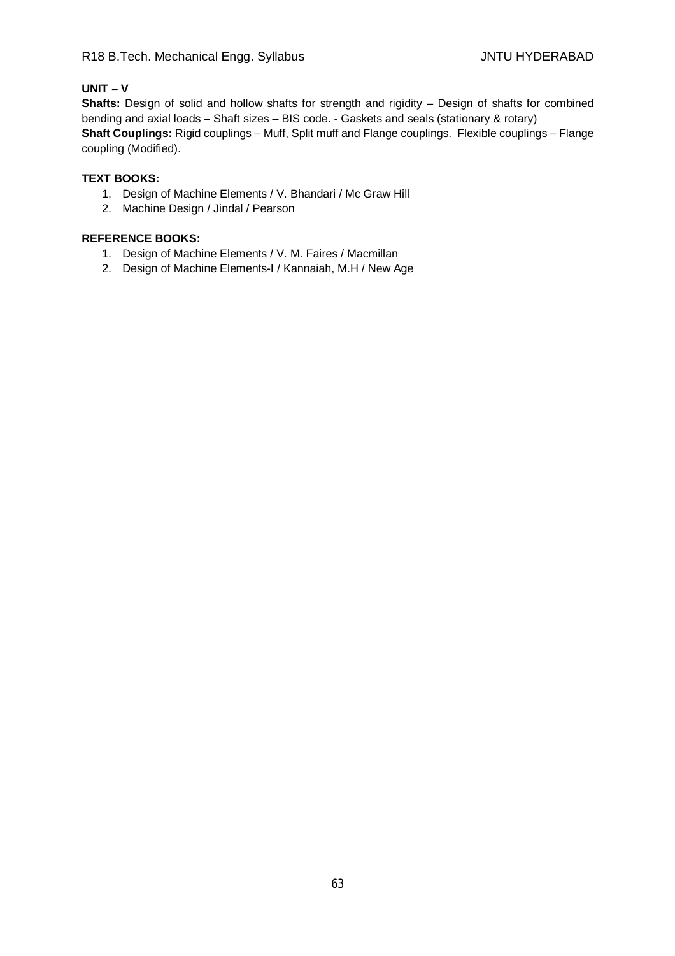# **UNIT – V**

**Shafts:** Design of solid and hollow shafts for strength and rigidity – Design of shafts for combined bending and axial loads – Shaft sizes – BIS code. - Gaskets and seals (stationary & rotary) **Shaft Couplings:** Rigid couplings – Muff, Split muff and Flange couplings. Flexible couplings – Flange coupling (Modified).

## **TEXT BOOKS:**

- 1. Design of Machine Elements / V. Bhandari / Mc Graw Hill
- 2. Machine Design / Jindal / Pearson

- 1. Design of Machine Elements / V. M. Faires / Macmillan
- 2. Design of Machine Elements-I / Kannaiah, M.H / New Age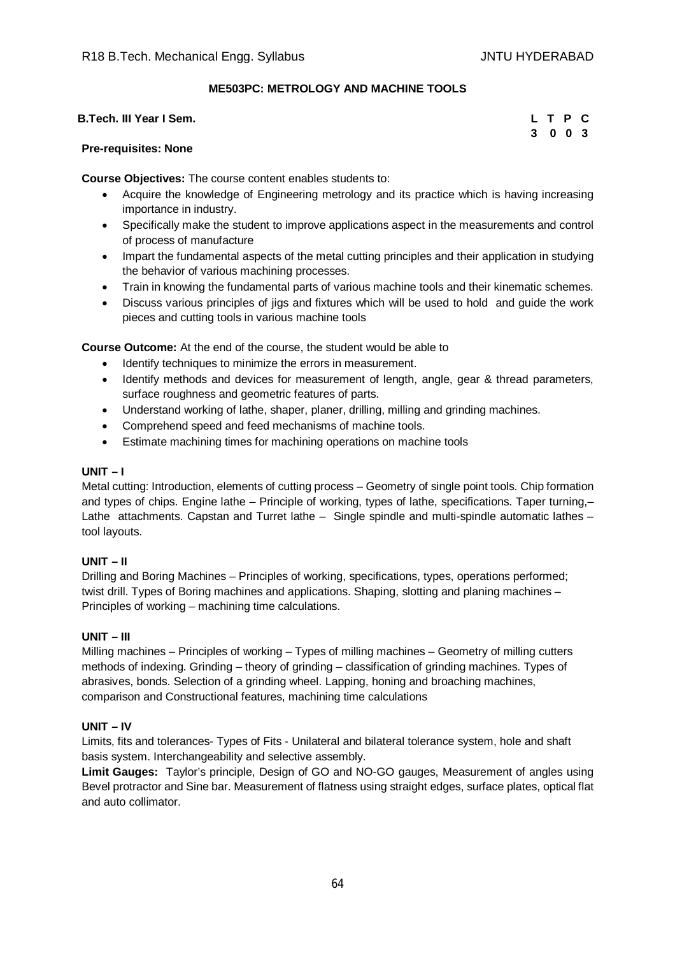## **ME503PC: METROLOGY AND MACHINE TOOLS**

| B.Tech. III Year I Sem. | LTPC    |  |  |
|-------------------------|---------|--|--|
|                         | 3 0 0 3 |  |  |

## **Pre-requisites: None**

**Course Objectives:** The course content enables students to:

- Acquire the knowledge of Engineering metrology and its practice which is having increasing importance in industry.
- Specifically make the student to improve applications aspect in the measurements and control of process of manufacture
- Impart the fundamental aspects of the metal cutting principles and their application in studying the behavior of various machining processes.
- Train in knowing the fundamental parts of various machine tools and their kinematic schemes.
- Discuss various principles of jigs and fixtures which will be used to hold and guide the work pieces and cutting tools in various machine tools

**Course Outcome:** At the end of the course, the student would be able to

- $\bullet$  Identify techniques to minimize the errors in measurement.
- Identify methods and devices for measurement of length, angle, gear & thread parameters, surface roughness and geometric features of parts.
- Understand working of lathe, shaper, planer, drilling, milling and grinding machines.
- Comprehend speed and feed mechanisms of machine tools.
- Estimate machining times for machining operations on machine tools

## **UNIT – I**

Metal cutting: Introduction, elements of cutting process – Geometry of single point tools. Chip formation and types of chips. Engine lathe – Principle of working, types of lathe, specifications. Taper turning,– Lathe attachments. Capstan and Turret lathe – Single spindle and multi-spindle automatic lathes – tool layouts.

## **UNIT – II**

Drilling and Boring Machines – Principles of working, specifications, types, operations performed; twist drill. Types of Boring machines and applications. Shaping, slotting and planing machines – Principles of working – machining time calculations.

## **UNIT – III**

Milling machines – Principles of working – Types of milling machines – Geometry of milling cutters methods of indexing. Grinding – theory of grinding – classification of grinding machines. Types of abrasives, bonds. Selection of a grinding wheel. Lapping, honing and broaching machines, comparison and Constructional features, machining time calculations

## **UNIT – IV**

Limits, fits and tolerances- Types of Fits - Unilateral and bilateral tolerance system, hole and shaft basis system. Interchangeability and selective assembly.

**Limit Gauges:** Taylor's principle, Design of GO and NO-GO gauges, Measurement of angles using Bevel protractor and Sine bar. Measurement of flatness using straight edges, surface plates, optical flat and auto collimator.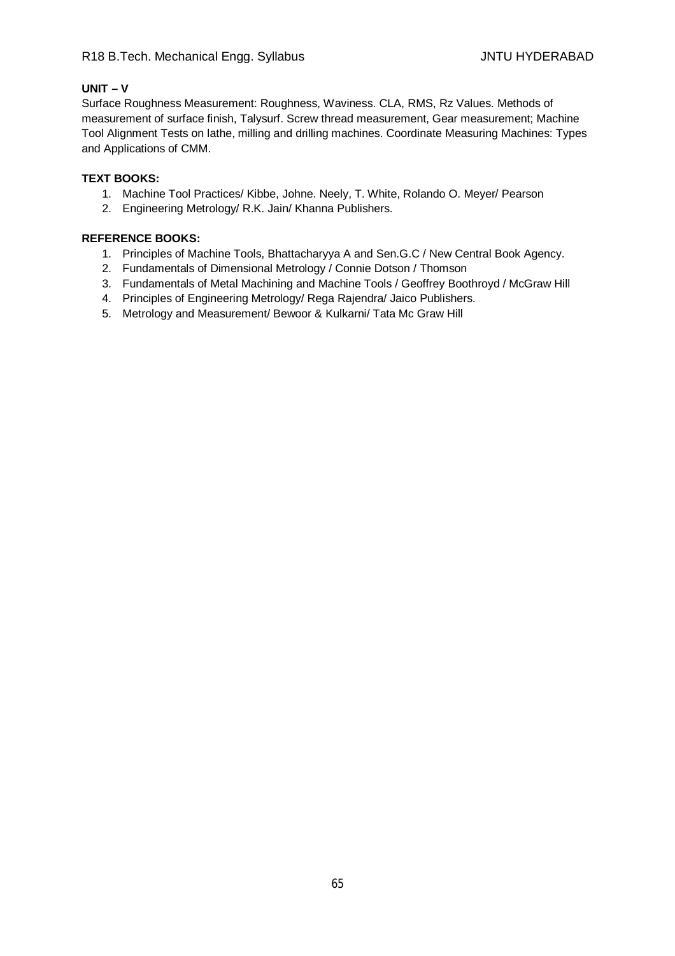## **UNIT – V**

Surface Roughness Measurement: Roughness, Waviness. CLA, RMS, Rz Values. Methods of measurement of surface finish, Talysurf. Screw thread measurement, Gear measurement; Machine Tool Alignment Tests on lathe, milling and drilling machines. Coordinate Measuring Machines: Types and Applications of CMM.

## **TEXT BOOKS:**

- 1. Machine Tool Practices/ Kibbe, Johne. Neely, T. White, Rolando O. Meyer/ Pearson
- 2. Engineering Metrology/ R.K. Jain/ Khanna Publishers.

- 1. Principles of Machine Tools, Bhattacharyya A and Sen.G.C / New Central Book Agency.
- 2. Fundamentals of Dimensional Metrology / Connie Dotson / Thomson
- 3. Fundamentals of Metal Machining and Machine Tools / Geoffrey Boothroyd / McGraw Hill
- 4. Principles of Engineering Metrology/ Rega Rajendra/ Jaico Publishers.
- 5. Metrology and Measurement/ Bewoor & Kulkarni/ Tata Mc Graw Hill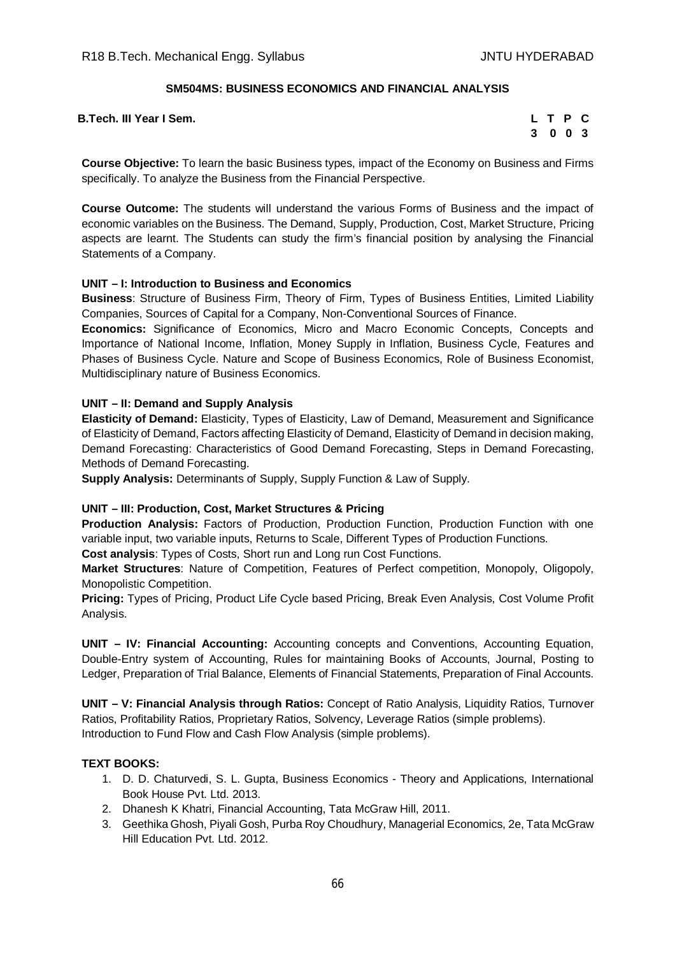## **SM504MS: BUSINESS ECONOMICS AND FINANCIAL ANALYSIS**

**B.Tech. III Year I Sem.** 

|    | L T P |             | C |
|----|-------|-------------|---|
| -3 |       | $0 \t0 \t3$ |   |

**Course Objective:** To learn the basic Business types, impact of the Economy on Business and Firms specifically. To analyze the Business from the Financial Perspective.

**Course Outcome:** The students will understand the various Forms of Business and the impact of economic variables on the Business. The Demand, Supply, Production, Cost, Market Structure, Pricing aspects are learnt. The Students can study the firm's financial position by analysing the Financial Statements of a Company.

#### **UNIT – I: Introduction to Business and Economics**

**Business**: Structure of Business Firm, Theory of Firm, Types of Business Entities, Limited Liability Companies, Sources of Capital for a Company, Non-Conventional Sources of Finance.

**Economics:** Significance of Economics, Micro and Macro Economic Concepts, Concepts and Importance of National Income, Inflation, Money Supply in Inflation, Business Cycle, Features and Phases of Business Cycle. Nature and Scope of Business Economics, Role of Business Economist, Multidisciplinary nature of Business Economics.

#### **UNIT – II: Demand and Supply Analysis**

**Elasticity of Demand:** Elasticity, Types of Elasticity, Law of Demand, Measurement and Significance of Elasticity of Demand, Factors affecting Elasticity of Demand, Elasticity of Demand in decision making, Demand Forecasting: Characteristics of Good Demand Forecasting, Steps in Demand Forecasting, Methods of Demand Forecasting.

**Supply Analysis:** Determinants of Supply, Supply Function & Law of Supply.

#### **UNIT – III: Production, Cost, Market Structures & Pricing**

**Production Analysis:** Factors of Production, Production Function, Production Function with one variable input, two variable inputs, Returns to Scale, Different Types of Production Functions.

**Cost analysis**: Types of Costs, Short run and Long run Cost Functions.

**Market Structures**: Nature of Competition, Features of Perfect competition, Monopoly, Oligopoly, Monopolistic Competition.

**Pricing:** Types of Pricing, Product Life Cycle based Pricing, Break Even Analysis, Cost Volume Profit Analysis.

**UNIT – IV: Financial Accounting:** Accounting concepts and Conventions, Accounting Equation, Double-Entry system of Accounting, Rules for maintaining Books of Accounts, Journal, Posting to Ledger, Preparation of Trial Balance, Elements of Financial Statements, Preparation of Final Accounts.

**UNIT – V: Financial Analysis through Ratios:** Concept of Ratio Analysis, Liquidity Ratios, Turnover Ratios, Profitability Ratios, Proprietary Ratios, Solvency, Leverage Ratios (simple problems). Introduction to Fund Flow and Cash Flow Analysis (simple problems).

#### **TEXT BOOKS:**

- 1. D. D. Chaturvedi, S. L. Gupta, Business Economics Theory and Applications, International Book House Pvt. Ltd. 2013.
- 2. Dhanesh K Khatri, Financial Accounting, Tata McGraw Hill, 2011.
- 3. Geethika Ghosh, Piyali Gosh, Purba Roy Choudhury, Managerial Economics, 2e, Tata McGraw Hill Education Pvt. Ltd. 2012.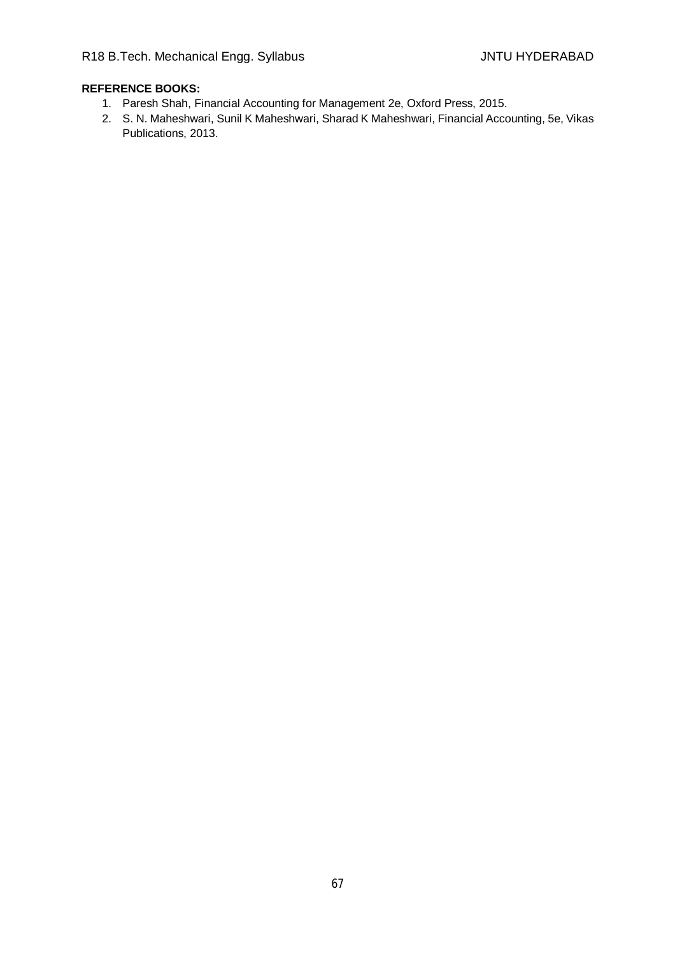- 1. Paresh Shah, Financial Accounting for Management 2e, Oxford Press, 2015.
- 2. S. N. Maheshwari, Sunil K Maheshwari, Sharad K Maheshwari, Financial Accounting, 5e, Vikas Publications, 2013.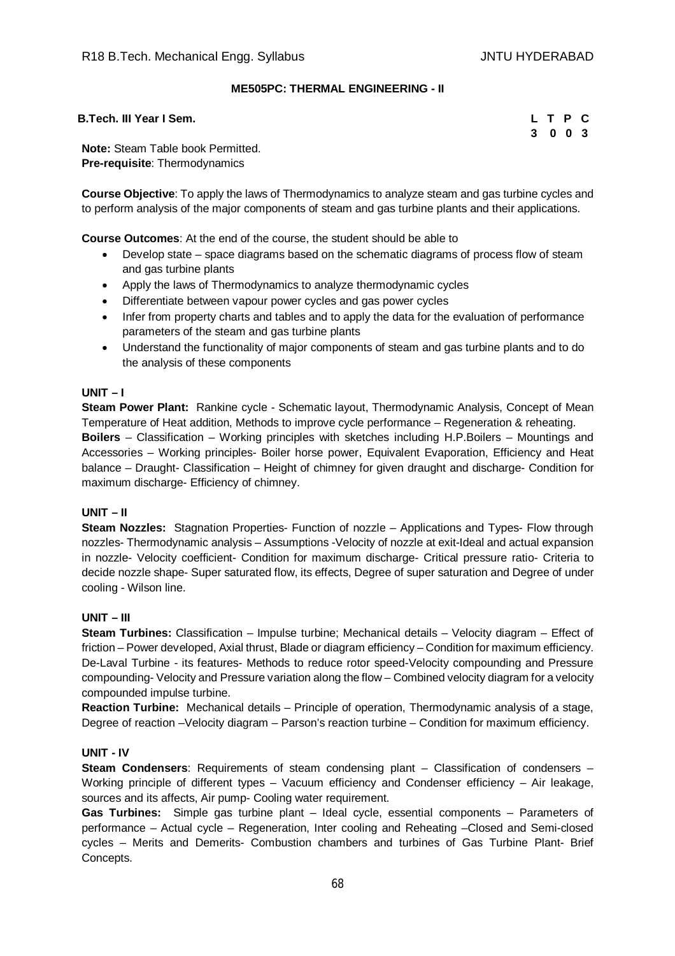## **ME505PC: THERMAL ENGINEERING - II**

**B.Tech. III Year I Sem.** 

| L T P C |  |
|---------|--|
| 3 0 0 3 |  |

**Note:** Steam Table book Permitted. **Pre-requisite**: Thermodynamics

**Course Objective**: To apply the laws of Thermodynamics to analyze steam and gas turbine cycles and to perform analysis of the major components of steam and gas turbine plants and their applications.

**Course Outcomes**: At the end of the course, the student should be able to

- Develop state space diagrams based on the schematic diagrams of process flow of steam and gas turbine plants
- Apply the laws of Thermodynamics to analyze thermodynamic cycles
- Differentiate between vapour power cycles and gas power cycles
- Infer from property charts and tables and to apply the data for the evaluation of performance parameters of the steam and gas turbine plants
- Understand the functionality of major components of steam and gas turbine plants and to do the analysis of these components

## **UNIT – I**

**Steam Power Plant:** Rankine cycle - Schematic layout, Thermodynamic Analysis, Concept of Mean Temperature of Heat addition, Methods to improve cycle performance – Regeneration & reheating. **Boilers** – Classification – Working principles with sketches including H.P.Boilers – Mountings and Accessories – Working principles- Boiler horse power, Equivalent Evaporation, Efficiency and Heat balance – Draught- Classification – Height of chimney for given draught and discharge- Condition for maximum discharge- Efficiency of chimney.

## **UNIT – II**

**Steam Nozzles:** Stagnation Properties- Function of nozzle – Applications and Types- Flow through nozzles- Thermodynamic analysis – Assumptions -Velocity of nozzle at exit-Ideal and actual expansion in nozzle- Velocity coefficient- Condition for maximum discharge- Critical pressure ratio- Criteria to decide nozzle shape- Super saturated flow, its effects, Degree of super saturation and Degree of under cooling - Wilson line.

## **UNIT – III**

**Steam Turbines:** Classification – Impulse turbine; Mechanical details – Velocity diagram – Effect of friction – Power developed, Axial thrust, Blade or diagram efficiency – Condition for maximum efficiency. De-Laval Turbine - its features- Methods to reduce rotor speed-Velocity compounding and Pressure compounding- Velocity and Pressure variation along the flow – Combined velocity diagram for a velocity compounded impulse turbine.

**Reaction Turbine:** Mechanical details – Principle of operation, Thermodynamic analysis of a stage, Degree of reaction –Velocity diagram – Parson's reaction turbine – Condition for maximum efficiency.

## **UNIT - IV**

**Steam Condensers**: Requirements of steam condensing plant – Classification of condensers – Working principle of different types – Vacuum efficiency and Condenser efficiency – Air leakage, sources and its affects, Air pump- Cooling water requirement.

**Gas Turbines:** Simple gas turbine plant – Ideal cycle, essential components – Parameters of performance – Actual cycle – Regeneration, Inter cooling and Reheating –Closed and Semi-closed cycles – Merits and Demerits- Combustion chambers and turbines of Gas Turbine Plant- Brief Concepts.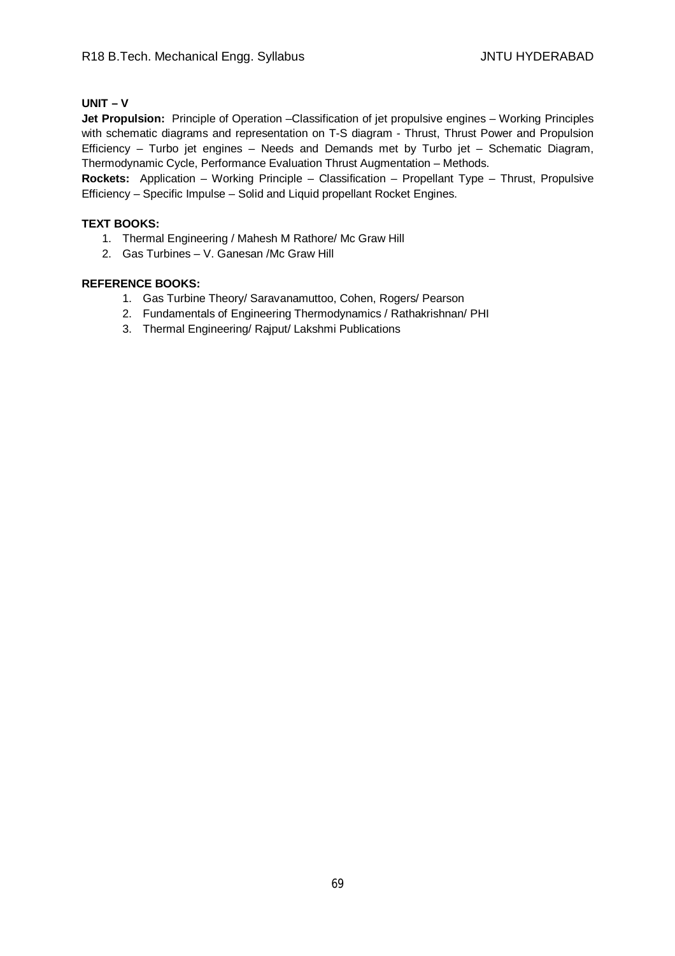## **UNIT – V**

**Jet Propulsion:** Principle of Operation –Classification of jet propulsive engines – Working Principles with schematic diagrams and representation on T-S diagram - Thrust, Thrust Power and Propulsion Efficiency – Turbo jet engines – Needs and Demands met by Turbo jet – Schematic Diagram, Thermodynamic Cycle, Performance Evaluation Thrust Augmentation – Methods.

**Rockets:** Application – Working Principle – Classification – Propellant Type – Thrust, Propulsive Efficiency – Specific Impulse – Solid and Liquid propellant Rocket Engines.

## **TEXT BOOKS:**

- 1. Thermal Engineering / Mahesh M Rathore/ Mc Graw Hill
- 2. Gas Turbines V. Ganesan /Mc Graw Hill

- 1. Gas Turbine Theory/ Saravanamuttoo, Cohen, Rogers/ Pearson
- 2. Fundamentals of Engineering Thermodynamics / Rathakrishnan/ PHI
- 3. Thermal Engineering/ Rajput/ Lakshmi Publications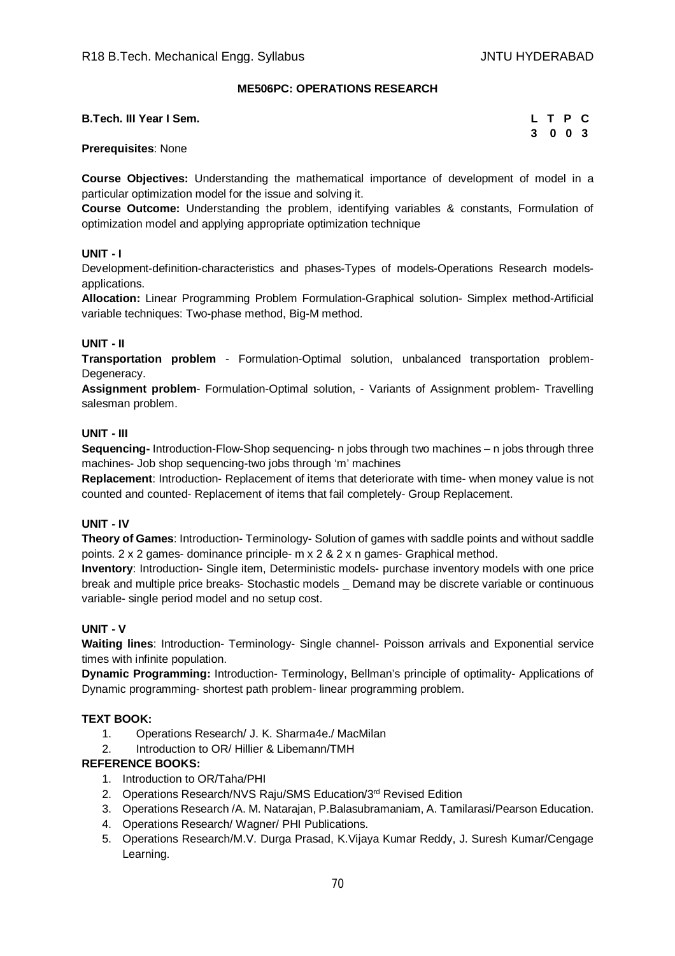## **ME506PC: OPERATIONS RESEARCH**

| <b>B.Tech. III Year I Sem.</b> | LTPC    |  |  |
|--------------------------------|---------|--|--|
|                                | 3 0 0 3 |  |  |

## **Prerequisites**: None

**Course Objectives:** Understanding the mathematical importance of development of model in a particular optimization model for the issue and solving it.

**Course Outcome:** Understanding the problem, identifying variables & constants, Formulation of optimization model and applying appropriate optimization technique

## **UNIT - I**

Development-definition-characteristics and phases-Types of models-Operations Research modelsapplications.

**Allocation:** Linear Programming Problem Formulation-Graphical solution- Simplex method-Artificial variable techniques: Two-phase method, Big-M method.

## **UNIT - II**

**Transportation problem** - Formulation-Optimal solution, unbalanced transportation problem-Degeneracy.

**Assignment problem**- Formulation-Optimal solution, - Variants of Assignment problem- Travelling salesman problem.

## **UNIT - III**

**Sequencing-** Introduction-Flow-Shop sequencing- n jobs through two machines – n jobs through three machines- Job shop sequencing-two jobs through 'm' machines

**Replacement**: Introduction- Replacement of items that deteriorate with time- when money value is not counted and counted- Replacement of items that fail completely- Group Replacement.

## **UNIT - IV**

**Theory of Games**: Introduction- Terminology- Solution of games with saddle points and without saddle points.  $2 \times 2$  games- dominance principle- m  $\times 2$  &  $2 \times n$  games- Graphical method.

**Inventory**: Introduction- Single item, Deterministic models- purchase inventory models with one price break and multiple price breaks- Stochastic models \_ Demand may be discrete variable or continuous variable- single period model and no setup cost.

## **UNIT - V**

**Waiting lines**: Introduction- Terminology- Single channel- Poisson arrivals and Exponential service times with infinite population.

**Dynamic Programming:** Introduction- Terminology, Bellman's principle of optimality- Applications of Dynamic programming- shortest path problem- linear programming problem.

## **TEXT BOOK:**

- 1. Operations Research/ J. K. Sharma4e./ MacMilan
- 2. Introduction to OR/ Hillier & Libemann/TMH

- 1. Introduction to OR/Taha/PHI
- 2. Operations Research/NVS Raju/SMS Education/3rd Revised Edition
- 3. Operations Research /A. M. Natarajan, P.Balasubramaniam, A. Tamilarasi/Pearson Education.
- 4. Operations Research/ Wagner/ PHI Publications.
- 5. Operations Research/M.V. Durga Prasad, K.Vijaya Kumar Reddy, J. Suresh Kumar/Cengage Learning.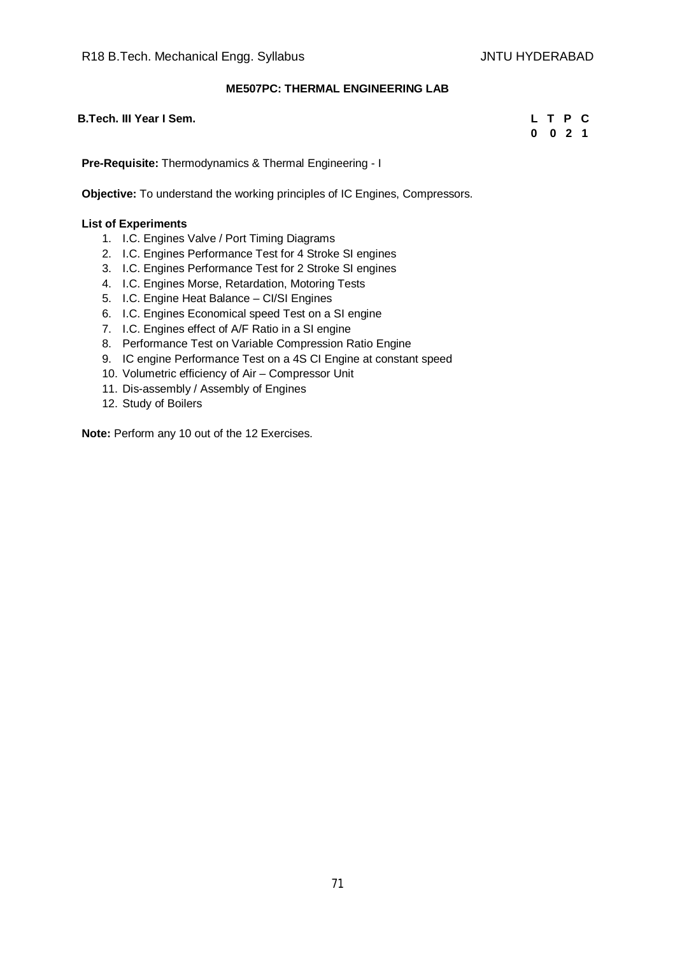## **ME507PC: THERMAL ENGINEERING LAB**

| B.Tech. III Year I Sem. | LTPC    |  |  |
|-------------------------|---------|--|--|
|                         | 0 0 2 1 |  |  |
|                         |         |  |  |

**Pre-Requisite:** Thermodynamics & Thermal Engineering - I

**Objective:** To understand the working principles of IC Engines, Compressors.

#### **List of Experiments**

- 1. I.C. Engines Valve / Port Timing Diagrams
- 2. I.C. Engines Performance Test for 4 Stroke SI engines
- 3. I.C. Engines Performance Test for 2 Stroke SI engines
- 4. I.C. Engines Morse, Retardation, Motoring Tests
- 5. I.C. Engine Heat Balance CI/SI Engines
- 6. I.C. Engines Economical speed Test on a SI engine
- 7. I.C. Engines effect of A/F Ratio in a SI engine
- 8. Performance Test on Variable Compression Ratio Engine
- 9. IC engine Performance Test on a 4S CI Engine at constant speed
- 10. Volumetric efficiency of Air Compressor Unit
- 11. Dis-assembly / Assembly of Engines
- 12. Study of Boilers

**Note:** Perform any 10 out of the 12 Exercises.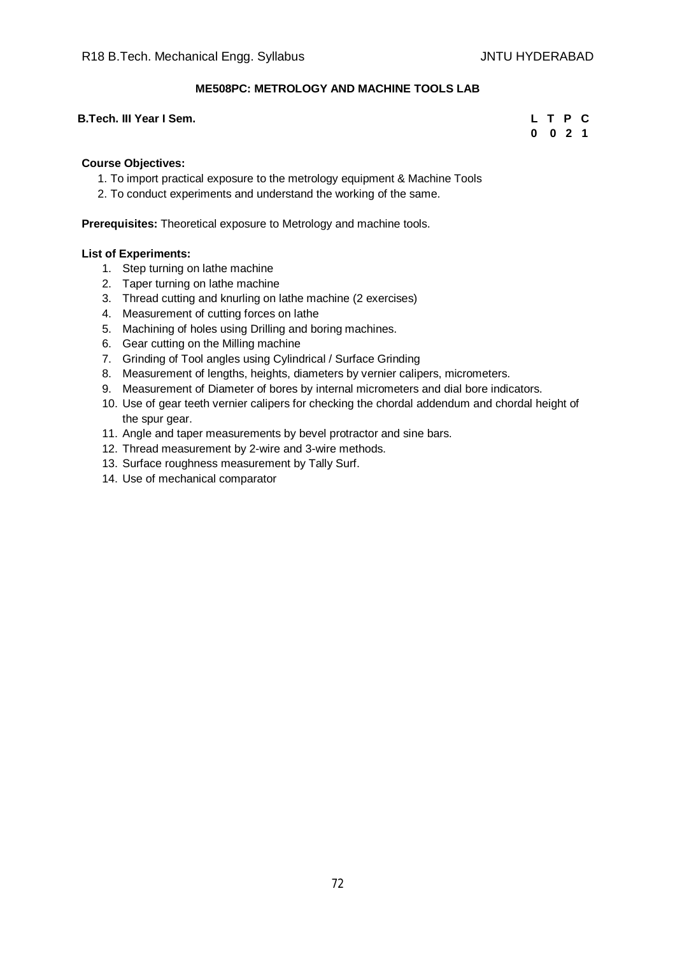## **ME508PC: METROLOGY AND MACHINE TOOLS LAB**

#### **B.Tech. III Year I Sem. L T P C**

# **0 0 2 1**

#### **Course Objectives:**

- 1. To import practical exposure to the metrology equipment & Machine Tools
- 2. To conduct experiments and understand the working of the same.

**Prerequisites:** Theoretical exposure to Metrology and machine tools.

#### **List of Experiments:**

- 1. Step turning on lathe machine
- 2. Taper turning on lathe machine
- 3. Thread cutting and knurling on lathe machine (2 exercises)
- 4. Measurement of cutting forces on lathe
- 5. Machining of holes using Drilling and boring machines.
- 6. Gear cutting on the Milling machine
- 7. Grinding of Tool angles using Cylindrical / Surface Grinding
- 8. Measurement of lengths, heights, diameters by vernier calipers, micrometers.
- 9. Measurement of Diameter of bores by internal micrometers and dial bore indicators.
- 10. Use of gear teeth vernier calipers for checking the chordal addendum and chordal height of the spur gear.
- 11. Angle and taper measurements by bevel protractor and sine bars.
- 12. Thread measurement by 2-wire and 3-wire methods.
- 13. Surface roughness measurement by Tally Surf.
- 14. Use of mechanical comparator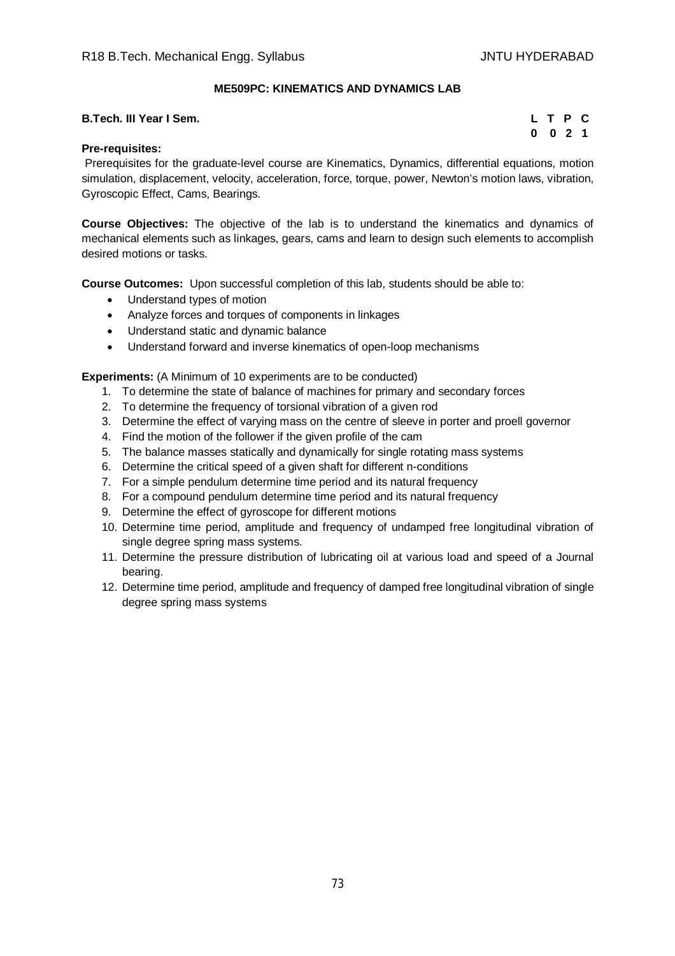## **ME509PC: KINEMATICS AND DYNAMICS LAB**

| B.Tech. III Year I Sem. | LTPC    |  |  |
|-------------------------|---------|--|--|
|                         | 0 0 2 1 |  |  |

## **Pre-requisites:**

Prerequisites for the graduate-level course are Kinematics, Dynamics, differential equations, motion simulation, displacement, velocity, acceleration, force, torque, power, Newton's motion laws, vibration, Gyroscopic Effect, Cams, Bearings.

**Course Objectives:** The objective of the lab is to understand the kinematics and dynamics of mechanical elements such as linkages, gears, cams and learn to design such elements to accomplish desired motions or tasks.

**Course Outcomes:** Upon successful completion of this lab, students should be able to:

- Understand types of motion
- Analyze forces and torques of components in linkages
- Understand static and dynamic balance
- Understand forward and inverse kinematics of open-loop mechanisms

**Experiments:** (A Minimum of 10 experiments are to be conducted)

- 1. To determine the state of balance of machines for primary and secondary forces
- 2. To determine the frequency of torsional vibration of a given rod
- 3. Determine the effect of varying mass on the centre of sleeve in porter and proell governor
- 4. Find the motion of the follower if the given profile of the cam
- 5. The balance masses statically and dynamically for single rotating mass systems
- 6. Determine the critical speed of a given shaft for different n-conditions
- 7. For a simple pendulum determine time period and its natural frequency
- 8. For a compound pendulum determine time period and its natural frequency
- 9. Determine the effect of gyroscope for different motions
- 10. Determine time period, amplitude and frequency of undamped free longitudinal vibration of single degree spring mass systems.
- 11. Determine the pressure distribution of lubricating oil at various load and speed of a Journal bearing.
- 12. Determine time period, amplitude and frequency of damped free longitudinal vibration of single degree spring mass systems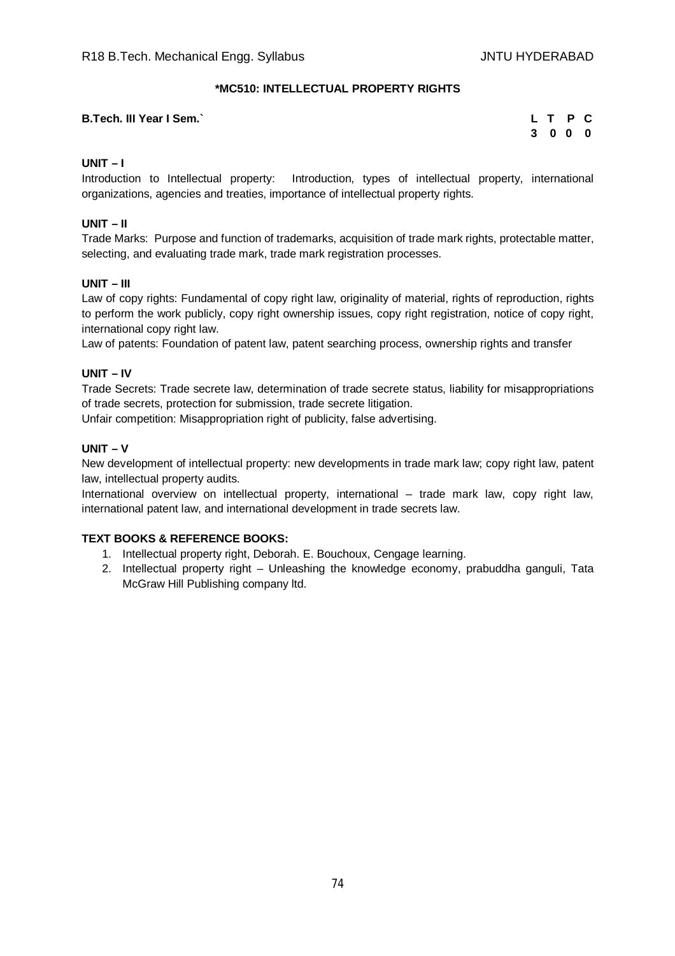## **\*MC510: INTELLECTUAL PROPERTY RIGHTS**

#### **B.Tech. III Year I Sem.**

|   | L T            | P | C |
|---|----------------|---|---|
| 3 | 0 <sub>0</sub> |   | 0 |

## **UNIT – I**

Introduction to Intellectual property: Introduction, types of intellectual property, international organizations, agencies and treaties, importance of intellectual property rights.

## **UNIT – II**

Trade Marks: Purpose and function of trademarks, acquisition of trade mark rights, protectable matter, selecting, and evaluating trade mark, trade mark registration processes.

#### **UNIT – III**

Law of copy rights: Fundamental of copy right law, originality of material, rights of reproduction, rights to perform the work publicly, copy right ownership issues, copy right registration, notice of copy right, international copy right law.

Law of patents: Foundation of patent law, patent searching process, ownership rights and transfer

## **UNIT – IV**

Trade Secrets: Trade secrete law, determination of trade secrete status, liability for misappropriations of trade secrets, protection for submission, trade secrete litigation.

Unfair competition: Misappropriation right of publicity, false advertising.

## **UNIT – V**

New development of intellectual property: new developments in trade mark law; copy right law, patent law, intellectual property audits.

International overview on intellectual property, international – trade mark law, copy right law, international patent law, and international development in trade secrets law.

#### **TEXT BOOKS & REFERENCE BOOKS:**

- 1. Intellectual property right, Deborah. E. Bouchoux, Cengage learning.
- 2. Intellectual property right Unleashing the knowledge economy, prabuddha ganguli, Tata McGraw Hill Publishing company ltd.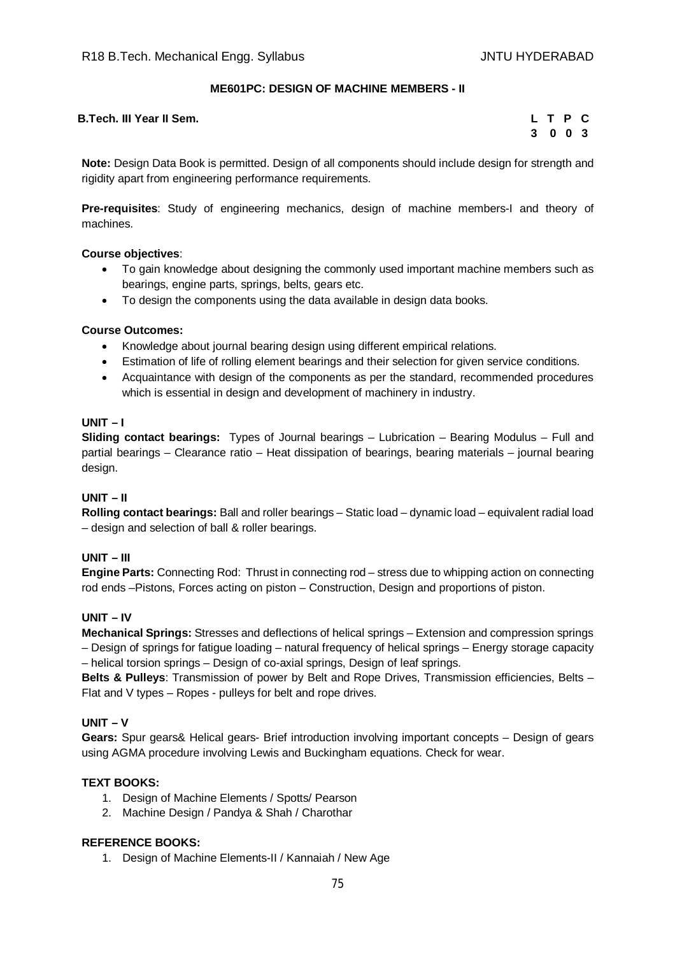## **ME601PC: DESIGN OF MACHINE MEMBERS - II**

**B.Tech. III Year II Sem.** 

| L  | T P |     | C   |
|----|-----|-----|-----|
| -3 | 0   | - 0 | - 3 |

**Note:** Design Data Book is permitted. Design of all components should include design for strength and rigidity apart from engineering performance requirements.

**Pre-requisites**: Study of engineering mechanics, design of machine members-I and theory of machines.

#### **Course objectives**:

- To gain knowledge about designing the commonly used important machine members such as bearings, engine parts, springs, belts, gears etc.
- To design the components using the data available in design data books.

#### **Course Outcomes:**

- Knowledge about journal bearing design using different empirical relations.
- Estimation of life of rolling element bearings and their selection for given service conditions.
- Acquaintance with design of the components as per the standard, recommended procedures which is essential in design and development of machinery in industry.

#### **UNIT – I**

**Sliding contact bearings:** Types of Journal bearings – Lubrication – Bearing Modulus – Full and partial bearings – Clearance ratio – Heat dissipation of bearings, bearing materials – journal bearing design.

#### **UNIT – II**

**Rolling contact bearings:** Ball and roller bearings – Static load – dynamic load – equivalent radial load – design and selection of ball & roller bearings.

#### **UNIT – III**

**Engine Parts:** Connecting Rod: Thrust in connecting rod – stress due to whipping action on connecting rod ends –Pistons, Forces acting on piston – Construction, Design and proportions of piston.

#### **UNIT – IV**

**Mechanical Springs:** Stresses and deflections of helical springs – Extension and compression springs – Design of springs for fatigue loading – natural frequency of helical springs – Energy storage capacity – helical torsion springs – Design of co-axial springs, Design of leaf springs.

**Belts & Pulleys**: Transmission of power by Belt and Rope Drives, Transmission efficiencies, Belts – Flat and V types – Ropes - pulleys for belt and rope drives.

#### **UNIT – V**

**Gears:** Spur gears& Helical gears- Brief introduction involving important concepts – Design of gears using AGMA procedure involving Lewis and Buckingham equations. Check for wear.

#### **TEXT BOOKS:**

- 1. Design of Machine Elements / Spotts/ Pearson
- 2. Machine Design / Pandya & Shah / Charothar

#### **REFERENCE BOOKS:**

1. Design of Machine Elements-II / Kannaiah / New Age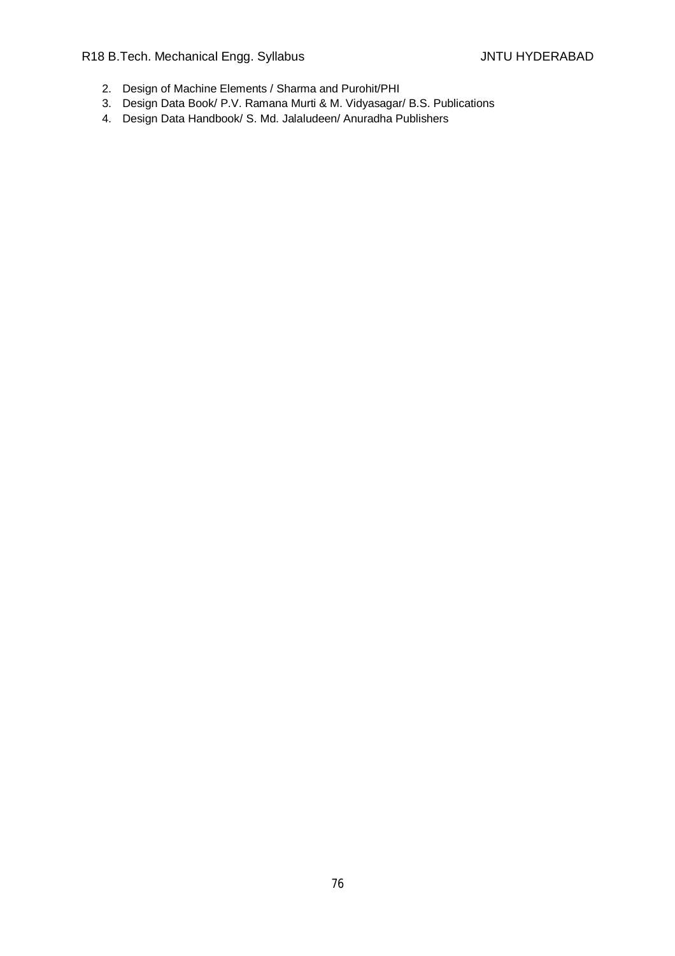R18 B.Tech. Mechanical Engg. Syllabus JNTU HYDERABAD

- 2. Design of Machine Elements / Sharma and Purohit/PHI
- 3. Design Data Book/ P.V. Ramana Murti & M. Vidyasagar/ B.S. Publications
- 4. Design Data Handbook/ S. Md. Jalaludeen/ Anuradha Publishers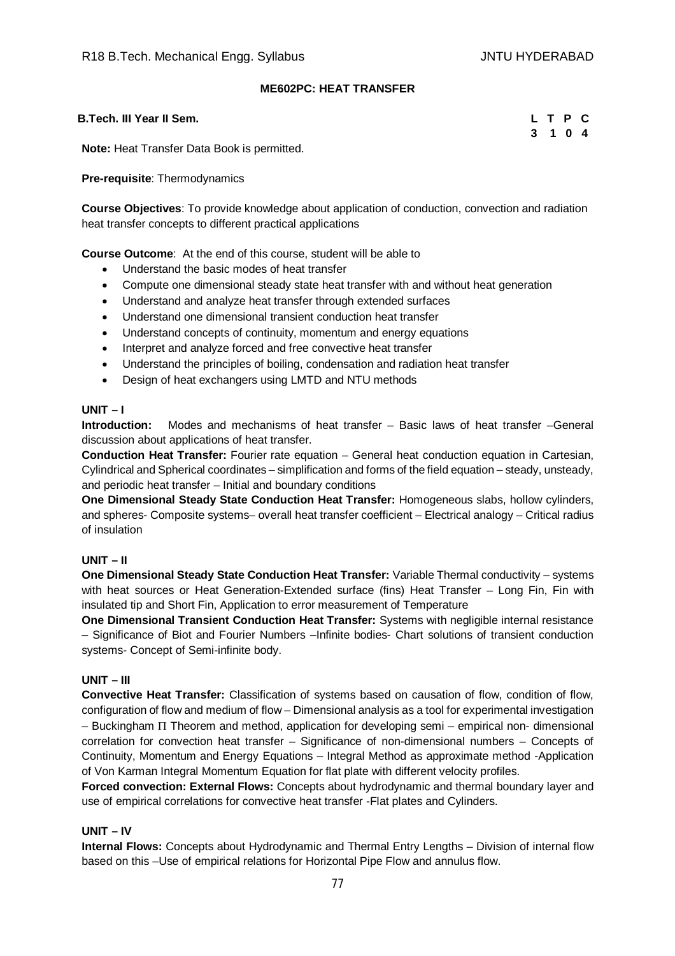## **ME602PC: HEAT TRANSFER**

#### **B.Tech. III Year II Sem. L T P C**

|  | L T P C |  |
|--|---------|--|
|  | 3 1 0 4 |  |

**Note:** Heat Transfer Data Book is permitted.

#### **Pre-requisite**: Thermodynamics

**Course Objectives**: To provide knowledge about application of conduction, convection and radiation heat transfer concepts to different practical applications

**Course Outcome**: At the end of this course, student will be able to

- Understand the basic modes of heat transfer
- Compute one dimensional steady state heat transfer with and without heat generation
- Understand and analyze heat transfer through extended surfaces
- Understand one dimensional transient conduction heat transfer
- Understand concepts of continuity, momentum and energy equations
- Interpret and analyze forced and free convective heat transfer
- Understand the principles of boiling, condensation and radiation heat transfer
- Design of heat exchangers using LMTD and NTU methods

#### **UNIT – I**

**Introduction:** Modes and mechanisms of heat transfer – Basic laws of heat transfer –General discussion about applications of heat transfer.

**Conduction Heat Transfer:** Fourier rate equation – General heat conduction equation in Cartesian, Cylindrical and Spherical coordinates – simplification and forms of the field equation – steady, unsteady, and periodic heat transfer – Initial and boundary conditions

**One Dimensional Steady State Conduction Heat Transfer:** Homogeneous slabs, hollow cylinders, and spheres- Composite systems– overall heat transfer coefficient – Electrical analogy – Critical radius of insulation

#### **UNIT – II**

**One Dimensional Steady State Conduction Heat Transfer:** Variable Thermal conductivity – systems with heat sources or Heat Generation-Extended surface (fins) Heat Transfer – Long Fin, Fin with insulated tip and Short Fin, Application to error measurement of Temperature

**One Dimensional Transient Conduction Heat Transfer:** Systems with negligible internal resistance – Significance of Biot and Fourier Numbers –Infinite bodies- Chart solutions of transient conduction systems- Concept of Semi-infinite body.

#### **UNIT – III**

**Convective Heat Transfer:** Classification of systems based on causation of flow, condition of flow, configuration of flow and medium of flow – Dimensional analysis as a tool for experimental investigation  $-$  Buckingham  $\Pi$  Theorem and method, application for developing semi – empirical non- dimensional correlation for convection heat transfer – Significance of non-dimensional numbers – Concepts of Continuity, Momentum and Energy Equations – Integral Method as approximate method -Application of Von Karman Integral Momentum Equation for flat plate with different velocity profiles.

**Forced convection: External Flows:** Concepts about hydrodynamic and thermal boundary layer and use of empirical correlations for convective heat transfer -Flat plates and Cylinders.

## **UNIT – IV**

**Internal Flows:** Concepts about Hydrodynamic and Thermal Entry Lengths – Division of internal flow based on this –Use of empirical relations for Horizontal Pipe Flow and annulus flow.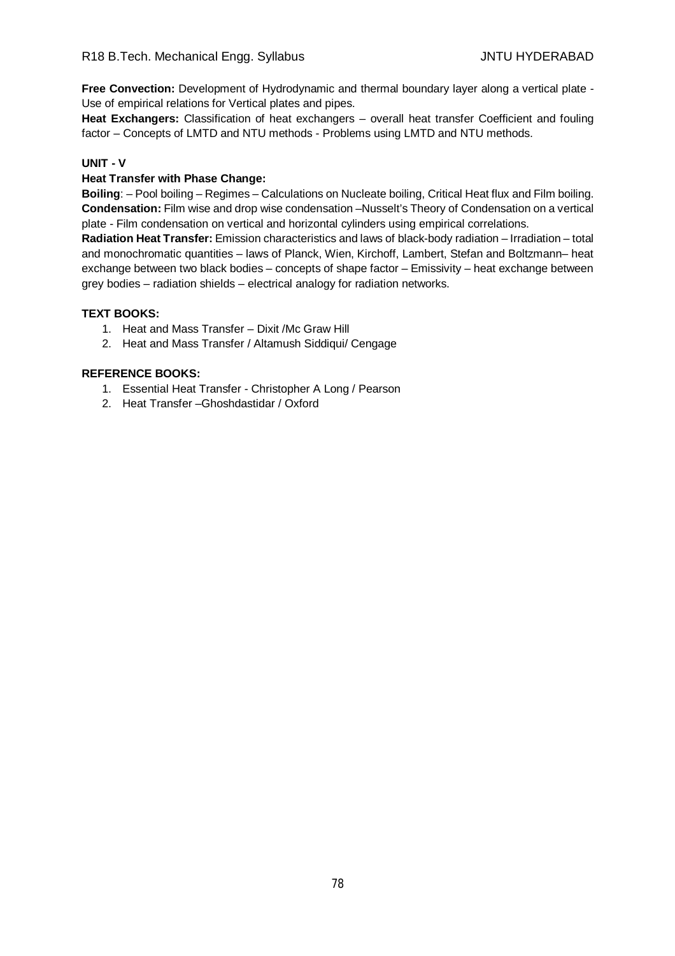**Free Convection:** Development of Hydrodynamic and thermal boundary layer along a vertical plate - Use of empirical relations for Vertical plates and pipes.

**Heat Exchangers:** Classification of heat exchangers – overall heat transfer Coefficient and fouling factor – Concepts of LMTD and NTU methods - Problems using LMTD and NTU methods.

## **UNIT - V**

## **Heat Transfer with Phase Change:**

**Boiling**: – Pool boiling – Regimes – Calculations on Nucleate boiling, Critical Heat flux and Film boiling. **Condensation:** Film wise and drop wise condensation –Nusselt's Theory of Condensation on a vertical plate - Film condensation on vertical and horizontal cylinders using empirical correlations.

**Radiation Heat Transfer:** Emission characteristics and laws of black-body radiation – Irradiation – total and monochromatic quantities – laws of Planck, Wien, Kirchoff, Lambert, Stefan and Boltzmann– heat exchange between two black bodies – concepts of shape factor – Emissivity – heat exchange between grey bodies – radiation shields – electrical analogy for radiation networks.

## **TEXT BOOKS:**

- 1. Heat and Mass Transfer Dixit /Mc Graw Hill
- 2. Heat and Mass Transfer / Altamush Siddiqui/ Cengage

- 1. Essential Heat Transfer Christopher A Long / Pearson
- 2. Heat Transfer –Ghoshdastidar / Oxford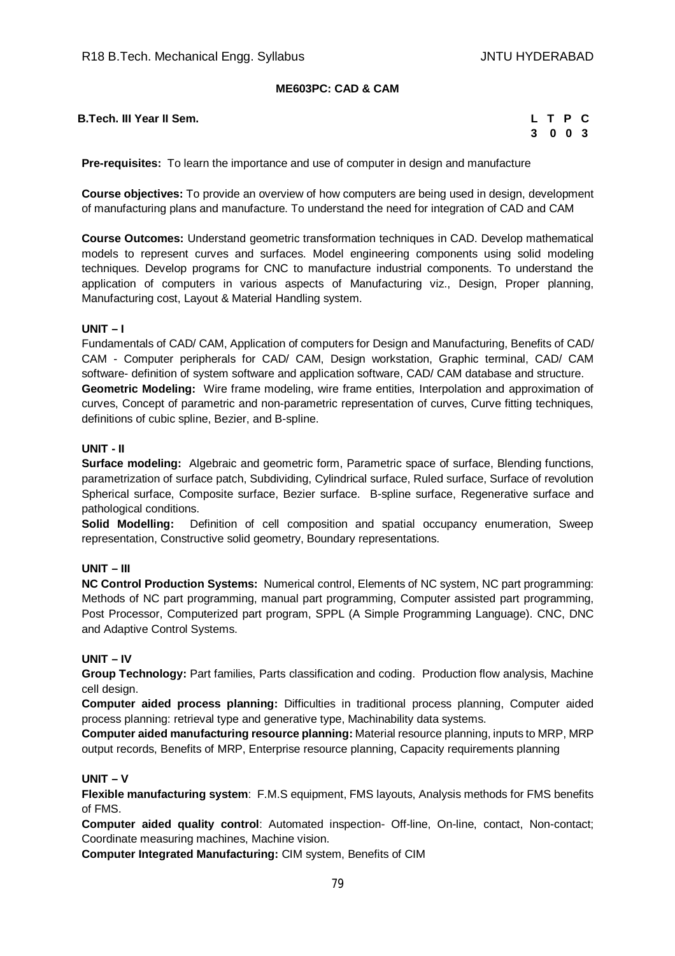## **ME603PC: CAD & CAM**

**B.Tech. III Year II Sem.** 

| L  | T P |    | C   |
|----|-----|----|-----|
| -3 |     | 00 | - 3 |

**Pre-requisites:** To learn the importance and use of computer in design and manufacture

**Course objectives:** To provide an overview of how computers are being used in design, development of manufacturing plans and manufacture. To understand the need for integration of CAD and CAM

**Course Outcomes:** Understand geometric transformation techniques in CAD. Develop mathematical models to represent curves and surfaces. Model engineering components using solid modeling techniques. Develop programs for CNC to manufacture industrial components. To understand the application of computers in various aspects of Manufacturing viz., Design, Proper planning, Manufacturing cost, Layout & Material Handling system.

#### **UNIT – I**

Fundamentals of CAD/ CAM, Application of computers for Design and Manufacturing, Benefits of CAD/ CAM - Computer peripherals for CAD/ CAM, Design workstation, Graphic terminal, CAD/ CAM software- definition of system software and application software, CAD/ CAM database and structure. **Geometric Modeling:** Wire frame modeling, wire frame entities, Interpolation and approximation of curves, Concept of parametric and non-parametric representation of curves, Curve fitting techniques, definitions of cubic spline, Bezier, and B-spline.

#### **UNIT - II**

**Surface modeling:** Algebraic and geometric form, Parametric space of surface, Blending functions, parametrization of surface patch, Subdividing, Cylindrical surface, Ruled surface, Surface of revolution Spherical surface, Composite surface, Bezier surface. B-spline surface, Regenerative surface and pathological conditions.

**Solid Modelling:** Definition of cell composition and spatial occupancy enumeration, Sweep representation, Constructive solid geometry, Boundary representations.

#### **UNIT – III**

**NC Control Production Systems:** Numerical control, Elements of NC system, NC part programming: Methods of NC part programming, manual part programming, Computer assisted part programming, Post Processor, Computerized part program, SPPL (A Simple Programming Language). CNC, DNC and Adaptive Control Systems.

#### **UNIT – IV**

**Group Technology:** Part families, Parts classification and coding. Production flow analysis, Machine cell design.

**Computer aided process planning:** Difficulties in traditional process planning, Computer aided process planning: retrieval type and generative type, Machinability data systems.

**Computer aided manufacturing resource planning:** Material resource planning, inputs to MRP, MRP output records, Benefits of MRP, Enterprise resource planning, Capacity requirements planning

#### **UNIT – V**

**Flexible manufacturing system**: F.M.S equipment, FMS layouts, Analysis methods for FMS benefits of FMS.

**Computer aided quality control**: Automated inspection- Off-line, On-line, contact, Non-contact; Coordinate measuring machines, Machine vision.

**Computer Integrated Manufacturing:** CIM system, Benefits of CIM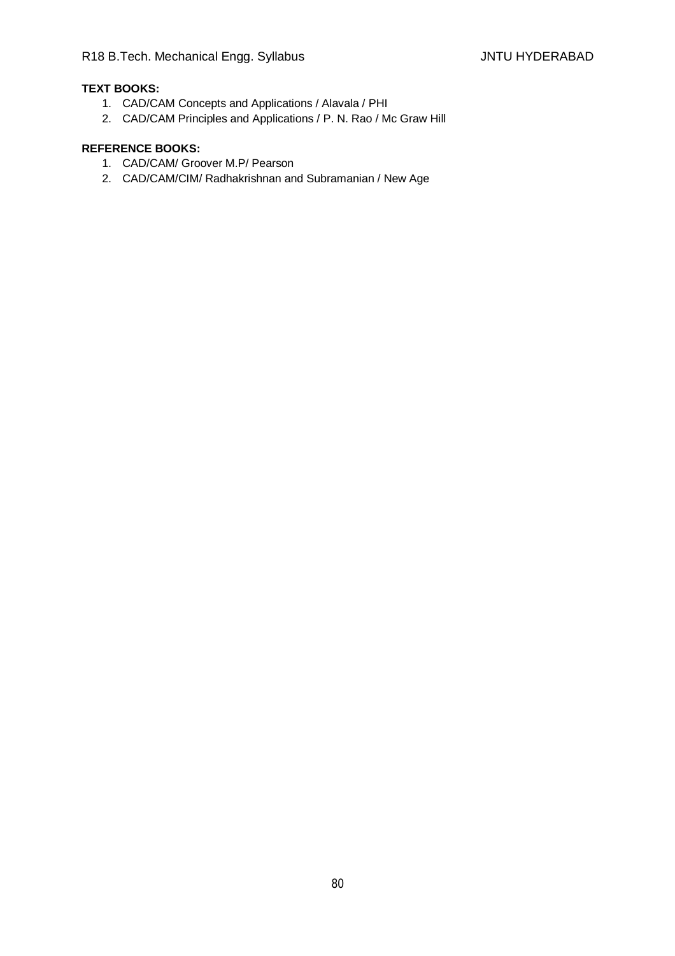# **TEXT BOOKS:**

- 1. CAD/CAM Concepts and Applications / Alavala / PHI
- 2. CAD/CAM Principles and Applications / P. N. Rao / Mc Graw Hill

- 1. CAD/CAM/ Groover M.P/ Pearson
- 2. CAD/CAM/CIM/ Radhakrishnan and Subramanian / New Age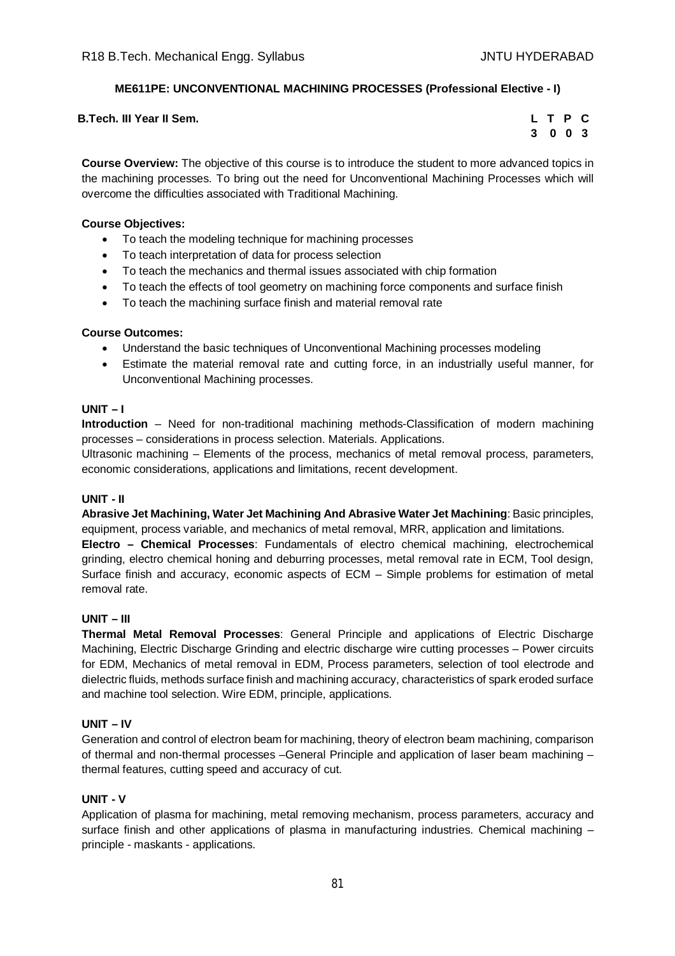# **ME611PE: UNCONVENTIONAL MACHINING PROCESSES (Professional Elective - I)**

| B.Tech. III Year II Sem. |  |  | LTPC |  |
|--------------------------|--|--|------|--|
|--------------------------|--|--|------|--|

|   | L T P |               | С |
|---|-------|---------------|---|
| 3 |       | $0 \t 0 \t 3$ |   |

**Course Overview:** The objective of this course is to introduce the student to more advanced topics in the machining processes. To bring out the need for Unconventional Machining Processes which will overcome the difficulties associated with Traditional Machining.

## **Course Objectives:**

- To teach the modeling technique for machining processes
- To teach interpretation of data for process selection
- To teach the mechanics and thermal issues associated with chip formation
- To teach the effects of tool geometry on machining force components and surface finish
- To teach the machining surface finish and material removal rate

#### **Course Outcomes:**

- Understand the basic techniques of Unconventional Machining processes modeling
- Estimate the material removal rate and cutting force, in an industrially useful manner, for Unconventional Machining processes.

## **UNIT – I**

**Introduction** – Need for non-traditional machining methods-Classification of modern machining processes – considerations in process selection. Materials. Applications.

Ultrasonic machining – Elements of the process, mechanics of metal removal process, parameters, economic considerations, applications and limitations, recent development.

# **UNIT - II**

**Abrasive Jet Machining, Water Jet Machining And Abrasive Water Jet Machining**: Basic principles, equipment, process variable, and mechanics of metal removal, MRR, application and limitations. **Electro – Chemical Processes**: Fundamentals of electro chemical machining, electrochemical grinding, electro chemical honing and deburring processes, metal removal rate in ECM, Tool design, Surface finish and accuracy, economic aspects of ECM – Simple problems for estimation of metal removal rate.

#### **UNIT – III**

**Thermal Metal Removal Processes**: General Principle and applications of Electric Discharge Machining, Electric Discharge Grinding and electric discharge wire cutting processes – Power circuits for EDM, Mechanics of metal removal in EDM, Process parameters, selection of tool electrode and dielectric fluids, methods surface finish and machining accuracy, characteristics of spark eroded surface and machine tool selection. Wire EDM, principle, applications.

#### **UNIT – IV**

Generation and control of electron beam for machining, theory of electron beam machining, comparison of thermal and non-thermal processes –General Principle and application of laser beam machining – thermal features, cutting speed and accuracy of cut.

#### **UNIT - V**

Application of plasma for machining, metal removing mechanism, process parameters, accuracy and surface finish and other applications of plasma in manufacturing industries. Chemical machining principle - maskants - applications.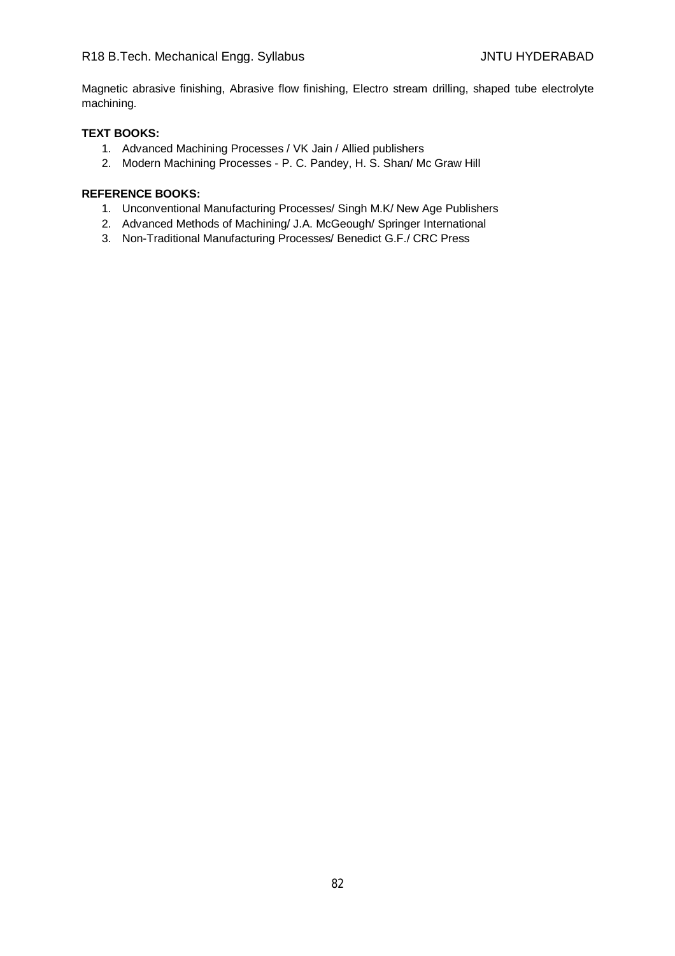Magnetic abrasive finishing, Abrasive flow finishing, Electro stream drilling, shaped tube electrolyte machining.

## **TEXT BOOKS:**

- 1. Advanced Machining Processes / VK Jain / Allied publishers
- 2. Modern Machining Processes P. C. Pandey, H. S. Shan/ Mc Graw Hill

- 1. Unconventional Manufacturing Processes/ Singh M.K/ New Age Publishers
- 2. Advanced Methods of Machining/ J.A. McGeough/ Springer International
- 3. Non-Traditional Manufacturing Processes/ Benedict G.F./ CRC Press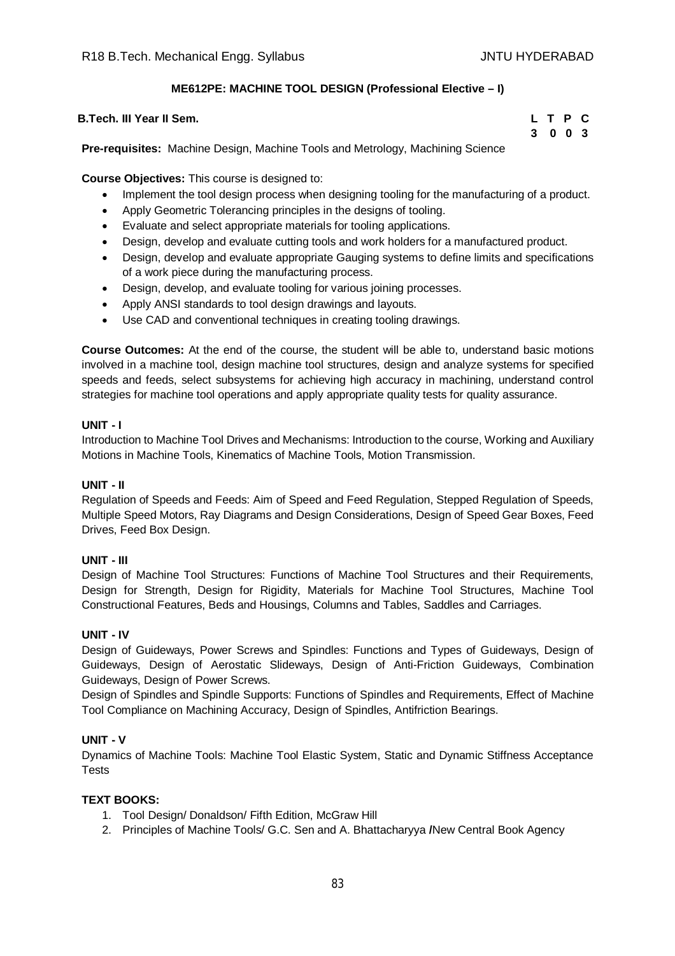# **ME612PE: MACHINE TOOL DESIGN (Professional Elective – I)**

| 3 0 0 3 |  | B.Tech. III Year II Sem. |  |  |  |  |  |  | L T P C |  |
|---------|--|--------------------------|--|--|--|--|--|--|---------|--|
|         |  |                          |  |  |  |  |  |  |         |  |

**Pre-requisites:** Machine Design, Machine Tools and Metrology, Machining Science

**Course Objectives:** This course is designed to:

- Implement the tool design process when designing tooling for the manufacturing of a product.
- Apply Geometric Tolerancing principles in the designs of tooling.
- Evaluate and select appropriate materials for tooling applications.
- Design, develop and evaluate cutting tools and work holders for a manufactured product.
- Design, develop and evaluate appropriate Gauging systems to define limits and specifications of a work piece during the manufacturing process.
- Design, develop, and evaluate tooling for various joining processes.
- Apply ANSI standards to tool design drawings and layouts.
- Use CAD and conventional techniques in creating tooling drawings.

**Course Outcomes:** At the end of the course, the student will be able to, understand basic motions involved in a machine tool, design machine tool structures, design and analyze systems for specified speeds and feeds, select subsystems for achieving high accuracy in machining, understand control strategies for machine tool operations and apply appropriate quality tests for quality assurance.

#### **UNIT - I**

Introduction to Machine Tool Drives and Mechanisms: Introduction to the course, Working and Auxiliary Motions in Machine Tools, Kinematics of Machine Tools, Motion Transmission.

#### **UNIT - II**

Regulation of Speeds and Feeds: Aim of Speed and Feed Regulation, Stepped Regulation of Speeds, Multiple Speed Motors, Ray Diagrams and Design Considerations, Design of Speed Gear Boxes, Feed Drives, Feed Box Design.

#### **UNIT - III**

Design of Machine Tool Structures: Functions of Machine Tool Structures and their Requirements, Design for Strength, Design for Rigidity, Materials for Machine Tool Structures, Machine Tool Constructional Features, Beds and Housings, Columns and Tables, Saddles and Carriages.

#### **UNIT - IV**

Design of Guideways, Power Screws and Spindles: Functions and Types of Guideways, Design of Guideways, Design of Aerostatic Slideways, Design of Anti-Friction Guideways, Combination Guideways, Design of Power Screws.

Design of Spindles and Spindle Supports: Functions of Spindles and Requirements, Effect of Machine Tool Compliance on Machining Accuracy, Design of Spindles, Antifriction Bearings.

#### **UNIT - V**

Dynamics of Machine Tools: Machine Tool Elastic System, Static and Dynamic Stiffness Acceptance **Tests** 

## **TEXT BOOKS:**

- 1. Tool Design/ Donaldson/ Fifth Edition, McGraw Hill
- 2. Principles of Machine Tools/ G.C. Sen and A. Bhattacharyya **/**New Central Book Agency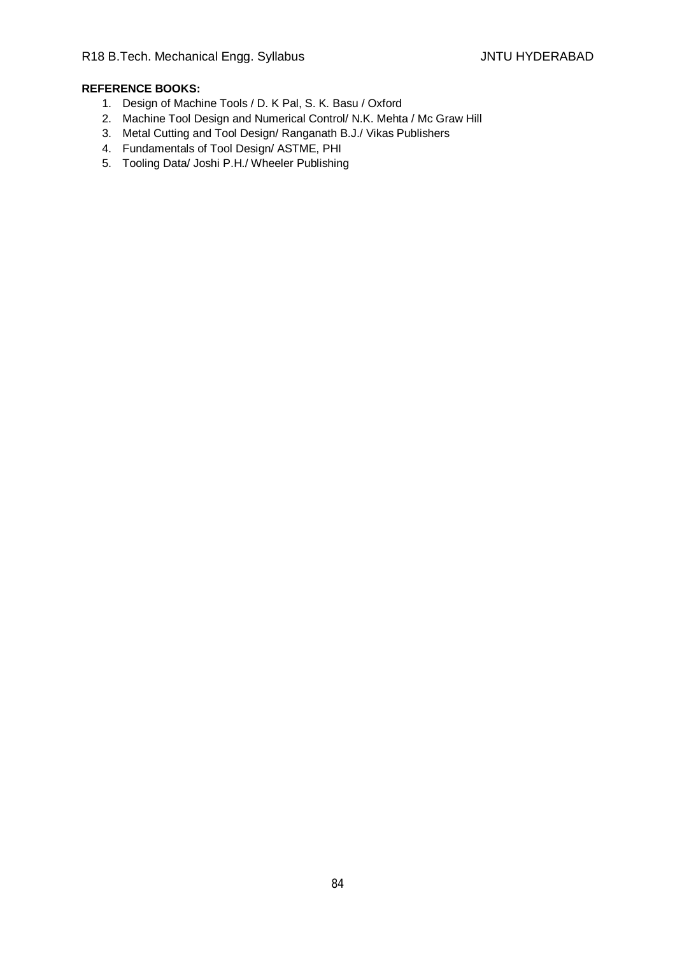- 1. Design of Machine Tools / D. K Pal, S. K. Basu / Oxford
- 2. Machine Tool Design and Numerical Control/ N.K. Mehta / Mc Graw Hill
- 3. Metal Cutting and Tool Design/ Ranganath B.J./ Vikas Publishers
- 4. Fundamentals of Tool Design/ ASTME, PHI
- 5. Tooling Data/ Joshi P.H./ Wheeler Publishing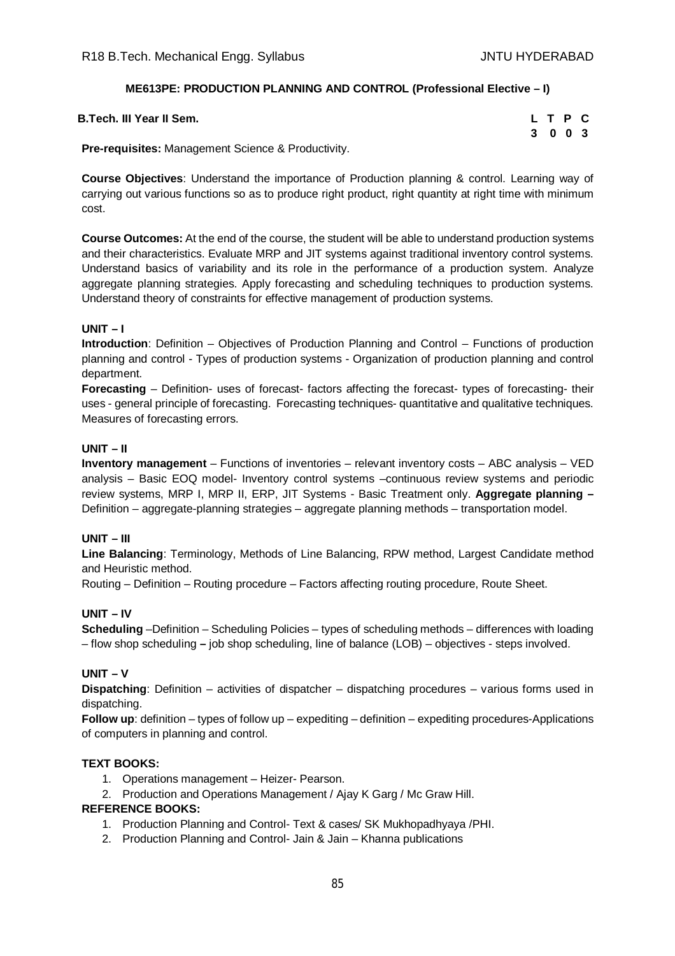## **ME613PE: PRODUCTION PLANNING AND CONTROL (Professional Elective – I)**

| B.Tech. III Year II Sem. |  | LTPC    |  |  |
|--------------------------|--|---------|--|--|
| $\sim$<br>.              |  | 3 0 0 3 |  |  |

**Pre-requisites:** Management Science & Productivity.

**Course Objectives**: Understand the importance of Production planning & control. Learning way of carrying out various functions so as to produce right product, right quantity at right time with minimum cost.

**Course Outcomes:** At the end of the course, the student will be able to understand production systems and their characteristics. Evaluate MRP and JIT systems against traditional inventory control systems. Understand basics of variability and its role in the performance of a production system. Analyze aggregate planning strategies. Apply forecasting and scheduling techniques to production systems. Understand theory of constraints for effective management of production systems.

#### **UNIT – I**

**Introduction**: Definition – Objectives of Production Planning and Control – Functions of production planning and control - Types of production systems - Organization of production planning and control department.

**Forecasting** – Definition- uses of forecast- factors affecting the forecast- types of forecasting- their uses - general principle of forecasting. Forecasting techniques- quantitative and qualitative techniques. Measures of forecasting errors.

#### **UNIT – II**

**Inventory management** – Functions of inventories – relevant inventory costs – ABC analysis – VED analysis – Basic EOQ model- Inventory control systems –continuous review systems and periodic review systems, MRP I, MRP II, ERP, JIT Systems - Basic Treatment only. **Aggregate planning –** Definition – aggregate-planning strategies – aggregate planning methods – transportation model.

#### **UNIT – III**

**Line Balancing**: Terminology, Methods of Line Balancing, RPW method, Largest Candidate method and Heuristic method.

Routing – Definition – Routing procedure – Factors affecting routing procedure, Route Sheet.

#### **UNIT – IV**

**Scheduling** –Definition – Scheduling Policies – types of scheduling methods – differences with loading – flow shop scheduling **–** job shop scheduling, line of balance (LOB) – objectives - steps involved.

## **UNIT – V**

**Dispatching**: Definition – activities of dispatcher – dispatching procedures – various forms used in dispatching.

**Follow up**: definition – types of follow up – expediting – definition – expediting procedures-Applications of computers in planning and control.

#### **TEXT BOOKS:**

- 1. Operations management Heizer- Pearson.
- 2. Production and Operations Management / Ajay K Garg / Mc Graw Hill.

- 1. Production Planning and Control- Text & cases/ SK Mukhopadhyaya /PHI.
- 2. Production Planning and Control- Jain & Jain Khanna publications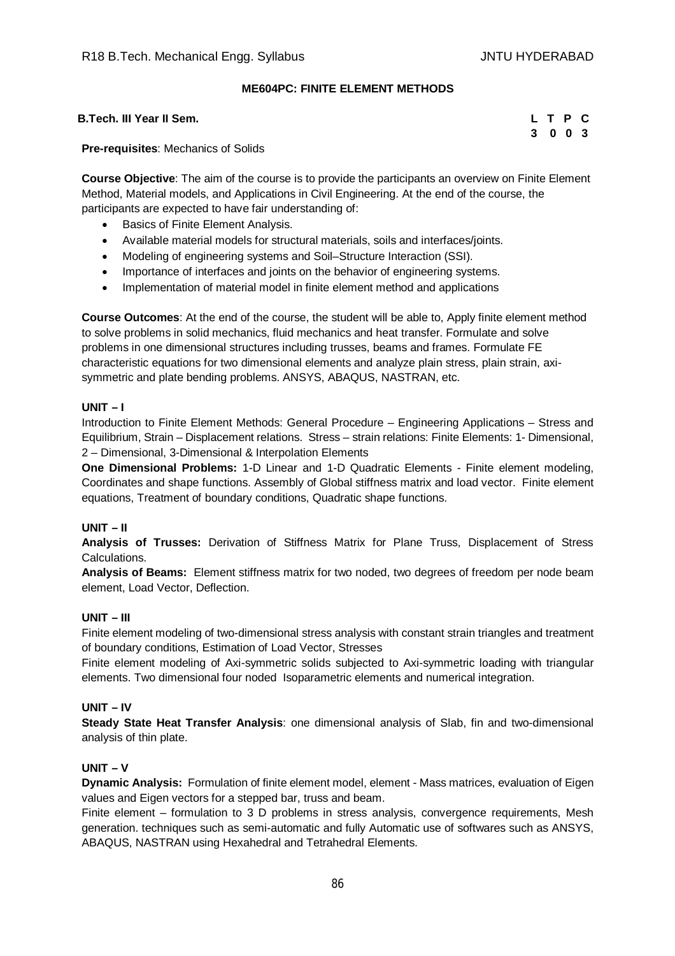## **ME604PC: FINITE ELEMENT METHODS**

**B.Tech. III Year II Sem. L T P C**

**3 0 0 3**

**Pre-requisites**: Mechanics of Solids

**Course Objective**: The aim of the course is to provide the participants an overview on Finite Element Method, Material models, and Applications in Civil Engineering. At the end of the course, the participants are expected to have fair understanding of:

- Basics of Finite Element Analysis.
- Available material models for structural materials, soils and interfaces/joints.
- Modeling of engineering systems and Soil–Structure Interaction (SSI).
- Importance of interfaces and joints on the behavior of engineering systems.
- Implementation of material model in finite element method and applications

**Course Outcomes**: At the end of the course, the student will be able to, Apply finite element method to solve problems in solid mechanics, fluid mechanics and heat transfer. Formulate and solve problems in one dimensional structures including trusses, beams and frames. Formulate FE characteristic equations for two dimensional elements and analyze plain stress, plain strain, axisymmetric and plate bending problems. ANSYS, ABAQUS, NASTRAN, etc.

#### **UNIT – I**

Introduction to Finite Element Methods: General Procedure – Engineering Applications – Stress and Equilibrium, Strain – Displacement relations. Stress – strain relations: Finite Elements: 1- Dimensional, 2 – Dimensional, 3-Dimensional & Interpolation Elements

**One Dimensional Problems:** 1-D Linear and 1-D Quadratic Elements - Finite element modeling, Coordinates and shape functions. Assembly of Global stiffness matrix and load vector. Finite element equations, Treatment of boundary conditions, Quadratic shape functions.

#### **UNIT – II**

**Analysis of Trusses:** Derivation of Stiffness Matrix for Plane Truss, Displacement of Stress Calculations.

**Analysis of Beams:** Element stiffness matrix for two noded, two degrees of freedom per node beam element, Load Vector, Deflection.

#### **UNIT – III**

Finite element modeling of two-dimensional stress analysis with constant strain triangles and treatment of boundary conditions, Estimation of Load Vector, Stresses

Finite element modeling of Axi-symmetric solids subjected to Axi-symmetric loading with triangular elements. Two dimensional four noded Isoparametric elements and numerical integration.

#### **UNIT – IV**

**Steady State Heat Transfer Analysis**: one dimensional analysis of Slab, fin and two-dimensional analysis of thin plate.

#### **UNIT – V**

**Dynamic Analysis:** Formulation of finite element model, element - Mass matrices, evaluation of Eigen values and Eigen vectors for a stepped bar, truss and beam.

Finite element – formulation to 3 D problems in stress analysis, convergence requirements, Mesh generation. techniques such as semi-automatic and fully Automatic use of softwares such as ANSYS, ABAQUS, NASTRAN using Hexahedral and Tetrahedral Elements.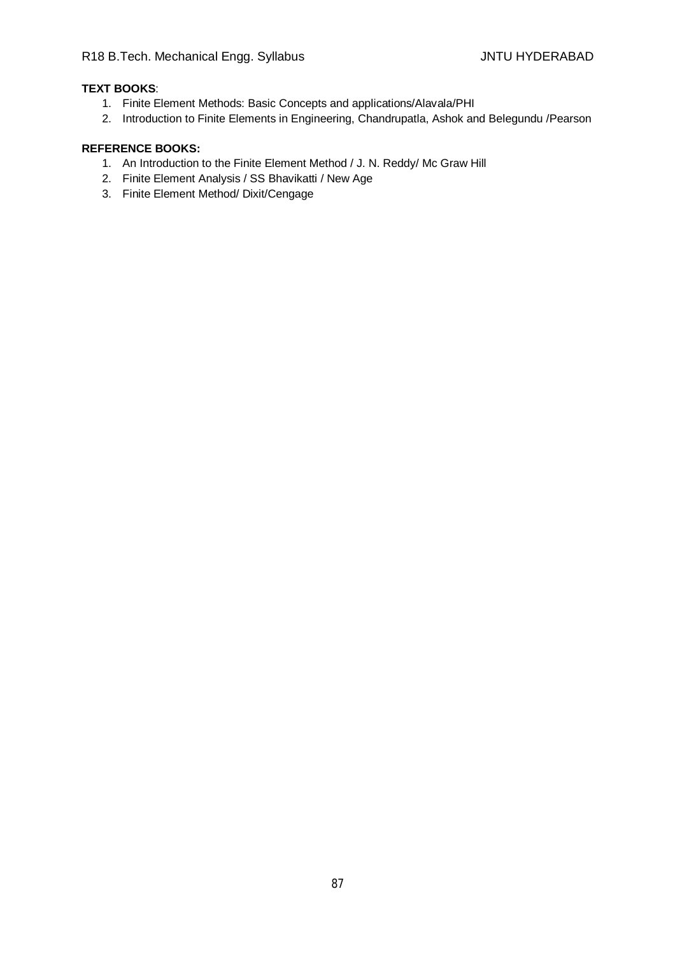# **TEXT BOOKS**:

- 1. Finite Element Methods: Basic Concepts and applications/Alavala/PHI
- 2. Introduction to Finite Elements in Engineering, Chandrupatla, Ashok and Belegundu /Pearson

- 1. An Introduction to the Finite Element Method / J. N. Reddy/ Mc Graw Hill
- 2. Finite Element Analysis / SS Bhavikatti / New Age
- 3. Finite Element Method/ Dixit/Cengage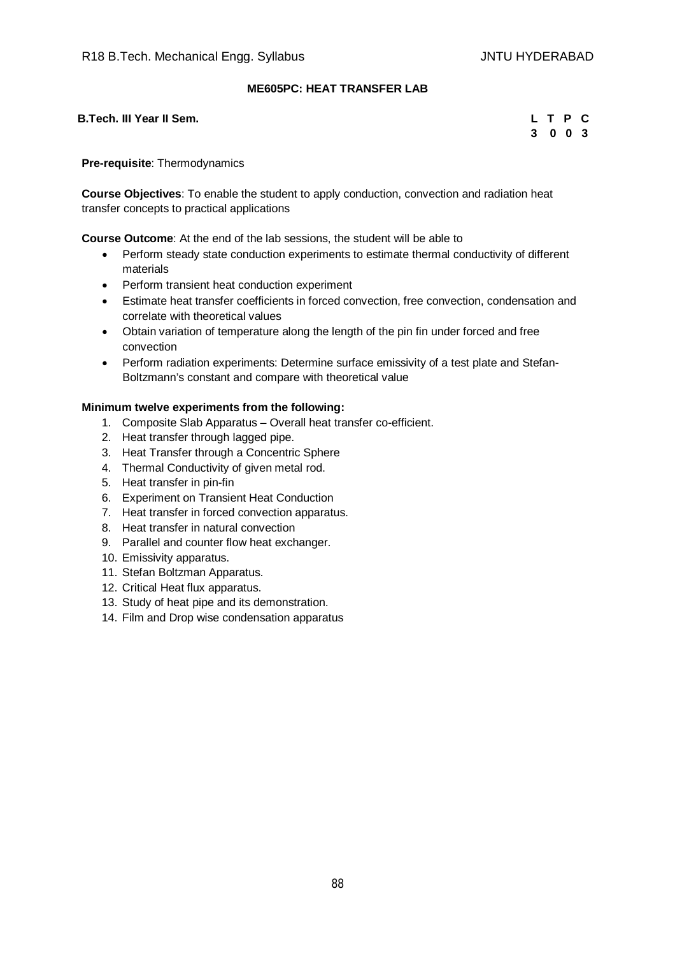## **ME605PC: HEAT TRANSFER LAB**

**B.Tech. III Year II Sem.** 

| L. | T P |            | C.  |
|----|-----|------------|-----|
| 3  |     | $0\quad 0$ | - 3 |

**Pre-requisite**: Thermodynamics

**Course Objectives**: To enable the student to apply conduction, convection and radiation heat transfer concepts to practical applications

**Course Outcome**: At the end of the lab sessions, the student will be able to

- Perform steady state conduction experiments to estimate thermal conductivity of different materials
- Perform transient heat conduction experiment
- Estimate heat transfer coefficients in forced convection, free convection, condensation and correlate with theoretical values
- Obtain variation of temperature along the length of the pin fin under forced and free convection
- Perform radiation experiments: Determine surface emissivity of a test plate and Stefan-Boltzmann's constant and compare with theoretical value

#### **Minimum twelve experiments from the following:**

- 1. Composite Slab Apparatus Overall heat transfer co-efficient.
- 2. Heat transfer through lagged pipe.
- 3. Heat Transfer through a Concentric Sphere
- 4. Thermal Conductivity of given metal rod.
- 5. Heat transfer in pin-fin
- 6. Experiment on Transient Heat Conduction
- 7. Heat transfer in forced convection apparatus.
- 8. Heat transfer in natural convection
- 9. Parallel and counter flow heat exchanger.
- 10. Emissivity apparatus.
- 11. Stefan Boltzman Apparatus.
- 12. Critical Heat flux apparatus.
- 13. Study of heat pipe and its demonstration.
- 14. Film and Drop wise condensation apparatus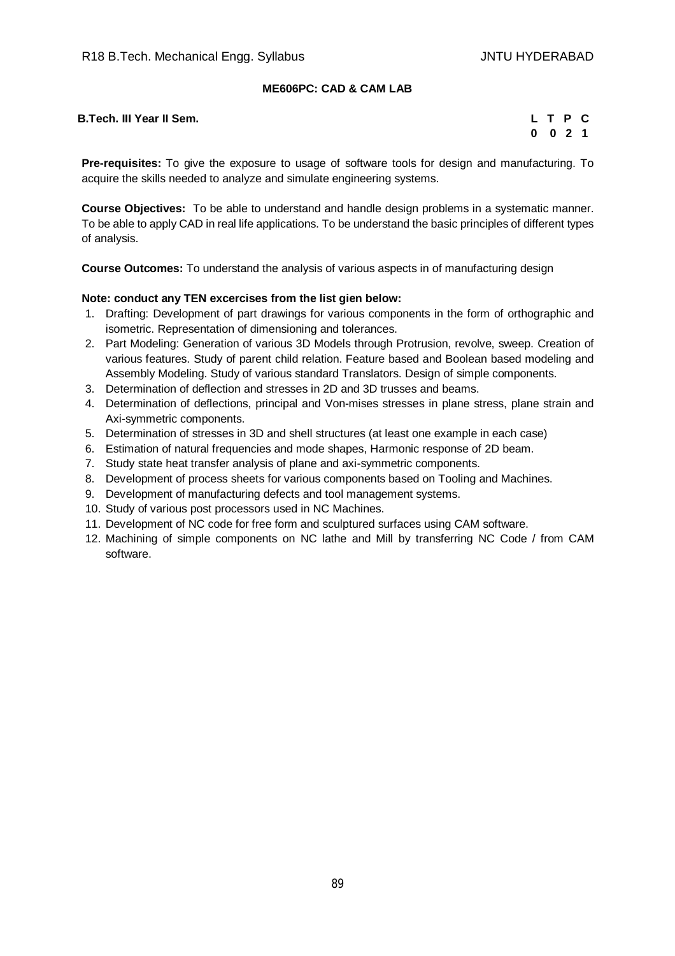# **ME606PC: CAD & CAM LAB**

**B.Tech. III Year II Sem.** 

| L. | T P |     | С  |
|----|-----|-----|----|
| O  | 0   | - 2 | 1. |

**Pre-requisites:** To give the exposure to usage of software tools for design and manufacturing. To acquire the skills needed to analyze and simulate engineering systems.

**Course Objectives:** To be able to understand and handle design problems in a systematic manner. To be able to apply CAD in real life applications. To be understand the basic principles of different types of analysis.

**Course Outcomes:** To understand the analysis of various aspects in of manufacturing design

#### **Note: conduct any TEN excercises from the list gien below:**

- 1. Drafting: Development of part drawings for various components in the form of orthographic and isometric. Representation of dimensioning and tolerances.
- 2. Part Modeling: Generation of various 3D Models through Protrusion, revolve, sweep. Creation of various features. Study of parent child relation. Feature based and Boolean based modeling and Assembly Modeling. Study of various standard Translators. Design of simple components.
- 3. Determination of deflection and stresses in 2D and 3D trusses and beams.
- 4. Determination of deflections, principal and Von-mises stresses in plane stress, plane strain and Axi-symmetric components.
- 5. Determination of stresses in 3D and shell structures (at least one example in each case)
- 6. Estimation of natural frequencies and mode shapes, Harmonic response of 2D beam.
- 7. Study state heat transfer analysis of plane and axi-symmetric components.
- 8. Development of process sheets for various components based on Tooling and Machines.
- 9. Development of manufacturing defects and tool management systems.
- 10. Study of various post processors used in NC Machines.
- 11. Development of NC code for free form and sculptured surfaces using CAM software.
- 12. Machining of simple components on NC lathe and Mill by transferring NC Code / from CAM software.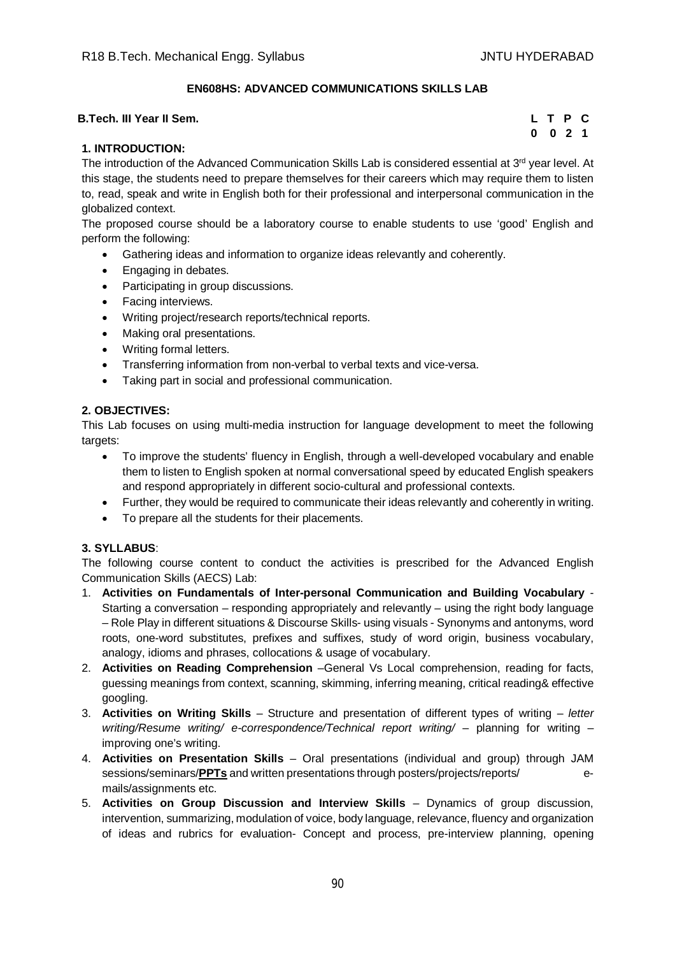## **EN608HS: ADVANCED COMMUNICATIONS SKILLS LAB**

#### **B.Tech. III Year II Sem.**

| L        | T P          |     | С           |
|----------|--------------|-----|-------------|
| $\bf{0}$ | $\mathbf{0}$ | - 2 | $\mathbf 1$ |

## **1. INTRODUCTION:**

The introduction of the Advanced Communication Skills Lab is considered essential at 3<sup>rd</sup> year level. At this stage, the students need to prepare themselves for their careers which may require them to listen to, read, speak and write in English both for their professional and interpersonal communication in the globalized context.

The proposed course should be a laboratory course to enable students to use 'good' English and perform the following:

- Gathering ideas and information to organize ideas relevantly and coherently.
- Engaging in debates.
- Participating in group discussions.
- Facing interviews.
- Writing project/research reports/technical reports.
- Making oral presentations.
- Writing formal letters.
- Transferring information from non-verbal to verbal texts and vice-versa.
- Taking part in social and professional communication.

## **2. OBJECTIVES:**

This Lab focuses on using multi-media instruction for language development to meet the following targets:

- To improve the students' fluency in English, through a well-developed vocabulary and enable them to listen to English spoken at normal conversational speed by educated English speakers and respond appropriately in different socio-cultural and professional contexts.
- Further, they would be required to communicate their ideas relevantly and coherently in writing.
- To prepare all the students for their placements.

#### **3. SYLLABUS**:

The following course content to conduct the activities is prescribed for the Advanced English Communication Skills (AECS) Lab:

- 1. **Activities on Fundamentals of Inter-personal Communication and Building Vocabulary**  Starting a conversation – responding appropriately and relevantly – using the right body language – Role Play in different situations & Discourse Skills- using visuals - Synonyms and antonyms, word roots, one-word substitutes, prefixes and suffixes, study of word origin, business vocabulary, analogy, idioms and phrases, collocations & usage of vocabulary.
- 2. **Activities on Reading Comprehension** –General Vs Local comprehension, reading for facts, guessing meanings from context, scanning, skimming, inferring meaning, critical reading& effective googling.
- 3. **Activities on Writing Skills** Structure and presentation of different types of writing *letter writing/Resume writing/ e-correspondence/Technical report writing/ – planning for writing –* improving one's writing.
- 4. **Activities on Presentation Skills** Oral presentations (individual and group) through JAM sessions/seminars/**PPTs** and written presentations through posters/projects/reports/ emails/assignments etc.
- 5. **Activities on Group Discussion and Interview Skills** Dynamics of group discussion, intervention, summarizing, modulation of voice, body language, relevance, fluency and organization of ideas and rubrics for evaluation- Concept and process, pre-interview planning, opening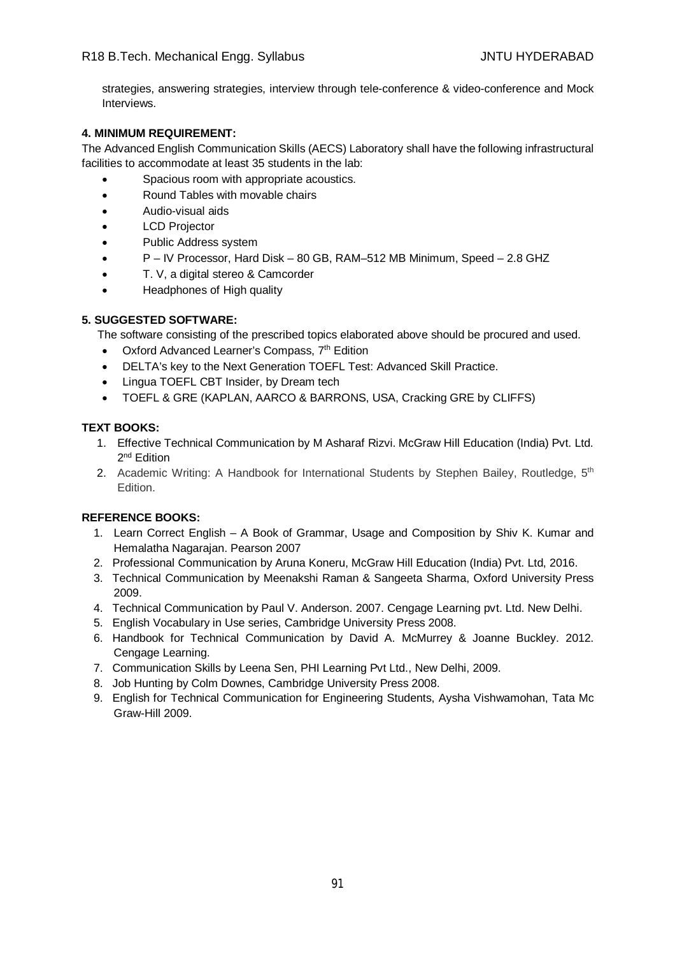strategies, answering strategies, interview through tele-conference & video-conference and Mock Interviews.

## **4. MINIMUM REQUIREMENT:**

The Advanced English Communication Skills (AECS) Laboratory shall have the following infrastructural facilities to accommodate at least 35 students in the lab:

- **•** Spacious room with appropriate acoustics.
- Round Tables with movable chairs
- Audio-visual aids
- LCD Projector
- Public Address system
- P IV Processor, Hard Disk 80 GB, RAM–512 MB Minimum, Speed 2.8 GHZ
- T. V, a digital stereo & Camcorder
- Headphones of High quality

## **5. SUGGESTED SOFTWARE:**

The software consisting of the prescribed topics elaborated above should be procured and used.

- Oxford Advanced Learner's Compass, 7<sup>th</sup> Edition
- DELTA's key to the Next Generation TOEFL Test: Advanced Skill Practice.
- Lingua TOEFL CBT Insider, by Dream tech
- TOEFL & GRE (KAPLAN, AARCO & BARRONS, USA, Cracking GRE by CLIFFS)

## **TEXT BOOKS:**

- 1. Effective Technical Communication by M Asharaf Rizvi. McGraw Hill Education (India) Pvt. Ltd. 2<sup>nd</sup> Edition
- 2. Academic Writing: A Handbook for International Students by Stephen Bailey, Routledge, 5<sup>th</sup> Edition.

- 1. Learn Correct English A Book of Grammar, Usage and Composition by Shiv K. Kumar and Hemalatha Nagarajan. Pearson 2007
- 2. Professional Communication by Aruna Koneru, McGraw Hill Education (India) Pvt. Ltd, 2016.
- 3. Technical Communication by Meenakshi Raman & Sangeeta Sharma, Oxford University Press 2009.
- 4. Technical Communication by Paul V. Anderson. 2007. Cengage Learning pvt. Ltd. New Delhi.
- 5. English Vocabulary in Use series, Cambridge University Press 2008.
- 6. Handbook for Technical Communication by David A. McMurrey & Joanne Buckley. 2012. Cengage Learning.
- 7. Communication Skills by Leena Sen, PHI Learning Pvt Ltd., New Delhi, 2009.
- 8. Job Hunting by Colm Downes, Cambridge University Press 2008.
- 9. English for Technical Communication for Engineering Students, Aysha Vishwamohan, Tata Mc Graw-Hill 2009.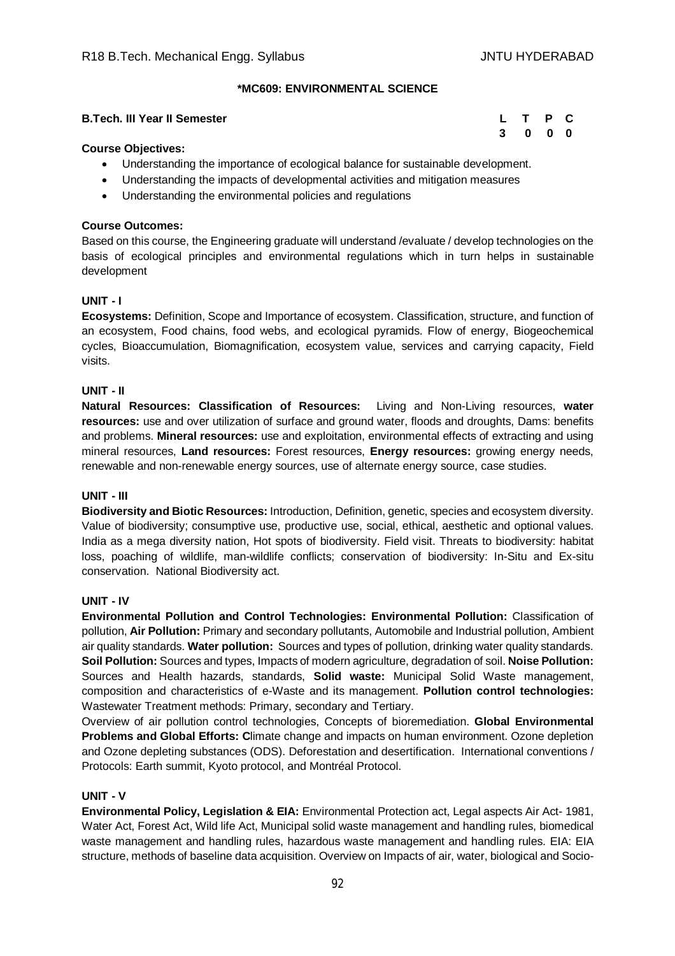#### **\*MC609: ENVIRONMENTAL SCIENCE**

#### **B.Tech. III Year II Semester Letter Letter Letter Letter Letter Letter C**

# **3 0 0 0**

## **Course Objectives:**

- Understanding the importance of ecological balance for sustainable development.
- Understanding the impacts of developmental activities and mitigation measures
- Understanding the environmental policies and regulations

## **Course Outcomes:**

Based on this course, the Engineering graduate will understand /evaluate / develop technologies on the basis of ecological principles and environmental regulations which in turn helps in sustainable development

## **UNIT - I**

**Ecosystems:** Definition, Scope and Importance of ecosystem. Classification, structure, and function of an ecosystem, Food chains, food webs, and ecological pyramids. Flow of energy, Biogeochemical cycles, Bioaccumulation, Biomagnification, ecosystem value, services and carrying capacity, Field visits.

#### **UNIT - II**

**Natural Resources: Classification of Resources:** Living and Non-Living resources, **water resources:** use and over utilization of surface and ground water, floods and droughts, Dams: benefits and problems. **Mineral resources:** use and exploitation, environmental effects of extracting and using mineral resources, **Land resources:** Forest resources, **Energy resources:** growing energy needs, renewable and non-renewable energy sources, use of alternate energy source, case studies.

#### **UNIT - III**

**Biodiversity and Biotic Resources:** Introduction, Definition, genetic, species and ecosystem diversity. Value of biodiversity; consumptive use, productive use, social, ethical, aesthetic and optional values. India as a mega diversity nation, Hot spots of biodiversity. Field visit. Threats to biodiversity: habitat loss, poaching of wildlife, man-wildlife conflicts; conservation of biodiversity: In-Situ and Ex-situ conservation. National Biodiversity act.

#### **UNIT - IV**

**Environmental Pollution and Control Technologies: Environmental Pollution:** Classification of pollution, **Air Pollution:** Primary and secondary pollutants, Automobile and Industrial pollution, Ambient air quality standards. **Water pollution:** Sources and types of pollution, drinking water quality standards. **Soil Pollution:** Sources and types, Impacts of modern agriculture, degradation of soil. **Noise Pollution:**  Sources and Health hazards, standards, **Solid waste:** Municipal Solid Waste management, composition and characteristics of e-Waste and its management. **Pollution control technologies:** Wastewater Treatment methods: Primary, secondary and Tertiary.

Overview of air pollution control technologies, Concepts of bioremediation. **Global Environmental Problems and Global Efforts: C**limate change and impacts on human environment. Ozone depletion and Ozone depleting substances (ODS). Deforestation and desertification. International conventions / Protocols: Earth summit, Kyoto protocol, and Montréal Protocol.

#### **UNIT - V**

**Environmental Policy, Legislation & EIA:** Environmental Protection act, Legal aspects Air Act- 1981, Water Act, Forest Act, Wild life Act, Municipal solid waste management and handling rules, biomedical waste management and handling rules, hazardous waste management and handling rules. EIA: EIA structure, methods of baseline data acquisition. Overview on Impacts of air, water, biological and Socio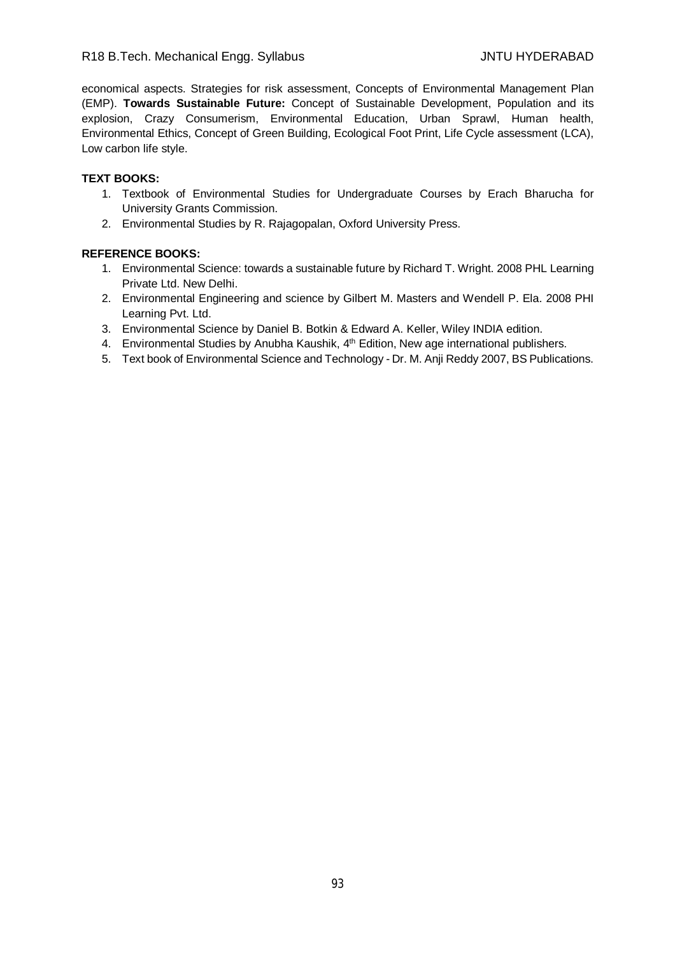economical aspects. Strategies for risk assessment, Concepts of Environmental Management Plan (EMP). **Towards Sustainable Future:** Concept of Sustainable Development, Population and its explosion, Crazy Consumerism, Environmental Education, Urban Sprawl, Human health, Environmental Ethics, Concept of Green Building, Ecological Foot Print, Life Cycle assessment (LCA), Low carbon life style.

## **TEXT BOOKS:**

- 1. Textbook of Environmental Studies for Undergraduate Courses by Erach Bharucha for University Grants Commission.
- 2. Environmental Studies by R. Rajagopalan, Oxford University Press.

- 1. Environmental Science: towards a sustainable future by Richard T. Wright. 2008 PHL Learning Private Ltd. New Delhi.
- 2. Environmental Engineering and science by Gilbert M. Masters and Wendell P. Ela. 2008 PHI Learning Pvt. Ltd.
- 3. Environmental Science by Daniel B. Botkin & Edward A. Keller, Wiley INDIA edition.
- 4. Environmental Studies by Anubha Kaushik, 4<sup>th</sup> Edition, New age international publishers.
- 5. Text book of Environmental Science and Technology Dr. M. Anji Reddy 2007, BS Publications.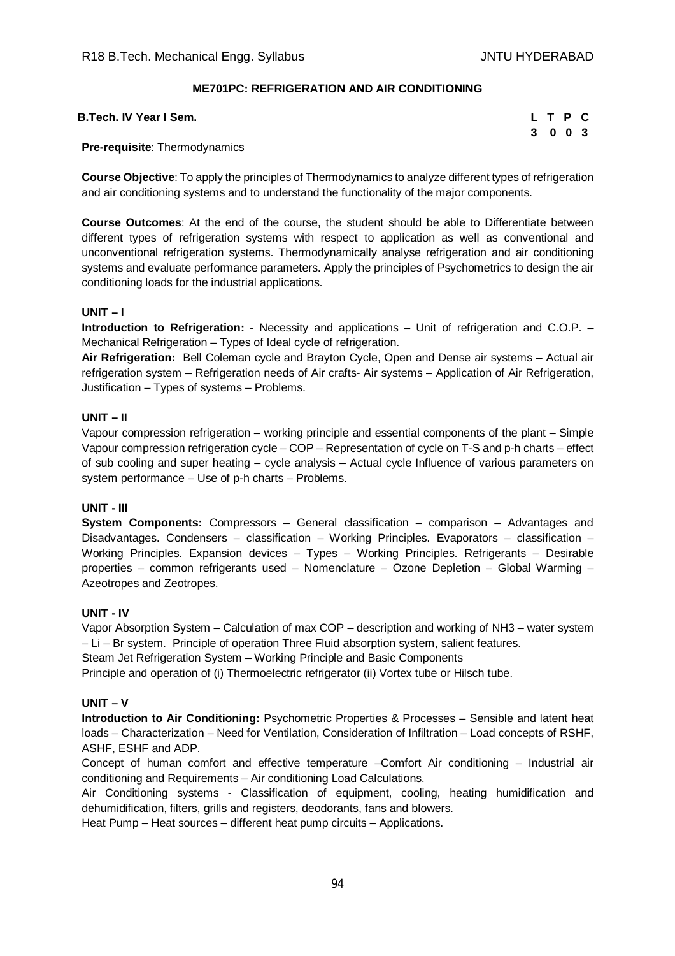## **ME701PC: REFRIGERATION AND AIR CONDITIONING**

| B.Tech. IV Year I Sem. |  |  | L T P C |  |
|------------------------|--|--|---------|--|
|------------------------|--|--|---------|--|

|   | L T P |     | C |
|---|-------|-----|---|
| 3 |       | 003 |   |

#### **Pre-requisite**: Thermodynamics

**Course Objective**: To apply the principles of Thermodynamics to analyze different types of refrigeration and air conditioning systems and to understand the functionality of the major components.

**Course Outcomes**: At the end of the course, the student should be able to Differentiate between different types of refrigeration systems with respect to application as well as conventional and unconventional refrigeration systems. Thermodynamically analyse refrigeration and air conditioning systems and evaluate performance parameters. Apply the principles of Psychometrics to design the air conditioning loads for the industrial applications.

#### **UNIT – I**

**Introduction to Refrigeration:** - Necessity and applications – Unit of refrigeration and C.O.P. – Mechanical Refrigeration – Types of Ideal cycle of refrigeration.

**Air Refrigeration:** Bell Coleman cycle and Brayton Cycle, Open and Dense air systems – Actual air refrigeration system – Refrigeration needs of Air crafts- Air systems – Application of Air Refrigeration, Justification – Types of systems – Problems.

#### **UNIT – II**

Vapour compression refrigeration – working principle and essential components of the plant – Simple Vapour compression refrigeration cycle – COP – Representation of cycle on T-S and p-h charts – effect of sub cooling and super heating – cycle analysis – Actual cycle Influence of various parameters on system performance – Use of p-h charts – Problems.

#### **UNIT - III**

**System Components:** Compressors – General classification – comparison – Advantages and Disadvantages. Condensers – classification – Working Principles. Evaporators – classification – Working Principles. Expansion devices – Types – Working Principles. Refrigerants – Desirable properties – common refrigerants used – Nomenclature – Ozone Depletion – Global Warming – Azeotropes and Zeotropes.

#### **UNIT - IV**

Vapor Absorption System – Calculation of max COP – description and working of NH3 – water system – Li – Br system. Principle of operation Three Fluid absorption system, salient features.

Steam Jet Refrigeration System – Working Principle and Basic Components

Principle and operation of (i) Thermoelectric refrigerator (ii) Vortex tube or Hilsch tube.

#### **UNIT – V**

**Introduction to Air Conditioning:** Psychometric Properties & Processes – Sensible and latent heat loads – Characterization – Need for Ventilation, Consideration of Infiltration – Load concepts of RSHF, ASHF, ESHF and ADP.

Concept of human comfort and effective temperature –Comfort Air conditioning – Industrial air conditioning and Requirements – Air conditioning Load Calculations.

Air Conditioning systems - Classification of equipment, cooling, heating humidification and dehumidification, filters, grills and registers, deodorants, fans and blowers.

Heat Pump – Heat sources – different heat pump circuits – Applications.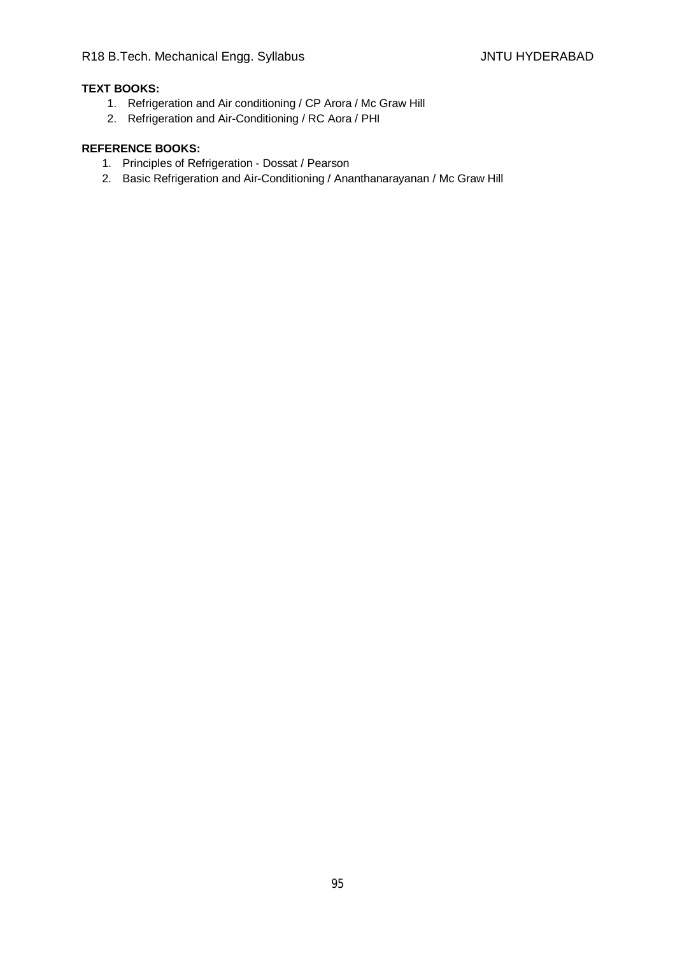# **TEXT BOOKS:**

- 1. Refrigeration and Air conditioning / CP Arora / Mc Graw Hill
- 2. Refrigeration and Air-Conditioning / RC Aora / PHI

- 1. Principles of Refrigeration Dossat / Pearson
- 2. Basic Refrigeration and Air-Conditioning / Ananthanarayanan / Mc Graw Hill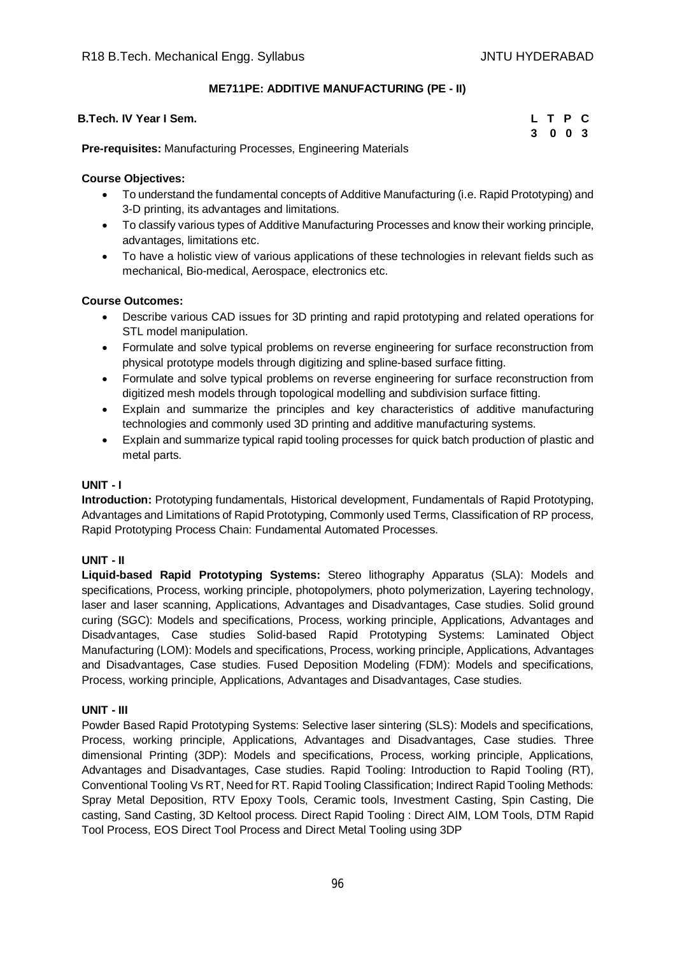## **ME711PE: ADDITIVE MANUFACTURING (PE - II)**

| <b>B.Tech. IV Year I Sem.</b>                                         |         | L T P C |  |
|-----------------------------------------------------------------------|---------|---------|--|
|                                                                       | 3 0 0 3 |         |  |
| <b>Pre-requisites:</b> Manufacturing Processes, Engineering Materials |         |         |  |

## **Course Objectives:**

- To understand the fundamental concepts of Additive Manufacturing (i.e. Rapid Prototyping) and 3-D printing, its advantages and limitations.
- To classify various types of Additive Manufacturing Processes and know their working principle, advantages, limitations etc.
- To have a holistic view of various applications of these technologies in relevant fields such as mechanical, Bio-medical, Aerospace, electronics etc.

## **Course Outcomes:**

- Describe various CAD issues for 3D printing and rapid prototyping and related operations for STL model manipulation.
- Formulate and solve typical problems on reverse engineering for surface reconstruction from physical prototype models through digitizing and spline-based surface fitting.
- Formulate and solve typical problems on reverse engineering for surface reconstruction from digitized mesh models through topological modelling and subdivision surface fitting.
- Explain and summarize the principles and key characteristics of additive manufacturing technologies and commonly used 3D printing and additive manufacturing systems.
- Explain and summarize typical rapid tooling processes for quick batch production of plastic and metal parts.

## **UNIT - I**

**Introduction:** Prototyping fundamentals, Historical development, Fundamentals of Rapid Prototyping, Advantages and Limitations of Rapid Prototyping, Commonly used Terms, Classification of RP process, Rapid Prototyping Process Chain: Fundamental Automated Processes.

#### **UNIT - II**

**Liquid-based Rapid Prototyping Systems:** Stereo lithography Apparatus (SLA): Models and specifications, Process, working principle, photopolymers, photo polymerization, Layering technology, laser and laser scanning, Applications, Advantages and Disadvantages, Case studies. Solid ground curing (SGC): Models and specifications, Process, working principle, Applications, Advantages and Disadvantages, Case studies Solid-based Rapid Prototyping Systems: Laminated Object Manufacturing (LOM): Models and specifications, Process, working principle, Applications, Advantages and Disadvantages, Case studies. Fused Deposition Modeling (FDM): Models and specifications, Process, working principle, Applications, Advantages and Disadvantages, Case studies.

#### **UNIT - III**

Powder Based Rapid Prototyping Systems: Selective laser sintering (SLS): Models and specifications, Process, working principle, Applications, Advantages and Disadvantages, Case studies. Three dimensional Printing (3DP): Models and specifications, Process, working principle, Applications, Advantages and Disadvantages, Case studies. Rapid Tooling: Introduction to Rapid Tooling (RT), Conventional Tooling Vs RT, Need for RT. Rapid Tooling Classification; Indirect Rapid Tooling Methods: Spray Metal Deposition, RTV Epoxy Tools, Ceramic tools, Investment Casting, Spin Casting, Die casting, Sand Casting, 3D Keltool process. Direct Rapid Tooling : Direct AIM, LOM Tools, DTM Rapid Tool Process, EOS Direct Tool Process and Direct Metal Tooling using 3DP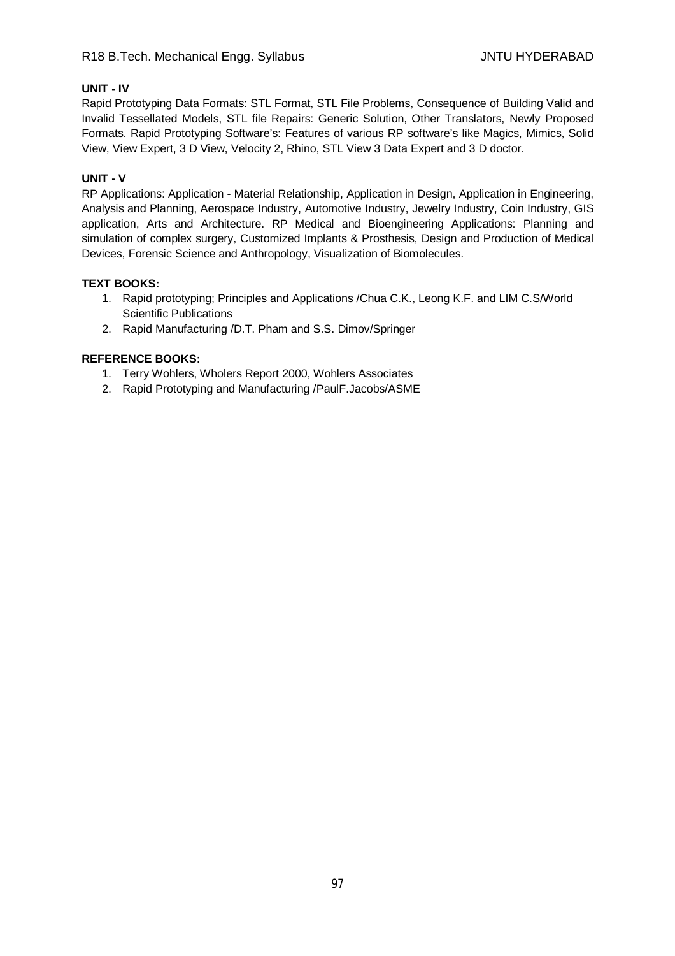## **UNIT - IV**

Rapid Prototyping Data Formats: STL Format, STL File Problems, Consequence of Building Valid and Invalid Tessellated Models, STL file Repairs: Generic Solution, Other Translators, Newly Proposed Formats. Rapid Prototyping Software's: Features of various RP software's like Magics, Mimics, Solid View, View Expert, 3 D View, Velocity 2, Rhino, STL View 3 Data Expert and 3 D doctor.

## **UNIT - V**

RP Applications: Application - Material Relationship, Application in Design, Application in Engineering, Analysis and Planning, Aerospace Industry, Automotive Industry, Jewelry Industry, Coin Industry, GIS application, Arts and Architecture. RP Medical and Bioengineering Applications: Planning and simulation of complex surgery, Customized Implants & Prosthesis, Design and Production of Medical Devices, Forensic Science and Anthropology, Visualization of Biomolecules.

#### **TEXT BOOKS:**

- 1. Rapid prototyping; Principles and Applications /Chua C.K., Leong K.F. and LIM C.S/World Scientific Publications
- 2. Rapid Manufacturing /D.T. Pham and S.S. Dimov/Springer

- 1. Terry Wohlers, Wholers Report 2000, Wohlers Associates
- 2. Rapid Prototyping and Manufacturing /PaulF.Jacobs/ASME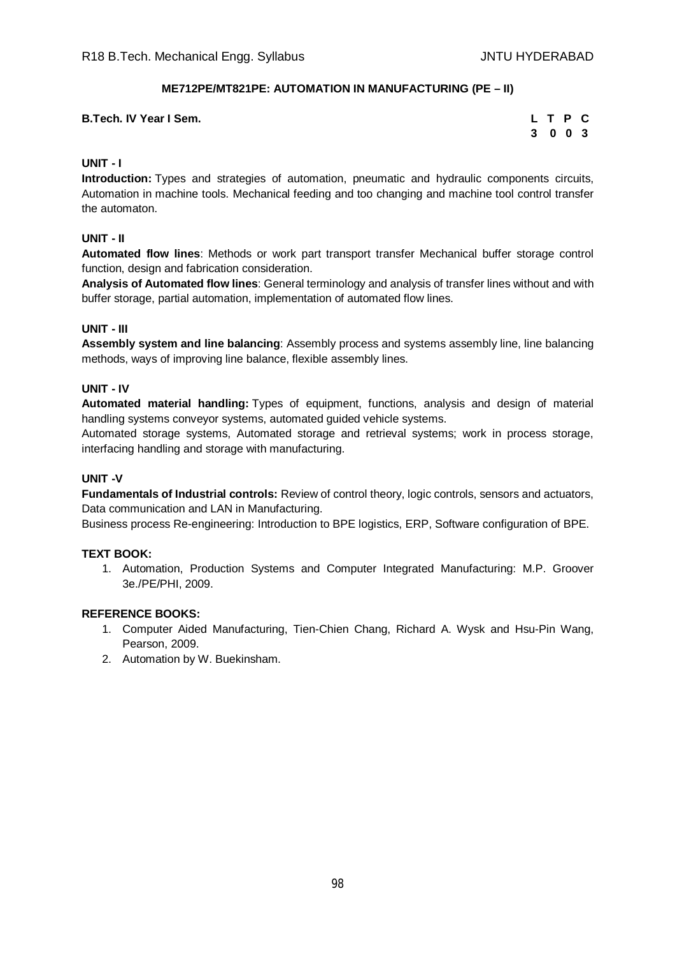## **ME712PE/MT821PE: AUTOMATION IN MANUFACTURING (PE – II)**

| <b>B.Tech. IV Year I Sem.</b> |  | L T P C |  |
|-------------------------------|--|---------|--|
|                               |  | 3 0 0 3 |  |

## **UNIT - I**

**Introduction:** Types and strategies of automation, pneumatic and hydraulic components circuits, Automation in machine tools. Mechanical feeding and too changing and machine tool control transfer the automaton.

## **UNIT - II**

**Automated flow lines**: Methods or work part transport transfer Mechanical buffer storage control function, design and fabrication consideration.

**Analysis of Automated flow lines**: General terminology and analysis of transfer lines without and with buffer storage, partial automation, implementation of automated flow lines.

#### **UNIT - III**

**Assembly system and line balancing**: Assembly process and systems assembly line, line balancing methods, ways of improving line balance, flexible assembly lines.

## **UNIT - IV**

**Automated material handling:** Types of equipment, functions, analysis and design of material handling systems conveyor systems, automated guided vehicle systems.

Automated storage systems, Automated storage and retrieval systems; work in process storage, interfacing handling and storage with manufacturing.

## **UNIT -V**

**Fundamentals of Industrial controls:** Review of control theory, logic controls, sensors and actuators, Data communication and LAN in Manufacturing.

Business process Re-engineering: Introduction to BPE logistics, ERP, Software configuration of BPE.

#### **TEXT BOOK:**

1. Automation, Production Systems and Computer Integrated Manufacturing: M.P. Groover 3e./PE/PHI, 2009.

- 1. Computer Aided Manufacturing, Tien-Chien Chang, Richard A. Wysk and Hsu-Pin Wang, Pearson, 2009.
- 2. Automation by W. Buekinsham.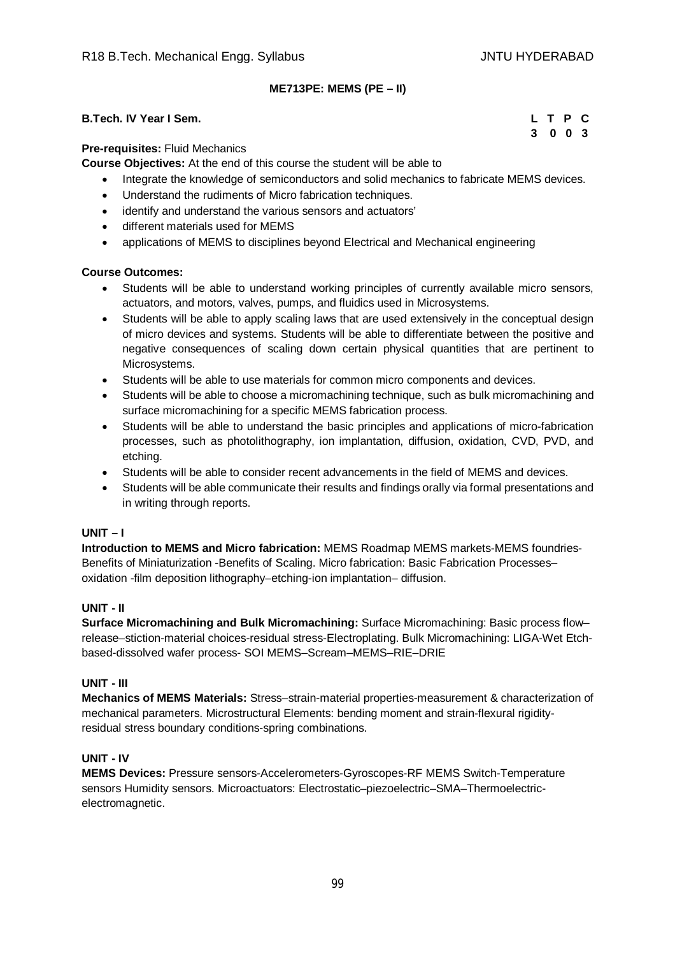# **ME713PE: MEMS (PE – II)**

## **B.Tech. IV Year I Sem. L T P C**

**3 0 0 3**

#### **Pre-requisites:** Fluid Mechanics

**Course Objectives:** At the end of this course the student will be able to

- Integrate the knowledge of semiconductors and solid mechanics to fabricate MEMS devices.
- Understand the rudiments of Micro fabrication techniques.
- identify and understand the various sensors and actuators'
- different materials used for MEMS
- applications of MEMS to disciplines beyond Electrical and Mechanical engineering

#### **Course Outcomes:**

- Students will be able to understand working principles of currently available micro sensors, actuators, and motors, valves, pumps, and fluidics used in Microsystems.
- Students will be able to apply scaling laws that are used extensively in the conceptual design of micro devices and systems. Students will be able to differentiate between the positive and negative consequences of scaling down certain physical quantities that are pertinent to Microsystems.
- Students will be able to use materials for common micro components and devices.
- Students will be able to choose a micromachining technique, such as bulk micromachining and surface micromachining for a specific MEMS fabrication process.
- Students will be able to understand the basic principles and applications of micro-fabrication processes, such as photolithography, ion implantation, diffusion, oxidation, CVD, PVD, and etching.
- Students will be able to consider recent advancements in the field of MEMS and devices.
- Students will be able communicate their results and findings orally via formal presentations and in writing through reports.

#### **UNIT – I**

**Introduction to MEMS and Micro fabrication:** MEMS Roadmap MEMS markets-MEMS foundries-Benefits of Miniaturization -Benefits of Scaling. Micro fabrication: Basic Fabrication Processes– oxidation -film deposition lithography–etching-ion implantation– diffusion.

#### **UNIT - II**

**Surface Micromachining and Bulk Micromachining:** Surface Micromachining: Basic process flow– release–stiction-material choices-residual stress-Electroplating. Bulk Micromachining: LIGA-Wet Etchbased-dissolved wafer process- SOI MEMS–Scream–MEMS–RIE–DRIE

#### **UNIT - III**

**Mechanics of MEMS Materials:** Stress–strain-material properties-measurement & characterization of mechanical parameters. Microstructural Elements: bending moment and strain-flexural rigidityresidual stress boundary conditions-spring combinations.

# **UNIT - IV**

**MEMS Devices:** Pressure sensors-Accelerometers-Gyroscopes-RF MEMS Switch-Temperature sensors Humidity sensors. Microactuators: Electrostatic–piezoelectric–SMA–Thermoelectricelectromagnetic.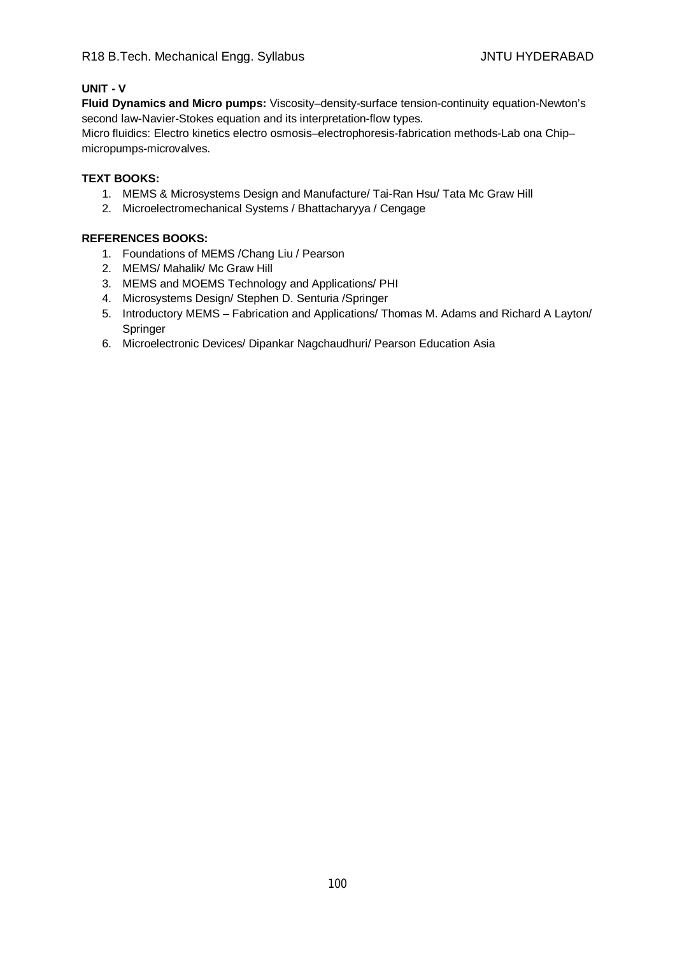## **UNIT - V**

**Fluid Dynamics and Micro pumps:** Viscosity–density-surface tension-continuity equation-Newton's second law-Navier-Stokes equation and its interpretation-flow types.

Micro fluidics: Electro kinetics electro osmosis–electrophoresis-fabrication methods-Lab ona Chip– micropumps-microvalves.

## **TEXT BOOKS:**

- 1. MEMS & Microsystems Design and Manufacture/ Tai-Ran Hsu/ Tata Mc Graw Hill
- 2. Microelectromechanical Systems / Bhattacharyya / Cengage

- 1. Foundations of MEMS /Chang Liu / Pearson
- 2. MEMS/ Mahalik/ Mc Graw Hill
- 3. MEMS and MOEMS Technology and Applications/ PHI
- 4. Microsystems Design/ Stephen D. Senturia /Springer
- 5. Introductory MEMS Fabrication and Applications/ Thomas M. Adams and Richard A Layton/ Springer
- 6. Microelectronic Devices/ Dipankar Nagchaudhuri/ Pearson Education Asia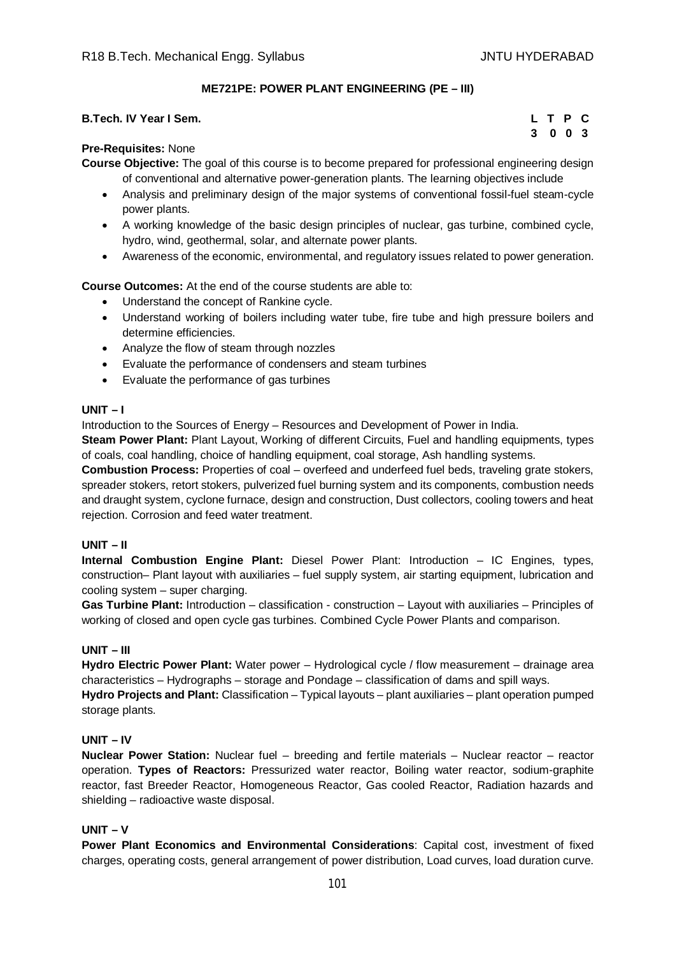## **ME721PE: POWER PLANT ENGINEERING (PE – III)**

| B.Tech. IV Year I Sem. |  | LTPC    |
|------------------------|--|---------|
|                        |  | 3 0 0 3 |

#### **Pre-Requisites:** None

**Course Objective:** The goal of this course is to become prepared for professional engineering design of conventional and alternative power-generation plants. The learning objectives include

- Analysis and preliminary design of the major systems of conventional fossil-fuel steam-cycle power plants.
- A working knowledge of the basic design principles of nuclear, gas turbine, combined cycle, hydro, wind, geothermal, solar, and alternate power plants.
- Awareness of the economic, environmental, and regulatory issues related to power generation.

**Course Outcomes:** At the end of the course students are able to:

- Understand the concept of Rankine cycle.
- Understand working of boilers including water tube, fire tube and high pressure boilers and determine efficiencies.
- Analyze the flow of steam through nozzles
- Evaluate the performance of condensers and steam turbines
- Evaluate the performance of gas turbines

## **UNIT – I**

Introduction to the Sources of Energy – Resources and Development of Power in India.

**Steam Power Plant:** Plant Layout, Working of different Circuits, Fuel and handling equipments, types of coals, coal handling, choice of handling equipment, coal storage, Ash handling systems.

**Combustion Process:** Properties of coal – overfeed and underfeed fuel beds, traveling grate stokers, spreader stokers, retort stokers, pulverized fuel burning system and its components, combustion needs and draught system, cyclone furnace, design and construction, Dust collectors, cooling towers and heat rejection. Corrosion and feed water treatment.

#### **UNIT – II**

**Internal Combustion Engine Plant:** Diesel Power Plant: Introduction – IC Engines, types, construction– Plant layout with auxiliaries – fuel supply system, air starting equipment, lubrication and cooling system – super charging.

**Gas Turbine Plant:** Introduction – classification - construction – Layout with auxiliaries – Principles of working of closed and open cycle gas turbines. Combined Cycle Power Plants and comparison.

#### **UNIT – III**

**Hydro Electric Power Plant:** Water power – Hydrological cycle / flow measurement – drainage area characteristics – Hydrographs – storage and Pondage – classification of dams and spill ways.

**Hydro Projects and Plant:** Classification – Typical layouts – plant auxiliaries – plant operation pumped storage plants.

## **UNIT – IV**

**Nuclear Power Station:** Nuclear fuel – breeding and fertile materials – Nuclear reactor – reactor operation. **Types of Reactors:** Pressurized water reactor, Boiling water reactor, sodium-graphite reactor, fast Breeder Reactor, Homogeneous Reactor, Gas cooled Reactor, Radiation hazards and shielding – radioactive waste disposal.

# **UNIT – V**

**Power Plant Economics and Environmental Considerations**: Capital cost, investment of fixed charges, operating costs, general arrangement of power distribution, Load curves, load duration curve.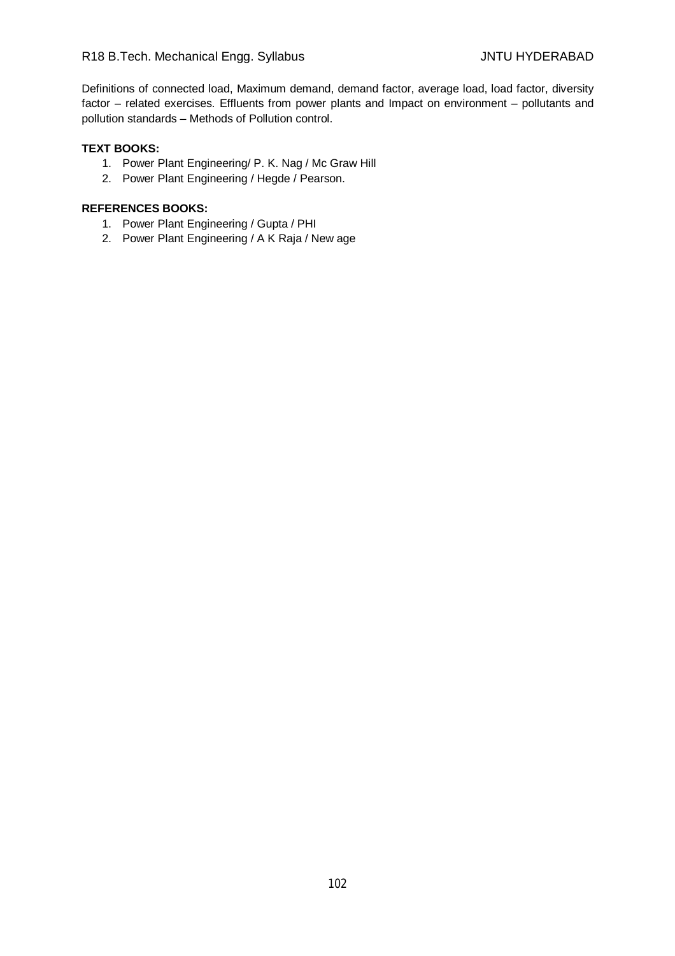Definitions of connected load, Maximum demand, demand factor, average load, load factor, diversity factor – related exercises. Effluents from power plants and Impact on environment – pollutants and pollution standards – Methods of Pollution control.

## **TEXT BOOKS:**

- 1. Power Plant Engineering/ P. K. Nag / Mc Graw Hill
- 2. Power Plant Engineering / Hegde / Pearson.

- 1. Power Plant Engineering / Gupta / PHI
- 2. Power Plant Engineering / A K Raja / New age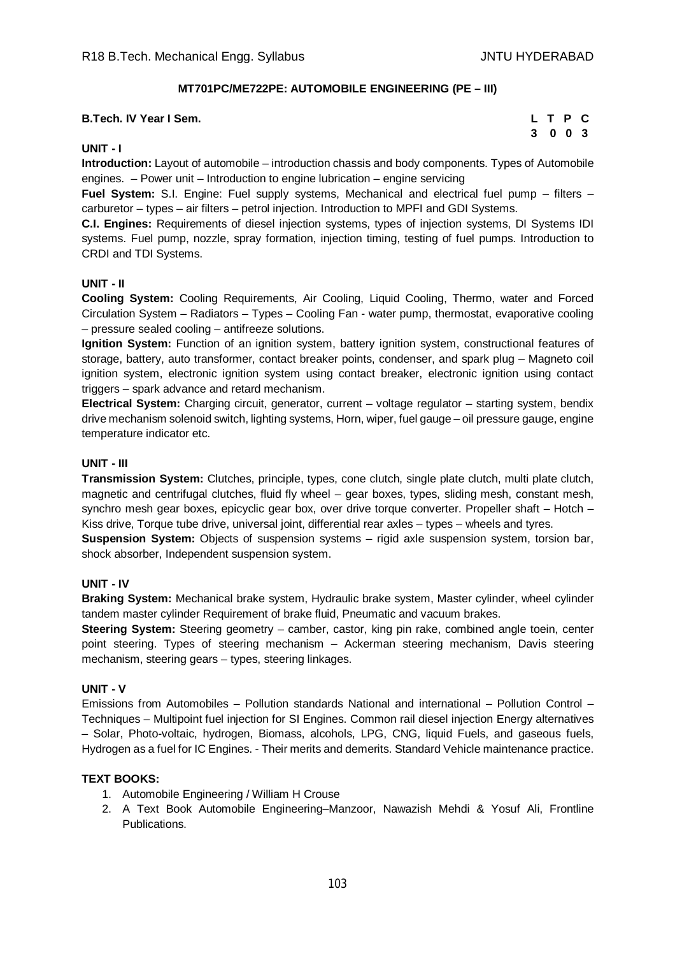## **MT701PC/ME722PE: AUTOMOBILE ENGINEERING (PE – III)**

#### **B.Tech. IV Year I Sem.**

|   | L T P |             | C |
|---|-------|-------------|---|
| 3 |       | $0 \t0 \t3$ |   |

#### **UNIT - I**

**Introduction:** Layout of automobile – introduction chassis and body components. Types of Automobile engines. – Power unit – Introduction to engine lubrication – engine servicing

**Fuel System:** S.I. Engine: Fuel supply systems, Mechanical and electrical fuel pump – filters – carburetor – types – air filters – petrol injection. Introduction to MPFI and GDI Systems.

**C.I. Engines:** Requirements of diesel injection systems, types of injection systems, DI Systems IDI systems. Fuel pump, nozzle, spray formation, injection timing, testing of fuel pumps. Introduction to CRDI and TDI Systems.

#### **UNIT - II**

**Cooling System:** Cooling Requirements, Air Cooling, Liquid Cooling, Thermo, water and Forced Circulation System – Radiators – Types – Cooling Fan - water pump, thermostat, evaporative cooling – pressure sealed cooling – antifreeze solutions.

**Ignition System:** Function of an ignition system, battery ignition system, constructional features of storage, battery, auto transformer, contact breaker points, condenser, and spark plug – Magneto coil ignition system, electronic ignition system using contact breaker, electronic ignition using contact triggers – spark advance and retard mechanism.

**Electrical System:** Charging circuit, generator, current – voltage regulator – starting system, bendix drive mechanism solenoid switch, lighting systems, Horn, wiper, fuel gauge – oil pressure gauge, engine temperature indicator etc.

#### **UNIT - III**

**Transmission System:** Clutches, principle, types, cone clutch, single plate clutch, multi plate clutch, magnetic and centrifugal clutches, fluid fly wheel – gear boxes, types, sliding mesh, constant mesh, synchro mesh gear boxes, epicyclic gear box, over drive torque converter. Propeller shaft – Hotch – Kiss drive, Torque tube drive, universal joint, differential rear axles – types – wheels and tyres.

**Suspension System:** Objects of suspension systems – rigid axle suspension system, torsion bar, shock absorber, Independent suspension system.

#### **UNIT - IV**

**Braking System:** Mechanical brake system, Hydraulic brake system, Master cylinder, wheel cylinder tandem master cylinder Requirement of brake fluid, Pneumatic and vacuum brakes.

**Steering System:** Steering geometry – camber, castor, king pin rake, combined angle toein, center point steering. Types of steering mechanism – Ackerman steering mechanism, Davis steering mechanism, steering gears – types, steering linkages.

#### **UNIT - V**

Emissions from Automobiles – Pollution standards National and international – Pollution Control – Techniques – Multipoint fuel injection for SI Engines. Common rail diesel injection Energy alternatives – Solar, Photo-voltaic, hydrogen, Biomass, alcohols, LPG, CNG, liquid Fuels, and gaseous fuels, Hydrogen as a fuel for IC Engines. - Their merits and demerits. Standard Vehicle maintenance practice.

#### **TEXT BOOKS:**

- 1. Automobile Engineering / William H Crouse
- 2. A Text Book Automobile Engineering–Manzoor, Nawazish Mehdi & Yosuf Ali, Frontline Publications.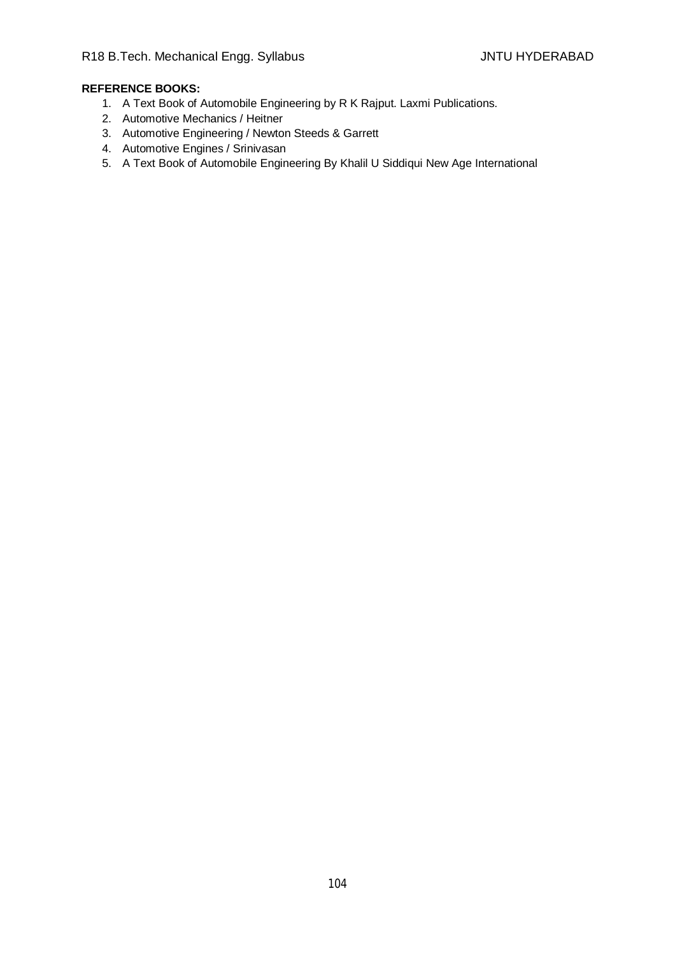- 1. A Text Book of Automobile Engineering by R K Rajput. Laxmi Publications.
- 2. Automotive Mechanics / Heitner
- 3. Automotive Engineering / Newton Steeds & Garrett
- 4. Automotive Engines / Srinivasan
- 5. A Text Book of Automobile Engineering By Khalil U Siddiqui New Age International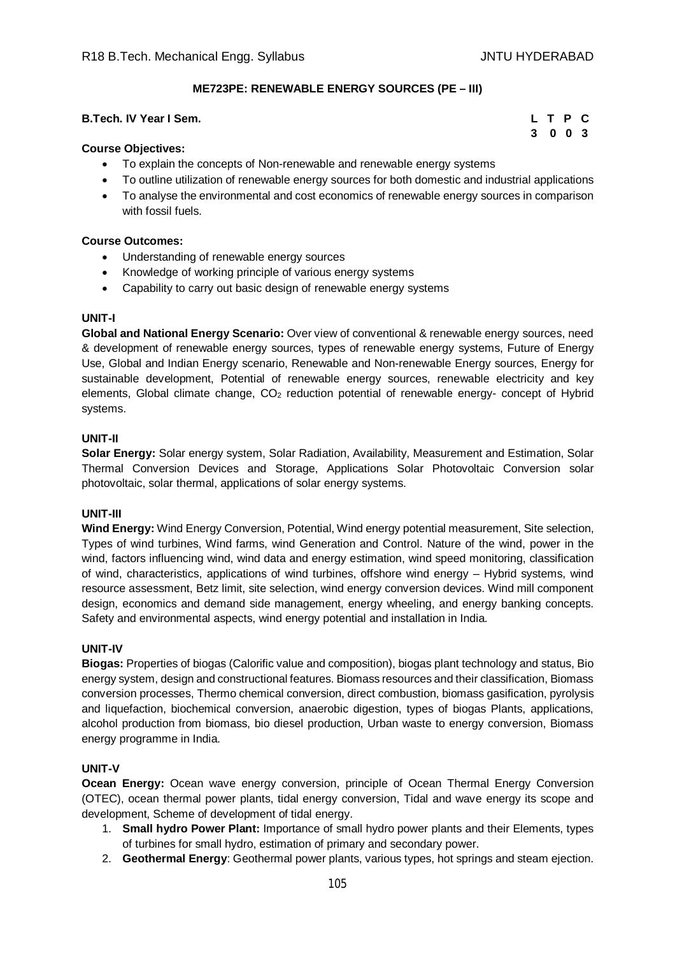#### **ME723PE: RENEWABLE ENERGY SOURCES (PE – III)**

#### **B.Tech. IV Year I Sem.**

- To explain the concepts of Non-renewable and renewable energy systems
- To outline utilization of renewable energy sources for both domestic and industrial applications
- To analyse the environmental and cost economics of renewable energy sources in comparison with fossil fuels.

#### **Course Outcomes:**

- Understanding of renewable energy sources
- Knowledge of working principle of various energy systems
- Capability to carry out basic design of renewable energy systems

#### **UNIT-I**

**Global and National Energy Scenario:** Over view of conventional & renewable energy sources, need & development of renewable energy sources, types of renewable energy systems, Future of Energy Use, Global and Indian Energy scenario, Renewable and Non-renewable Energy sources, Energy for sustainable development, Potential of renewable energy sources, renewable electricity and key elements, Global climate change, CO<sub>2</sub> reduction potential of renewable energy- concept of Hybrid systems.

#### **UNIT-II**

**Solar Energy:** Solar energy system, Solar Radiation, Availability, Measurement and Estimation, Solar Thermal Conversion Devices and Storage, Applications Solar Photovoltaic Conversion solar photovoltaic, solar thermal, applications of solar energy systems.

#### **UNIT-III**

**Wind Energy:** Wind Energy Conversion, Potential, Wind energy potential measurement, Site selection, Types of wind turbines, Wind farms, wind Generation and Control. Nature of the wind, power in the wind, factors influencing wind, wind data and energy estimation, wind speed monitoring, classification of wind, characteristics, applications of wind turbines, offshore wind energy – Hybrid systems, wind resource assessment, Betz limit, site selection, wind energy conversion devices. Wind mill component design, economics and demand side management, energy wheeling, and energy banking concepts. Safety and environmental aspects, wind energy potential and installation in India.

#### **UNIT-IV**

**Biogas:** Properties of biogas (Calorific value and composition), biogas plant technology and status, Bio energy system, design and constructional features. Biomass resources and their classification, Biomass conversion processes, Thermo chemical conversion, direct combustion, biomass gasification, pyrolysis and liquefaction, biochemical conversion, anaerobic digestion, types of biogas Plants, applications, alcohol production from biomass, bio diesel production, Urban waste to energy conversion, Biomass energy programme in India.

#### **UNIT-V**

**Ocean Energy:** Ocean wave energy conversion, principle of Ocean Thermal Energy Conversion (OTEC), ocean thermal power plants, tidal energy conversion, Tidal and wave energy its scope and development, Scheme of development of tidal energy.

- 1. **Small hydro Power Plant:** Importance of small hydro power plants and their Elements, types of turbines for small hydro, estimation of primary and secondary power.
- 2. **Geothermal Energy**: Geothermal power plants, various types, hot springs and steam ejection.

| L. | T P |            | C.  |
|----|-----|------------|-----|
| 3  |     | $0\quad 0$ | - 3 |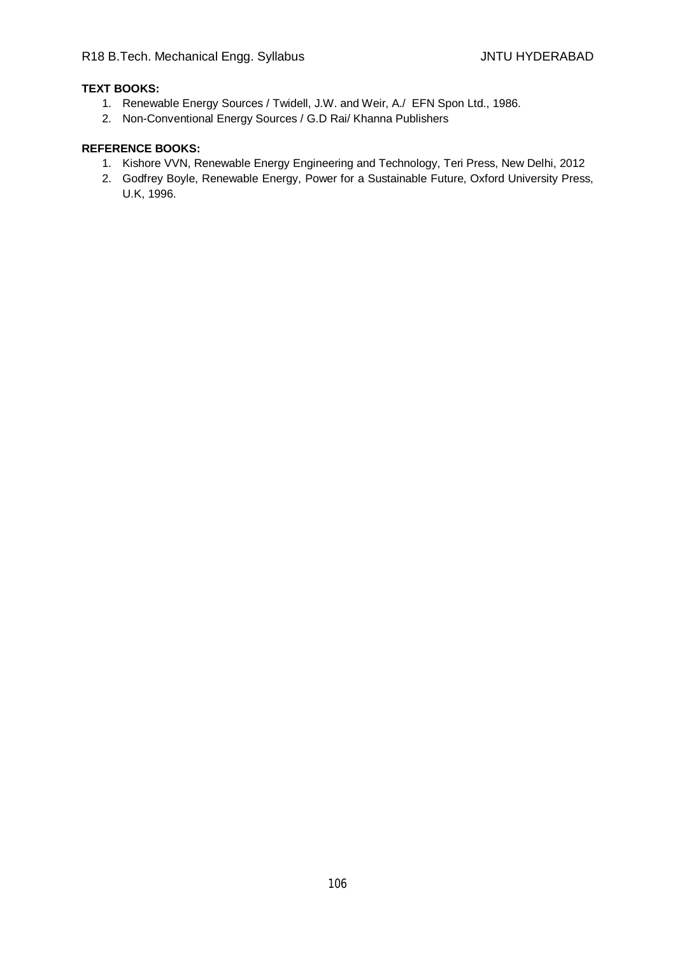# **TEXT BOOKS:**

- 1. Renewable Energy Sources / Twidell, J.W. and Weir, A./ EFN Spon Ltd., 1986.
- 2. Non-Conventional Energy Sources / G.D Rai/ Khanna Publishers

- 1. Kishore VVN, Renewable Energy Engineering and Technology, Teri Press, New Delhi, 2012
- 2. Godfrey Boyle, Renewable Energy, Power for a Sustainable Future, Oxford University Press, U.K, 1996.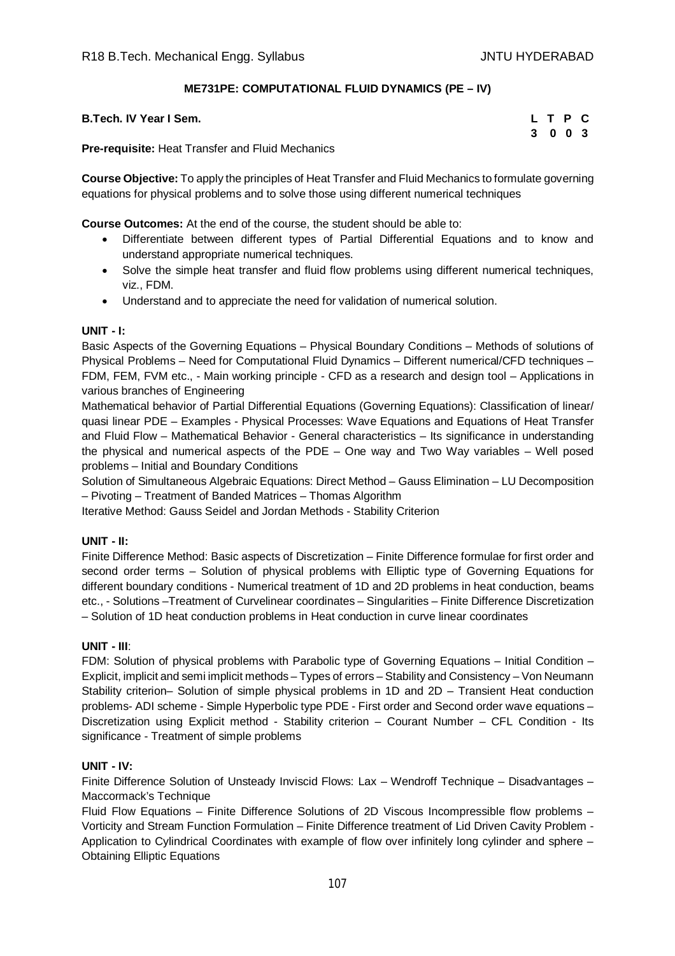## **ME731PE: COMPUTATIONAL FLUID DYNAMICS (PE – IV)**

| B.Tech. IV Year I Sem.                                  | L T P C |  |  |
|---------------------------------------------------------|---------|--|--|
|                                                         | 3 0 0 3 |  |  |
| Dua na milalta illa et Tuan efen an di Fluid Maghaniae. |         |  |  |

**Pre-requisite:** Heat Transfer and Fluid Mechanics

**Course Objective:** To apply the principles of Heat Transfer and Fluid Mechanics to formulate governing equations for physical problems and to solve those using different numerical techniques

**Course Outcomes:** At the end of the course, the student should be able to:

- Differentiate between different types of Partial Differential Equations and to know and understand appropriate numerical techniques.
- Solve the simple heat transfer and fluid flow problems using different numerical techniques, viz., FDM.
- Understand and to appreciate the need for validation of numerical solution.

#### **UNIT - I:**

Basic Aspects of the Governing Equations – Physical Boundary Conditions – Methods of solutions of Physical Problems – Need for Computational Fluid Dynamics – Different numerical/CFD techniques – FDM, FEM, FVM etc., - Main working principle - CFD as a research and design tool – Applications in various branches of Engineering

Mathematical behavior of Partial Differential Equations (Governing Equations): Classification of linear/ quasi linear PDE – Examples - Physical Processes: Wave Equations and Equations of Heat Transfer and Fluid Flow – Mathematical Behavior - General characteristics – Its significance in understanding the physical and numerical aspects of the PDE – One way and Two Way variables – Well posed problems – Initial and Boundary Conditions

Solution of Simultaneous Algebraic Equations: Direct Method – Gauss Elimination – LU Decomposition – Pivoting – Treatment of Banded Matrices – Thomas Algorithm

Iterative Method: Gauss Seidel and Jordan Methods - Stability Criterion

## **UNIT - II:**

Finite Difference Method: Basic aspects of Discretization – Finite Difference formulae for first order and second order terms – Solution of physical problems with Elliptic type of Governing Equations for different boundary conditions - Numerical treatment of 1D and 2D problems in heat conduction, beams etc., - Solutions –Treatment of Curvelinear coordinates – Singularities – Finite Difference Discretization – Solution of 1D heat conduction problems in Heat conduction in curve linear coordinates

#### **UNIT - III**:

FDM: Solution of physical problems with Parabolic type of Governing Equations – Initial Condition – Explicit, implicit and semi implicit methods – Types of errors – Stability and Consistency – Von Neumann Stability criterion– Solution of simple physical problems in 1D and 2D – Transient Heat conduction problems- ADI scheme - Simple Hyperbolic type PDE - First order and Second order wave equations – Discretization using Explicit method - Stability criterion – Courant Number – CFL Condition - Its significance - Treatment of simple problems

## **UNIT - IV:**

Finite Difference Solution of Unsteady Inviscid Flows: Lax – Wendroff Technique – Disadvantages – Maccormack's Technique

Fluid Flow Equations – Finite Difference Solutions of 2D Viscous Incompressible flow problems – Vorticity and Stream Function Formulation – Finite Difference treatment of Lid Driven Cavity Problem - Application to Cylindrical Coordinates with example of flow over infinitely long cylinder and sphere – Obtaining Elliptic Equations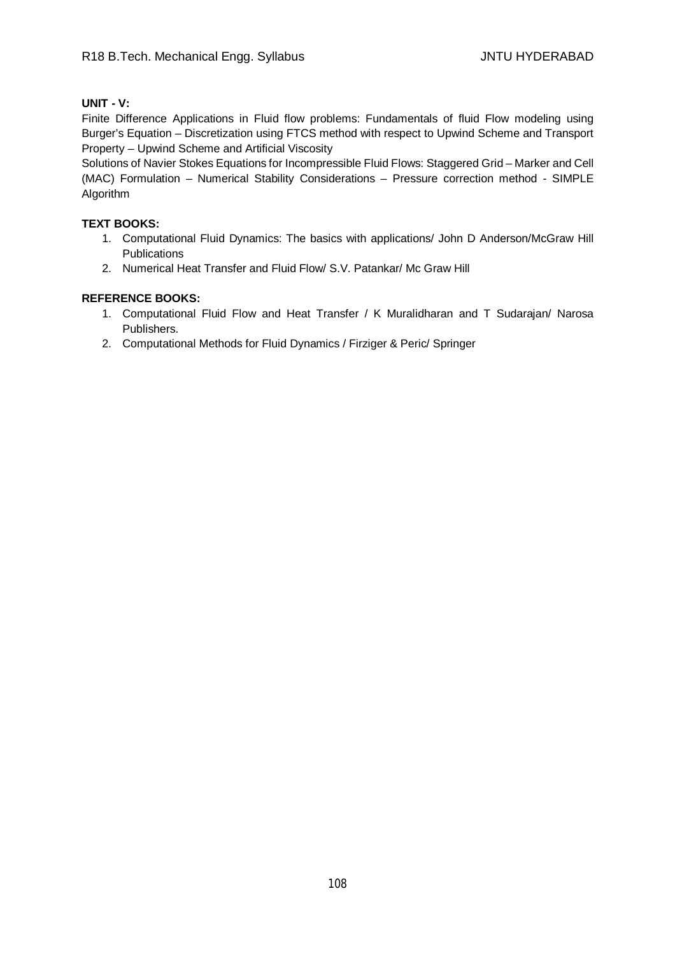## **UNIT - V:**

Finite Difference Applications in Fluid flow problems: Fundamentals of fluid Flow modeling using Burger's Equation – Discretization using FTCS method with respect to Upwind Scheme and Transport Property – Upwind Scheme and Artificial Viscosity

Solutions of Navier Stokes Equations for Incompressible Fluid Flows: Staggered Grid – Marker and Cell (MAC) Formulation – Numerical Stability Considerations – Pressure correction method - SIMPLE Algorithm

## **TEXT BOOKS:**

- 1. Computational Fluid Dynamics: The basics with applications/ John D Anderson/McGraw Hill **Publications**
- 2. Numerical Heat Transfer and Fluid Flow/ S.V. Patankar/ Mc Graw Hill

- 1. Computational Fluid Flow and Heat Transfer / K Muralidharan and T Sudarajan/ Narosa Publishers.
- 2. Computational Methods for Fluid Dynamics / Firziger & Peric/ Springer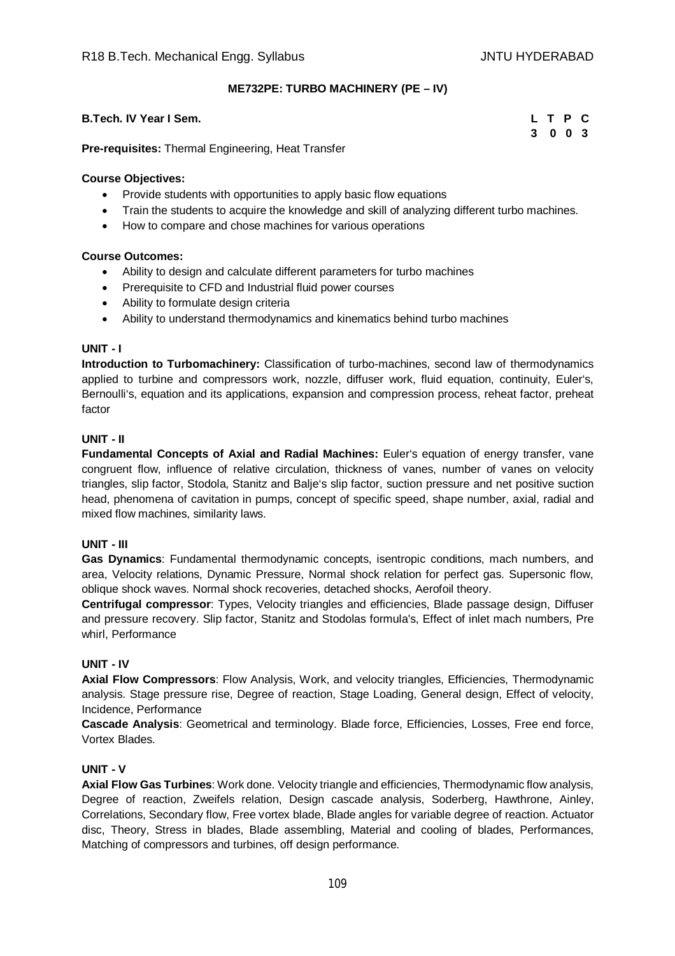### **ME732PE: TURBO MACHINERY (PE – IV)**

### **B.Tech. IV Year I Sem.**

|   | L T P |               | C |
|---|-------|---------------|---|
| 3 |       | $0 \t 0 \t 3$ |   |

**Pre-requisites:** Thermal Engineering, Heat Transfer

#### **Course Objectives:**

- Provide students with opportunities to apply basic flow equations
- Train the students to acquire the knowledge and skill of analyzing different turbo machines.
- How to compare and chose machines for various operations

#### **Course Outcomes:**

- Ability to design and calculate different parameters for turbo machines
- Prerequisite to CFD and Industrial fluid power courses
- Ability to formulate design criteria
- Ability to understand thermodynamics and kinematics behind turbo machines

#### **UNIT - I**

**Introduction to Turbomachinery:** Classification of turbo-machines, second law of thermodynamics applied to turbine and compressors work, nozzle, diffuser work, fluid equation, continuity, Euler's, Bernoulli's, equation and its applications, expansion and compression process, reheat factor, preheat factor

#### **UNIT - II**

**Fundamental Concepts of Axial and Radial Machines:** Euler's equation of energy transfer, vane congruent flow, influence of relative circulation, thickness of vanes, number of vanes on velocity triangles, slip factor, Stodola, Stanitz and Balje's slip factor, suction pressure and net positive suction head, phenomena of cavitation in pumps, concept of specific speed, shape number, axial, radial and mixed flow machines, similarity laws.

#### **UNIT - III**

**Gas Dynamics**: Fundamental thermodynamic concepts, isentropic conditions, mach numbers, and area, Velocity relations, Dynamic Pressure, Normal shock relation for perfect gas. Supersonic flow, oblique shock waves. Normal shock recoveries, detached shocks, Aerofoil theory.

**Centrifugal compressor**: Types, Velocity triangles and efficiencies, Blade passage design, Diffuser and pressure recovery. Slip factor, Stanitz and Stodolas formula's, Effect of inlet mach numbers, Pre whirl, Performance

#### **UNIT - IV**

**Axial Flow Compressors**: Flow Analysis, Work, and velocity triangles, Efficiencies, Thermodynamic analysis. Stage pressure rise, Degree of reaction, Stage Loading, General design, Effect of velocity, Incidence, Performance

**Cascade Analysis**: Geometrical and terminology. Blade force, Efficiencies, Losses, Free end force, Vortex Blades.

#### **UNIT - V**

**Axial Flow Gas Turbines**: Work done. Velocity triangle and efficiencies, Thermodynamic flow analysis, Degree of reaction, Zweifels relation, Design cascade analysis, Soderberg, Hawthrone, Ainley, Correlations, Secondary flow, Free vortex blade, Blade angles for variable degree of reaction. Actuator disc, Theory, Stress in blades, Blade assembling, Material and cooling of blades, Performances, Matching of compressors and turbines, off design performance.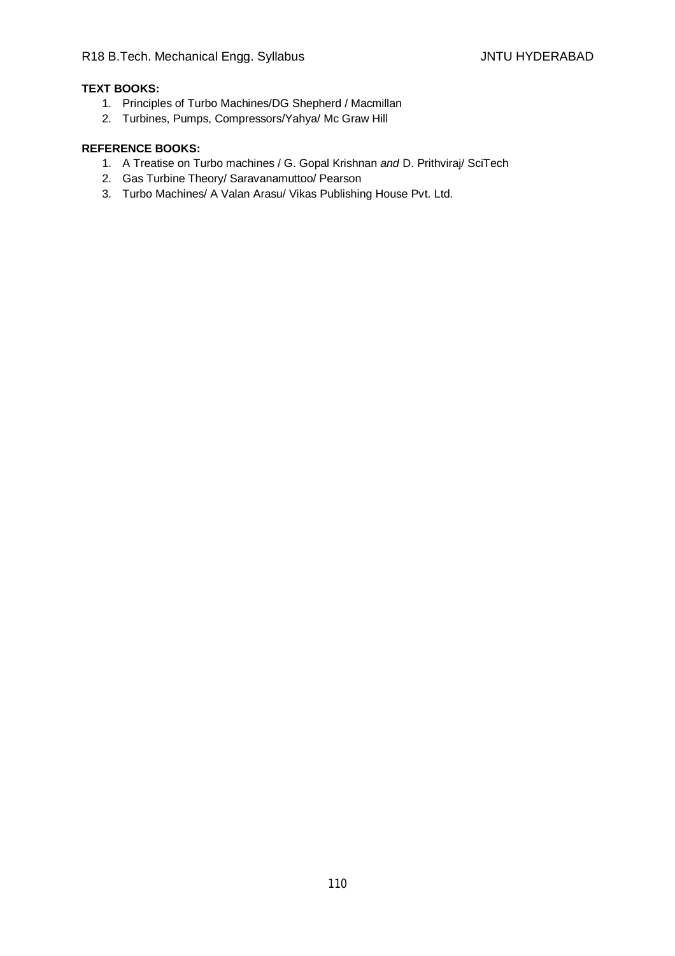# **TEXT BOOKS:**

- 1. Principles of Turbo Machines/DG Shepherd / Macmillan
- 2. Turbines, Pumps, Compressors/Yahya/ Mc Graw Hill

- 1. A Treatise on Turbo machines / G. Gopal Krishnan *and* D. Prithviraj/ SciTech
- 2. Gas Turbine Theory/ Saravanamuttoo/ Pearson
- 3. Turbo Machines/ A Valan Arasu/ Vikas Publishing House Pvt. Ltd.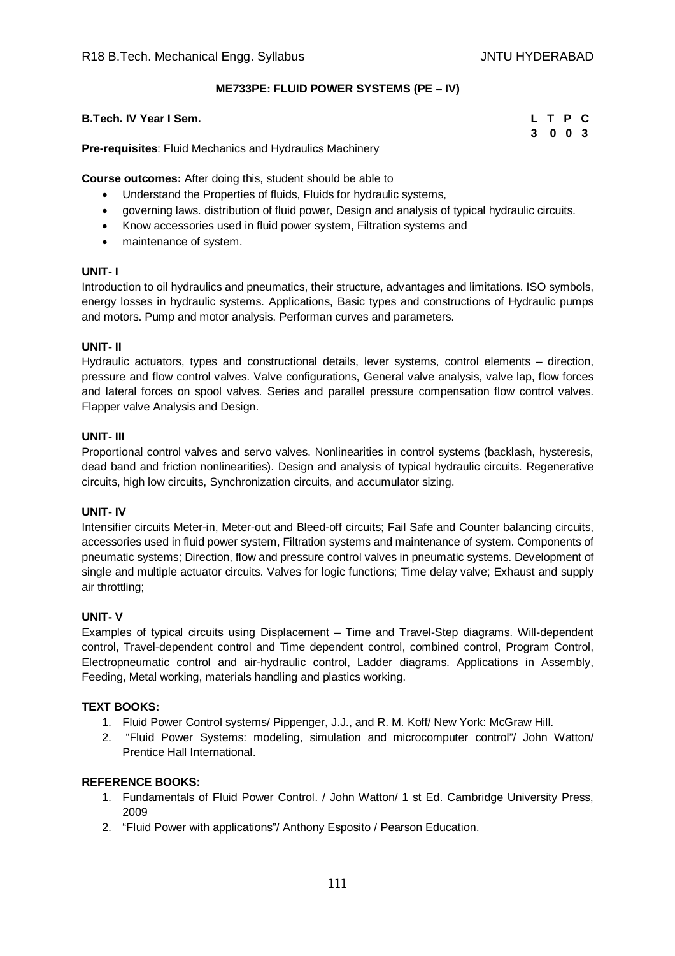### **ME733PE: FLUID POWER SYSTEMS (PE – IV)**

#### **B.Tech. IV Year I Sem.**

|   | L T P |             | $\mathbf{C}$ |
|---|-------|-------------|--------------|
| 3 |       | $0 \t0 \t3$ |              |

**Pre-requisites**: Fluid Mechanics and Hydraulics Machinery

**Course outcomes:** After doing this, student should be able to

- Understand the Properties of fluids, Fluids for hydraulic systems,
- governing laws. distribution of fluid power, Design and analysis of typical hydraulic circuits.
- Know accessories used in fluid power system, Filtration systems and
- maintenance of system.

#### **UNIT- I**

Introduction to oil hydraulics and pneumatics, their structure, advantages and limitations. ISO symbols, energy losses in hydraulic systems. Applications, Basic types and constructions of Hydraulic pumps and motors. Pump and motor analysis. Performan curves and parameters.

#### **UNIT- II**

Hydraulic actuators, types and constructional details, lever systems, control elements – direction, pressure and flow control valves. Valve configurations, General valve analysis, valve lap, flow forces and lateral forces on spool valves. Series and parallel pressure compensation flow control valves. Flapper valve Analysis and Design.

#### **UNIT- III**

Proportional control valves and servo valves. Nonlinearities in control systems (backlash, hysteresis, dead band and friction nonlinearities). Design and analysis of typical hydraulic circuits. Regenerative circuits, high low circuits, Synchronization circuits, and accumulator sizing.

#### **UNIT- IV**

Intensifier circuits Meter-in, Meter-out and Bleed-off circuits; Fail Safe and Counter balancing circuits, accessories used in fluid power system, Filtration systems and maintenance of system. Components of pneumatic systems; Direction, flow and pressure control valves in pneumatic systems. Development of single and multiple actuator circuits. Valves for logic functions; Time delay valve; Exhaust and supply air throttling;

#### **UNIT- V**

Examples of typical circuits using Displacement – Time and Travel-Step diagrams. Will-dependent control, Travel-dependent control and Time dependent control, combined control, Program Control, Electropneumatic control and air-hydraulic control, Ladder diagrams. Applications in Assembly, Feeding, Metal working, materials handling and plastics working.

#### **TEXT BOOKS:**

- 1. Fluid Power Control systems/ Pippenger, J.J., and R. M. Koff/ New York: McGraw Hill.
- 2. "Fluid Power Systems: modeling, simulation and microcomputer control"/ John Watton/ Prentice Hall International.

- 1. Fundamentals of Fluid Power Control. / John Watton/ 1 st Ed. Cambridge University Press, 2009
- 2. "Fluid Power with applications"/ Anthony Esposito / Pearson Education.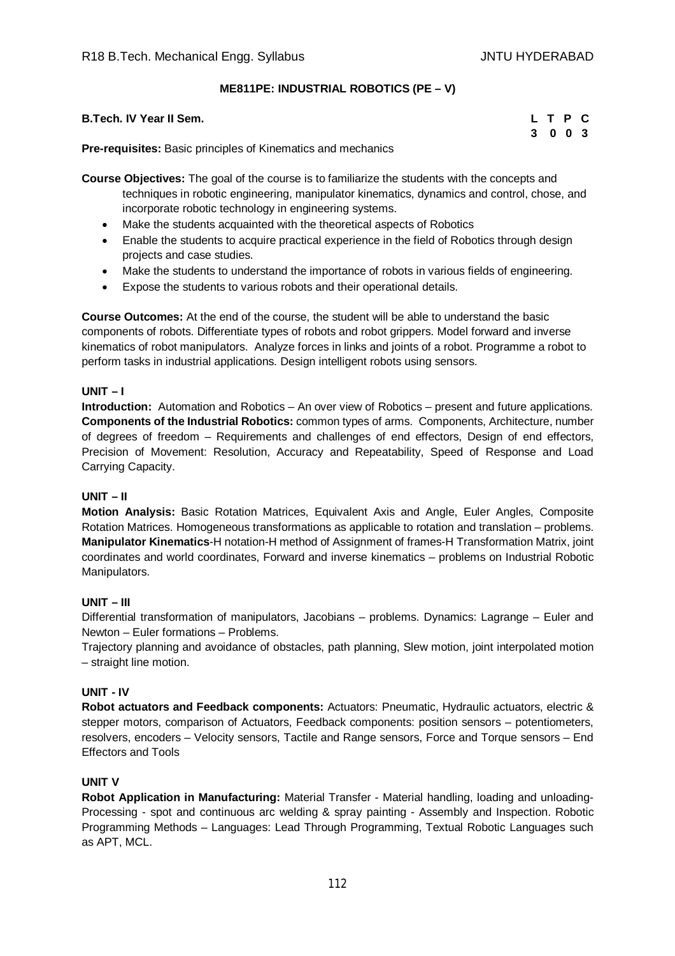### **ME811PE: INDUSTRIAL ROBOTICS (PE – V)**

| <b>B.Tech. IV Year II Sem.</b>                                      | L T P C |  |  |
|---------------------------------------------------------------------|---------|--|--|
|                                                                     | 3 0 0 3 |  |  |
| <b>Dre requisites:</b> Peois principles of Kinematics and mechanics |         |  |  |

**Pre-requisites:** Basic principles of Kinematics and mechanics

**Course Objectives:** The goal of the course is to familiarize the students with the concepts and techniques in robotic engineering, manipulator kinematics, dynamics and control, chose, and incorporate robotic technology in engineering systems.

- Make the students acquainted with the theoretical aspects of Robotics
- Enable the students to acquire practical experience in the field of Robotics through design projects and case studies.
- Make the students to understand the importance of robots in various fields of engineering.
- Expose the students to various robots and their operational details.

**Course Outcomes:** At the end of the course, the student will be able to understand the basic components of robots. Differentiate types of robots and robot grippers. Model forward and inverse kinematics of robot manipulators. Analyze forces in links and joints of a robot. Programme a robot to perform tasks in industrial applications. Design intelligent robots using sensors.

#### **UNIT – I**

**Introduction:** Automation and Robotics – An over view of Robotics – present and future applications. **Components of the Industrial Robotics:** common types of arms. Components, Architecture, number of degrees of freedom – Requirements and challenges of end effectors, Design of end effectors, Precision of Movement: Resolution, Accuracy and Repeatability, Speed of Response and Load Carrying Capacity.

#### **UNIT – II**

**Motion Analysis:** Basic Rotation Matrices, Equivalent Axis and Angle, Euler Angles, Composite Rotation Matrices. Homogeneous transformations as applicable to rotation and translation – problems. **Manipulator Kinematics**-H notation-H method of Assignment of frames-H Transformation Matrix, joint coordinates and world coordinates, Forward and inverse kinematics – problems on Industrial Robotic Manipulators.

#### **UNIT – III**

Differential transformation of manipulators, Jacobians – problems. Dynamics: Lagrange – Euler and Newton – Euler formations – Problems.

Trajectory planning and avoidance of obstacles, path planning, Slew motion, joint interpolated motion – straight line motion.

#### **UNIT - IV**

**Robot actuators and Feedback components:** Actuators: Pneumatic, Hydraulic actuators, electric & stepper motors, comparison of Actuators, Feedback components: position sensors – potentiometers, resolvers, encoders – Velocity sensors, Tactile and Range sensors, Force and Torque sensors – End Effectors and Tools

#### **UNIT V**

**Robot Application in Manufacturing:** Material Transfer - Material handling, loading and unloading-Processing - spot and continuous arc welding & spray painting - Assembly and Inspection. Robotic Programming Methods – Languages: Lead Through Programming, Textual Robotic Languages such as APT, MCL.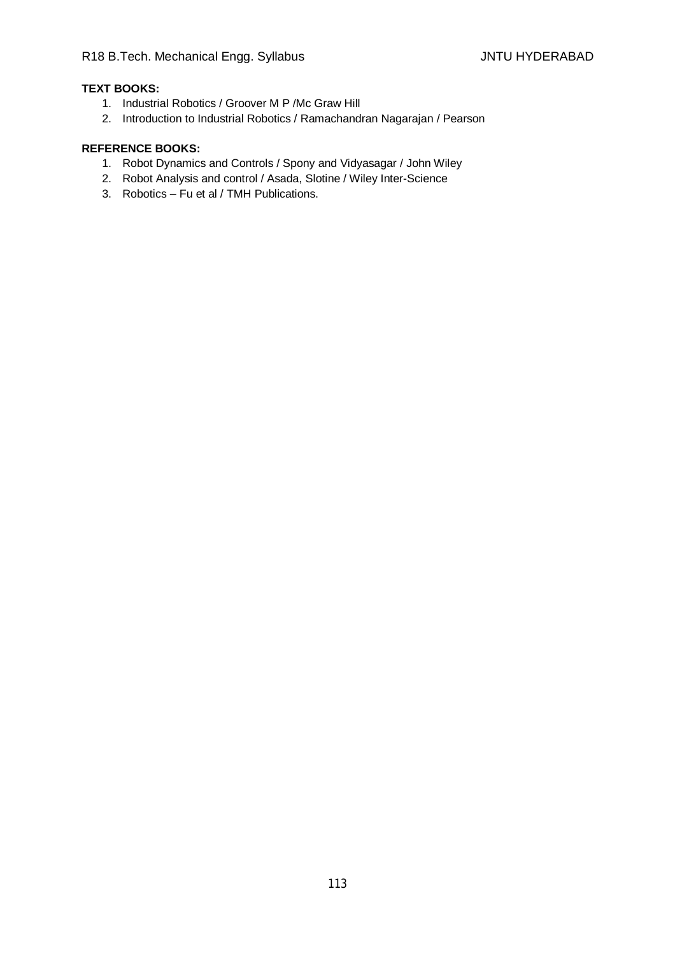# **TEXT BOOKS:**

- 1. Industrial Robotics / Groover M P /Mc Graw Hill
- 2. Introduction to Industrial Robotics / Ramachandran Nagarajan / Pearson

- 1. Robot Dynamics and Controls / Spony and Vidyasagar / John Wiley
- 2. Robot Analysis and control / Asada, Slotine / Wiley Inter-Science
- 3. Robotics Fu et al / TMH Publications.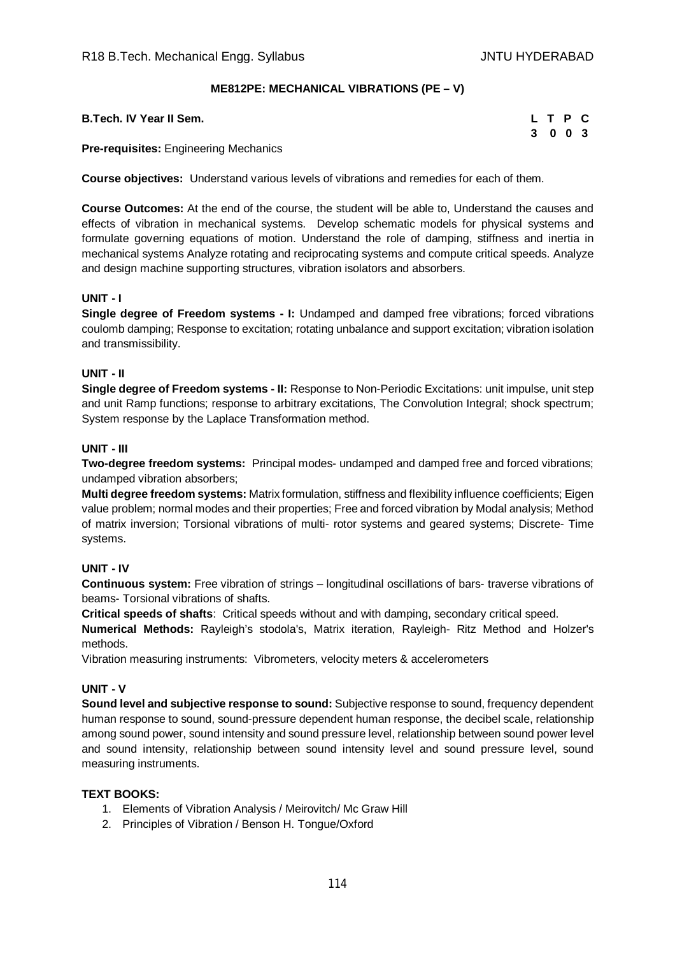### **ME812PE: MECHANICAL VIBRATIONS (PE – V)**

**B.Tech. IV Year II Sem.** 

| L. | Т | - P | C   |
|----|---|-----|-----|
| 3  | 0 | - 0 | - 3 |

**Pre-requisites:** Engineering Mechanics

**Course objectives:** Understand various levels of vibrations and remedies for each of them.

**Course Outcomes:** At the end of the course, the student will be able to, Understand the causes and effects of vibration in mechanical systems. Develop schematic models for physical systems and formulate governing equations of motion. Understand the role of damping, stiffness and inertia in mechanical systems Analyze rotating and reciprocating systems and compute critical speeds. Analyze and design machine supporting structures, vibration isolators and absorbers.

#### **UNIT - I**

**Single degree of Freedom systems - I:** Undamped and damped free vibrations; forced vibrations coulomb damping; Response to excitation; rotating unbalance and support excitation; vibration isolation and transmissibility.

#### **UNIT - II**

**Single degree of Freedom systems - II:** Response to Non-Periodic Excitations: unit impulse, unit step and unit Ramp functions; response to arbitrary excitations, The Convolution Integral; shock spectrum; System response by the Laplace Transformation method.

#### **UNIT - III**

**Two-degree freedom systems:** Principal modes- undamped and damped free and forced vibrations; undamped vibration absorbers;

**Multi degree freedom systems:** Matrix formulation, stiffness and flexibility influence coefficients; Eigen value problem; normal modes and their properties; Free and forced vibration by Modal analysis; Method of matrix inversion; Torsional vibrations of multi- rotor systems and geared systems; Discrete- Time systems.

#### **UNIT - IV**

**Continuous system:** Free vibration of strings – longitudinal oscillations of bars- traverse vibrations of beams- Torsional vibrations of shafts.

**Critical speeds of shafts**: Critical speeds without and with damping, secondary critical speed.

**Numerical Methods:** Rayleigh's stodola's, Matrix iteration, Rayleigh- Ritz Method and Holzer's methods.

Vibration measuring instruments: Vibrometers, velocity meters & accelerometers

#### **UNIT - V**

**Sound level and subjective response to sound:** Subjective response to sound, frequency dependent human response to sound, sound-pressure dependent human response, the decibel scale, relationship among sound power, sound intensity and sound pressure level, relationship between sound power level and sound intensity, relationship between sound intensity level and sound pressure level, sound measuring instruments.

#### **TEXT BOOKS:**

- 1. Elements of Vibration Analysis / Meirovitch/ Mc Graw Hill
- 2. Principles of Vibration / Benson H. Tongue/Oxford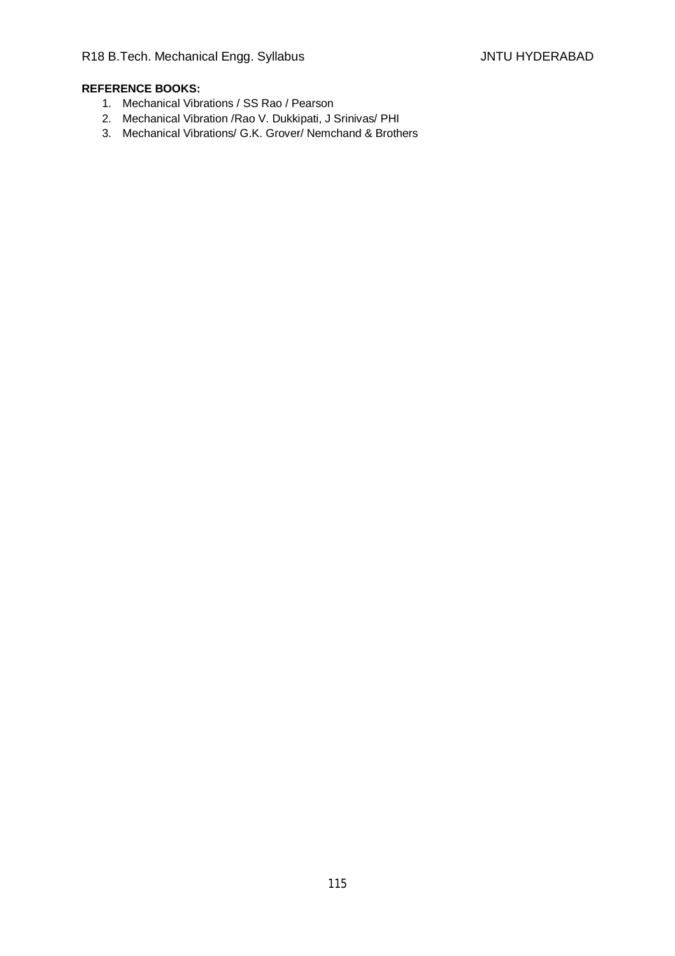- 1. Mechanical Vibrations / SS Rao / Pearson
- 2. Mechanical Vibration /Rao V. Dukkipati, J Srinivas/ PHI
- 3. Mechanical Vibrations/ G.K. Grover/ Nemchand & Brothers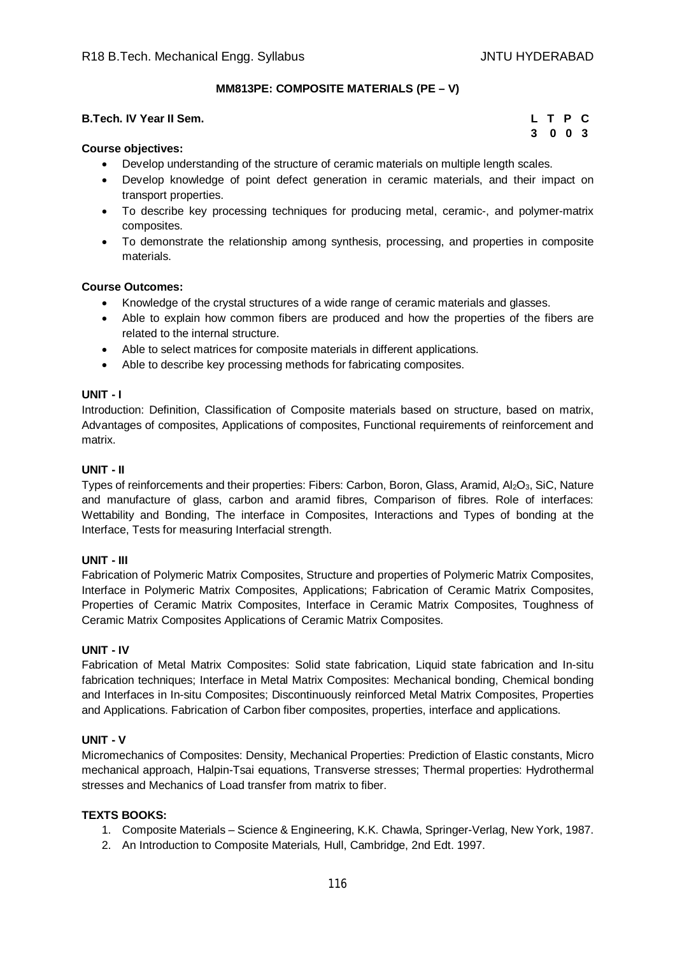### **MM813PE: COMPOSITE MATERIALS (PE – V)**

#### **B.Tech. IV Year II Sem.**

|    | L T P |                   | C |
|----|-------|-------------------|---|
| -3 |       | $0\quad 0\quad 3$ |   |

### **Course objectives:**

- Develop understanding of the structure of ceramic materials on multiple length scales.
- Develop knowledge of point defect generation in ceramic materials, and their impact on transport properties.
- To describe key processing techniques for producing metal, ceramic-, and polymer-matrix composites.
- To demonstrate the relationship among synthesis, processing, and properties in composite materials.

#### **Course Outcomes:**

- Knowledge of the crystal structures of a wide range of ceramic materials and glasses.
- Able to explain how common fibers are produced and how the properties of the fibers are related to the internal structure.
- Able to select matrices for composite materials in different applications.
- Able to describe key processing methods for fabricating composites.

### **UNIT - I**

Introduction: Definition, Classification of Composite materials based on structure, based on matrix, Advantages of composites, Applications of composites, Functional requirements of reinforcement and matrix.

#### **UNIT - II**

Types of reinforcements and their properties: Fibers: Carbon, Boron, Glass, Aramid, Al2O3, SiC, Nature and manufacture of glass, carbon and aramid fibres, Comparison of fibres. Role of interfaces: Wettability and Bonding, The interface in Composites, Interactions and Types of bonding at the Interface, Tests for measuring Interfacial strength.

#### **UNIT - III**

Fabrication of Polymeric Matrix Composites, Structure and properties of Polymeric Matrix Composites, Interface in Polymeric Matrix Composites, Applications; Fabrication of Ceramic Matrix Composites, Properties of Ceramic Matrix Composites, Interface in Ceramic Matrix Composites, Toughness of Ceramic Matrix Composites Applications of Ceramic Matrix Composites.

#### **UNIT - IV**

Fabrication of Metal Matrix Composites: Solid state fabrication, Liquid state fabrication and In-situ fabrication techniques; Interface in Metal Matrix Composites: Mechanical bonding, Chemical bonding and Interfaces in In-situ Composites; Discontinuously reinforced Metal Matrix Composites, Properties and Applications. Fabrication of Carbon fiber composites, properties, interface and applications.

#### **UNIT - V**

Micromechanics of Composites: Density, Mechanical Properties: Prediction of Elastic constants, Micro mechanical approach, Halpin-Tsai equations, Transverse stresses; Thermal properties: Hydrothermal stresses and Mechanics of Load transfer from matrix to fiber.

#### **TEXTS BOOKS:**

- 1. Composite Materials Science & Engineering, K.K. Chawla, Springer-Verlag, New York, 1987.
- 2. An Introduction to Composite Materials*,* Hull, Cambridge, 2nd Edt. 1997.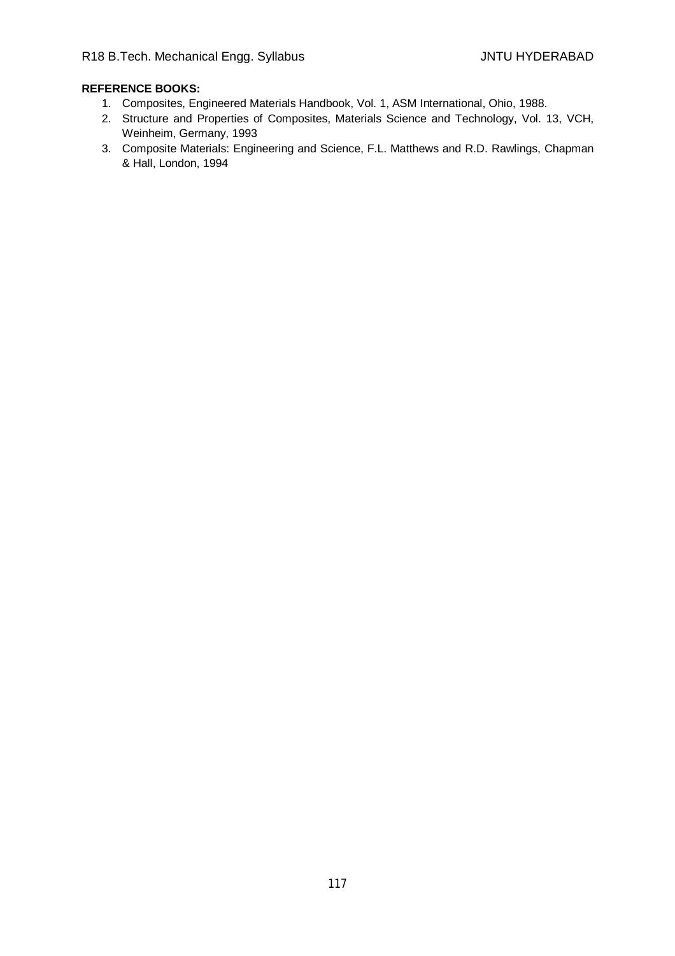- 1. Composites, Engineered Materials Handbook, Vol. 1, ASM International, Ohio, 1988.
- 2. Structure and Properties of Composites, Materials Science and Technology, Vol. 13, VCH, Weinheim, Germany, 1993
- 3. Composite Materials: Engineering and Science, F.L. Matthews and R.D. Rawlings, Chapman & Hall, London, 1994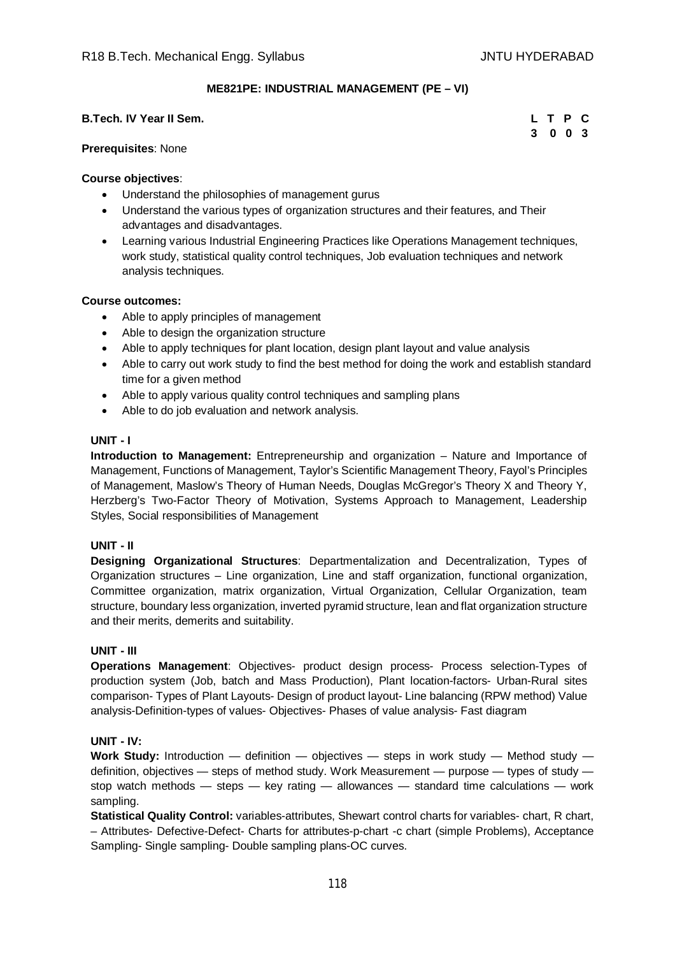**3 0 0 3**

### **ME821PE: INDUSTRIAL MANAGEMENT (PE – VI)**

### **B.Tech. IV Year II Sem. L T P C**

#### **Prerequisites**: None

#### **Course objectives**:

- Understand the philosophies of management gurus
- Understand the various types of organization structures and their features, and Their advantages and disadvantages.
- Learning various Industrial Engineering Practices like Operations Management techniques, work study, statistical quality control techniques, Job evaluation techniques and network analysis techniques.

#### **Course outcomes:**

- Able to apply principles of management
- Able to design the organization structure
- Able to apply techniques for plant location, design plant layout and value analysis
- Able to carry out work study to find the best method for doing the work and establish standard time for a given method
- Able to apply various quality control techniques and sampling plans
- Able to do job evaluation and network analysis.

#### **UNIT - I**

**Introduction to Management:** Entrepreneurship and organization – Nature and Importance of Management, Functions of Management, Taylor's Scientific Management Theory, Fayol's Principles of Management, Maslow's Theory of Human Needs, Douglas McGregor's Theory X and Theory Y, Herzberg's Two-Factor Theory of Motivation, Systems Approach to Management, Leadership Styles, Social responsibilities of Management

#### **UNIT - II**

**Designing Organizational Structures**: Departmentalization and Decentralization, Types of Organization structures – Line organization, Line and staff organization, functional organization, Committee organization, matrix organization, Virtual Organization, Cellular Organization, team structure, boundary less organization, inverted pyramid structure, lean and flat organization structure and their merits, demerits and suitability.

#### **UNIT - III**

**Operations Management**: Objectives- product design process- Process selection-Types of production system (Job, batch and Mass Production), Plant location-factors- Urban-Rural sites comparison- Types of Plant Layouts- Design of product layout- Line balancing (RPW method) Value analysis-Definition-types of values- Objectives- Phases of value analysis- Fast diagram

#### **UNIT - IV:**

**Work Study:** Introduction — definition — objectives — steps in work study — Method study definition, objectives — steps of method study. Work Measurement — purpose — types of study stop watch methods — steps — key rating — allowances — standard time calculations — work sampling.

**Statistical Quality Control:** variables-attributes, Shewart control charts for variables- chart, R chart, – Attributes- Defective-Defect- Charts for attributes-p-chart -c chart (simple Problems), Acceptance Sampling- Single sampling- Double sampling plans-OC curves.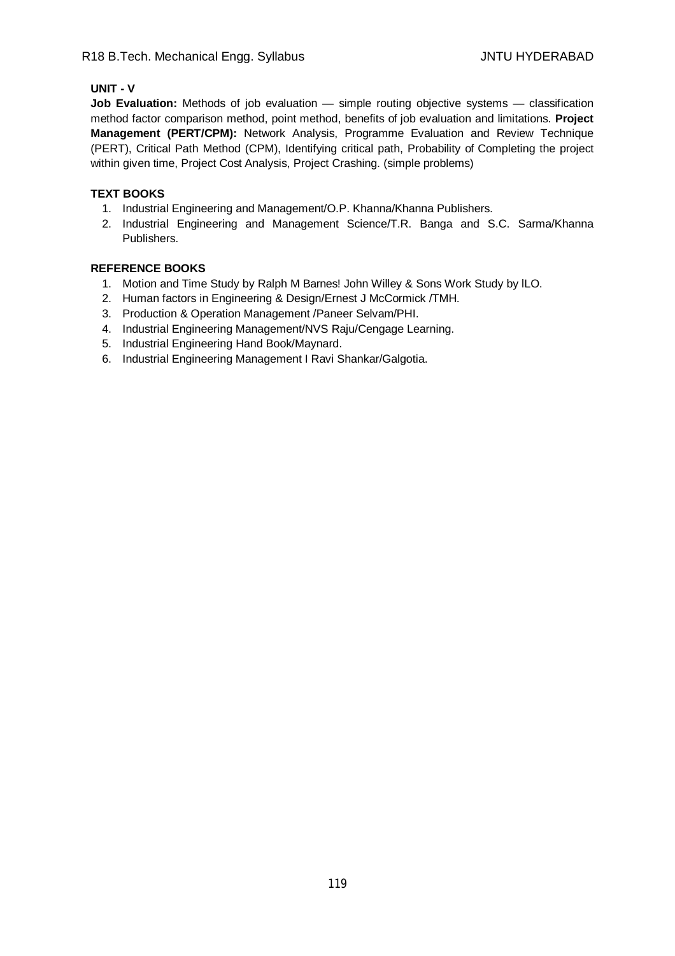## **UNIT - V**

**Job Evaluation:** Methods of job evaluation — simple routing objective systems — classification method factor comparison method, point method, benefits of job evaluation and limitations. **Project Management (PERT/CPM):** Network Analysis, Programme Evaluation and Review Technique (PERT), Critical Path Method (CPM), Identifying critical path, Probability of Completing the project within given time, Project Cost Analysis, Project Crashing. (simple problems)

# **TEXT BOOKS**

- 1. Industrial Engineering and Management/O.P. Khanna/Khanna Publishers.
- 2. Industrial Engineering and Management Science/T.R. Banga and S.C. Sarma/Khanna Publishers.

- 1. Motion and Time Study by Ralph M Barnes! John Willey & Sons Work Study by lLO.
- 2. Human factors in Engineering & Design/Ernest J McCormick /TMH.
- 3. Production & Operation Management /Paneer Selvam/PHI.
- 4. Industrial Engineering Management/NVS Raju/Cengage Learning.
- 5. Industrial Engineering Hand Book/Maynard.
- 6. Industrial Engineering Management I Ravi Shankar/Galgotia.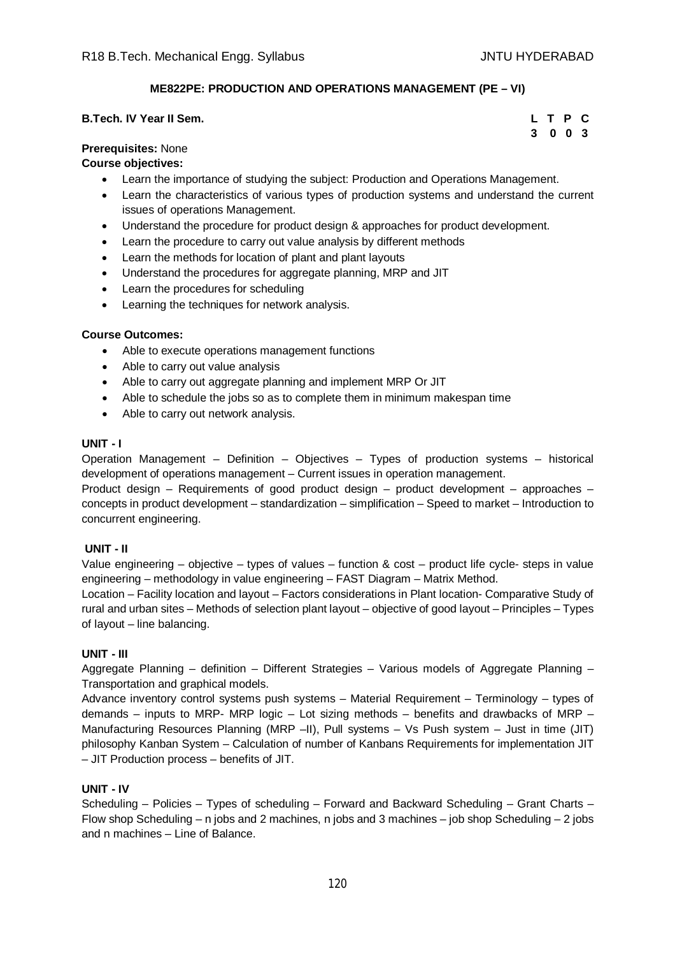# **ME822PE: PRODUCTION AND OPERATIONS MANAGEMENT (PE – VI)**

| <b>B.Tech. IV Year II Sem.</b> | L T P C |         |  |
|--------------------------------|---------|---------|--|
|                                |         | 3 0 0 3 |  |

### **Prerequisites:** None

### **Course objectives:**

- Learn the importance of studying the subject: Production and Operations Management.
- Learn the characteristics of various types of production systems and understand the current issues of operations Management.
- Understand the procedure for product design & approaches for product development.
- Learn the procedure to carry out value analysis by different methods
- Learn the methods for location of plant and plant layouts
- Understand the procedures for aggregate planning, MRP and JIT
- Learn the procedures for scheduling
- **•** Learning the techniques for network analysis.

#### **Course Outcomes:**

- Able to execute operations management functions
- Able to carry out value analysis
- Able to carry out aggregate planning and implement MRP Or JIT
- Able to schedule the jobs so as to complete them in minimum makespan time
- Able to carry out network analysis.

#### **UNIT - I**

Operation Management – Definition – Objectives – Types of production systems – historical development of operations management – Current issues in operation management.

Product design – Requirements of good product design – product development – approaches – concepts in product development – standardization – simplification – Speed to market – Introduction to concurrent engineering.

#### **UNIT - II**

Value engineering – objective – types of values – function & cost – product life cycle- steps in value engineering – methodology in value engineering – FAST Diagram – Matrix Method.

Location – Facility location and layout – Factors considerations in Plant location- Comparative Study of rural and urban sites – Methods of selection plant layout – objective of good layout – Principles – Types of layout – line balancing.

#### **UNIT - III**

Aggregate Planning – definition – Different Strategies – Various models of Aggregate Planning – Transportation and graphical models.

Advance inventory control systems push systems – Material Requirement – Terminology – types of demands – inputs to MRP- MRP logic – Lot sizing methods – benefits and drawbacks of MRP – Manufacturing Resources Planning (MRP –II), Pull systems – Vs Push system – Just in time (JIT) philosophy Kanban System – Calculation of number of Kanbans Requirements for implementation JIT – JIT Production process – benefits of JIT.

#### **UNIT - IV**

Scheduling – Policies – Types of scheduling – Forward and Backward Scheduling – Grant Charts – Flow shop Scheduling – n jobs and 2 machines, n jobs and 3 machines – job shop Scheduling – 2 jobs and n machines – Line of Balance.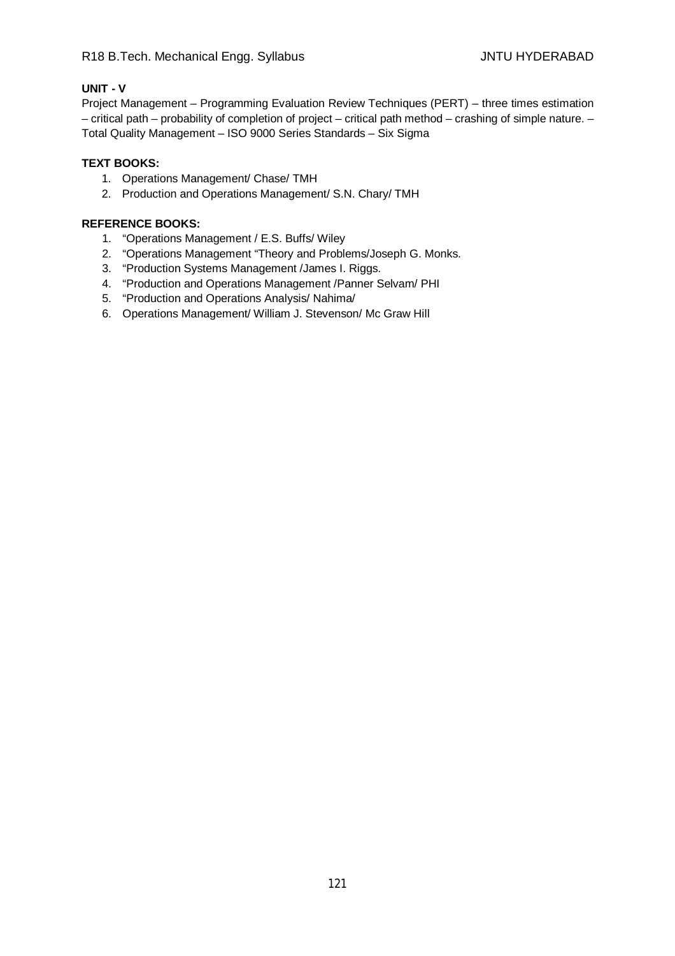# **UNIT - V**

Project Management – Programming Evaluation Review Techniques (PERT) – three times estimation – critical path – probability of completion of project – critical path method – crashing of simple nature. – Total Quality Management – ISO 9000 Series Standards – Six Sigma

### **TEXT BOOKS:**

- 1. Operations Management/ Chase/ TMH
- 2. Production and Operations Management/ S.N. Chary/ TMH

- 1. "Operations Management / E.S. Buffs/ Wiley
- 2. "Operations Management "Theory and Problems/Joseph G. Monks.
- 3. "Production Systems Management /James I. Riggs.
- 4. "Production and Operations Management /Panner Selvam/ PHI
- 5. "Production and Operations Analysis/ Nahima/
- 6. Operations Management/ William J. Stevenson/ Mc Graw Hill